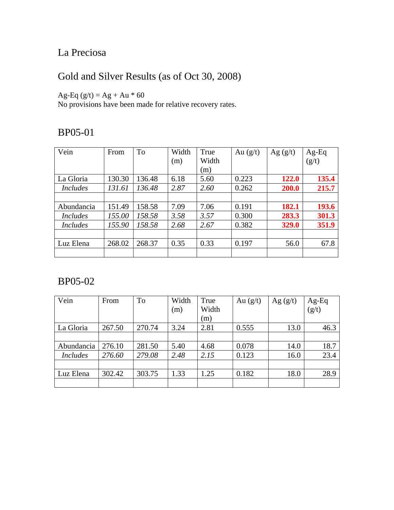# La Preciosa

# Gold and Silver Results (as of Oct 30, 2008)

Ag-Eq  $(g/t) = Ag + Au * 60$ 

No provisions have been made for relative recovery rates.

### BP05-01

| Vein            | From   | To     | Width | True  | Au $(g/t)$ | Ag $(g/t)$ | $Ag-Eq$ |
|-----------------|--------|--------|-------|-------|------------|------------|---------|
|                 |        |        | (m)   | Width |            |            | (g/t)   |
|                 |        |        |       | (m)   |            |            |         |
| La Gloria       | 130.30 | 136.48 | 6.18  | 5.60  | 0.223      | 122.0      | 135.4   |
| <i>Includes</i> | 131.61 | 136.48 | 2.87  | 2.60  | 0.262      | 200.0      | 215.7   |
|                 |        |        |       |       |            |            |         |
| Abundancia      | 151.49 | 158.58 | 7.09  | 7.06  | 0.191      | 182.1      | 193.6   |
| <i>Includes</i> | 155.00 | 158.58 | 3.58  | 3.57  | 0.300      | 283.3      | 301.3   |
| <i>Includes</i> | 155.90 | 158.58 | 2.68  | 2.67  | 0.382      | 329.0      | 351.9   |
|                 |        |        |       |       |            |            |         |
| Luz Elena       | 268.02 | 268.37 | 0.35  | 0.33  | 0.197      | 56.0       | 67.8    |
|                 |        |        |       |       |            |            |         |

| Vein            | From   | To     | Width | True  | Au $(g/t)$ | Ag $(g/t)$ | Ag-Eq              |
|-----------------|--------|--------|-------|-------|------------|------------|--------------------|
|                 |        |        | (m)   | Width |            |            | $\overline{(g/t)}$ |
|                 |        |        |       | (m)   |            |            |                    |
| La Gloria       | 267.50 | 270.74 | 3.24  | 2.81  | 0.555      | 13.0       | 46.3               |
|                 |        |        |       |       |            |            |                    |
| Abundancia      | 276.10 | 281.50 | 5.40  | 4.68  | 0.078      | 14.0       | 18.7               |
| <i>Includes</i> | 276.60 | 279.08 | 2.48  | 2.15  | 0.123      | 16.0       | 23.4               |
|                 |        |        |       |       |            |            |                    |
| Luz Elena       | 302.42 | 303.75 | 1.33  | 1.25  | 0.182      | 18.0       | 28.9               |
|                 |        |        |       |       |            |            |                    |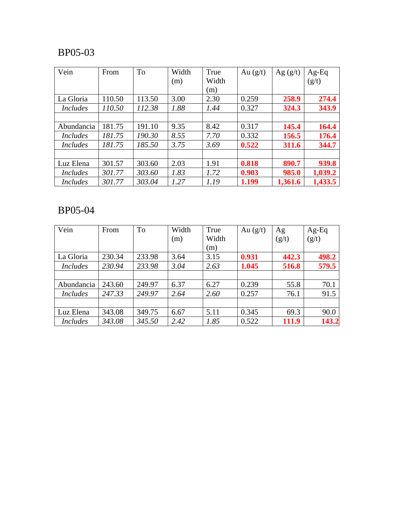| Vein            | From   | To     | Width | True  | Au $(g/t)$ | Ag $(g/t)$ | $Ag-Eq$ |
|-----------------|--------|--------|-------|-------|------------|------------|---------|
|                 |        |        | (m)   | Width |            |            | (g/t)   |
|                 |        |        |       | (m)   |            |            |         |
| La Gloria       | 110.50 | 113.50 | 3.00  | 2.30  | 0.259      | 258.9      | 274.4   |
| <b>Includes</b> | 110.50 | 112.38 | 1.88  | 1.44  | 0.327      | 324.3      | 343.9   |
|                 |        |        |       |       |            |            |         |
| Abundancia      | 181.75 | 191.10 | 9.35  | 8.42  | 0.317      | 145.4      | 164.4   |
| Includes        | 181.75 | 190.30 | 8.55  | 7.70  | 0.332      | 156.5      | 176.4   |
| <i>Includes</i> | 181.75 | 185.50 | 3.75  | 3.69  | 0.522      | 311.6      | 344.7   |
|                 |        |        |       |       |            |            |         |
| Luz Elena       | 301.57 | 303.60 | 2.03  | 1.91  | 0.818      | 890.7      | 939.8   |
| <b>Includes</b> | 301.77 | 303.60 | 1.83  | 1.72  | 0.903      | 985.0      | 1,039.2 |
| <b>Includes</b> | 301.77 | 303.04 | 1.27  | 1.19  | 1.199      | 1,361.6    | 1,433.5 |

| Vein            | From   | <b>To</b> | Width | True  | Au $(g/t)$ | Ag    | $Ag-Eq$ |
|-----------------|--------|-----------|-------|-------|------------|-------|---------|
|                 |        |           | (m)   | Width |            | (g/t) | (g/t)   |
|                 |        |           |       | (m)   |            |       |         |
| La Gloria       | 230.34 | 233.98    | 3.64  | 3.15  | 0.931      | 442.3 | 498.2   |
| <i>Includes</i> | 230.94 | 233.98    | 3.04  | 2.63  | 1.045      | 516.8 | 579.5   |
|                 |        |           |       |       |            |       |         |
| Abundancia      | 243.60 | 249.97    | 6.37  | 6.27  | 0.239      | 55.8  | 70.1    |
| <i>Includes</i> | 247.33 | 249.97    | 2.64  | 2.60  | 0.257      | 76.1  | 91.5    |
|                 |        |           |       |       |            |       |         |
| Luz Elena       | 343.08 | 349.75    | 6.67  | 5.11  | 0.345      | 69.3  | 90.0    |
| <i>Includes</i> | 343.08 | 345.50    | 2.42  | 1.85  | 0.522      | 111.9 | 143.2   |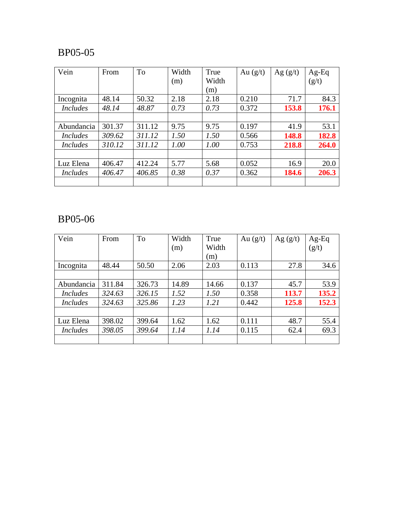| Vein            | From   | <b>To</b> | Width | True  | Au $(g/t)$ | Ag $(g/t)$ | $Ag-Eq$ |
|-----------------|--------|-----------|-------|-------|------------|------------|---------|
|                 |        |           | (m)   | Width |            |            | (g/t)   |
|                 |        |           |       | (m)   |            |            |         |
| Incognita       | 48.14  | 50.32     | 2.18  | 2.18  | 0.210      | 71.7       | 84.3    |
| <b>Includes</b> | 48.14  | 48.87     | 0.73  | 0.73  | 0.372      | 153.8      | 176.1   |
|                 |        |           |       |       |            |            |         |
| Abundancia      | 301.37 | 311.12    | 9.75  | 9.75  | 0.197      | 41.9       | 53.1    |
| <i>Includes</i> | 309.62 | 311.12    | 1.50  | 1.50  | 0.566      | 148.8      | 182.8   |
| <i>Includes</i> | 310.12 | 311.12    | 1.00  | 1.00  | 0.753      | 218.8      | 264.0   |
|                 |        |           |       |       |            |            |         |
| Luz Elena       | 406.47 | 412.24    | 5.77  | 5.68  | 0.052      | 16.9       | 20.0    |
| <i>Includes</i> | 406.47 | 406.85    | 0.38  | 0.37  | 0.362      | 184.6      | 206.3   |
|                 |        |           |       |       |            |            |         |

| Vein            | From   | To     | Width | True  | Au $(g/t)$ | Ag $(g/t)$ | Ag-Eq |
|-----------------|--------|--------|-------|-------|------------|------------|-------|
|                 |        |        | (m)   | Width |            |            | (g/t) |
|                 |        |        |       | (m)   |            |            |       |
| Incognita       | 48.44  | 50.50  | 2.06  | 2.03  | 0.113      | 27.8       | 34.6  |
|                 |        |        |       |       |            |            |       |
| Abundancia      | 311.84 | 326.73 | 14.89 | 14.66 | 0.137      | 45.7       | 53.9  |
| <i>Includes</i> | 324.63 | 326.15 | 1.52  | 1.50  | 0.358      | 113.7      | 135.2 |
| <i>Includes</i> | 324.63 | 325.86 | 1.23  | 1.21  | 0.442      | 125.8      | 152.3 |
|                 |        |        |       |       |            |            |       |
| Luz Elena       | 398.02 | 399.64 | 1.62  | 1.62  | 0.111      | 48.7       | 55.4  |
| <i>Includes</i> | 398.05 | 399.64 | 1.14  | 1.14  | 0.115      | 62.4       | 69.3  |
|                 |        |        |       |       |            |            |       |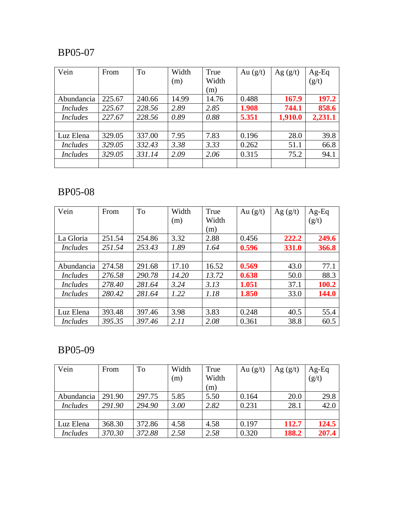| Vein            | From   | To     | Width | True  | Au $(g/t)$ | Ag $(g/t)$ | $Ag-Eq$ |
|-----------------|--------|--------|-------|-------|------------|------------|---------|
|                 |        |        | (m)   | Width |            |            | (g/t)   |
|                 |        |        |       | (m)   |            |            |         |
| Abundancia      | 225.67 | 240.66 | 14.99 | 14.76 | 0.488      | 167.9      | 197.2   |
| <i>Includes</i> | 225.67 | 228.56 | 2.89  | 2.85  | 1.908      | 744.1      | 858.6   |
| <i>Includes</i> | 227.67 | 228.56 | 0.89  | 0.88  | 5.351      | 1,910.0    | 2,231.1 |
|                 |        |        |       |       |            |            |         |
| Luz Elena       | 329.05 | 337.00 | 7.95  | 7.83  | 0.196      | 28.0       | 39.8    |
| <i>Includes</i> | 329.05 | 332.43 | 3.38  | 3.33  | 0.262      | 51.1       | 66.8    |
| <i>Includes</i> | 329.05 | 331.14 | 2.09  | 2.06  | 0.315      | 75.2       | 94.1    |
|                 |        |        |       |       |            |            |         |

# BP05-08

| Vein            | From   | To     | Width | True  | Au $(g/t)$ | Ag $(g/t)$ | $Ag-Eq$ |
|-----------------|--------|--------|-------|-------|------------|------------|---------|
|                 |        |        | (m)   | Width |            |            | (g/t)   |
|                 |        |        |       | (m)   |            |            |         |
| La Gloria       | 251.54 | 254.86 | 3.32  | 2.88  | 0.456      | 222.2      | 249.6   |
| <i>Includes</i> | 251.54 | 253.43 | 1.89  | 1.64  | 0.596      | 331.0      | 366.8   |
|                 |        |        |       |       |            |            |         |
| Abundancia      | 274.58 | 291.68 | 17.10 | 16.52 | 0.569      | 43.0       | 77.1    |
| <i>Includes</i> | 276.58 | 290.78 | 14.20 | 13.72 | 0.638      | 50.0       | 88.3    |
| <i>Includes</i> | 278.40 | 281.64 | 3.24  | 3.13  | 1.051      | 37.1       | 100.2   |
| <i>Includes</i> | 280.42 | 281.64 | 1.22  | 1.18  | 1.850      | 33.0       | 144.0   |
|                 |        |        |       |       |            |            |         |
| Luz Elena       | 393.48 | 397.46 | 3.98  | 3.83  | 0.248      | 40.5       | 55.4    |
| <b>Includes</b> | 395.35 | 397.46 | 2.11  | 2.08  | 0.361      | 38.8       | 60.5    |

| Vein            | From   | To     | Width | True  | Au $(g/t)$ | Ag $(g/t)$ | $Ag-Eq$ |
|-----------------|--------|--------|-------|-------|------------|------------|---------|
|                 |        |        | (m)   | Width |            |            | (g/t)   |
|                 |        |        |       | (m)   |            |            |         |
| Abundancia      | 291.90 | 297.75 | 5.85  | 5.50  | 0.164      | 20.0       | 29.8    |
| <b>Includes</b> | 291.90 | 294.90 | 3.00  | 2.82  | 0.231      | 28.1       | 42.0    |
|                 |        |        |       |       |            |            |         |
| Luz Elena       | 368.30 | 372.86 | 4.58  | 4.58  | 0.197      | 112.7      | 124.5   |
| <i>Includes</i> | 370.30 | 372.88 | 2.58  | 2.58  | 0.320      | 188.2      | 207.4   |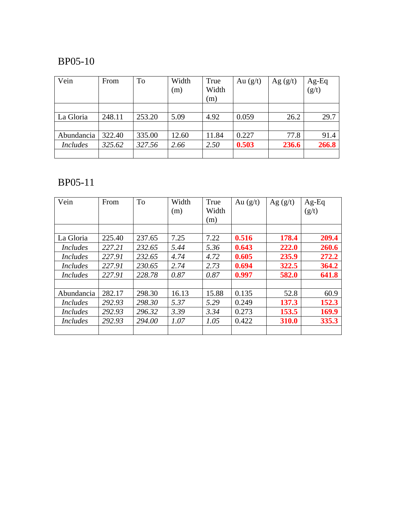| Vein            | From   | To     | Width<br>(m) | True<br>Width<br>(m) | Au $(g/t)$ | Ag $(g/t)$ | $Ag-Eq$<br>$(g/t)$ |
|-----------------|--------|--------|--------------|----------------------|------------|------------|--------------------|
|                 |        |        |              |                      |            |            |                    |
|                 |        |        |              |                      |            |            |                    |
| La Gloria       | 248.11 | 253.20 | 5.09         | 4.92                 | 0.059      | 26.2       | 29.7               |
|                 |        |        |              |                      |            |            |                    |
| Abundancia      | 322.40 | 335.00 | 12.60        | 11.84                | 0.227      | 77.8       | 91.4               |
| <b>Includes</b> | 325.62 | 327.56 | 2.66         | 2.50                 | 0.503      | 236.6      | 266.8              |
|                 |        |        |              |                      |            |            |                    |

| From   | <b>To</b> | Width | True  | Au $(g/t)$ | Ag $(g/t)$ | $Ag-Eq$ |
|--------|-----------|-------|-------|------------|------------|---------|
|        |           | (m)   | Width |            |            | (g/t)   |
|        |           |       | (m)   |            |            |         |
|        |           |       |       |            |            |         |
| 225.40 | 237.65    | 7.25  | 7.22  | 0.516      | 178.4      | 209.4   |
| 227.21 | 232.65    | 5.44  | 5.36  | 0.643      | 222.0      | 260.6   |
| 227.91 | 232.65    | 4.74  | 4.72  | 0.605      | 235.9      | 272.2   |
| 227.91 | 230.65    | 2.74  | 2.73  | 0.694      | 322.5      | 364.2   |
| 227.91 | 228.78    | 0.87  | 0.87  | 0.997      | 582.0      | 641.8   |
| 282.17 | 298.30    | 16.13 | 15.88 | 0.135      | 52.8       | 60.9    |
| 292.93 | 298.30    | 5.37  | 5.29  | 0.249      | 137.3      | 152.3   |
| 292.93 | 296.32    | 3.39  | 3.34  | 0.273      | 153.5      | 169.9   |
| 292.93 | 294.00    | 1.07  | 1.05  | 0.422      | 310.0      | 335.3   |
|        |           |       |       |            |            |         |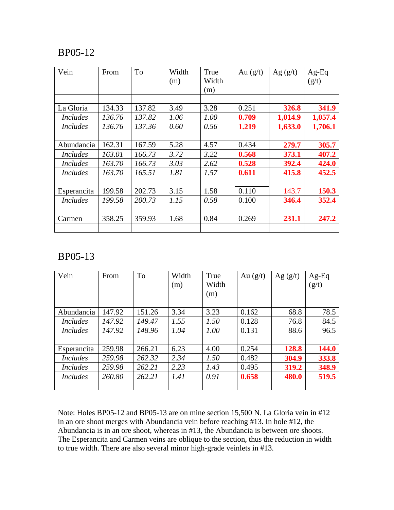| Vein            | From   | To     | Width<br>(m) | True<br>Width<br>(m) | Au $(g/t)$ | Ag $(g/t)$ | $Ag-Eq$<br>(g/t) |
|-----------------|--------|--------|--------------|----------------------|------------|------------|------------------|
|                 |        |        |              |                      |            |            |                  |
| La Gloria       | 134.33 | 137.82 | 3.49         | 3.28                 | 0.251      | 326.8      | 341.9            |
| <i>Includes</i> | 136.76 | 137.82 | 1.06         | 1.00                 | 0.709      | 1,014.9    | 1,057.4          |
| <i>Includes</i> | 136.76 | 137.36 | 0.60         | 0.56                 | 1.219      | 1,633.0    | 1,706.1          |
|                 |        |        |              |                      |            |            |                  |
| Abundancia      | 162.31 | 167.59 | 5.28         | 4.57                 | 0.434      | 279.7      | 305.7            |
| <i>Includes</i> | 163.01 | 166.73 | 3.72         | 3.22                 | 0.568      | 373.1      | 407.2            |
| <i>Includes</i> | 163.70 | 166.73 | 3.03         | 2.62                 | 0.528      | 392.4      | 424.0            |
| <i>Includes</i> | 163.70 | 165.51 | 1.81         | 1.57                 | 0.611      | 415.8      | 452.5            |
|                 |        |        |              |                      |            |            |                  |
| Esperancita     | 199.58 | 202.73 | 3.15         | 1.58                 | 0.110      | 143.7      | 150.3            |
| <i>Includes</i> | 199.58 | 200.73 | 1.15         | 0.58                 | 0.100      | 346.4      | 352.4            |
|                 |        |        |              |                      |            |            |                  |
| Carmen          | 358.25 | 359.93 | 1.68         | 0.84                 | 0.269      | 231.1      | 247.2            |

#### BP05-13

| Vein            | From   | <b>To</b> | Width | True  | Au $(g/t)$ | Ag $(g/t)$ | $Ag-Eq$ |
|-----------------|--------|-----------|-------|-------|------------|------------|---------|
|                 |        |           | (m)   | Width |            |            | (g/t)   |
|                 |        |           |       | (m)   |            |            |         |
|                 |        |           |       |       |            |            |         |
| Abundancia      | 147.92 | 151.26    | 3.34  | 3.23  | 0.162      | 68.8       | 78.5    |
| <i>Includes</i> | 147.92 | 149.47    | 1.55  | 1.50  | 0.128      | 76.8       | 84.5    |
| <b>Includes</b> | 147.92 | 148.96    | 1.04  | 1.00  | 0.131      | 88.6       | 96.5    |
|                 |        |           |       |       |            |            |         |
| Esperancita     | 259.98 | 266.21    | 6.23  | 4.00  | 0.254      | 128.8      | 144.0   |
| <i>Includes</i> | 259.98 | 262.32    | 2.34  | 1.50  | 0.482      | 304.9      | 333.8   |
| <b>Includes</b> | 259.98 | 262.21    | 2.23  | 1.43  | 0.495      | 319.2      | 348.9   |
| <i>Includes</i> | 260.80 | 262.21    | 1.41  | 0.91  | 0.658      | 480.0      | 519.5   |
|                 |        |           |       |       |            |            |         |

Note: Holes BP05-12 and BP05-13 are on mine section 15,500 N. La Gloria vein in #12 in an ore shoot merges with Abundancia vein before reaching #13. In hole #12, the Abundancia is in an ore shoot, whereas in #13, the Abundancia is between ore shoots. The Esperancita and Carmen veins are oblique to the section, thus the reduction in width to true width. There are also several minor high-grade veinlets in #13.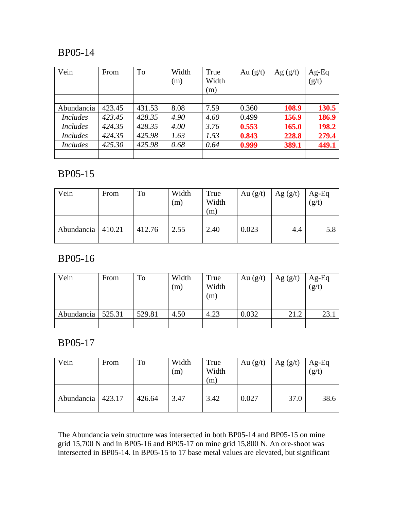| Vein            | From   | To     | Width<br>(m) | True<br>Width | Au $(g/t)$ | Ag $(g/t)$ | $Ag-Eq$<br>(g/t) |
|-----------------|--------|--------|--------------|---------------|------------|------------|------------------|
|                 |        |        |              | (m)           |            |            |                  |
|                 |        |        |              |               |            |            |                  |
| Abundancia      | 423.45 | 431.53 | 8.08         | 7.59          | 0.360      | 108.9      | 130.5            |
| <i>Includes</i> | 423.45 | 428.35 | 4.90         | 4.60          | 0.499      | 156.9      | 186.9            |
| <b>Includes</b> | 424.35 | 428.35 | 4.00         | 3.76          | 0.553      | 165.0      | 198.2            |
| <b>Includes</b> | 424.35 | 425.98 | 1.63         | 1.53          | 0.843      | 228.8      | 279.4            |
| <b>Includes</b> | 425.30 | 425.98 | 0.68         | 0.64          | 0.999      | 389.1      | 449.1            |
|                 |        |        |              |               |            |            |                  |

### BP05-15

| Vein       | From   | To     | Width<br>(m) | True<br>Width<br>(m) | Au $(g/t)$ | Ag $(g/t)$ | $Ag-Eq$<br>$(g/t)$ |
|------------|--------|--------|--------------|----------------------|------------|------------|--------------------|
|            |        |        |              |                      |            |            |                    |
| Abundancia | 410.21 | 412.76 | 2.55         | 2.40                 | 0.023      | 4.4        | 5.8                |
|            |        |        |              |                      |            |            |                    |

### BP05-16

| Vein       | From   | To     | Width<br>(m) | True<br>Width<br>(m) | Au $(g/t)$ | Ag $(g/t)$ | $Ag-Eq$<br>(g/t) |
|------------|--------|--------|--------------|----------------------|------------|------------|------------------|
|            |        |        |              |                      |            |            |                  |
| Abundancia | 525.31 | 529.81 | 4.50         | 4.23                 | 0.032      | 21.2       | 23.1             |
|            |        |        |              |                      |            |            |                  |

### BP05-17

| Vein       | From   | To     | Width<br>(m) | True<br>Width<br>(m) | Au $(g/t)$ | Ag $(g/t)$ | Ag-Eq<br>$(g/t)$ |
|------------|--------|--------|--------------|----------------------|------------|------------|------------------|
|            |        |        |              |                      |            |            |                  |
| Abundancia | 423.17 | 426.64 | 3.47         | 3.42                 | 0.027      | 37.0       | 38.6             |
|            |        |        |              |                      |            |            |                  |

The Abundancia vein structure was intersected in both BP05-14 and BP05-15 on mine grid 15,700 N and in BP05-16 and BP05-17 on mine grid 15,800 N. An ore-shoot was intersected in BP05-14. In BP05-15 to 17 base metal values are elevated, but significant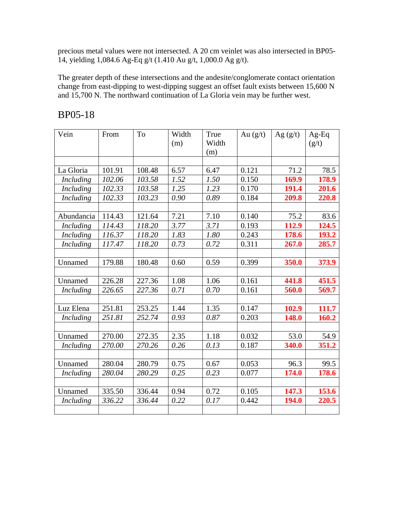precious metal values were not intersected. A 20 cm veinlet was also intersected in BP05- 14, yielding 1,084.6 Ag-Eq g/t (1.410 Au g/t, 1,000.0 Ag g/t).

The greater depth of these intersections and the andesite/conglomerate contact orientation change from east-dipping to west-dipping suggest an offset fault exists between 15,600 N and 15,700 N. The northward continuation of La Gloria vein may be further west.

| Vein             | From   | To     | Width<br>(m) | True<br>Width | Au $(g/t)$ | Ag $(g/t)$ | $Ag-Eq$<br>(g/t) |
|------------------|--------|--------|--------------|---------------|------------|------------|------------------|
|                  |        |        |              | (m)           |            |            |                  |
|                  |        |        |              |               |            |            |                  |
| La Gloria        | 101.91 | 108.48 | 6.57         | 6.47          | 0.121      | 71.2       | 78.5             |
| <i>Including</i> | 102.06 | 103.58 | 1.52         | 1.50          | 0.150      | 169.9      | 178.9            |
| <b>Including</b> | 102.33 | 103.58 | 1.25         | 1.23          | 0.170      | 191.4      | 201.6            |
| <b>Including</b> | 102.33 | 103.23 | 0.90         | 0.89          | 0.184      | 209.8      | 220.8            |
|                  |        |        |              |               |            |            |                  |
| Abundancia       | 114.43 | 121.64 | 7.21         | 7.10          | 0.140      | 75.2       | 83.6             |
| <b>Including</b> | 114.43 | 118.20 | 3.77         | 3.71          | 0.193      | 112.9      | 124.5            |
| <b>Including</b> | 116.37 | 118.20 | 1.83         | 1.80          | 0.243      | 178.6      | 193.2            |
| Including        | 117.47 | 118.20 | 0.73         | 0.72          | 0.311      | 267.0      | 285.7            |
|                  |        |        |              |               |            |            |                  |
| Unnamed          | 179.88 | 180.48 | 0.60         | 0.59          | 0.399      | 350.0      | 373.9            |
|                  |        |        |              |               |            |            |                  |
| Unnamed          | 226.28 | 227.36 | 1.08         | 1.06          | 0.161      | 441.8      | 451.5            |
| Including        | 226.65 | 227.36 | 0.71         | 0.70          | 0.161      | 560.0      | 569.7            |
|                  |        |        |              |               |            |            |                  |
| Luz Elena        | 251.81 | 253.25 | 1.44         | 1.35          | 0.147      | 102.9      | 111.7            |
| <b>Including</b> | 251.81 | 252.74 | 0.93         | 0.87          | 0.203      | 148.0      | 160.2            |
|                  |        |        |              |               |            |            |                  |
| Unnamed          | 270.00 | 272.35 | 2.35         | 1.18          | 0.032      | 53.0       | 54.9             |
| Including        | 270.00 | 270.26 | 0.26         | 0.13          | 0.187      | 340.0      | 351.2            |
|                  |        |        |              |               |            |            |                  |
| Unnamed          | 280.04 | 280.79 | 0.75         | 0.67          | 0.053      | 96.3       | 99.5             |
| Including        | 280.04 | 280.29 | 0.25         | 0.23          | 0.077      | 174.0      | 178.6            |
|                  |        |        |              |               |            |            |                  |
| Unnamed          | 335.50 | 336.44 | 0.94         | 0.72          | 0.105      | 147.3      | 153.6            |
| Including        | 336.22 | 336.44 | 0.22         | 0.17          | 0.442      | 194.0      | 220.5            |
|                  |        |        |              |               |            |            |                  |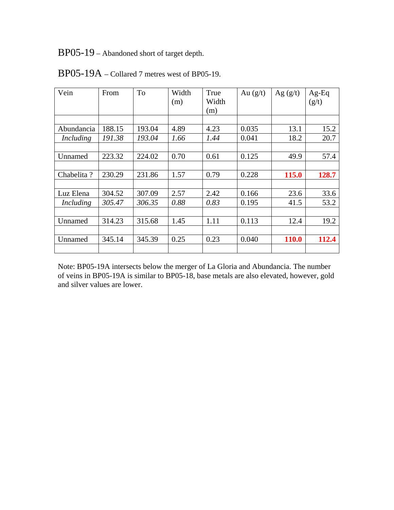BP05-19 – Abandoned short of target depth.

| Vein             | From   | To     | Width | True  | Au $(g/t)$ | Ag $(g/t)$   | $Ag-Eq$ |
|------------------|--------|--------|-------|-------|------------|--------------|---------|
|                  |        |        | (m)   | Width |            |              | (g/t)   |
|                  |        |        |       | (m)   |            |              |         |
|                  |        |        |       |       |            |              |         |
| Abundancia       | 188.15 | 193.04 | 4.89  | 4.23  | 0.035      | 13.1         | 15.2    |
| Including        | 191.38 | 193.04 | 1.66  | 1.44  | 0.041      | 18.2         | 20.7    |
|                  |        |        |       |       |            |              |         |
| Unnamed          | 223.32 | 224.02 | 0.70  | 0.61  | 0.125      | 49.9         | 57.4    |
|                  |        |        |       |       |            |              |         |
| Chabelita?       | 230.29 | 231.86 | 1.57  | 0.79  | 0.228      | 115.0        | 128.7   |
|                  |        |        |       |       |            |              |         |
| Luz Elena        | 304.52 | 307.09 | 2.57  | 2.42  | 0.166      | 23.6         | 33.6    |
| <i>Including</i> | 305.47 | 306.35 | 0.88  | 0.83  | 0.195      | 41.5         | 53.2    |
|                  |        |        |       |       |            |              |         |
| Unnamed          | 314.23 | 315.68 | 1.45  | 1.11  | 0.113      | 12.4         | 19.2    |
|                  |        |        |       |       |            |              |         |
| Unnamed          | 345.14 | 345.39 | 0.25  | 0.23  | 0.040      | <b>110.0</b> | 112.4   |
|                  |        |        |       |       |            |              |         |

BP05-19A – Collared 7 metres west of BP05-19.

Note: BP05-19A intersects below the merger of La Gloria and Abundancia. The number of veins in BP05-19A is similar to BP05-18, base metals are also elevated, however, gold and silver values are lower.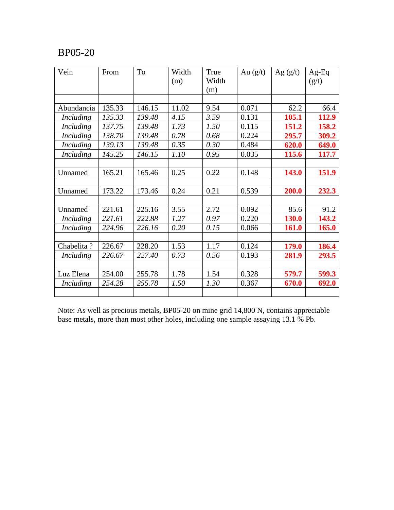| Vein             | From   | To     | Width | True  | Au $(g/t)$ | Ag $(g/t)$   | $Ag-Eq$ |
|------------------|--------|--------|-------|-------|------------|--------------|---------|
|                  |        |        | (m)   | Width |            |              | (g/t)   |
|                  |        |        |       | (m)   |            |              |         |
|                  |        |        |       |       |            |              |         |
| Abundancia       | 135.33 | 146.15 | 11.02 | 9.54  | 0.071      | 62.2         | 66.4    |
| <i>Including</i> | 135.33 | 139.48 | 4.15  | 3.59  | 0.131      | 105.1        | 112.9   |
| Including        | 137.75 | 139.48 | 1.73  | 1.50  | 0.115      | 151.2        | 158.2   |
| Including        | 138.70 | 139.48 | 0.78  | 0.68  | 0.224      | 295.7        | 309.2   |
| Including        | 139.13 | 139.48 | 0.35  | 0.30  | 0.484      | 620.0        | 649.0   |
| Including        | 145.25 | 146.15 | 1.10  | 0.95  | 0.035      | 115.6        | 117.7   |
|                  |        |        |       |       |            |              |         |
| Unnamed          | 165.21 | 165.46 | 0.25  | 0.22  | 0.148      | 143.0        | 151.9   |
|                  |        |        |       |       |            |              |         |
| Unnamed          | 173.22 | 173.46 | 0.24  | 0.21  | 0.539      | 200.0        | 232.3   |
|                  |        |        |       |       |            |              |         |
| Unnamed          | 221.61 | 225.16 | 3.55  | 2.72  | 0.092      | 85.6         | 91.2    |
| <i>Including</i> | 221.61 | 222.88 | 1.27  | 0.97  | 0.220      | <b>130.0</b> | 143.2   |
| <i>Including</i> | 224.96 | 226.16 | 0.20  | 0.15  | 0.066      | <b>161.0</b> | 165.0   |
|                  |        |        |       |       |            |              |         |
| Chabelita?       | 226.67 | 228.20 | 1.53  | 1.17  | 0.124      | <b>179.0</b> | 186.4   |
| <i>Including</i> | 226.67 | 227.40 | 0.73  | 0.56  | 0.193      | 281.9        | 293.5   |
|                  |        |        |       |       |            |              |         |
| Luz Elena        | 254.00 | 255.78 | 1.78  | 1.54  | 0.328      | 579.7        | 599.3   |
| Including        | 254.28 | 255.78 | 1.50  | 1.30  | 0.367      | 670.0        | 692.0   |
|                  |        |        |       |       |            |              |         |

Note: As well as precious metals, BP05-20 on mine grid 14,800 N, contains appreciable base metals, more than most other holes, including one sample assaying 13.1 % Pb.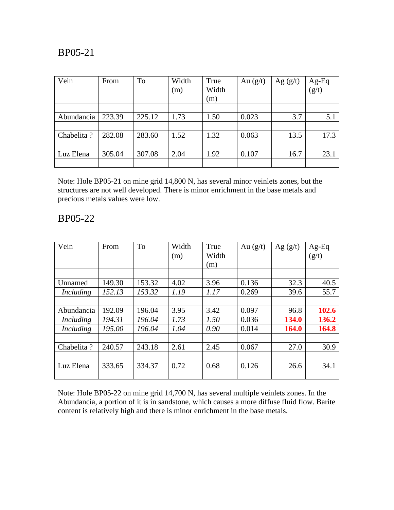| Vein        | From   | To     | Width<br>(m) | True<br>Width<br>(m) | Au $(g/t)$ | Ag $(g/t)$ | $\begin{array}{c} \mathbf{Ag}\text{-}\mathbf{Eq}\\ \left( \mathbf{g/t}\right) \end{array}$ |
|-------------|--------|--------|--------------|----------------------|------------|------------|--------------------------------------------------------------------------------------------|
|             |        |        |              |                      |            |            |                                                                                            |
| Abundancia  | 223.39 | 225.12 | 1.73         | 1.50                 | 0.023      | 3.7        | 5.1                                                                                        |
|             |        |        |              |                      |            |            |                                                                                            |
| Chabelita ? | 282.08 | 283.60 | 1.52         | 1.32                 | 0.063      | 13.5       | 17.3                                                                                       |
|             |        |        |              |                      |            |            |                                                                                            |
| Luz Elena   | 305.04 | 307.08 | 2.04         | 1.92                 | 0.107      | 16.7       | 23.1                                                                                       |
|             |        |        |              |                      |            |            |                                                                                            |

Note: Hole BP05-21 on mine grid 14,800 N, has several minor veinlets zones, but the structures are not well developed. There is minor enrichment in the base metals and precious metals values were low.

#### BP05-22

| Vein       | From   | To     | Width<br>(m) | True<br>Width<br>(m) | Au $(g/t)$ | Ag $(g/t)$ | $Ag-Eq$<br>(g/t) |
|------------|--------|--------|--------------|----------------------|------------|------------|------------------|
|            |        |        |              |                      |            |            |                  |
| Unnamed    | 149.30 | 153.32 | 4.02         | 3.96                 | 0.136      | 32.3       | 40.5             |
| Including  | 152.13 | 153.32 | 1.19         | 1.17                 | 0.269      | 39.6       | 55.7             |
|            |        |        |              |                      |            |            |                  |
| Abundancia | 192.09 | 196.04 | 3.95         | 3.42                 | 0.097      | 96.8       | 102.6            |
| Including  | 194.31 | 196.04 | 1.73         | 1.50                 | 0.036      | 134.0      | 136.2            |
| Including  | 195.00 | 196.04 | 1.04         | 0.90                 | 0.014      | 164.0      | 164.8            |
|            |        |        |              |                      |            |            |                  |
| Chabelita? | 240.57 | 243.18 | 2.61         | 2.45                 | 0.067      | 27.0       | 30.9             |
|            |        |        |              |                      |            |            |                  |
| Luz Elena  | 333.65 | 334.37 | 0.72         | 0.68                 | 0.126      | 26.6       | 34.1             |
|            |        |        |              |                      |            |            |                  |

Note: Hole BP05-22 on mine grid 14,700 N, has several multiple veinlets zones. In the Abundancia, a portion of it is in sandstone, which causes a more diffuse fluid flow. Barite content is relatively high and there is minor enrichment in the base metals.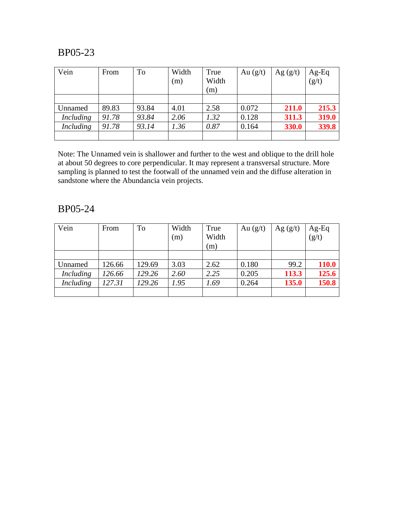| Vein             | From  | To    | Width<br>(m) | True<br>Width<br>(m) | Au $(g/t)$ | Ag $(g/t)$ | $Ag-Eq$<br>$(g/t)$ |
|------------------|-------|-------|--------------|----------------------|------------|------------|--------------------|
|                  |       |       |              |                      |            |            |                    |
| Unnamed          | 89.83 | 93.84 | 4.01         | 2.58                 | 0.072      | 211.0      | 215.3              |
| <i>Including</i> | 91.78 | 93.84 | 2.06         | 1.32                 | 0.128      | 311.3      | 319.0              |
| <i>Including</i> | 91.78 | 93.14 | 1.36         | 0.87                 | 0.164      | 330.0      | 339.8              |
|                  |       |       |              |                      |            |            |                    |

Note: The Unnamed vein is shallower and further to the west and oblique to the drill hole at about 50 degrees to core perpendicular. It may represent a transversal structure. More sampling is planned to test the footwall of the unnamed vein and the diffuse alteration in sandstone where the Abundancia vein projects.

| Vein             | From   | To     | Width | True  | Au $(g/t)$ | Ag $(g/t)$ | $Ag-Eq$      |
|------------------|--------|--------|-------|-------|------------|------------|--------------|
|                  |        |        | (m)   | Width |            |            | (g/t)        |
|                  |        |        |       | (m)   |            |            |              |
|                  |        |        |       |       |            |            |              |
| Unnamed          | 126.66 | 129.69 | 3.03  | 2.62  | 0.180      | 99.2       | <b>110.0</b> |
| <i>Including</i> | 126.66 | 129.26 | 2.60  | 2.25  | 0.205      | 113.3      | 125.6        |
| Including        | 127.31 | 129.26 | 1.95  | 1.69  | 0.264      | 135.0      | 150.8        |
|                  |        |        |       |       |            |            |              |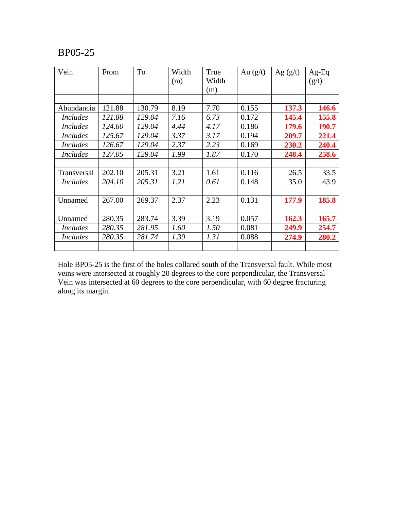| Vein            | From   | To     | Width<br>(m) | True<br>Width<br>(m) | Au $(g/t)$ | Ag $(g/t)$ | $Ag-Eq$<br>(g/t) |
|-----------------|--------|--------|--------------|----------------------|------------|------------|------------------|
|                 |        |        |              |                      |            |            |                  |
| Abundancia      | 121.88 | 130.79 | 8.19         | 7.70                 | 0.155      | 137.3      | <b>146.6</b>     |
| <i>Includes</i> | 121.88 | 129.04 | 7.16         | 6.73                 | 0.172      | 145.4      | 155.8            |
| <i>Includes</i> | 124.60 | 129.04 | 4.44         | 4.17                 | 0.186      | 179.6      | 190.7            |
| <b>Includes</b> | 125.67 | 129.04 | 3.37         | 3.17                 | 0.194      | 209.7      | 221.4            |
| <i>Includes</i> | 126.67 | 129.04 | 2.37         | 2.23                 | 0.169      | 230.2      | 240.4            |
| <i>Includes</i> | 127.05 | 129.04 | 1.99         | 1.87                 | 0.170      | 248.4      | 258.6            |
|                 |        |        |              |                      |            |            |                  |
| Transversal     | 202.10 | 205.31 | 3.21         | 1.61                 | 0.116      | 26.5       | 33.5             |
| <i>Includes</i> | 204.10 | 205.31 | 1.21         | 0.61                 | 0.148      | 35.0       | 43.9             |
|                 |        |        |              |                      |            |            |                  |
| Unnamed         | 267.00 | 269.37 | 2.37         | 2.23                 | 0.131      | 177.9      | 185.8            |
|                 |        |        |              |                      |            |            |                  |
| Unnamed         | 280.35 | 283.74 | 3.39         | 3.19                 | 0.057      | 162.3      | 165.7            |
| <i>Includes</i> | 280.35 | 281.95 | 1.60         | 1.50                 | 0.081      | 249.9      | 254.7            |
| <i>Includes</i> | 280.35 | 281.74 | 1.39         | 1.31                 | 0.088      | 274.9      | 280.2            |
|                 |        |        |              |                      |            |            |                  |

Hole BP05-25 is the first of the holes collared south of the Transversal fault. While most veins were intersected at roughly 20 degrees to the core perpendicular, the Transversal Vein was intersected at 60 degrees to the core perpendicular, with 60 degree fracturing along its margin.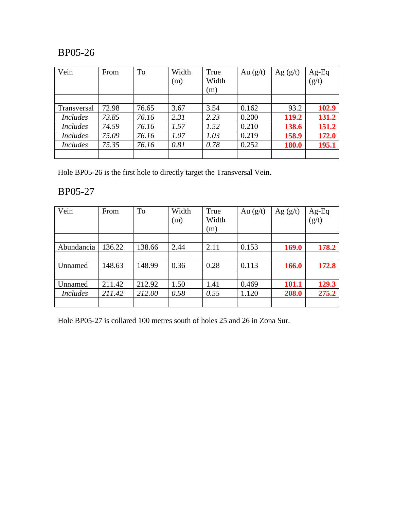| Vein            | From  | To    | Width | True  | Au $(g/t)$ | Ag $(g/t)$   | $Ag-Eq$            |
|-----------------|-------|-------|-------|-------|------------|--------------|--------------------|
|                 |       |       | (m)   | Width |            |              | $\overline{(g/t)}$ |
|                 |       |       |       | (m)   |            |              |                    |
|                 |       |       |       |       |            |              |                    |
| Transversal     | 72.98 | 76.65 | 3.67  | 3.54  | 0.162      | 93.2         | 102.9              |
| <i>Includes</i> | 73.85 | 76.16 | 2.31  | 2.23  | 0.200      | 119.2        | 131.2              |
| <b>Includes</b> | 74.59 | 76.16 | 1.57  | 1.52  | 0.210      | 138.6        | 151.2              |
| <b>Includes</b> | 75.09 | 76.16 | 1.07  | 1.03  | 0.219      | 158.9        | 172.0              |
| <b>Includes</b> | 75.35 | 76.16 | 0.81  | 0.78  | 0.252      | <b>180.0</b> | 195.1              |
|                 |       |       |       |       |            |              |                    |

Hole BP05-26 is the first hole to directly target the Transversal Vein.

### BP05-27

| Vein            | From   | To     | Width | True  | Au $(g/t)$ | Ag $(g/t)$   | $Ag-Eq$<br>$(g/t)$ |
|-----------------|--------|--------|-------|-------|------------|--------------|--------------------|
|                 |        |        | (m)   | Width |            |              |                    |
|                 |        |        |       | (m)   |            |              |                    |
|                 |        |        |       |       |            |              |                    |
| Abundancia      | 136.22 | 138.66 | 2.44  | 2.11  | 0.153      | 169.0        | 178.2              |
|                 |        |        |       |       |            |              |                    |
| Unnamed         | 148.63 | 148.99 | 0.36  | 0.28  | 0.113      | <b>166.0</b> | 172.8              |
|                 |        |        |       |       |            |              |                    |
| Unnamed         | 211.42 | 212.92 | 1.50  | 1.41  | 0.469      | 101.1        | 129.3              |
| <b>Includes</b> | 211.42 | 212.00 | 0.58  | 0.55  | 1.120      | 208.0        | 275.2              |
|                 |        |        |       |       |            |              |                    |

Hole BP05-27 is collared 100 metres south of holes 25 and 26 in Zona Sur.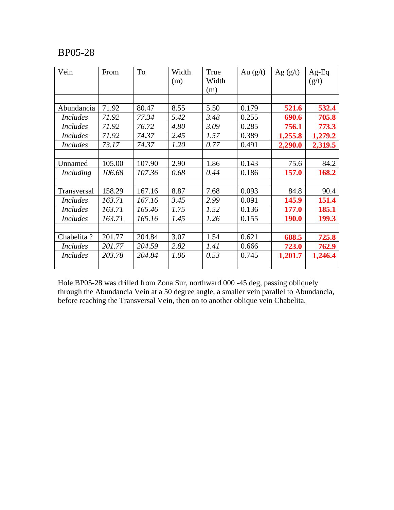| Vein            | From   | To     | Width | True        | Au $(g/t)$ | Ag $(g/t)$   | $Ag-Eq$ |
|-----------------|--------|--------|-------|-------------|------------|--------------|---------|
|                 |        |        | (m)   | Width       |            |              | (g/t)   |
|                 |        |        |       | (m)         |            |              |         |
|                 |        |        |       |             |            |              |         |
| Abundancia      | 71.92  | 80.47  | 8.55  | 5.50        | 0.179      | 521.6        | 532.4   |
| <b>Includes</b> | 71.92  | 77.34  | 5.42  | 3.48        | 0.255      | 690.6        | 705.8   |
| <i>Includes</i> | 71.92  | 76.72  | 4.80  | 3.09        | 0.285      | 756.1        | 773.3   |
| <i>Includes</i> | 71.92  | 74.37  | 2.45  | 1.57        | 0.389      | 1,255.8      | 1,279.2 |
| <i>Includes</i> | 73.17  | 74.37  | 1.20  | 0.77        | 0.491      | 2,290.0      | 2,319.5 |
|                 |        |        |       |             |            |              |         |
| Unnamed         | 105.00 | 107.90 | 2.90  | 1.86        | 0.143      | 75.6         | 84.2    |
| Including       | 106.68 | 107.36 | 0.68  | 0.44        | 0.186      | <b>157.0</b> | 168.2   |
|                 |        |        |       |             |            |              |         |
| Transversal     | 158.29 | 167.16 | 8.87  | 7.68        | 0.093      | 84.8         | 90.4    |
| <i>Includes</i> | 163.71 | 167.16 | 3.45  | 2.99        | 0.091      | 145.9        | 151.4   |
| <b>Includes</b> | 163.71 | 165.46 | 1.75  | 1.52        | 0.136      | <b>177.0</b> | 185.1   |
| <i>Includes</i> | 163.71 | 165.16 | 1.45  | 1.26        | 0.155      | <b>190.0</b> | 199.3   |
|                 |        |        |       |             |            |              |         |
| Chabelita?      | 201.77 | 204.84 | 3.07  | 1.54        | 0.621      | 688.5        | 725.8   |
| <i>Includes</i> | 201.77 | 204.59 | 2.82  | <i>1.41</i> | 0.666      | 723.0        | 762.9   |
| <b>Includes</b> | 203.78 | 204.84 | 1.06  | 0.53        | 0.745      | 1,201.7      | 1,246.4 |
|                 |        |        |       |             |            |              |         |

Hole BP05-28 was drilled from Zona Sur, northward 000 -45 deg, passing obliquely through the Abundancia Vein at a 50 degree angle, a smaller vein parallel to Abundancia, before reaching the Transversal Vein, then on to another oblique vein Chabelita.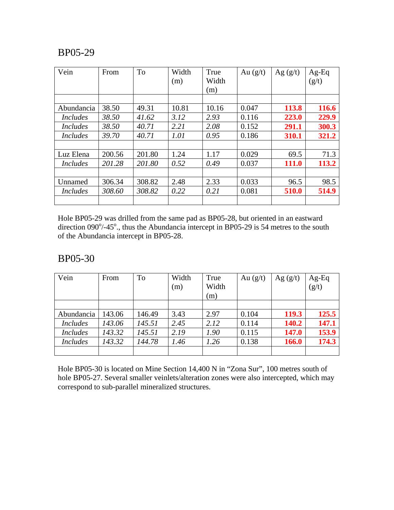| Vein            | From   | To     | Width<br>(m) | True<br>Width<br>(m) | Au $(g/t)$ | Ag $(g/t)$ | $Ag-Eq$<br>(g/t) |
|-----------------|--------|--------|--------------|----------------------|------------|------------|------------------|
|                 |        |        |              |                      |            |            |                  |
| Abundancia      | 38.50  | 49.31  | 10.81        | 10.16                | 0.047      | 113.8      | 116.6            |
| Includes        | 38.50  | 41.62  | 3.12         | 2.93                 | 0.116      | 223.0      | 229.9            |
| <i>Includes</i> | 38.50  | 40.71  | 2.21         | 2.08                 | 0.152      | 291.1      | 300.3            |
| <i>Includes</i> | 39.70  | 40.71  | 1.01         | 0.95                 | 0.186      | 310.1      | 321.2            |
|                 |        |        |              |                      |            |            |                  |
| Luz Elena       | 200.56 | 201.80 | 1.24         | 1.17                 | 0.029      | 69.5       | 71.3             |
| <i>Includes</i> | 201.28 | 201.80 | 0.52         | 0.49                 | 0.037      | 111.0      | 113.2            |
|                 |        |        |              |                      |            |            |                  |
| Unnamed         | 306.34 | 308.82 | 2.48         | 2.33                 | 0.033      | 96.5       | 98.5             |
| <i>Includes</i> | 308.60 | 308.82 | 0.22         | 0.21                 | 0.081      | 510.0      | 514.9            |
|                 |        |        |              |                      |            |            |                  |

Hole BP05-29 was drilled from the same pad as BP05-28, but oriented in an eastward direction  $090^{\circ}/-45^{\circ}$ , thus the Abundancia intercept in BP05-29 is 54 metres to the south of the Abundancia intercept in BP05-28.

#### BP05-30

| Vein            | From   | To     | Width<br>(m) | True<br>Width | Au $(g/t)$ | Ag $(g/t)$ | Ag-Eq<br>(g/t) |
|-----------------|--------|--------|--------------|---------------|------------|------------|----------------|
|                 |        |        |              | (m)           |            |            |                |
|                 |        |        |              |               |            |            |                |
| Abundancia      | 143.06 | 146.49 | 3.43         | 2.97          | 0.104      | 119.3      | 125.5          |
| <i>Includes</i> | 143.06 | 145.51 | 2.45         | 2.12          | 0.114      | 140.2      | 147.1          |
| <i>Includes</i> | 143.32 | 145.51 | 2.19         | 1.90          | 0.115      | 147.0      | 153.9          |
| <b>Includes</b> | 143.32 | 144.78 | 1.46         | 1.26          | 0.138      | 166.0      | 174.3          |
|                 |        |        |              |               |            |            |                |

Hole BP05-30 is located on Mine Section 14,400 N in "Zona Sur", 100 metres south of hole BP05-27. Several smaller veinlets/alteration zones were also intercepted, which may correspond to sub-parallel mineralized structures.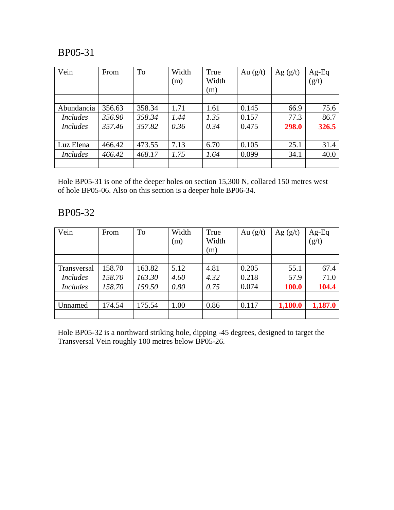| Vein            | From   | To     | Width | True  | Au $(g/t)$ | Ag $(g/t)$ | Ag-Eq |
|-----------------|--------|--------|-------|-------|------------|------------|-------|
|                 |        |        | (m)   | Width |            |            | (g/t) |
|                 |        |        |       | (m)   |            |            |       |
|                 |        |        |       |       |            |            |       |
| Abundancia      | 356.63 | 358.34 | 1.71  | 1.61  | 0.145      | 66.9       | 75.6  |
| <i>Includes</i> | 356.90 | 358.34 | 1.44  | 1.35  | 0.157      | 77.3       | 86.7  |
| <i>Includes</i> | 357.46 | 357.82 | 0.36  | 0.34  | 0.475      | 298.0      | 326.5 |
|                 |        |        |       |       |            |            |       |
| Luz Elena       | 466.42 | 473.55 | 7.13  | 6.70  | 0.105      | 25.1       | 31.4  |
| <i>Includes</i> | 466.42 | 468.17 | 1.75  | 1.64  | 0.099      | 34.1       | 40.0  |
|                 |        |        |       |       |            |            |       |

Hole BP05-31 is one of the deeper holes on section 15,300 N, collared 150 metres west of hole BP05-06. Also on this section is a deeper hole BP06-34.

## BP05-32

| Vein            | From   | To     | Width | True  | Au $(g/t)$ | Ag $(g/t)$ |                                                                                            |
|-----------------|--------|--------|-------|-------|------------|------------|--------------------------------------------------------------------------------------------|
|                 |        |        | (m)   | Width |            |            | $\begin{array}{c} \mathbf{Ag}\text{-}\mathbf{Eq}\\ \left( \mathbf{g/t}\right) \end{array}$ |
|                 |        |        |       | (m)   |            |            |                                                                                            |
|                 |        |        |       |       |            |            |                                                                                            |
| Transversal     | 158.70 | 163.82 | 5.12  | 4.81  | 0.205      | 55.1       | 67.4                                                                                       |
| <i>Includes</i> | 158.70 | 163.30 | 4.60  | 4.32  | 0.218      | 57.9       | 71.0                                                                                       |
| <i>Includes</i> | 158.70 | 159.50 | 0.80  | 0.75  | 0.074      | 100.0      | 104.4                                                                                      |
|                 |        |        |       |       |            |            |                                                                                            |
| Unnamed         | 174.54 | 175.54 | 1.00  | 0.86  | 0.117      | 1,180.0    | 1,187.0                                                                                    |
|                 |        |        |       |       |            |            |                                                                                            |

Hole BP05-32 is a northward striking hole, dipping -45 degrees, designed to target the Transversal Vein roughly 100 metres below BP05-26.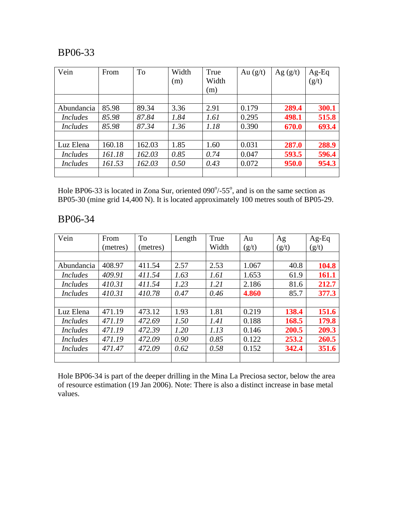| Vein            | From   | To     | Width<br>(m) | True<br>Width<br>(m) | Au $(g/t)$ | Ag $(g/t)$ | $Ag-Eq$<br>(g/t) |
|-----------------|--------|--------|--------------|----------------------|------------|------------|------------------|
| Abundancia      | 85.98  | 89.34  | 3.36         | 2.91                 | 0.179      | 289.4      | 300.1            |
| <i>Includes</i> | 85.98  | 87.84  | 1.84         | 1.61                 | 0.295      | 498.1      | 515.8            |
| <i>Includes</i> | 85.98  | 87.34  | 1.36         | 1.18                 | 0.390      | 670.0      | 693.4            |
| Luz Elena       | 160.18 | 162.03 | 1.85         | 1.60                 | 0.031      | 287.0      | 288.9            |
| <i>Includes</i> | 161.18 | 162.03 | 0.85         | 0.74                 | 0.047      | 593.5      | 596.4            |
| <i>Includes</i> | 161.53 | 162.03 | 0.50         | 0.43                 | 0.072      | 950.0      | 954.3            |

Hole BP06-33 is located in Zona Sur, oriented  $090^{\circ}/-55^{\circ}$ , and is on the same section as BP05-30 (mine grid 14,400 N). It is located approximately 100 metres south of BP05-29.

#### BP06-34

| Vein            | From     | To       | Length | True  | Au    | Ag    | $Ag-Eq$ |
|-----------------|----------|----------|--------|-------|-------|-------|---------|
|                 | (metres) | (metres) |        | Width | (g/t) | (g/t) | (g/t)   |
|                 |          |          |        |       |       |       |         |
| Abundancia      | 408.97   | 411.54   | 2.57   | 2.53  | 1.067 | 40.8  | 104.8   |
| <i>Includes</i> | 409.91   | 411.54   | 1.63   | 1.61  | 1.653 | 61.9  | 161.1   |
| <i>Includes</i> | 410.31   | 411.54   | 1.23   | 1.21  | 2.186 | 81.6  | 212.7   |
| Includes        | 410.31   | 410.78   | 0.47   | 0.46  | 4.860 | 85.7  | 377.3   |
|                 |          |          |        |       |       |       |         |
| Luz Elena       | 471.19   | 473.12   | 1.93   | 1.81  | 0.219 | 138.4 | 151.6   |
| Includes        | 471.19   | 472.69   | 1.50   | 1.41  | 0.188 | 168.5 | 179.8   |
| Includes        | 471.19   | 472.39   | 1.20   | 1.13  | 0.146 | 200.5 | 209.3   |
| <i>Includes</i> | 471.19   | 472.09   | 0.90   | 0.85  | 0.122 | 253.2 | 260.5   |
| <i>Includes</i> | 471.47   | 472.09   | 0.62   | 0.58  | 0.152 | 342.4 | 351.6   |
|                 |          |          |        |       |       |       |         |

Hole BP06-34 is part of the deeper drilling in the Mina La Preciosa sector, below the area of resource estimation (19 Jan 2006). Note: There is also a distinct increase in base metal values.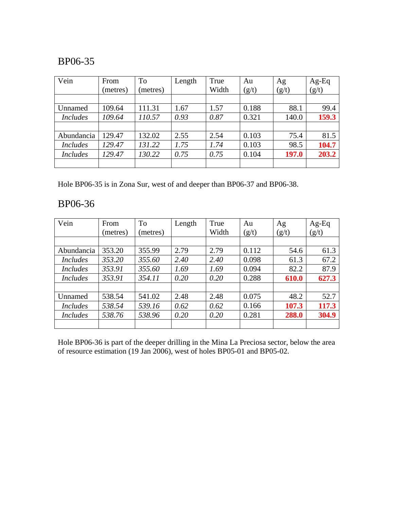| Vein            | From     | To       | Length | True  | Au    | Ag    | Ag-Eq |
|-----------------|----------|----------|--------|-------|-------|-------|-------|
|                 | (metres) | (metres) |        | Width | (g/t) | (g/t) | (g/t) |
|                 |          |          |        |       |       |       |       |
| Unnamed         | 109.64   | 111.31   | 1.67   | 1.57  | 0.188 | 88.1  | 99.4  |
| <b>Includes</b> | 109.64   | 110.57   | 0.93   | 0.87  | 0.321 | 140.0 | 159.3 |
|                 |          |          |        |       |       |       |       |
| Abundancia      | 129.47   | 132.02   | 2.55   | 2.54  | 0.103 | 75.4  | 81.5  |
| <b>Includes</b> | 129.47   | 131.22   | 1.75   | 1.74  | 0.103 | 98.5  | 104.7 |
| <b>Includes</b> | 129.47   | 130.22   | 0.75   | 0.75  | 0.104 | 197.0 | 203.2 |
|                 |          |          |        |       |       |       |       |

Hole BP06-35 is in Zona Sur, west of and deeper than BP06-37 and BP06-38.

### BP06-36

| Vein            | From     | To       | Length | True  | Au    | Ag    | $Ag-Eq$ |
|-----------------|----------|----------|--------|-------|-------|-------|---------|
|                 | (metres) | (metres) |        | Width | (g/t) | (g/t) | (g/t)   |
|                 |          |          |        |       |       |       |         |
| Abundancia      | 353.20   | 355.99   | 2.79   | 2.79  | 0.112 | 54.6  | 61.3    |
| <i>Includes</i> | 353.20   | 355.60   | 2.40   | 2.40  | 0.098 | 61.3  | 67.2    |
| <i>Includes</i> | 353.91   | 355.60   | 1.69   | 1.69  | 0.094 | 82.2  | 87.9    |
| <i>Includes</i> | 353.91   | 354.11   | 0.20   | 0.20  | 0.288 | 610.0 | 627.3   |
|                 |          |          |        |       |       |       |         |
| Unnamed         | 538.54   | 541.02   | 2.48   | 2.48  | 0.075 | 48.2  | 52.7    |
| <i>Includes</i> | 538.54   | 539.16   | 0.62   | 0.62  | 0.166 | 107.3 | 117.3   |
| <i>Includes</i> | 538.76   | 538.96   | 0.20   | 0.20  | 0.281 | 288.0 | 304.9   |
|                 |          |          |        |       |       |       |         |

Hole BP06-36 is part of the deeper drilling in the Mina La Preciosa sector, below the area of resource estimation (19 Jan 2006), west of holes BP05-01 and BP05-02.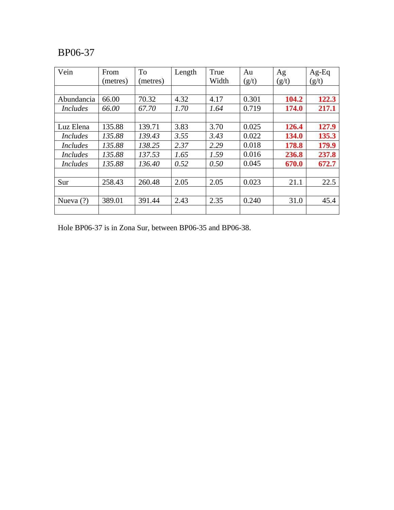| Vein            | From     | <b>To</b> | Length | True  | Au    | Ag    | $Ag-Eq$ |
|-----------------|----------|-----------|--------|-------|-------|-------|---------|
|                 | (metres) | (metres)  |        | Width | (g/t) | (g/t) | (g/t)   |
|                 |          |           |        |       |       |       |         |
| Abundancia      | 66.00    | 70.32     | 4.32   | 4.17  | 0.301 | 104.2 | 122.3   |
| <i>Includes</i> | 66.00    | 67.70     | 1.70   | 1.64  | 0.719 | 174.0 | 217.1   |
|                 |          |           |        |       |       |       |         |
| Luz Elena       | 135.88   | 139.71    | 3.83   | 3.70  | 0.025 | 126.4 | 127.9   |
| <i>Includes</i> | 135.88   | 139.43    | 3.55   | 3.43  | 0.022 | 134.0 | 135.3   |
| <i>Includes</i> | 135.88   | 138.25    | 2.37   | 2.29  | 0.018 | 178.8 | 179.9   |
| <i>Includes</i> | 135.88   | 137.53    | 1.65   | 1.59  | 0.016 | 236.8 | 237.8   |
| <i>Includes</i> | 135.88   | 136.40    | 0.52   | 0.50  | 0.045 | 670.0 | 672.7   |
|                 |          |           |        |       |       |       |         |
| Sur             | 258.43   | 260.48    | 2.05   | 2.05  | 0.023 | 21.1  | 22.5    |
|                 |          |           |        |       |       |       |         |
| Nueva $(?)$     | 389.01   | 391.44    | 2.43   | 2.35  | 0.240 | 31.0  | 45.4    |
|                 |          |           |        |       |       |       |         |

Hole BP06-37 is in Zona Sur, between BP06-35 and BP06-38.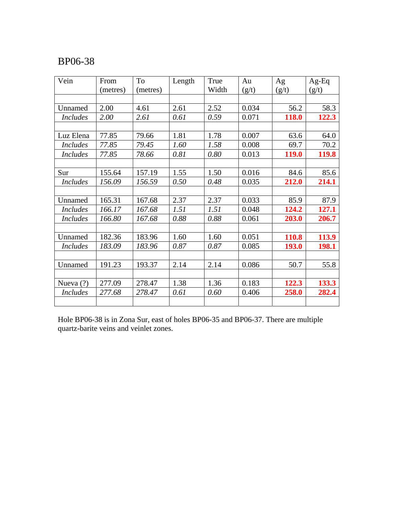| Vein            | From     | To       | Length | True  | Au    | Ag    | $Ag-Eq$ |
|-----------------|----------|----------|--------|-------|-------|-------|---------|
|                 | (metres) | (metres) |        | Width | (g/t) | (g/t) | (g/t)   |
|                 |          |          |        |       |       |       |         |
| Unnamed         | 2.00     | 4.61     | 2.61   | 2.52  | 0.034 | 56.2  | 58.3    |
| <i>Includes</i> | 2.00     | 2.61     | 0.61   | 0.59  | 0.071 | 118.0 | 122.3   |
|                 |          |          |        |       |       |       |         |
| Luz Elena       | 77.85    | 79.66    | 1.81   | 1.78  | 0.007 | 63.6  | 64.0    |
| <b>Includes</b> | 77.85    | 79.45    | 1.60   | 1.58  | 0.008 | 69.7  | 70.2    |
| <b>Includes</b> | 77.85    | 78.66    | 0.81   | 0.80  | 0.013 | 119.0 | 119.8   |
|                 |          |          |        |       |       |       |         |
| Sur             | 155.64   | 157.19   | 1.55   | 1.50  | 0.016 | 84.6  | 85.6    |
| <i>Includes</i> | 156.09   | 156.59   | 0.50   | 0.48  | 0.035 | 212.0 | 214.1   |
|                 |          |          |        |       |       |       |         |
| Unnamed         | 165.31   | 167.68   | 2.37   | 2.37  | 0.033 | 85.9  | 87.9    |
| <i>Includes</i> | 166.17   | 167.68   | 1.51   | 1.51  | 0.048 | 124.2 | 127.1   |
| <b>Includes</b> | 166.80   | 167.68   | 0.88   | 0.88  | 0.061 | 203.0 | 206.7   |
|                 |          |          |        |       |       |       |         |
| Unnamed         | 182.36   | 183.96   | 1.60   | 1.60  | 0.051 | 110.8 | 113.9   |
| <i>Includes</i> | 183.09   | 183.96   | 0.87   | 0.87  | 0.085 | 193.0 | 198.1   |
|                 |          |          |        |       |       |       |         |
| Unnamed         | 191.23   | 193.37   | 2.14   | 2.14  | 0.086 | 50.7  | 55.8    |
|                 |          |          |        |       |       |       |         |
| Nueva $(?)$     | 277.09   | 278.47   | 1.38   | 1.36  | 0.183 | 122.3 | 133.3   |
| <i>Includes</i> | 277.68   | 278.47   | 0.61   | 0.60  | 0.406 | 258.0 | 282.4   |
|                 |          |          |        |       |       |       |         |

Hole BP06-38 is in Zona Sur, east of holes BP06-35 and BP06-37. There are multiple quartz-barite veins and veinlet zones.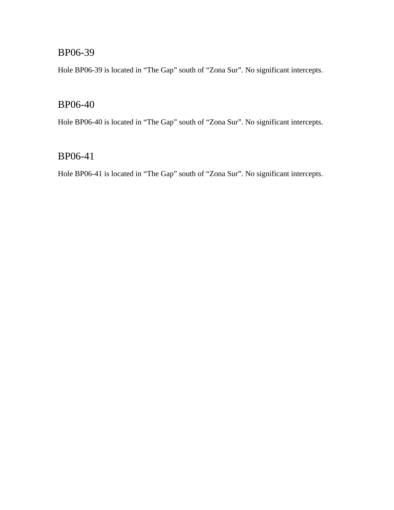Hole BP06-39 is located in "The Gap" south of "Zona Sur". No significant intercepts.

## BP06-40

Hole BP06-40 is located in "The Gap" south of "Zona Sur". No significant intercepts.

### BP06-41

Hole BP06-41 is located in "The Gap" south of "Zona Sur". No significant intercepts.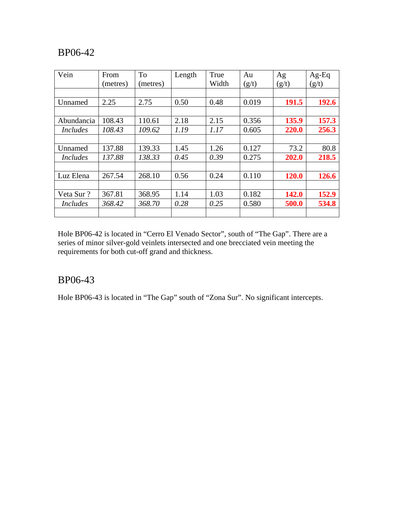| Vein            | From     | To       | Length | True  | Au    | Ag           | $Ag-Eq$ |
|-----------------|----------|----------|--------|-------|-------|--------------|---------|
|                 | (metres) | (metres) |        | Width | (g/t) | (g/t)        | (g/t)   |
|                 |          |          |        |       |       |              |         |
| Unnamed         | 2.25     | 2.75     | 0.50   | 0.48  | 0.019 | 191.5        | 192.6   |
|                 |          |          |        |       |       |              |         |
| Abundancia      | 108.43   | 110.61   | 2.18   | 2.15  | 0.356 | 135.9        | 157.3   |
| <i>Includes</i> | 108.43   | 109.62   | 1.19   | 1.17  | 0.605 | 220.0        | 256.3   |
|                 |          |          |        |       |       |              |         |
| Unnamed         | 137.88   | 139.33   | 1.45   | 1.26  | 0.127 | 73.2         | 80.8    |
| <i>Includes</i> | 137.88   | 138.33   | 0.45   | 0.39  | 0.275 | 202.0        | 218.5   |
|                 |          |          |        |       |       |              |         |
| Luz Elena       | 267.54   | 268.10   | 0.56   | 0.24  | 0.110 | 120.0        | 126.6   |
|                 |          |          |        |       |       |              |         |
| Veta Sur?       | 367.81   | 368.95   | 1.14   | 1.03  | 0.182 | <b>142.0</b> | 152.9   |
| <i>Includes</i> | 368.42   | 368.70   | 0.28   | 0.25  | 0.580 | 500.0        | 534.8   |
|                 |          |          |        |       |       |              |         |

Hole BP06-42 is located in "Cerro El Venado Sector", south of "The Gap". There are a series of minor silver-gold veinlets intersected and one brecciated vein meeting the requirements for both cut-off grand and thickness.

### BP06-43

Hole BP06-43 is located in "The Gap" south of "Zona Sur". No significant intercepts.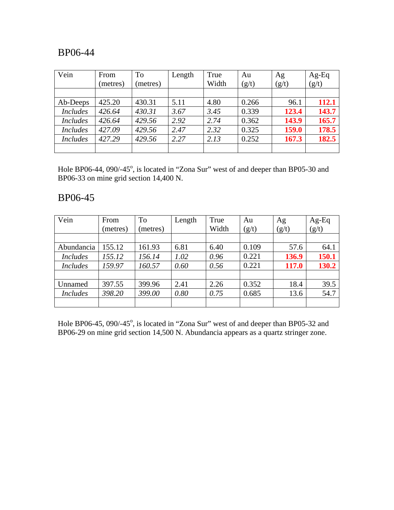| Vein            | From<br>(metres) | To<br>(metres) | Length | True<br>Width | Au<br>(g/t) | Ag<br>(g/t) | $Ag-Eq$<br>(g/t) |
|-----------------|------------------|----------------|--------|---------------|-------------|-------------|------------------|
|                 |                  |                |        |               |             |             |                  |
| Ab-Deeps        | 425.20           | 430.31         | 5.11   | 4.80          | 0.266       | 96.1        | 112.1            |
| <b>Includes</b> | 426.64           | 430.31         | 3.67   | 3.45          | 0.339       | 123.4       | 143.7            |
| <b>Includes</b> | 426.64           | 429.56         | 2.92   | 2.74          | 0.362       | 143.9       | 165.7            |
| <b>Includes</b> | 427.09           | 429.56         | 2.47   | 2.32          | 0.325       | 159.0       | 178.5            |
| <b>Includes</b> | 427.29           | 429.56         | 2.27   | 2.13          | 0.252       | 167.3       | 182.5            |
|                 |                  |                |        |               |             |             |                  |

Hole BP06-44, 090/-45°, is located in "Zona Sur" west of and deeper than BP05-30 and BP06-33 on mine grid section 14,400 N.

### BP06-45

| Vein            | From     | <b>To</b> | Length | True  | Au    | Ag    | Ag-Eq |
|-----------------|----------|-----------|--------|-------|-------|-------|-------|
|                 | (metres) | (metres)  |        | Width | (g/t) | (g/t) | (g/t) |
|                 |          |           |        |       |       |       |       |
| Abundancia      | 155.12   | 161.93    | 6.81   | 6.40  | 0.109 | 57.6  | 64.1  |
| <b>Includes</b> | 155.12   | 156.14    | 1.02   | 0.96  | 0.221 | 136.9 | 150.1 |
| <i>Includes</i> | 159.97   | 160.57    | 0.60   | 0.56  | 0.221 | 117.0 | 130.2 |
|                 |          |           |        |       |       |       |       |
| Unnamed         | 397.55   | 399.96    | 2.41   | 2.26  | 0.352 | 18.4  | 39.5  |
| <i>Includes</i> | 398.20   | 399.00    | 0.80   | 0.75  | 0.685 | 13.6  | 54.7  |
|                 |          |           |        |       |       |       |       |

Hole BP06-45, 090/-45<sup>°</sup>, is located in "Zona Sur" west of and deeper than BP05-32 and BP06-29 on mine grid section 14,500 N. Abundancia appears as a quartz stringer zone.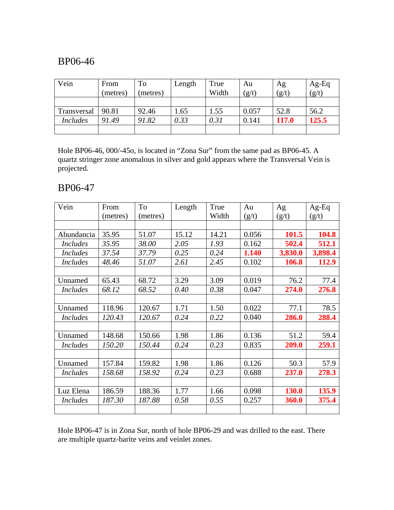| Vein            | From<br>(metres) | To<br>metres) | Length | True<br>Width | Au<br>(g/t) | Ag<br>(g/t) | $Ag-Eq$<br>(g/t) |
|-----------------|------------------|---------------|--------|---------------|-------------|-------------|------------------|
|                 |                  |               |        |               |             |             |                  |
| Transversal     | 90.81            | 92.46         | 1.65   | 1.55          | 0.057       | 52.8        | 56.2             |
| <i>Includes</i> | 91.49            | 91.82         | 0.33   | 0.31          | 0.141       | 117.0       | 125.5            |
|                 |                  |               |        |               |             |             |                  |

Hole BP06-46, 000/-45o, is located in "Zona Sur" from the same pad as BP06-45. A quartz stringer zone anomalous in silver and gold appears where the Transversal Vein is projected.

### BP06-47

| Vein            | From     | To       | Length | True  | Au    | Ag           | $Ag-Eq$ |
|-----------------|----------|----------|--------|-------|-------|--------------|---------|
|                 | (metres) | (metres) |        | Width | (g/t) | (g/t)        | (g/t)   |
|                 |          |          |        |       |       |              |         |
| Abundancia      | 35.95    | 51.07    | 15.12  | 14.21 | 0.056 | 101.5        | 104.8   |
| <b>Includes</b> | 35.95    | 38.00    | 2.05   | 1.93  | 0.162 | 502.4        | 512.1   |
| <b>Includes</b> | 37.54    | 37.79    | 0.25   | 0.24  | 1.140 | 3,830.0      | 3,898.4 |
| <i>Includes</i> | 48.46    | 51.07    | 2.61   | 2.45  | 0.102 | 106.8        | 112.9   |
|                 |          |          |        |       |       |              |         |
| Unnamed         | 65.43    | 68.72    | 3.29   | 3.09  | 0.019 | 76.2         | 77.4    |
| <i>Includes</i> | 68.12    | 68.52    | 0.40   | 0.38  | 0.047 | 274.0        | 276.8   |
|                 |          |          |        |       |       |              |         |
| Unnamed         | 118.96   | 120.67   | 1.71   | 1.50  | 0.022 | 77.1         | 78.5    |
| <i>Includes</i> | 120.43   | 120.67   | 0.24   | 0.22  | 0.040 | 286.0        | 288.4   |
|                 |          |          |        |       |       |              |         |
| Unnamed         | 148.68   | 150.66   | 1.98   | 1.86  | 0.136 | 51.2         | 59.4    |
| <i>Includes</i> | 150.20   | 150.44   | 0.24   | 0.23  | 0.835 | 209.0        | 259.1   |
|                 |          |          |        |       |       |              |         |
| Unnamed         | 157.84   | 159.82   | 1.98   | 1.86  | 0.126 | 50.3         | 57.9    |
| <i>Includes</i> | 158.68   | 158.92   | 0.24   | 0.23  | 0.688 | 237.0        | 278.3   |
|                 |          |          |        |       |       |              |         |
| Luz Elena       | 186.59   | 188.36   | 1.77   | 1.66  | 0.098 | <b>130.0</b> | 135.9   |
| <i>Includes</i> | 187.30   | 187.88   | 0.58   | 0.55  | 0.257 | 360.0        | 375.4   |
|                 |          |          |        |       |       |              |         |

Hole BP06-47 is in Zona Sur, north of hole BP06-29 and was drilled to the east. There are multiple quartz-barite veins and veinlet zones.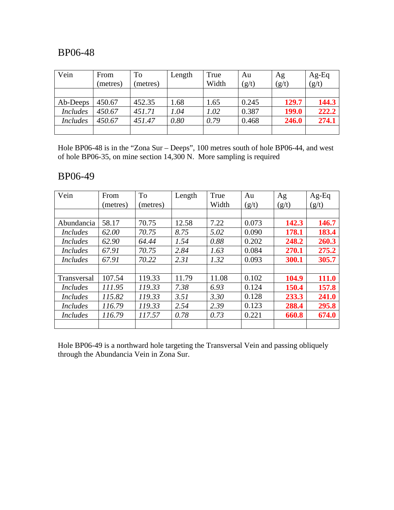| Vein            | From     | <b>To</b> | Length | True  | Au    | Ag    | $Ag-Eq$ |
|-----------------|----------|-----------|--------|-------|-------|-------|---------|
|                 | (metres) | (metres)  |        | Width | (g/t) | (g/t) | (g/t)   |
|                 |          |           |        |       |       |       |         |
| Ab-Deeps        | 450.67   | 452.35    | 1.68   | 1.65  | 0.245 | 129.7 | 144.3   |
| <i>Includes</i> | 450.67   | 451.71    | 1.04   | 1.02  | 0.387 | 199.0 | 222.2   |
| <b>Includes</b> | 450.67   | 451.47    | 0.80   | 0.79  | 0.468 | 246.0 | 274.1   |
|                 |          |           |        |       |       |       |         |

Hole BP06-48 is in the "Zona Sur – Deeps", 100 metres south of hole BP06-44, and west of hole BP06-35, on mine section 14,300 N. More sampling is required

### BP06-49

| Vein            | From     | To       | Length | True  | Au    | Ag    | $Ag-Eq$ |
|-----------------|----------|----------|--------|-------|-------|-------|---------|
|                 | (metres) | (metres) |        | Width | (g/t) | (g/t) | (g/t)   |
|                 |          |          |        |       |       |       |         |
| Abundancia      | 58.17    | 70.75    | 12.58  | 7.22  | 0.073 | 142.3 | 146.7   |
| <i>Includes</i> | 62.00    | 70.75    | 8.75   | 5.02  | 0.090 | 178.1 | 183.4   |
| <i>Includes</i> | 62.90    | 64.44    | 1.54   | 0.88  | 0.202 | 248.2 | 260.3   |
| <i>Includes</i> | 67.91    | 70.75    | 2.84   | 1.63  | 0.084 | 270.1 | 275.2   |
| <i>Includes</i> | 67.91    | 70.22    | 2.31   | 1.32  | 0.093 | 300.1 | 305.7   |
|                 |          |          |        |       |       |       |         |
| Transversal     | 107.54   | 119.33   | 11.79  | 11.08 | 0.102 | 104.9 | 111.0   |
| <b>Includes</b> | 111.95   | 119.33   | 7.38   | 6.93  | 0.124 | 150.4 | 157.8   |
| <i>Includes</i> | 115.82   | 119.33   | 3.51   | 3.30  | 0.128 | 233.3 | 241.0   |
| <i>Includes</i> | 116.79   | 119.33   | 2.54   | 2.39  | 0.123 | 288.4 | 295.8   |
| <i>Includes</i> | 116.79   | 117.57   | 0.78   | 0.73  | 0.221 | 660.8 | 674.0   |
|                 |          |          |        |       |       |       |         |

Hole BP06-49 is a northward hole targeting the Transversal Vein and passing obliquely through the Abundancia Vein in Zona Sur.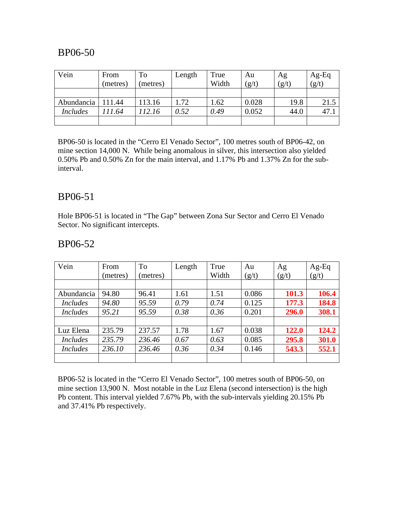| Vein            | From     | To      | Length | True  | Au    | Ag    | $Ag-Eq$ |
|-----------------|----------|---------|--------|-------|-------|-------|---------|
|                 | (metres) | metres) |        | Width | (g/t) | (g/t) | (g/t)   |
|                 |          |         |        |       |       |       |         |
| Abundancia      | 111.44   | 113.16  | 1.72   | 1.62  | 0.028 | 19.8  | 21.5    |
| <b>Includes</b> | ! 11.64  | 112.16  | 0.52   | 0.49  | 0.052 | 44.0  | 47.1    |
|                 |          |         |        |       |       |       |         |

BP06-50 is located in the "Cerro El Venado Sector", 100 metres south of BP06-42, on mine section 14,000 N. While being anomalous in silver, this intersection also yielded 0.50% Pb and 0.50% Zn for the main interval, and 1.17% Pb and 1.37% Zn for the subinterval.

#### BP06-51

Hole BP06-51 is located in "The Gap" between Zona Sur Sector and Cerro El Venado Sector. No significant intercepts.

#### BP06-52

| Vein            | From     | To      | Length | True  | Au    | Ag    | $Ag-Eq$ |
|-----------------|----------|---------|--------|-------|-------|-------|---------|
|                 | (metres) | metres) |        | Width | (g/t) | (g/t) | (g/t)   |
|                 |          |         |        |       |       |       |         |
| Abundancia      | 94.80    | 96.41   | 1.61   | 1.51  | 0.086 | 101.3 | 106.4   |
| <i>Includes</i> | 94.80    | 95.59   | 0.79   | 0.74  | 0.125 | 177.3 | 184.8   |
| <i>Includes</i> | 95.21    | 95.59   | 0.38   | 0.36  | 0.201 | 296.0 | 308.1   |
|                 |          |         |        |       |       |       |         |
| Luz Elena       | 235.79   | 237.57  | 1.78   | 1.67  | 0.038 | 122.0 | 124.2   |
| <i>Includes</i> | 235.79   | 236.46  | 0.67   | 0.63  | 0.085 | 295.8 | 301.0   |
| <i>Includes</i> | 236.10   | 236.46  | 0.36   | 0.34  | 0.146 | 543.3 | 552.1   |
|                 |          |         |        |       |       |       |         |

BP06-52 is located in the "Cerro El Venado Sector", 100 metres south of BP06-50, on mine section 13,900 N. Most notable in the Luz Elena (second intersection) is the high Pb content. This interval yielded 7.67% Pb, with the sub-intervals yielding 20.15% Pb and 37.41% Pb respectively.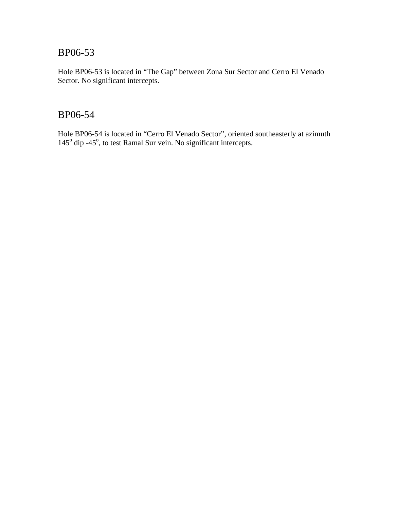Hole BP06-53 is located in "The Gap" between Zona Sur Sector and Cerro El Venado Sector. No significant intercepts.

### BP06-54

Hole BP06-54 is located in "Cerro El Venado Sector", oriented southeasterly at azimuth 145<sup>°</sup> dip -45<sup>°</sup>, to test Ramal Sur vein. No significant intercepts.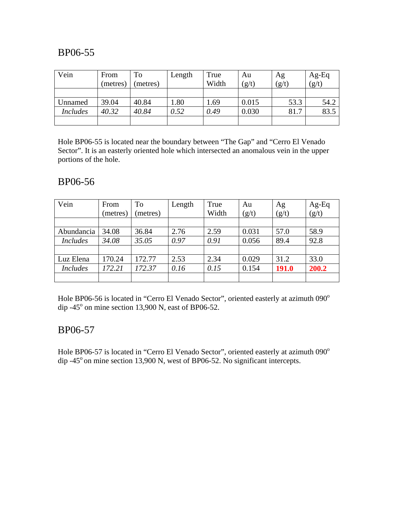| Vein            | From     | To       | Length | True  | Au    | Ag    | $Ag-Eq$ |
|-----------------|----------|----------|--------|-------|-------|-------|---------|
|                 | (metres) | (metres) |        | Width | (g/t) | (g/t) | (g/t)   |
|                 |          |          |        |       |       |       |         |
| Unnamed         | 39.04    | 40.84    | .80    | 1.69  | 0.015 | 53.3  | 54.2    |
| <b>Includes</b> | 40.32    | 40.84    | 0.52   | 0.49  | 0.030 | 81.7  | 83.5    |
|                 |          |          |        |       |       |       |         |

Hole BP06-55 is located near the boundary between "The Gap" and "Cerro El Venado Sector". It is an easterly oriented hole which intersected an anomalous vein in the upper portions of the hole.

### BP06-56

| Vein            | From     | To       | Length | True  | Au    | Ag           | $Ag-Eq$ |
|-----------------|----------|----------|--------|-------|-------|--------------|---------|
|                 | (metres) | (metres) |        | Width | (g/t) | (g/t)        | (g/t)   |
|                 |          |          |        |       |       |              |         |
| Abundancia      | 34.08    | 36.84    | 2.76   | 2.59  | 0.031 | 57.0         | 58.9    |
| <b>Includes</b> | 34.08    | 35.05    | 0.97   | 0.91  | 0.056 | 89.4         | 92.8    |
|                 |          |          |        |       |       |              |         |
| Luz Elena       | 170.24   | 172.77   | 2.53   | 2.34  | 0.029 | 31.2         | 33.0    |
| <b>Includes</b> | 172.21   | 172.37   | 0.16   | 0.15  | 0.154 | <b>191.0</b> | 200.2   |
|                 |          |          |        |       |       |              |         |

Hole BP06-56 is located in "Cerro El Venado Sector", oriented easterly at azimuth 090° dip  $-45^\circ$  on mine section 13,900 N, east of BP06-52.

### BP06-57

Hole BP06-57 is located in "Cerro El Venado Sector", oriented easterly at azimuth 090° dip  $-45^\circ$  on mine section 13,900 N, west of BP06-52. No significant intercepts.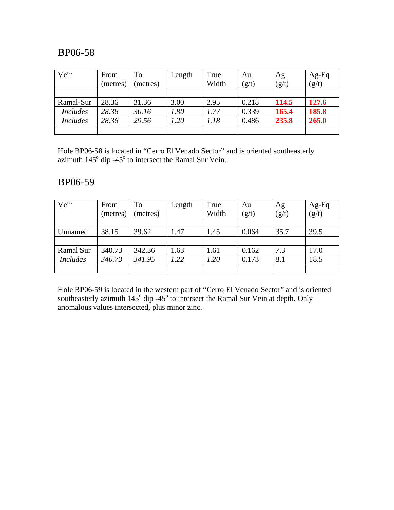| Vein            | From     | To       | Length | True  | Au    | Ag    | $Ag-Eq$ |
|-----------------|----------|----------|--------|-------|-------|-------|---------|
|                 | (metres) | (metres) |        | Width | (g/t) | (g/t) | (g/t)   |
|                 |          |          |        |       |       |       |         |
| Ramal-Sur       | 28.36    | 31.36    | 3.00   | 2.95  | 0.218 | 114.5 | 127.6   |
| <b>Includes</b> | 28.36    | 30.16    | 1.80   | 1.77  | 0.339 | 165.4 | 185.8   |
| <i>Includes</i> | 28.36    | 29.56    | 1.20   | 1.18  | 0.486 | 235.8 | 265.0   |
|                 |          |          |        |       |       |       |         |

Hole BP06-58 is located in "Cerro El Venado Sector" and is oriented southeasterly azimuth  $145^{\circ}$  dip -45 $^{\circ}$  to intersect the Ramal Sur Vein.

### BP06-59

| Vein            | From<br>(metres) | To<br>(metres) | Length | True<br>Width | Au<br>(g/t) | Ag<br>(g/t) | $Ag-Eq$<br>(g/t) |
|-----------------|------------------|----------------|--------|---------------|-------------|-------------|------------------|
|                 |                  |                |        |               |             |             |                  |
| Unnamed         | 38.15            | 39.62          | 1.47   | 1.45          | 0.064       | 35.7        | 39.5             |
|                 |                  |                |        |               |             |             |                  |
| Ramal Sur       | 340.73           | 342.36         | 1.63   | 1.61          | 0.162       | 7.3         | 17.0             |
| <b>Includes</b> | 340.73           | 341.95         | 1.22   | 1.20          | 0.173       | 8.1         | 18.5             |
|                 |                  |                |        |               |             |             |                  |

Hole BP06-59 is located in the western part of "Cerro El Venado Sector" and is oriented southeasterly azimuth  $145^{\circ}$  dip -45° to intersect the Ramal Sur Vein at depth. Only anomalous values intersected, plus minor zinc.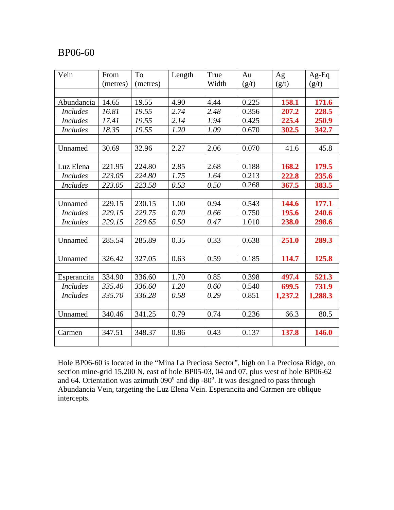| Vein            | From     | To       | Length | True  | Au    | Ag      | $Ag-Eq$      |
|-----------------|----------|----------|--------|-------|-------|---------|--------------|
|                 | (metres) | (metres) |        | Width | (g/t) | (g/t)   | (g/t)        |
|                 |          |          |        |       |       |         |              |
| Abundancia      | 14.65    | 19.55    | 4.90   | 4.44  | 0.225 | 158.1   | 171.6        |
| <b>Includes</b> | 16.81    | 19.55    | 2.74   | 2.48  | 0.356 | 207.2   | 228.5        |
| <i>Includes</i> | 17.41    | 19.55    | 2.14   | 1.94  | 0.425 | 225.4   | 250.9        |
| <b>Includes</b> | 18.35    | 19.55    | 1.20   | 1.09  | 0.670 | 302.5   | 342.7        |
|                 |          |          |        |       |       |         |              |
| Unnamed         | 30.69    | 32.96    | 2.27   | 2.06  | 0.070 | 41.6    | 45.8         |
|                 |          |          |        |       |       |         |              |
| Luz Elena       | 221.95   | 224.80   | 2.85   | 2.68  | 0.188 | 168.2   | <b>179.5</b> |
| <i>Includes</i> | 223.05   | 224.80   | 1.75   | 1.64  | 0.213 | 222.8   | 235.6        |
| <b>Includes</b> | 223.05   | 223.58   | 0.53   | 0.50  | 0.268 | 367.5   | 383.5        |
|                 |          |          |        |       |       |         |              |
| Unnamed         | 229.15   | 230.15   | 1.00   | 0.94  | 0.543 | 144.6   | 177.1        |
| <b>Includes</b> | 229.15   | 229.75   | 0.70   | 0.66  | 0.750 | 195.6   | 240.6        |
| <b>Includes</b> | 229.15   | 229.65   | 0.50   | 0.47  | 1.010 | 238.0   | 298.6        |
|                 |          |          |        |       |       |         |              |
| Unnamed         | 285.54   | 285.89   | 0.35   | 0.33  | 0.638 | 251.0   | 289.3        |
|                 |          |          |        |       |       |         |              |
| Unnamed         | 326.42   | 327.05   | 0.63   | 0.59  | 0.185 | 114.7   | 125.8        |
|                 |          |          |        |       |       |         |              |
| Esperancita     | 334.90   | 336.60   | 1.70   | 0.85  | 0.398 | 497.4   | 521.3        |
| <b>Includes</b> | 335.40   | 336.60   | 1.20   | 0.60  | 0.540 | 699.5   | 731.9        |
| <b>Includes</b> | 335.70   | 336.28   | 0.58   | 0.29  | 0.851 | 1,237.2 | 1,288.3      |
|                 |          |          |        |       |       |         |              |
| Unnamed         | 340.46   | 341.25   | 0.79   | 0.74  | 0.236 | 66.3    | 80.5         |
|                 |          |          |        |       |       |         |              |
| Carmen          | 347.51   | 348.37   | 0.86   | 0.43  | 0.137 | 137.8   | 146.0        |
|                 |          |          |        |       |       |         |              |

Hole BP06-60 is located in the "Mina La Preciosa Sector", high on La Preciosa Ridge, on section mine-grid 15,200 N, east of hole BP05-03, 04 and 07, plus west of hole BP06-62 and 64. Orientation was azimuth  $090^\circ$  and dip -80 $^\circ$ . It was designed to pass through Abundancia Vein, targeting the Luz Elena Vein. Esperancita and Carmen are oblique intercepts.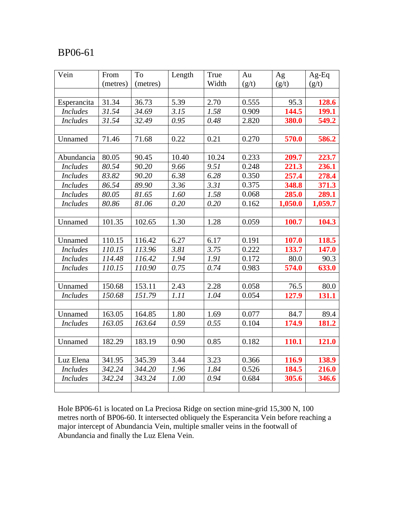| Vein            | From     | To       | Length | True  | Au    | Ag      | $Ag-Eq$ |
|-----------------|----------|----------|--------|-------|-------|---------|---------|
|                 | (metres) | (metres) |        | Width | (g/t) | (g/t)   | (g/t)   |
|                 |          |          |        |       |       |         |         |
| Esperancita     | 31.34    | 36.73    | 5.39   | 2.70  | 0.555 | 95.3    | 128.6   |
| <b>Includes</b> | 31.54    | 34.69    | 3.15   | 1.58  | 0.909 | 144.5   | 199.1   |
| <b>Includes</b> | 31.54    | 32.49    | 0.95   | 0.48  | 2.820 | 380.0   | 549.2   |
|                 |          |          |        |       |       |         |         |
| Unnamed         | 71.46    | 71.68    | 0.22   | 0.21  | 0.270 | 570.0   | 586.2   |
|                 |          |          |        |       |       |         |         |
| Abundancia      | 80.05    | 90.45    | 10.40  | 10.24 | 0.233 | 209.7   | 223.7   |
| <b>Includes</b> | 80.54    | 90.20    | 9.66   | 9.51  | 0.248 | 221.3   | 236.1   |
| <b>Includes</b> | 83.82    | 90.20    | 6.38   | 6.28  | 0.350 | 257.4   | 278.4   |
| <b>Includes</b> | 86.54    | 89.90    | 3.36   | 3.31  | 0.375 | 348.8   | 371.3   |
| <b>Includes</b> | 80.05    | 81.65    | 1.60   | 1.58  | 0.068 | 285.0   | 289.1   |
| <b>Includes</b> | 80.86    | 81.06    | 0.20   | 0.20  | 0.162 | 1,050.0 | 1,059.7 |
|                 |          |          |        |       |       |         |         |
| Unnamed         | 101.35   | 102.65   | 1.30   | 1.28  | 0.059 | 100.7   | 104.3   |
|                 |          |          |        |       |       |         |         |
| Unnamed         | 110.15   | 116.42   | 6.27   | 6.17  | 0.191 | 107.0   | 118.5   |
| <b>Includes</b> | 110.15   | 113.96   | 3.81   | 3.75  | 0.222 | 133.7   | 147.0   |
| <b>Includes</b> | 114.48   | 116.42   | 1.94   | 1.91  | 0.172 | 80.0    | 90.3    |
| <b>Includes</b> | 110.15   | 110.90   | 0.75   | 0.74  | 0.983 | 574.0   | 633.0   |
|                 |          |          |        |       |       |         |         |
| Unnamed         | 150.68   | 153.11   | 2.43   | 2.28  | 0.058 | 76.5    | 80.0    |
| <b>Includes</b> | 150.68   | 151.79   | 1.11   | 1.04  | 0.054 | 127.9   | 131.1   |
|                 |          |          |        |       |       |         |         |
| Unnamed         | 163.05   | 164.85   | 1.80   | 1.69  | 0.077 | 84.7    | 89.4    |
| <b>Includes</b> | 163.05   | 163.64   | 0.59   | 0.55  | 0.104 | 174.9   | 181.2   |
|                 |          |          |        |       |       |         |         |
| Unnamed         | 182.29   | 183.19   | 0.90   | 0.85  | 0.182 | 110.1   | 121.0   |
|                 |          |          |        |       |       |         |         |
| Luz Elena       | 341.95   | 345.39   | 3.44   | 3.23  | 0.366 | 116.9   | 138.9   |
| <b>Includes</b> | 342.24   | 344.20   | 1.96   | 1.84  | 0.526 | 184.5   | 216.0   |
| <b>Includes</b> | 342.24   | 343.24   | 1.00   | 0.94  | 0.684 | 305.6   | 346.6   |
|                 |          |          |        |       |       |         |         |

Hole BP06-61 is located on La Preciosa Ridge on section mine-grid 15,300 N, 100 metres north of BP06-60. It intersected obliquely the Esperancita Vein before reaching a major intercept of Abundancia Vein, multiple smaller veins in the footwall of Abundancia and finally the Luz Elena Vein.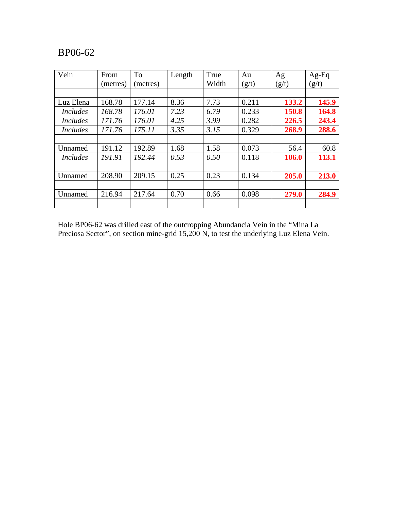| Vein            | From     | <b>To</b> | Length | True  | Au    | Ag    | $Ag-Eq$ |
|-----------------|----------|-----------|--------|-------|-------|-------|---------|
|                 | (metres) | (metres)  |        | Width | (g/t) | (g/t) | (g/t)   |
|                 |          |           |        |       |       |       |         |
| Luz Elena       | 168.78   | 177.14    | 8.36   | 7.73  | 0.211 | 133.2 | 145.9   |
| <i>Includes</i> | 168.78   | 176.01    | 7.23   | 6.79  | 0.233 | 150.8 | 164.8   |
| <i>Includes</i> | 171.76   | 176.01    | 4.25   | 3.99  | 0.282 | 226.5 | 243.4   |
| <i>Includes</i> | 171.76   | 175.11    | 3.35   | 3.15  | 0.329 | 268.9 | 288.6   |
|                 |          |           |        |       |       |       |         |
| Unnamed         | 191.12   | 192.89    | 1.68   | 1.58  | 0.073 | 56.4  | 60.8    |
| <i>Includes</i> | 191.91   | 192.44    | 0.53   | 0.50  | 0.118 | 106.0 | 113.1   |
|                 |          |           |        |       |       |       |         |
| Unnamed         | 208.90   | 209.15    | 0.25   | 0.23  | 0.134 | 205.0 | 213.0   |
|                 |          |           |        |       |       |       |         |
| Unnamed         | 216.94   | 217.64    | 0.70   | 0.66  | 0.098 | 279.0 | 284.9   |
|                 |          |           |        |       |       |       |         |

Hole BP06-62 was drilled east of the outcropping Abundancia Vein in the "Mina La Preciosa Sector", on section mine-grid 15,200 N, to test the underlying Luz Elena Vein.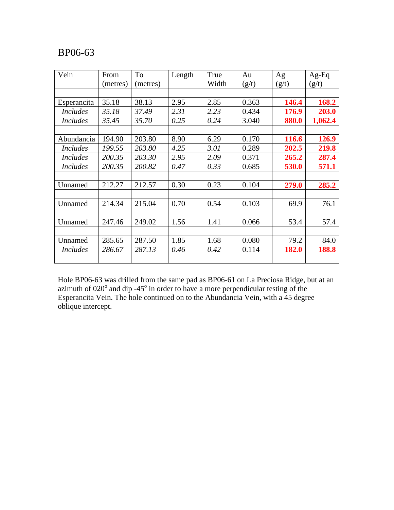| Vein            | From     | To       | Length | True  | Au    | Ag    | $Ag-Eq$ |
|-----------------|----------|----------|--------|-------|-------|-------|---------|
|                 | (metres) | (metres) |        | Width | (g/t) | (g/t) | (g/t)   |
|                 |          |          |        |       |       |       |         |
| Esperancita     | 35.18    | 38.13    | 2.95   | 2.85  | 0.363 | 146.4 | 168.2   |
| <i>Includes</i> | 35.18    | 37.49    | 2.31   | 2.23  | 0.434 | 176.9 | 203.0   |
| <i>Includes</i> | 35.45    | 35.70    | 0.25   | 0.24  | 3.040 | 880.0 | 1,062.4 |
|                 |          |          |        |       |       |       |         |
| Abundancia      | 194.90   | 203.80   | 8.90   | 6.29  | 0.170 | 116.6 | 126.9   |
| <i>Includes</i> | 199.55   | 203.80   | 4.25   | 3.01  | 0.289 | 202.5 | 219.8   |
| <i>Includes</i> | 200.35   | 203.30   | 2.95   | 2.09  | 0.371 | 265.2 | 287.4   |
| <i>Includes</i> | 200.35   | 200.82   | 0.47   | 0.33  | 0.685 | 530.0 | 571.1   |
|                 |          |          |        |       |       |       |         |
| Unnamed         | 212.27   | 212.57   | 0.30   | 0.23  | 0.104 | 279.0 | 285.2   |
|                 |          |          |        |       |       |       |         |
| Unnamed         | 214.34   | 215.04   | 0.70   | 0.54  | 0.103 | 69.9  | 76.1    |
|                 |          |          |        |       |       |       |         |
| Unnamed         | 247.46   | 249.02   | 1.56   | 1.41  | 0.066 | 53.4  | 57.4    |
|                 |          |          |        |       |       |       |         |
| Unnamed         | 285.65   | 287.50   | 1.85   | 1.68  | 0.080 | 79.2  | 84.0    |
| <i>Includes</i> | 286.67   | 287.13   | 0.46   | 0.42  | 0.114 | 182.0 | 188.8   |
|                 |          |          |        |       |       |       |         |

Hole BP06-63 was drilled from the same pad as BP06-61 on La Preciosa Ridge, but at an azimuth of  $020^{\circ}$  and dip -45 $^{\circ}$  in order to have a more perpendicular testing of the Esperancita Vein. The hole continued on to the Abundancia Vein, with a 45 degree oblique intercept.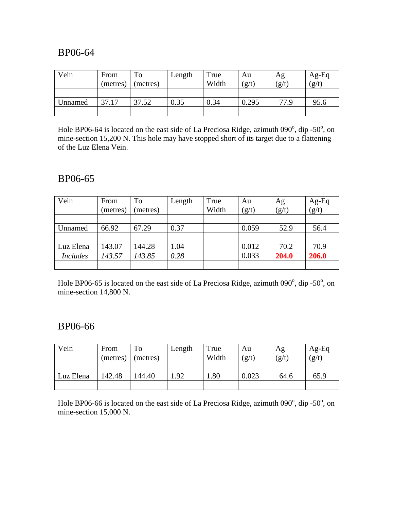| Vein    | From<br>(metres) | To<br>(metres) | Length | True<br>Width | Au<br>(g/t) | Ag<br>(g/t) | $Ag-Eq$<br>(g/t) |
|---------|------------------|----------------|--------|---------------|-------------|-------------|------------------|
|         |                  |                |        |               |             |             |                  |
| Unnamed | 37.17            | 37.52          | 0.35   | 0.34          | 0.295       | 77.9        | 95.6             |
|         |                  |                |        |               |             |             |                  |

Hole BP06-64 is located on the east side of La Preciosa Ridge, azimuth  $090^{\circ}$ , dip -50 $^{\circ}$ , on mine-section 15,200 N. This hole may have stopped short of its target due to a flattening of the Luz Elena Vein.

### BP06-65

| Vein            | From<br>(metres) | To<br>(metres) | Length | True<br>Width | Au<br>(g/t) | Ag<br>(g/t) | $Ag-Eq$<br>$(g/t)$ |
|-----------------|------------------|----------------|--------|---------------|-------------|-------------|--------------------|
|                 |                  |                |        |               |             |             |                    |
| Unnamed         | 66.92            | 67.29          | 0.37   |               | 0.059       | 52.9        | 56.4               |
|                 |                  |                |        |               |             |             |                    |
| Luz Elena       | 143.07           | 144.28         | 1.04   |               | 0.012       | 70.2        | 70.9               |
| <b>Includes</b> | 143.57           | 143.85         | 0.28   |               | 0.033       | 204.0       | 206.0              |
|                 |                  |                |        |               |             |             |                    |

Hole BP06-65 is located on the east side of La Preciosa Ridge, azimuth  $090^{\circ}$ , dip -50 $^{\circ}$ , on mine-section 14,800 N.

### BP06-66

| Vein      | From     | To       | Length | True  | Au    | Ag    | $Ag-Eq$ |
|-----------|----------|----------|--------|-------|-------|-------|---------|
|           | (metres) | (metres) |        | Width | (g/t) | (g/t) | (g/t)   |
|           |          |          |        |       |       |       |         |
| Luz Elena | 142.48   | 144.40   | .92    | .80   | 0.023 | 64.6  | 65.9    |
|           |          |          |        |       |       |       |         |

Hole BP06-66 is located on the east side of La Preciosa Ridge, azimuth  $090^{\circ}$ , dip -50 $^{\circ}$ , on mine-section 15,000 N.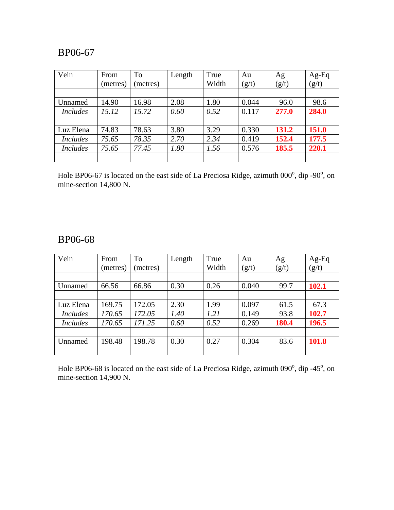| Vein            | From     | <b>To</b> | Length | True  | Au    | Ag    | Ag-Eq        |
|-----------------|----------|-----------|--------|-------|-------|-------|--------------|
|                 | (metres) | (metres)  |        | Width | (g/t) | (g/t) | (g/t)        |
|                 |          |           |        |       |       |       |              |
| Unnamed         | 14.90    | 16.98     | 2.08   | 1.80  | 0.044 | 96.0  | 98.6         |
| <b>Includes</b> | 15.12    | 15.72     | 0.60   | 0.52  | 0.117 | 277.0 | 284.0        |
|                 |          |           |        |       |       |       |              |
| Luz Elena       | 74.83    | 78.63     | 3.80   | 3.29  | 0.330 | 131.2 | <b>151.0</b> |
| <b>Includes</b> | 75.65    | 78.35     | 2.70   | 2.34  | 0.419 | 152.4 | 177.5        |
| <b>Includes</b> | 75.65    | 77.45     | 1.80   | 1.56  | 0.576 | 185.5 | 220.1        |
|                 |          |           |        |       |       |       |              |

Hole BP06-67 is located on the east side of La Preciosa Ridge, azimuth  $000^{\circ}$ , dip -90 $^{\circ}$ , on mine-section 14,800 N.

## BP06-68

| Vein            | From     | <b>To</b> | Length | True  | Au    | Ag    | Ag-Eq |
|-----------------|----------|-----------|--------|-------|-------|-------|-------|
|                 | (metres) | metres)   |        | Width | (g/t) | (g/t) | (g/t) |
|                 |          |           |        |       |       |       |       |
| Unnamed         | 66.56    | 66.86     | 0.30   | 0.26  | 0.040 | 99.7  | 102.1 |
|                 |          |           |        |       |       |       |       |
| Luz Elena       | 169.75   | 172.05    | 2.30   | 1.99  | 0.097 | 61.5  | 67.3  |
| <i>Includes</i> | 170.65   | 172.05    | 1.40   | 1.21  | 0.149 | 93.8  | 102.7 |
| <i>Includes</i> | 170.65   | 171.25    | 0.60   | 0.52  | 0.269 | 180.4 | 196.5 |
|                 |          |           |        |       |       |       |       |
| Unnamed         | 198.48   | 198.78    | 0.30   | 0.27  | 0.304 | 83.6  | 101.8 |
|                 |          |           |        |       |       |       |       |

Hole BP06-68 is located on the east side of La Preciosa Ridge, azimuth 090°, dip -45°, on mine-section 14,900 N.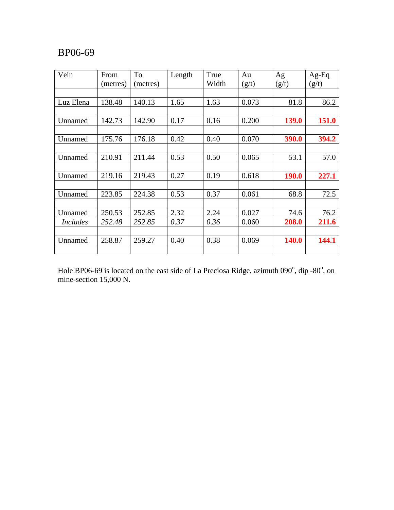| Vein            | From<br>(metres) | To<br>(metres) | Length | True<br>Width | Au<br>(g/t) | Ag<br>(g/t)  | $Ag-Eq$<br>(g/t) |
|-----------------|------------------|----------------|--------|---------------|-------------|--------------|------------------|
|                 |                  |                |        |               |             |              |                  |
| Luz Elena       | 138.48           | 140.13         | 1.65   | 1.63          | 0.073       | 81.8         | 86.2             |
|                 |                  |                |        |               |             |              |                  |
| Unnamed         | 142.73           | 142.90         | 0.17   | 0.16          | 0.200       | 139.0        | 151.0            |
|                 |                  |                |        |               |             |              |                  |
| Unnamed         | 175.76           | 176.18         | 0.42   | 0.40          | 0.070       | 390.0        | 394.2            |
|                 |                  |                |        |               |             |              |                  |
| Unnamed         | 210.91           | 211.44         | 0.53   | 0.50          | 0.065       | 53.1         | 57.0             |
|                 |                  |                |        |               |             |              |                  |
| Unnamed         | 219.16           | 219.43         | 0.27   | 0.19          | 0.618       | <b>190.0</b> | 227.1            |
|                 |                  |                |        |               |             |              |                  |
| Unnamed         | 223.85           | 224.38         | 0.53   | 0.37          | 0.061       | 68.8         | 72.5             |
|                 |                  |                |        |               |             |              |                  |
| Unnamed         | 250.53           | 252.85         | 2.32   | 2.24          | 0.027       | 74.6         | 76.2             |
| <i>Includes</i> | 252.48           | 252.85         | 0.37   | 0.36          | 0.060       | 208.0        | 211.6            |
|                 |                  |                |        |               |             |              |                  |
| Unnamed         | 258.87           | 259.27         | 0.40   | 0.38          | 0.069       | <b>140.0</b> | 144.1            |
|                 |                  |                |        |               |             |              |                  |

Hole BP06-69 is located on the east side of La Preciosa Ridge, azimuth  $090^{\circ}$ , dip -80 $^{\circ}$ , on mine-section 15,000 N.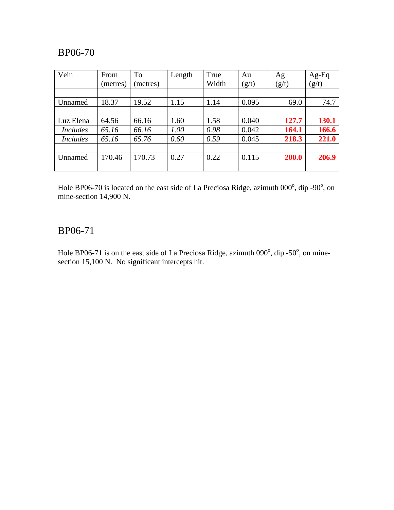| Vein            | From     | <b>To</b> | Length | True  | Au    | Ag    | $Ag-Eq$ |
|-----------------|----------|-----------|--------|-------|-------|-------|---------|
|                 | (metres) | (metres)  |        | Width | (g/t) | (g/t) | (g/t)   |
|                 |          |           |        |       |       |       |         |
| Unnamed         | 18.37    | 19.52     | 1.15   | 1.14  | 0.095 | 69.0  | 74.7    |
|                 |          |           |        |       |       |       |         |
| Luz Elena       | 64.56    | 66.16     | 1.60   | 1.58  | 0.040 | 127.7 | 130.1   |
| <i>Includes</i> | 65.16    | 66.16     | 1.00   | 0.98  | 0.042 | 164.1 | 166.6   |
| <i>Includes</i> | 65.16    | 65.76     | 0.60   | 0.59  | 0.045 | 218.3 | 221.0   |
|                 |          |           |        |       |       |       |         |
| Unnamed         | 170.46   | 170.73    | 0.27   | 0.22  | 0.115 | 200.0 | 206.9   |
|                 |          |           |        |       |       |       |         |

Hole BP06-70 is located on the east side of La Preciosa Ridge, azimuth  $000^{\circ}$ , dip -90 $^{\circ}$ , on mine-section 14,900 N.

### BP06-71

Hole BP06-71 is on the east side of La Preciosa Ridge, azimuth 090 $^{\circ}$ , dip -50 $^{\circ}$ , on minesection 15,100 N. No significant intercepts hit.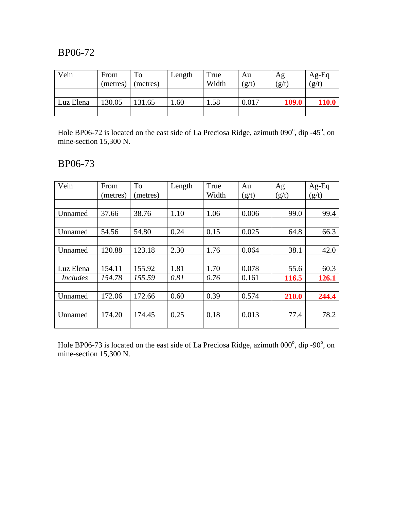| Vein      | From     | To       | Length | True  | Au    | Ag    | $Ag-Eq$ |
|-----------|----------|----------|--------|-------|-------|-------|---------|
|           | (metres) | (metres) |        | Width | (g/t) | (g/t) | (g/t)   |
|           |          |          |        |       |       |       |         |
| Luz Elena | 130.05   | 131.65   | .60    | .58   | 0.017 | 109.0 | 110.0   |
|           |          |          |        |       |       |       |         |

Hole BP06-72 is located on the east side of La Preciosa Ridge, azimuth  $090^{\circ}$ , dip -45 $^{\circ}$ , on mine-section 15,300 N.

## BP06-73

| Vein            | From     | To       | Length | True  | Au    | Ag    | $Ag-Eq$ |
|-----------------|----------|----------|--------|-------|-------|-------|---------|
|                 | (metres) | (metres) |        | Width | (g/t) | (g/t) | (g/t)   |
|                 |          |          |        |       |       |       |         |
| Unnamed         | 37.66    | 38.76    | 1.10   | 1.06  | 0.006 | 99.0  | 99.4    |
|                 |          |          |        |       |       |       |         |
| Unnamed         | 54.56    | 54.80    | 0.24   | 0.15  | 0.025 | 64.8  | 66.3    |
|                 |          |          |        |       |       |       |         |
| Unnamed         | 120.88   | 123.18   | 2.30   | 1.76  | 0.064 | 38.1  | 42.0    |
|                 |          |          |        |       |       |       |         |
| Luz Elena       | 154.11   | 155.92   | 1.81   | 1.70  | 0.078 | 55.6  | 60.3    |
| <i>Includes</i> | 154.78   | 155.59   | 0.81   | 0.76  | 0.161 | 116.5 | 126.1   |
|                 |          |          |        |       |       |       |         |
| Unnamed         | 172.06   | 172.66   | 0.60   | 0.39  | 0.574 | 210.0 | 244.4   |
|                 |          |          |        |       |       |       |         |
| Unnamed         | 174.20   | 174.45   | 0.25   | 0.18  | 0.013 | 77.4  | 78.2    |
|                 |          |          |        |       |       |       |         |

Hole BP06-73 is located on the east side of La Preciosa Ridge, azimuth  $000^{\circ}$ , dip -90 $^{\circ}$ , on mine-section 15,300 N.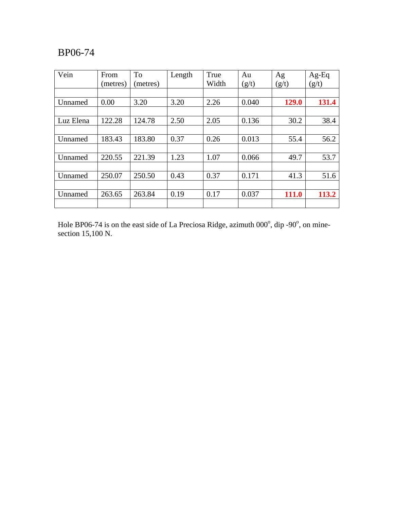| Vein      | From<br>(metres) | <b>To</b><br>(metres) | Length | True<br>Width | Au<br>(g/t) | Ag<br>(g/t) | $Ag-Eq$<br>(g/t) |
|-----------|------------------|-----------------------|--------|---------------|-------------|-------------|------------------|
|           |                  |                       |        |               |             |             |                  |
| Unnamed   | 0.00             | 3.20                  | 3.20   | 2.26          | 0.040       | 129.0       | 131.4            |
|           |                  |                       |        |               |             |             |                  |
| Luz Elena | 122.28           | 124.78                | 2.50   | 2.05          | 0.136       | 30.2        | 38.4             |
|           |                  |                       |        |               |             |             |                  |
| Unnamed   | 183.43           | 183.80                | 0.37   | 0.26          | 0.013       | 55.4        | 56.2             |
|           |                  |                       |        |               |             |             |                  |
| Unnamed   | 220.55           | 221.39                | 1.23   | 1.07          | 0.066       | 49.7        | 53.7             |
|           |                  |                       |        |               |             |             |                  |
| Unnamed   | 250.07           | 250.50                | 0.43   | 0.37          | 0.171       | 41.3        | 51.6             |
|           |                  |                       |        |               |             |             |                  |
| Unnamed   | 263.65           | 263.84                | 0.19   | 0.17          | 0.037       | 111.0       | 113.2            |
|           |                  |                       |        |               |             |             |                  |

Hole BP06-74 is on the east side of La Preciosa Ridge, azimuth  $000^{\circ}$ , dip -90 $^{\circ}$ , on minesection  $15,100$  N.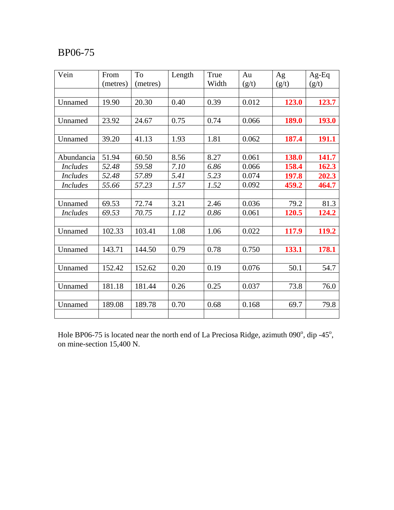| Vein            | From     | To       | Length | True  | Au    | Ag    | $Ag-Eq$      |
|-----------------|----------|----------|--------|-------|-------|-------|--------------|
|                 | (metres) | (metres) |        | Width | (g/t) | (g/t) | (g/t)        |
|                 |          |          |        |       |       |       |              |
| Unnamed         | 19.90    | 20.30    | 0.40   | 0.39  | 0.012 | 123.0 | 123.7        |
|                 |          |          |        |       |       |       |              |
| Unnamed         | 23.92    | 24.67    | 0.75   | 0.74  | 0.066 | 189.0 | 193.0        |
|                 |          |          |        |       |       |       |              |
| Unnamed         | 39.20    | 41.13    | 1.93   | 1.81  | 0.062 | 187.4 | 191.1        |
|                 |          |          |        |       |       |       |              |
| Abundancia      | 51.94    | 60.50    | 8.56   | 8.27  | 0.061 | 138.0 | 141.7        |
| <i>Includes</i> | 52.48    | 59.58    | 7.10   | 6.86  | 0.066 | 158.4 | 162.3        |
| <b>Includes</b> | 52.48    | 57.89    | 5.41   | 5.23  | 0.074 | 197.8 | 202.3        |
| <b>Includes</b> | 55.66    | 57.23    | 1.57   | 1.52  | 0.092 | 459.2 | 464.7        |
|                 |          |          |        |       |       |       |              |
| Unnamed         | 69.53    | 72.74    | 3.21   | 2.46  | 0.036 | 79.2  | 81.3         |
| <i>Includes</i> | 69.53    | 70.75    | 1.12   | 0.86  | 0.061 | 120.5 | 124.2        |
|                 |          |          |        |       |       |       |              |
| Unnamed         | 102.33   | 103.41   | 1.08   | 1.06  | 0.022 | 117.9 | <b>119.2</b> |
|                 |          |          |        |       |       |       |              |
| Unnamed         | 143.71   | 144.50   | 0.79   | 0.78  | 0.750 | 133.1 | 178.1        |
|                 |          |          |        |       |       |       |              |
| Unnamed         | 152.42   | 152.62   | 0.20   | 0.19  | 0.076 | 50.1  | 54.7         |
|                 |          |          |        |       |       |       |              |
| Unnamed         | 181.18   | 181.44   | 0.26   | 0.25  | 0.037 | 73.8  | 76.0         |
|                 |          |          |        |       |       |       |              |
| Unnamed         | 189.08   | 189.78   | 0.70   | 0.68  | 0.168 | 69.7  | 79.8         |
|                 |          |          |        |       |       |       |              |

Hole BP06-75 is located near the north end of La Preciosa Ridge, azimuth  $090^\circ$ , dip -45 $^\circ$ , on mine-section 15,400 N.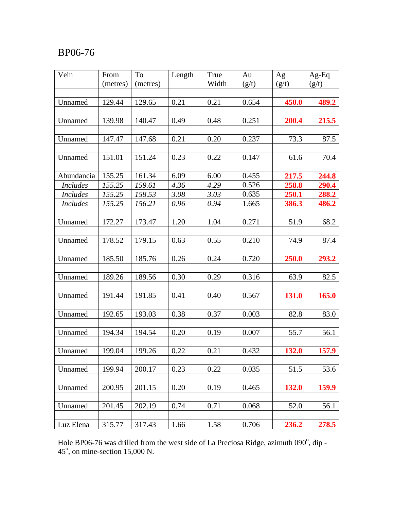| Vein            | From     | To       | Length | True  | Au    | Ag    | $Ag-Eq$ |
|-----------------|----------|----------|--------|-------|-------|-------|---------|
|                 | (metres) | (metres) |        | Width | (g/t) | (g/t) | (g/t)   |
|                 |          |          |        |       |       |       |         |
| Unnamed         | 129.44   | 129.65   | 0.21   | 0.21  | 0.654 | 450.0 | 489.2   |
|                 |          |          |        |       |       |       |         |
| Unnamed         | 139.98   | 140.47   | 0.49   | 0.48  | 0.251 | 200.4 | 215.5   |
|                 |          |          |        |       |       |       |         |
| Unnamed         | 147.47   | 147.68   | 0.21   | 0.20  | 0.237 | 73.3  | 87.5    |
|                 |          |          |        |       |       |       |         |
| Unnamed         | 151.01   | 151.24   | 0.23   | 0.22  | 0.147 | 61.6  | 70.4    |
|                 |          |          |        |       |       |       |         |
| Abundancia      | 155.25   | 161.34   | 6.09   | 6.00  | 0.455 | 217.5 | 244.8   |
| <b>Includes</b> | 155.25   | 159.61   | 4.36   | 4.29  | 0.526 | 258.8 | 290.4   |
| <i>Includes</i> | 155.25   | 158.53   | 3.08   | 3.03  | 0.635 | 250.1 | 288.2   |
| <i>Includes</i> | 155.25   | 156.21   | 0.96   | 0.94  | 1.665 | 386.3 | 486.2   |
|                 |          |          |        |       |       |       |         |
| Unnamed         | 172.27   | 173.47   | 1.20   | 1.04  | 0.271 | 51.9  | 68.2    |
|                 |          |          |        |       |       |       |         |
| Unnamed         | 178.52   | 179.15   | 0.63   | 0.55  | 0.210 | 74.9  | 87.4    |
|                 |          |          |        |       |       |       |         |
| Unnamed         | 185.50   | 185.76   | 0.26   | 0.24  | 0.720 | 250.0 | 293.2   |
|                 |          |          |        |       |       |       |         |
| Unnamed         | 189.26   | 189.56   | 0.30   | 0.29  | 0.316 | 63.9  | 82.5    |
|                 |          |          |        |       |       |       |         |
| Unnamed         | 191.44   | 191.85   | 0.41   | 0.40  | 0.567 | 131.0 | 165.0   |
|                 |          |          |        |       |       |       |         |
| Unnamed         | 192.65   | 193.03   | 0.38   | 0.37  | 0.003 | 82.8  | 83.0    |
|                 |          |          |        |       |       |       |         |
| Unnamed         | 194.34   | 194.54   | 0.20   | 0.19  | 0.007 | 55.7  | 56.1    |
|                 |          |          |        |       |       |       |         |
| Unnamed         | 199.04   | 199.26   | 0.22   | 0.21  | 0.432 | 132.0 | 157.9   |
|                 |          |          |        |       |       |       |         |
| Unnamed         | 199.94   | 200.17   | 0.23   | 0.22  | 0.035 | 51.5  | 53.6    |
|                 |          |          |        |       |       |       |         |
| Unnamed         | 200.95   | 201.15   | 0.20   | 0.19  | 0.465 | 132.0 | 159.9   |
|                 |          |          |        |       |       |       |         |
| Unnamed         | 201.45   | 202.19   | 0.74   | 0.71  | 0.068 | 52.0  | 56.1    |
|                 |          |          |        |       |       |       |         |
| Luz Elena       | 315.77   | 317.43   | 1.66   | 1.58  | 0.706 | 236.2 | 278.5   |

Hole BP06-76 was drilled from the west side of La Preciosa Ridge, azimuth  $090^{\circ}$ , dip - $45^\circ$ , on mine-section 15,000 N.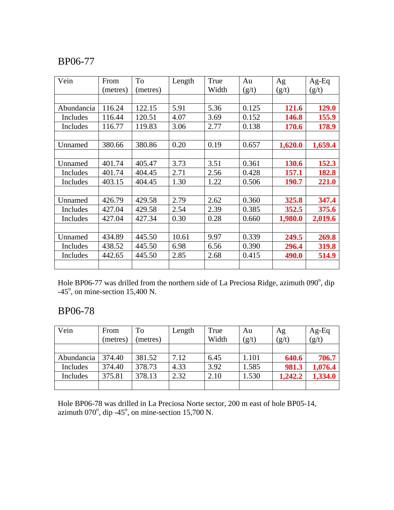| Vein       | From     | To       | Length | True  | Au    | Ag      | $Ag-Eq$ |
|------------|----------|----------|--------|-------|-------|---------|---------|
|            | (metres) | (metres) |        | Width | (g/t) | (g/t)   | (g/t)   |
|            |          |          |        |       |       |         |         |
| Abundancia | 116.24   | 122.15   | 5.91   | 5.36  | 0.125 | 121.6   | 129.0   |
| Includes   | 116.44   | 120.51   | 4.07   | 3.69  | 0.152 | 146.8   | 155.9   |
| Includes   | 116.77   | 119.83   | 3.06   | 2.77  | 0.138 | 170.6   | 178.9   |
|            |          |          |        |       |       |         |         |
| Unnamed    | 380.66   | 380.86   | 0.20   | 0.19  | 0.657 | 1,620.0 | 1,659.4 |
|            |          |          |        |       |       |         |         |
| Unnamed    | 401.74   | 405.47   | 3.73   | 3.51  | 0.361 | 130.6   | 152.3   |
| Includes   | 401.74   | 404.45   | 2.71   | 2.56  | 0.428 | 157.1   | 182.8   |
| Includes   | 403.15   | 404.45   | 1.30   | 1.22  | 0.506 | 190.7   | 221.0   |
|            |          |          |        |       |       |         |         |
| Unnamed    | 426.79   | 429.58   | 2.79   | 2.62  | 0.360 | 325.8   | 347.4   |
| Includes   | 427.04   | 429.58   | 2.54   | 2.39  | 0.385 | 352.5   | 375.6   |
| Includes   | 427.04   | 427.34   | 0.30   | 0.28  | 0.660 | 1,980.0 | 2,019.6 |
|            |          |          |        |       |       |         |         |
| Unnamed    | 434.89   | 445.50   | 10.61  | 9.97  | 0.339 | 249.5   | 269.8   |
| Includes   | 438.52   | 445.50   | 6.98   | 6.56  | 0.390 | 296.4   | 319.8   |
| Includes   | 442.65   | 445.50   | 2.85   | 2.68  | 0.415 | 490.0   | 514.9   |
|            |          |          |        |       |       |         |         |

Hole BP06-77 was drilled from the northern side of La Preciosa Ridge, azimuth 090<sup>°</sup>, dip  $-45^\circ$ , on mine-section 15,400 N.

## BP06-78

| Vein       | From     | To       | Length | True  | Au    | Ag      | $Ag-Eq$ |
|------------|----------|----------|--------|-------|-------|---------|---------|
|            | (metres) | (metres) |        | Width | (g/t) | (g/t)   | (g/t)   |
|            |          |          |        |       |       |         |         |
| Abundancia | 374.40   | 381.52   | 7.12   | 6.45  | 1.101 | 640.6   | 706.7   |
| Includes   | 374.40   | 378.73   | 4.33   | 3.92  | 1.585 | 981.3   | 1,076.4 |
| Includes   | 375.81   | 378.13   | 2.32   | 2.10  | 1.530 | 1,242.2 | 1,334.0 |
|            |          |          |        |       |       |         |         |

Hole BP06-78 was drilled in La Preciosa Norte sector, 200 m east of hole BP05-14, azimuth  $070^{\circ}$ , dip  $-45^{\circ}$ , on mine-section 15,700 N.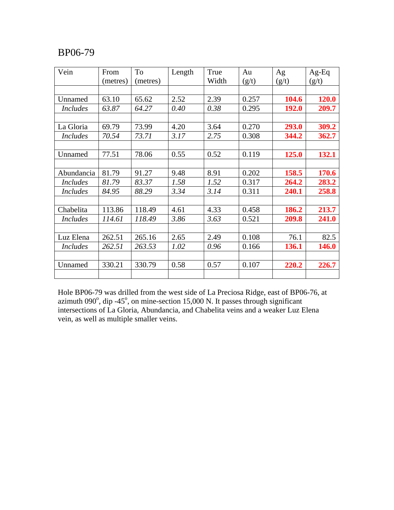| Vein            | From     | To       | Length | True  | Au    | Ag           | $Ag-Eq$      |
|-----------------|----------|----------|--------|-------|-------|--------------|--------------|
|                 | (metres) | (metres) |        | Width | (g/t) | (g/t)        | (g/t)        |
|                 |          |          |        |       |       |              |              |
| Unnamed         | 63.10    | 65.62    | 2.52   | 2.39  | 0.257 | 104.6        | 120.0        |
| <b>Includes</b> | 63.87    | 64.27    | 0.40   | 0.38  | 0.295 | 192.0        | 209.7        |
|                 |          |          |        |       |       |              |              |
| La Gloria       | 69.79    | 73.99    | 4.20   | 3.64  | 0.270 | 293.0        | 309.2        |
| <b>Includes</b> | 70.54    | 73.71    | 3.17   | 2.75  | 0.308 | 344.2        | 362.7        |
|                 |          |          |        |       |       |              |              |
| Unnamed         | 77.51    | 78.06    | 0.55   | 0.52  | 0.119 | 125.0        | 132.1        |
|                 |          |          |        |       |       |              |              |
| Abundancia      | 81.79    | 91.27    | 9.48   | 8.91  | 0.202 | 158.5        | 170.6        |
| <b>Includes</b> | 81.79    | 83.37    | 1.58   | 1.52  | 0.317 | 264.2        | 283.2        |
| <b>Includes</b> | 84.95    | 88.29    | 3.34   | 3.14  | 0.311 | 240.1        | 258.8        |
|                 |          |          |        |       |       |              |              |
| Chabelita       | 113.86   | 118.49   | 4.61   | 4.33  | 0.458 | 186.2        | 213.7        |
| <b>Includes</b> | 114.61   | 118.49   | 3.86   | 3.63  | 0.521 | 209.8        | 241.0        |
|                 |          |          |        |       |       |              |              |
| Luz Elena       | 262.51   | 265.16   | 2.65   | 2.49  | 0.108 | 76.1         | 82.5         |
| <i>Includes</i> | 262.51   | 263.53   | 1.02   | 0.96  | 0.166 | <b>136.1</b> | <b>146.0</b> |
|                 |          |          |        |       |       |              |              |
| Unnamed         | 330.21   | 330.79   | 0.58   | 0.57  | 0.107 | 220.2        | 226.7        |
|                 |          |          |        |       |       |              |              |

Hole BP06-79 was drilled from the west side of La Preciosa Ridge, east of BP06-76, at azimuth 090 $^{\circ}$ , dip -45 $^{\circ}$ , on mine-section 15,000 N. It passes through significant intersections of La Gloria, Abundancia, and Chabelita veins and a weaker Luz Elena vein, as well as multiple smaller veins.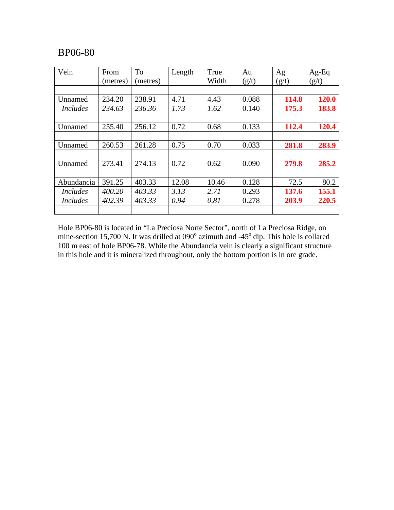| Vein            | From     | <b>To</b> | Length | True  | Au    | Ag    | $Ag-Eq$      |
|-----------------|----------|-----------|--------|-------|-------|-------|--------------|
|                 | (metres) | (metres)  |        | Width | (g/t) | (g/t) | (g/t)        |
|                 |          |           |        |       |       |       |              |
| Unnamed         | 234.20   | 238.91    | 4.71   | 4.43  | 0.088 | 114.8 | <b>120.0</b> |
| <i>Includes</i> | 234.63   | 236.36    | 1.73   | 1.62  | 0.140 | 175.3 | 183.8        |
|                 |          |           |        |       |       |       |              |
| Unnamed         | 255.40   | 256.12    | 0.72   | 0.68  | 0.133 | 112.4 | 120.4        |
|                 |          |           |        |       |       |       |              |
| Unnamed         | 260.53   | 261.28    | 0.75   | 0.70  | 0.033 | 281.8 | 283.9        |
|                 |          |           |        |       |       |       |              |
| Unnamed         | 273.41   | 274.13    | 0.72   | 0.62  | 0.090 | 279.8 | 285.2        |
|                 |          |           |        |       |       |       |              |
| Abundancia      | 391.25   | 403.33    | 12.08  | 10.46 | 0.128 | 72.5  | 80.2         |
| <i>Includes</i> | 400.20   | 403.33    | 3.13   | 2.71  | 0.293 | 137.6 | 155.1        |
| <i>Includes</i> | 402.39   | 403.33    | 0.94   | 0.81  | 0.278 | 203.9 | 220.5        |
|                 |          |           |        |       |       |       |              |

Hole BP06-80 is located in "La Preciosa Norte Sector", north of La Preciosa Ridge, on mine-section 15,700 N. It was drilled at  $090^\circ$  azimuth and -45 $^\circ$  dip. This hole is collared 100 m east of hole BP06-78. While the Abundancia vein is clearly a significant structure in this hole and it is mineralized throughout, only the bottom portion is in ore grade.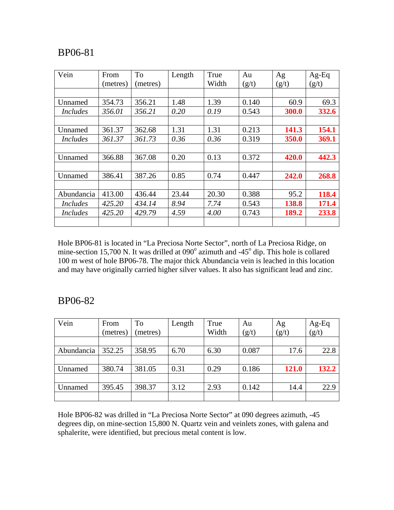| Vein            | From     | To       | Length | True  | Au    | Ag    | $Ag-Eq$ |
|-----------------|----------|----------|--------|-------|-------|-------|---------|
|                 | (metres) | (metres) |        | Width | (g/t) | (g/t) | (g/t)   |
|                 |          |          |        |       |       |       |         |
| Unnamed         | 354.73   | 356.21   | 1.48   | 1.39  | 0.140 | 60.9  | 69.3    |
| <i>Includes</i> | 356.01   | 356.21   | 0.20   | 0.19  | 0.543 | 300.0 | 332.6   |
|                 |          |          |        |       |       |       |         |
| Unnamed         | 361.37   | 362.68   | 1.31   | 1.31  | 0.213 | 141.3 | 154.1   |
| <i>Includes</i> | 361.37   | 361.73   | 0.36   | 0.36  | 0.319 | 350.0 | 369.1   |
|                 |          |          |        |       |       |       |         |
| Unnamed         | 366.88   | 367.08   | 0.20   | 0.13  | 0.372 | 420.0 | 442.3   |
|                 |          |          |        |       |       |       |         |
| Unnamed         | 386.41   | 387.26   | 0.85   | 0.74  | 0.447 | 242.0 | 268.8   |
|                 |          |          |        |       |       |       |         |
| Abundancia      | 413.00   | 436.44   | 23.44  | 20.30 | 0.388 | 95.2  | 118.4   |
| <i>Includes</i> | 425.20   | 434.14   | 8.94   | 7.74  | 0.543 | 138.8 | 171.4   |
| <i>Includes</i> | 425.20   | 429.79   | 4.59   | 4.00  | 0.743 | 189.2 | 233.8   |
|                 |          |          |        |       |       |       |         |

Hole BP06-81 is located in "La Preciosa Norte Sector", north of La Preciosa Ridge, on mine-section 15,700 N. It was drilled at  $090^\circ$  azimuth and -45 $^\circ$  dip. This hole is collared 100 m west of hole BP06-78. The major thick Abundancia vein is leached in this location and may have originally carried higher silver values. It also has significant lead and zinc.

#### BP06-82

| Vein       | From     | To       | Length | True  | Au    | Ag    | $Ag-Eq$ |
|------------|----------|----------|--------|-------|-------|-------|---------|
|            | (metres) | (metres) |        | Width | (g/t) | (g/t) | (g/t)   |
|            |          |          |        |       |       |       |         |
| Abundancia | 352.25   | 358.95   | 6.70   | 6.30  | 0.087 | 17.6  | 22.8    |
|            |          |          |        |       |       |       |         |
| Unnamed    | 380.74   | 381.05   | 0.31   | 0.29  | 0.186 | 121.0 | 132.2   |
|            |          |          |        |       |       |       |         |
| Unnamed    | 395.45   | 398.37   | 3.12   | 2.93  | 0.142 | 14.4  | 22.9    |
|            |          |          |        |       |       |       |         |

Hole BP06-82 was drilled in "La Preciosa Norte Sector" at 090 degrees azimuth, -45 degrees dip, on mine-section 15,800 N. Quartz vein and veinlets zones, with galena and sphalerite, were identified, but precious metal content is low.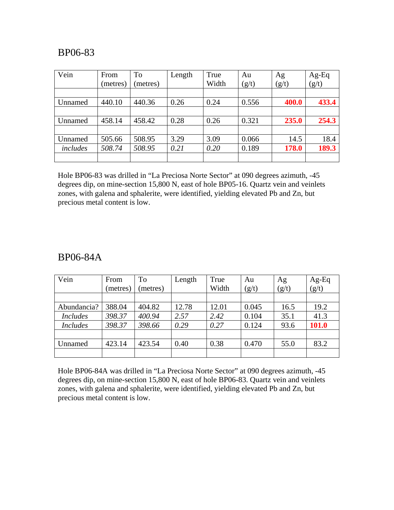| Vein     | From     | To      | Length | True  | Au    | Ag    | Ag-Eq |
|----------|----------|---------|--------|-------|-------|-------|-------|
|          | (metres) | metres) |        | Width | (g/t) | (g/t) | (g/t) |
|          |          |         |        |       |       |       |       |
| Unnamed  | 440.10   | 440.36  | 0.26   | 0.24  | 0.556 | 400.0 | 433.4 |
|          |          |         |        |       |       |       |       |
| Unnamed  | 458.14   | 458.42  | 0.28   | 0.26  | 0.321 | 235.0 | 254.3 |
|          |          |         |        |       |       |       |       |
| Unnamed  | 505.66   | 508.95  | 3.29   | 3.09  | 0.066 | 14.5  | 18.4  |
| includes | 508.74   | 508.95  | 0.21   | 0.20  | 0.189 | 178.0 | 189.3 |
|          |          |         |        |       |       |       |       |

Hole BP06-83 was drilled in "La Preciosa Norte Sector" at 090 degrees azimuth, -45 degrees dip, on mine-section 15,800 N, east of hole BP05-16. Quartz vein and veinlets zones, with galena and sphalerite, were identified, yielding elevated Pb and Zn, but precious metal content is low.

#### BP06-84A

| Vein            | From<br>(metres) | To<br>metres) | Length | True<br>Width | Au<br>(g/t) | Ag<br>(g/t) | Ag-Eq<br>(g/t) |
|-----------------|------------------|---------------|--------|---------------|-------------|-------------|----------------|
|                 |                  |               |        |               |             |             |                |
| Abundancia?     | 388.04           | 404.82        | 12.78  | 12.01         | 0.045       | 16.5        | 19.2           |
| <b>Includes</b> | 398.37           | 400.94        | 2.57   | 2.42          | 0.104       | 35.1        | 41.3           |
| <b>Includes</b> | 398.37           | 398.66        | 0.29   | 0.27          | 0.124       | 93.6        | 101.0          |
|                 |                  |               |        |               |             |             |                |
| Unnamed         | 423.14           | 423.54        | 0.40   | 0.38          | 0.470       | 55.0        | 83.2           |
|                 |                  |               |        |               |             |             |                |

Hole BP06-84A was drilled in "La Preciosa Norte Sector" at 090 degrees azimuth, -45 degrees dip, on mine-section 15,800 N, east of hole BP06-83. Quartz vein and veinlets zones, with galena and sphalerite, were identified, yielding elevated Pb and Zn, but precious metal content is low.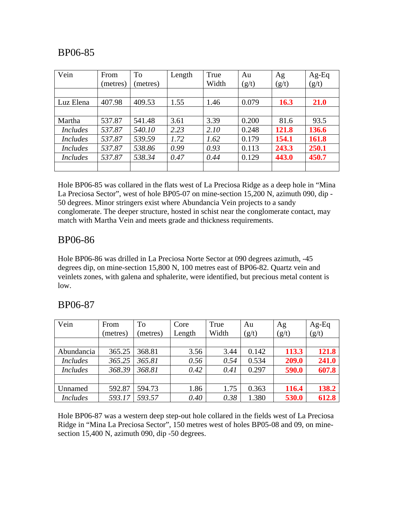| Vein            | From     | To       | Length | True  | Au    | Ag    | $Ag-Eq$     |
|-----------------|----------|----------|--------|-------|-------|-------|-------------|
|                 | (metres) | (metres) |        | Width | (g/t) | (g/t) | (g/t)       |
|                 |          |          |        |       |       |       |             |
| Luz Elena       | 407.98   | 409.53   | 1.55   | 1.46  | 0.079 | 16.3  | <b>21.0</b> |
|                 |          |          |        |       |       |       |             |
| Martha          | 537.87   | 541.48   | 3.61   | 3.39  | 0.200 | 81.6  | 93.5        |
| <i>Includes</i> | 537.87   | 540.10   | 2.23   | 2.10  | 0.248 | 121.8 | 136.6       |
| <i>Includes</i> | 537.87   | 539.59   | 1.72   | 1.62  | 0.179 | 154.1 | 161.8       |
| <i>Includes</i> | 537.87   | 538.86   | 0.99   | 0.93  | 0.113 | 243.3 | 250.1       |
| <i>Includes</i> | 537.87   | 538.34   | 0.47   | 0.44  | 0.129 | 443.0 | 450.7       |
|                 |          |          |        |       |       |       |             |

Hole BP06-85 was collared in the flats west of La Preciosa Ridge as a deep hole in "Mina La Preciosa Sector", west of hole BP05-07 on mine-section 15,200 N, azimuth 090, dip - 50 degrees. Minor stringers exist where Abundancia Vein projects to a sandy conglomerate. The deeper structure, hosted in schist near the conglomerate contact, may match with Martha Vein and meets grade and thickness requirements.

## BP06-86

Hole BP06-86 was drilled in La Preciosa Norte Sector at 090 degrees azimuth, -45 degrees dip, on mine-section 15,800 N, 100 metres east of BP06-82. Quartz vein and veinlets zones, with galena and sphalerite, were identified, but precious metal content is low.

| Vein            | From<br>(metres) | To<br>(metres) | Core<br>Length | True<br>Width | Au<br>(g/t) | Ag<br>(g/t) | $Ag-Eq$<br>(g/t) |
|-----------------|------------------|----------------|----------------|---------------|-------------|-------------|------------------|
|                 |                  |                |                |               |             |             |                  |
| Abundancia      | 365.25           | 368.81         | 3.56           | 3.44          | 0.142       | 113.3       | 121.8            |
| <b>Includes</b> | 365.25           | 365.81         | 0.56           | 0.54          | 0.534       | 209.0       | 241.0            |
| <b>Includes</b> | 368.39           | 368.81         | 0.42           | 0.41          | 0.297       | 590.0       | 607.8            |
|                 |                  |                |                |               |             |             |                  |
| Unnamed         | 592.87           | 594.73         | 1.86           | 1.75          | 0.363       | 116.4       | 138.2            |
| <b>Includes</b> | 593.17           | 593.57         | 0.40           | 0.38          | 1.380       | 530.0       | 612.8            |

## BP06-87

Hole BP06-87 was a western deep step-out hole collared in the fields west of La Preciosa Ridge in "Mina La Preciosa Sector", 150 metres west of holes BP05-08 and 09, on minesection 15,400 N, azimuth 090, dip -50 degrees.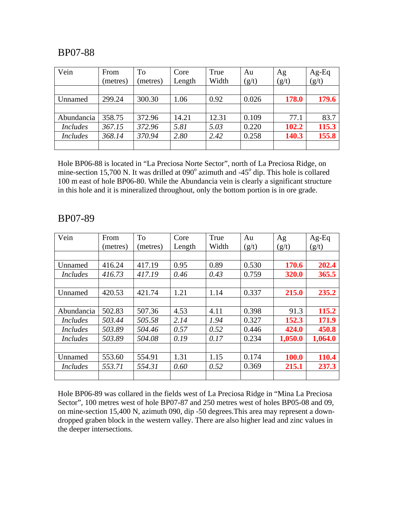| Vein            | From     | To       | Core   | True  | Au    | Ag    | $Ag-Eq$<br>$(g/t)$ |
|-----------------|----------|----------|--------|-------|-------|-------|--------------------|
|                 | (metres) | (metres) | Length | Width | (g/t) | (g/t) |                    |
|                 |          |          |        |       |       |       |                    |
| Unnamed         | 299.24   | 300.30   | 1.06   | 0.92  | 0.026 | 178.0 | 179.6              |
|                 |          |          |        |       |       |       |                    |
| Abundancia      | 358.75   | 372.96   | 14.21  | 12.31 | 0.109 | 77.1  | 83.7               |
| <b>Includes</b> | 367.15   | 372.96   | 5.81   | 5.03  | 0.220 | 102.2 | 115.3              |
| <b>Includes</b> | 368.14   | 370.94   | 2.80   | 2.42  | 0.258 | 140.3 | 155.8              |
|                 |          |          |        |       |       |       |                    |

Hole BP06-88 is located in "La Preciosa Norte Sector", north of La Preciosa Ridge, on mine-section 15,700 N. It was drilled at  $090^\circ$  azimuth and -45 $^\circ$  dip. This hole is collared 100 m east of hole BP06-80. While the Abundancia vein is clearly a significant structure in this hole and it is mineralized throughout, only the bottom portion is in ore grade.

#### BP07-89

| Vein            | From     | To       | Core   | True  | Au    | Ag      | $Ag-Eq$ |
|-----------------|----------|----------|--------|-------|-------|---------|---------|
|                 | (metres) | (metres) | Length | Width | (g/t) | (g/t)   | (g/t)   |
|                 |          |          |        |       |       |         |         |
| Unnamed         | 416.24   | 417.19   | 0.95   | 0.89  | 0.530 | 170.6   | 202.4   |
| <i>Includes</i> | 416.73   | 417.19   | 0.46   | 0.43  | 0.759 | 320.0   | 365.5   |
|                 |          |          |        |       |       |         |         |
| Unnamed         | 420.53   | 421.74   | 1.21   | 1.14  | 0.337 | 215.0   | 235.2   |
|                 |          |          |        |       |       |         |         |
| Abundancia      | 502.83   | 507.36   | 4.53   | 4.11  | 0.398 | 91.3    | 115.2   |
| <i>Includes</i> | 503.44   | 505.58   | 2.14   | 1.94  | 0.327 | 152.3   | 171.9   |
| <i>Includes</i> | 503.89   | 504.46   | 0.57   | 0.52  | 0.446 | 424.0   | 450.8   |
| <i>Includes</i> | 503.89   | 504.08   | 0.19   | 0.17  | 0.234 | 1,050.0 | 1,064.0 |
|                 |          |          |        |       |       |         |         |
| Unnamed         | 553.60   | 554.91   | 1.31   | 1.15  | 0.174 | 100.0   | 110.4   |
| <i>Includes</i> | 553.71   | 554.31   | 0.60   | 0.52  | 0.369 | 215.1   | 237.3   |
|                 |          |          |        |       |       |         |         |

Hole BP06-89 was collared in the fields west of La Preciosa Ridge in "Mina La Preciosa Sector", 100 metres west of hole BP07-87 and 250 metres west of holes BP05-08 and 09, on mine-section 15,400 N, azimuth 090, dip -50 degrees.This area may represent a downdropped graben block in the western valley. There are also higher lead and zinc values in the deeper intersections.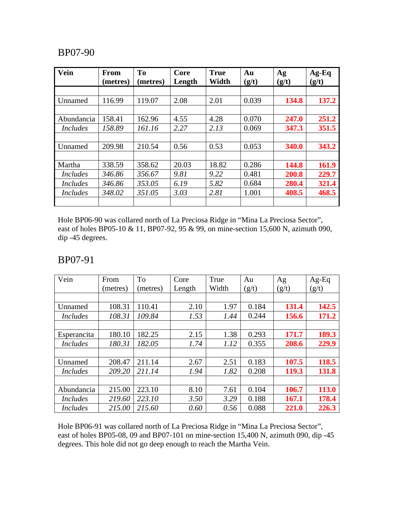| Vein            | From<br>(metres) | T <sub>0</sub><br>(metres) | Core<br>Length | <b>True</b><br>Width | Au<br>(g/t) | Ag<br>(g/t) | $Ag-Eq$<br>(g/t) |
|-----------------|------------------|----------------------------|----------------|----------------------|-------------|-------------|------------------|
|                 |                  |                            |                |                      |             |             |                  |
| Unnamed         | 116.99           | 119.07                     | 2.08           | 2.01                 | 0.039       | 134.8       | 137.2            |
|                 |                  |                            |                |                      |             |             |                  |
| Abundancia      | 158.41           | 162.96                     | 4.55           | 4.28                 | 0.070       | 247.0       | 251.2            |
| <i>Includes</i> | 158.89           | 161.16                     | 2.27           | 2.13                 | 0.069       | 347.3       | 351.5            |
|                 |                  |                            |                |                      |             |             |                  |
| Unnamed         | 209.98           | 210.54                     | 0.56           | 0.53                 | 0.053       | 340.0       | 343.2            |
|                 |                  |                            |                |                      |             |             |                  |
| Martha          | 338.59           | 358.62                     | 20.03          | 18.82                | 0.286       | 144.8       | 161.9            |
| <i>Includes</i> | 346.86           | 356.67                     | 9.81           | 9.22                 | 0.481       | 200.8       | 229.7            |
| <i>Includes</i> | 346.86           | 353.05                     | 6.19           | 5.82                 | 0.684       | 280.4       | 321.4            |
| <i>Includes</i> | 348.02           | 351.05                     | 3.03           | 2.81                 | 1.001       | 408.5       | 468.5            |
|                 |                  |                            |                |                      |             |             |                  |

Hole BP06-90 was collared north of La Preciosa Ridge in "Mina La Preciosa Sector", east of holes BP05-10 & 11, BP07-92, 95 & 99, on mine-section 15,600 N, azimuth 090, dip -45 degrees.

#### BP07-91

| Vein            | From     | To       | Core   | True  | Au    | Ag    | $Ag-Eq$ |
|-----------------|----------|----------|--------|-------|-------|-------|---------|
|                 | (metres) | (metres) | Length | Width | (g/t) | (g/t) | (g/t)   |
|                 |          |          |        |       |       |       |         |
| Unnamed         | 108.31   | 110.41   | 2.10   | 1.97  | 0.184 | 131.4 | 142.5   |
| <i>Includes</i> | 108.31   | 109.84   | 1.53   | 1.44  | 0.244 | 156.6 | 171.2   |
|                 |          |          |        |       |       |       |         |
| Esperancita     | 180.10   | 182.25   | 2.15   | 1.38  | 0.293 | 171.7 | 189.3   |
| <i>Includes</i> | 180.31   | 182.05   | 1.74   | 1.12  | 0.355 | 208.6 | 229.9   |
|                 |          |          |        |       |       |       |         |
| Unnamed         | 208.47   | 211.14   | 2.67   | 2.51  | 0.183 | 107.5 | 118.5   |
| <b>Includes</b> | 209.20   | 211.14   | 1.94   | 1.82  | 0.208 | 119.3 | 131.8   |
|                 |          |          |        |       |       |       |         |
| Abundancia      | 215.00   | 223.10   | 8.10   | 7.61  | 0.104 | 106.7 | 113.0   |
| <i>Includes</i> | 219.60   | 223.10   | 3.50   | 3.29  | 0.188 | 167.1 | 178.4   |
| <i>Includes</i> | 215.00   | 215.60   | 0.60   | 0.56  | 0.088 | 221.0 | 226.3   |

Hole BP06-91 was collared north of La Preciosa Ridge in "Mina La Preciosa Sector", east of holes BP05-08, 09 and BP07-101 on mine-section 15,400 N, azimuth 090, dip -45 degrees. This hole did not go deep enough to reach the Martha Vein.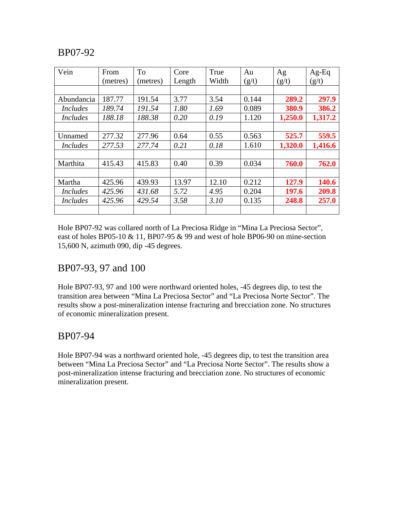| Vein            | From     | To       | Core   | True  | Au    | Ag      | $Ag-Eq$ |
|-----------------|----------|----------|--------|-------|-------|---------|---------|
|                 | (metres) | (metres) | Length | Width | (g/t) | (g/t)   | (g/t)   |
|                 |          |          |        |       |       |         |         |
| Abundancia      | 187.77   | 191.54   | 3.77   | 3.54  | 0.144 | 289.2   | 297.9   |
| <i>Includes</i> | 189.74   | 191.54   | 1.80   | 1.69  | 0.089 | 380.9   | 386.2   |
| <i>Includes</i> | 188.18   | 188.38   | 0.20   | 0.19  | 1.120 | 1,250.0 | 1,317.2 |
|                 |          |          |        |       |       |         |         |
| Unnamed         | 277.32   | 277.96   | 0.64   | 0.55  | 0.563 | 525.7   | 559.5   |
| <i>Includes</i> | 277.53   | 277.74   | 0.21   | 0.18  | 1.610 | 1,320.0 | 1,416.6 |
|                 |          |          |        |       |       |         |         |
| Marthita        | 415.43   | 415.83   | 0.40   | 0.39  | 0.034 | 760.0   | 762.0   |
|                 |          |          |        |       |       |         |         |
| Martha          | 425.96   | 439.93   | 13.97  | 12.10 | 0.212 | 127.9   | 140.6   |
| <i>Includes</i> | 425.96   | 431.68   | 5.72   | 4.95  | 0.204 | 197.6   | 209.8   |
| <i>Includes</i> | 425.96   | 429.54   | 3.58   | 3.10  | 0.135 | 248.8   | 257.0   |
|                 |          |          |        |       |       |         |         |

Hole BP07-92 was collared north of La Preciosa Ridge in "Mina La Preciosa Sector", east of holes BP05-10 & 11, BP07-95 & 99 and west of hole BP06-90 on mine-section 15,600 N, azimuth 090, dip -45 degrees.

## BP07-93, 97 and 100

Hole BP07-93, 97 and 100 were northward oriented holes, -45 degrees dip, to test the transition area between "Mina La Preciosa Sector" and "La Preciosa Norte Sector". The results show a post-mineralization intense fracturing and brecciation zone. No structures of economic mineralization present.

#### BP07-94

Hole BP07-94 was a northward oriented hole, -45 degrees dip, to test the transition area between "Mina La Preciosa Sector" and "La Preciosa Norte Sector". The results show a post-mineralization intense fracturing and brecciation zone. No structures of economic mineralization present.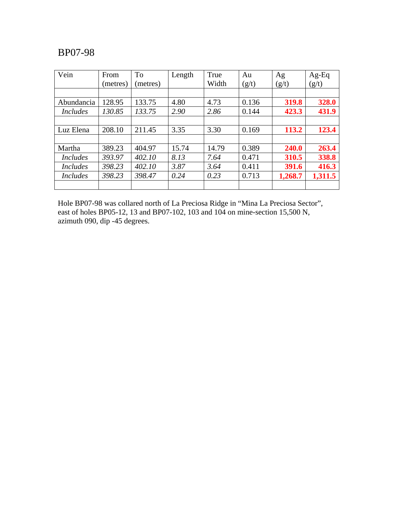| Vein            | From     | To       | Length | True  | Au    | Ag      | $Ag-Eq$ |
|-----------------|----------|----------|--------|-------|-------|---------|---------|
|                 | (metres) | (metres) |        | Width | (g/t) | (g/t)   | (g/t)   |
|                 |          |          |        |       |       |         |         |
| Abundancia      | 128.95   | 133.75   | 4.80   | 4.73  | 0.136 | 319.8   | 328.0   |
| <i>Includes</i> | 130.85   | 133.75   | 2.90   | 2.86  | 0.144 | 423.3   | 431.9   |
|                 |          |          |        |       |       |         |         |
| Luz Elena       | 208.10   | 211.45   | 3.35   | 3.30  | 0.169 | 113.2   | 123.4   |
|                 |          |          |        |       |       |         |         |
| Martha          | 389.23   | 404.97   | 15.74  | 14.79 | 0.389 | 240.0   | 263.4   |
| <i>Includes</i> | 393.97   | 402.10   | 8.13   | 7.64  | 0.471 | 310.5   | 338.8   |
| <i>Includes</i> | 398.23   | 402.10   | 3.87   | 3.64  | 0.411 | 391.6   | 416.3   |
| <i>Includes</i> | 398.23   | 398.47   | 0.24   | 0.23  | 0.713 | 1,268.7 | 1,311.5 |
|                 |          |          |        |       |       |         |         |

Hole BP07-98 was collared north of La Preciosa Ridge in "Mina La Preciosa Sector", east of holes BP05-12, 13 and BP07-102, 103 and 104 on mine-section 15,500 N, azimuth 090, dip -45 degrees.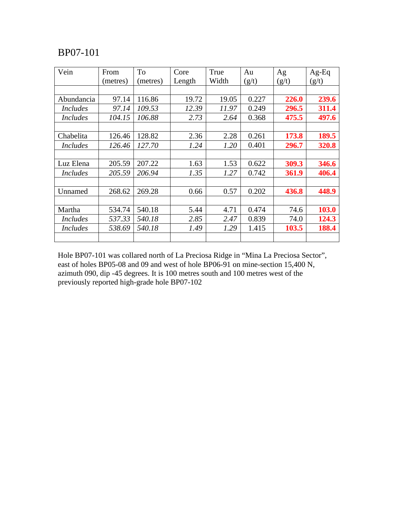| Vein            | From     | To       | Core   | True  | Au    | Ag    | $Ag-Eq$ |
|-----------------|----------|----------|--------|-------|-------|-------|---------|
|                 | (metres) | (metres) | Length | Width | (g/t) | (g/t) | (g/t)   |
|                 |          |          |        |       |       |       |         |
| Abundancia      | 97.14    | 116.86   | 19.72  | 19.05 | 0.227 | 226.0 | 239.6   |
| <i>Includes</i> | 97.14    | 109.53   | 12.39  | 11.97 | 0.249 | 296.5 | 311.4   |
| <i>Includes</i> | 104.15   | 106.88   | 2.73   | 2.64  | 0.368 | 475.5 | 497.6   |
|                 |          |          |        |       |       |       |         |
| Chabelita       | 126.46   | 128.82   | 2.36   | 2.28  | 0.261 | 173.8 | 189.5   |
| <i>Includes</i> | 126.46   | 127.70   | 1.24   | 1.20  | 0.401 | 296.7 | 320.8   |
|                 |          |          |        |       |       |       |         |
| Luz Elena       | 205.59   | 207.22   | 1.63   | 1.53  | 0.622 | 309.3 | 346.6   |
| <b>Includes</b> | 205.59   | 206.94   | 1.35   | 1.27  | 0.742 | 361.9 | 406.4   |
|                 |          |          |        |       |       |       |         |
| Unnamed         | 268.62   | 269.28   | 0.66   | 0.57  | 0.202 | 436.8 | 448.9   |
|                 |          |          |        |       |       |       |         |
| Martha          | 534.74   | 540.18   | 5.44   | 4.71  | 0.474 | 74.6  | 103.0   |
| <i>Includes</i> | 537.33   | 540.18   | 2.85   | 2.47  | 0.839 | 74.0  | 124.3   |
| <i>Includes</i> | 538.69   | 540.18   | 1.49   | 1.29  | 1.415 | 103.5 | 188.4   |
|                 |          |          |        |       |       |       |         |

Hole BP07-101 was collared north of La Preciosa Ridge in "Mina La Preciosa Sector", east of holes BP05-08 and 09 and west of hole BP06-91 on mine-section 15,400 N, azimuth 090, dip -45 degrees. It is 100 metres south and 100 metres west of the previously reported high-grade hole BP07-102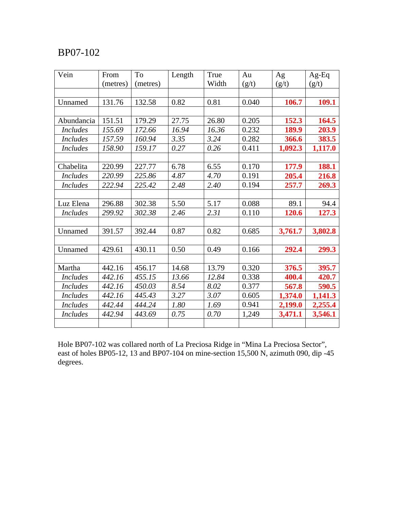| Vein            | From     | To       | Length | True  | Au    | Ag      | $Ag-Eq$ |
|-----------------|----------|----------|--------|-------|-------|---------|---------|
|                 | (metres) | (metres) |        | Width | (g/t) | (g/t)   | (g/t)   |
|                 |          |          |        |       |       |         |         |
| Unnamed         | 131.76   | 132.58   | 0.82   | 0.81  | 0.040 | 106.7   | 109.1   |
|                 |          |          |        |       |       |         |         |
| Abundancia      | 151.51   | 179.29   | 27.75  | 26.80 | 0.205 | 152.3   | 164.5   |
| <b>Includes</b> | 155.69   | 172.66   | 16.94  | 16.36 | 0.232 | 189.9   | 203.9   |
| <b>Includes</b> | 157.59   | 160.94   | 3.35   | 3.24  | 0.282 | 366.6   | 383.5   |
| <b>Includes</b> | 158.90   | 159.17   | 0.27   | 0.26  | 0.411 | 1,092.3 | 1,117.0 |
|                 |          |          |        |       |       |         |         |
| Chabelita       | 220.99   | 227.77   | 6.78   | 6.55  | 0.170 | 177.9   | 188.1   |
| <b>Includes</b> | 220.99   | 225.86   | 4.87   | 4.70  | 0.191 | 205.4   | 216.8   |
| <b>Includes</b> | 222.94   | 225.42   | 2.48   | 2.40  | 0.194 | 257.7   | 269.3   |
|                 |          |          |        |       |       |         |         |
| Luz Elena       | 296.88   | 302.38   | 5.50   | 5.17  | 0.088 | 89.1    | 94.4    |
| <b>Includes</b> | 299.92   | 302.38   | 2.46   | 2.31  | 0.110 | 120.6   | 127.3   |
|                 |          |          |        |       |       |         |         |
| Unnamed         | 391.57   | 392.44   | 0.87   | 0.82  | 0.685 | 3,761.7 | 3,802.8 |
|                 |          |          |        |       |       |         |         |
| Unnamed         | 429.61   | 430.11   | 0.50   | 0.49  | 0.166 | 292.4   | 299.3   |
|                 |          |          |        |       |       |         |         |
| Martha          | 442.16   | 456.17   | 14.68  | 13.79 | 0.320 | 376.5   | 395.7   |
| <b>Includes</b> | 442.16   | 455.15   | 13.66  | 12.84 | 0.338 | 400.4   | 420.7   |
| <b>Includes</b> | 442.16   | 450.03   | 8.54   | 8.02  | 0.377 | 567.8   | 590.5   |
| <b>Includes</b> | 442.16   | 445.43   | 3.27   | 3.07  | 0.605 | 1,374.0 | 1,141.3 |
| <b>Includes</b> | 442.44   | 444.24   | 1.80   | 1.69  | 0.941 | 2,199.0 | 2,255.4 |
| <b>Includes</b> | 442.94   | 443.69   | 0.75   | 0.70  | 1,249 | 3,471.1 | 3,546.1 |
|                 |          |          |        |       |       |         |         |

Hole BP07-102 was collared north of La Preciosa Ridge in "Mina La Preciosa Sector", east of holes BP05-12, 13 and BP07-104 on mine-section 15,500 N, azimuth 090, dip -45 degrees.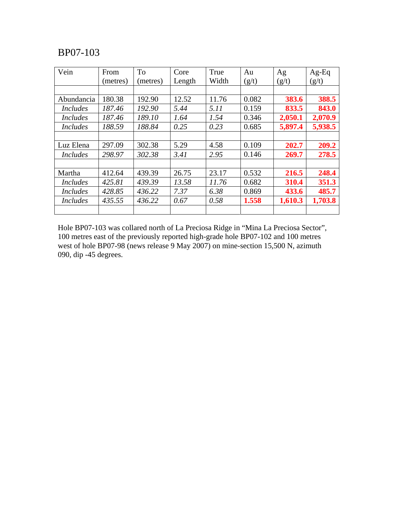| Vein            | From     | <b>To</b> | Core   | True  | Au    | Ag      | $Ag-Eq$ |
|-----------------|----------|-----------|--------|-------|-------|---------|---------|
|                 | (metres) | (metres)  | Length | Width | (g/t) | (g/t)   | (g/t)   |
|                 |          |           |        |       |       |         |         |
| Abundancia      | 180.38   | 192.90    | 12.52  | 11.76 | 0.082 | 383.6   | 388.5   |
| <i>Includes</i> | 187.46   | 192.90    | 5.44   | 5.11  | 0.159 | 833.5   | 843.0   |
| <i>Includes</i> | 187.46   | 189.10    | 1.64   | 1.54  | 0.346 | 2,050.1 | 2,070.9 |
| <i>Includes</i> | 188.59   | 188.84    | 0.25   | 0.23  | 0.685 | 5,897.4 | 5,938.5 |
|                 |          |           |        |       |       |         |         |
| Luz Elena       | 297.09   | 302.38    | 5.29   | 4.58  | 0.109 | 202.7   | 209.2   |
| <i>Includes</i> | 298.97   | 302.38    | 3.41   | 2.95  | 0.146 | 269.7   | 278.5   |
|                 |          |           |        |       |       |         |         |
| Martha          | 412.64   | 439.39    | 26.75  | 23.17 | 0.532 | 216.5   | 248.4   |
| <i>Includes</i> | 425.81   | 439.39    | 13.58  | 11.76 | 0.682 | 310.4   | 351.3   |
| <i>Includes</i> | 428.85   | 436.22    | 7.37   | 6.38  | 0.869 | 433.6   | 485.7   |
| <i>Includes</i> | 435.55   | 436.22    | 0.67   | 0.58  | 1.558 | 1,610.3 | 1,703.8 |
|                 |          |           |        |       |       |         |         |

Hole BP07-103 was collared north of La Preciosa Ridge in "Mina La Preciosa Sector", 100 metres east of the previously reported high-grade hole BP07-102 and 100 metres west of hole BP07-98 (news release 9 May 2007) on mine-section 15,500 N, azimuth 090, dip -45 degrees.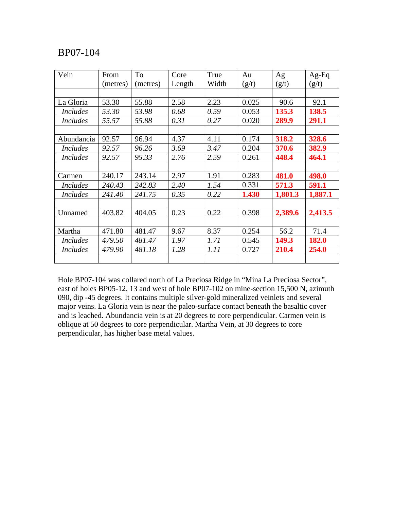| Vein            | From     | To       | Core   | True  | Au    | Ag      | $Ag-Eq$ |
|-----------------|----------|----------|--------|-------|-------|---------|---------|
|                 | (metres) | (metres) | Length | Width | (g/t) | (g/t)   | (g/t)   |
|                 |          |          |        |       |       |         |         |
| La Gloria       | 53.30    | 55.88    | 2.58   | 2.23  | 0.025 | 90.6    | 92.1    |
| <b>Includes</b> | 53.30    | 53.98    | 0.68   | 0.59  | 0.053 | 135.3   | 138.5   |
| <b>Includes</b> | 55.57    | 55.88    | 0.31   | 0.27  | 0.020 | 289.9   | 291.1   |
|                 |          |          |        |       |       |         |         |
| Abundancia      | 92.57    | 96.94    | 4.37   | 4.11  | 0.174 | 318.2   | 328.6   |
| <b>Includes</b> | 92.57    | 96.26    | 3.69   | 3.47  | 0.204 | 370.6   | 382.9   |
| <b>Includes</b> | 92.57    | 95.33    | 2.76   | 2.59  | 0.261 | 448.4   | 464.1   |
|                 |          |          |        |       |       |         |         |
| Carmen          | 240.17   | 243.14   | 2.97   | 1.91  | 0.283 | 481.0   | 498.0   |
| <i>Includes</i> | 240.43   | 242.83   | 2.40   | 1.54  | 0.331 | 571.3   | 591.1   |
| <b>Includes</b> | 241.40   | 241.75   | 0.35   | 0.22  | 1.430 | 1,801.3 | 1,887.1 |
|                 |          |          |        |       |       |         |         |
| Unnamed         | 403.82   | 404.05   | 0.23   | 0.22  | 0.398 | 2,389.6 | 2,413.5 |
|                 |          |          |        |       |       |         |         |
| Martha          | 471.80   | 481.47   | 9.67   | 8.37  | 0.254 | 56.2    | 71.4    |
| <b>Includes</b> | 479.50   | 481.47   | 1.97   | 1.71  | 0.545 | 149.3   | 182.0   |
| <b>Includes</b> | 479.90   | 481.18   | 1.28   | 1.11  | 0.727 | 210.4   | 254.0   |
|                 |          |          |        |       |       |         |         |

Hole BP07-104 was collared north of La Preciosa Ridge in "Mina La Preciosa Sector", east of holes BP05-12, 13 and west of hole BP07-102 on mine-section 15,500 N, azimuth 090, dip -45 degrees. It contains multiple silver-gold mineralized veinlets and several major veins. La Gloria vein is near the paleo-surface contact beneath the basaltic cover and is leached. Abundancia vein is at 20 degrees to core perpendicular. Carmen vein is oblique at 50 degrees to core perpendicular. Martha Vein, at 30 degrees to core perpendicular, has higher base metal values.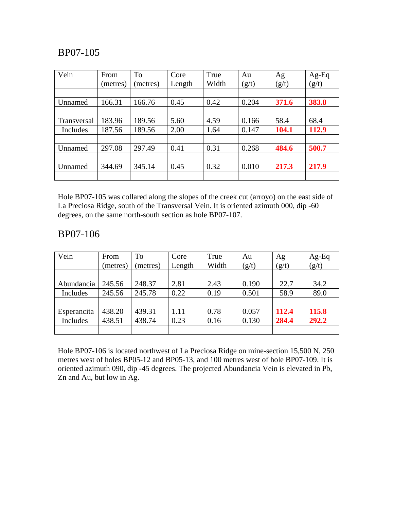| Vein        | From     | To       | Core   | True  | Au    | Ag    | $Ag-Eq$ |
|-------------|----------|----------|--------|-------|-------|-------|---------|
|             | (metres) | (metres) | Length | Width | (g/t) | (g/t) | (g/t)   |
|             |          |          |        |       |       |       |         |
| Unnamed     | 166.31   | 166.76   | 0.45   | 0.42  | 0.204 | 371.6 | 383.8   |
|             |          |          |        |       |       |       |         |
| Transversal | 183.96   | 189.56   | 5.60   | 4.59  | 0.166 | 58.4  | 68.4    |
| Includes    | 187.56   | 189.56   | 2.00   | 1.64  | 0.147 | 104.1 | 112.9   |
|             |          |          |        |       |       |       |         |
| Unnamed     | 297.08   | 297.49   | 0.41   | 0.31  | 0.268 | 484.6 | 500.7   |
|             |          |          |        |       |       |       |         |
| Unnamed     | 344.69   | 345.14   | 0.45   | 0.32  | 0.010 | 217.3 | 217.9   |
|             |          |          |        |       |       |       |         |

Hole BP07-105 was collared along the slopes of the creek cut (arroyo) on the east side of La Preciosa Ridge, south of the Transversal Vein. It is oriented azimuth 000, dip -60 degrees, on the same north-south section as hole BP07-107.

## BP07-106

| Vein        | From     | To       | Core   | True  | Au    | Ag    | $Ag-Eq$ |
|-------------|----------|----------|--------|-------|-------|-------|---------|
|             | (metres) | (metres) | Length | Width | (g/t) | (g/t) | (g/t)   |
|             |          |          |        |       |       |       |         |
| Abundancia  | 245.56   | 248.37   | 2.81   | 2.43  | 0.190 | 22.7  | 34.2    |
| Includes    | 245.56   | 245.78   | 0.22   | 0.19  | 0.501 | 58.9  | 89.0    |
|             |          |          |        |       |       |       |         |
| Esperancita | 438.20   | 439.31   | 1.11   | 0.78  | 0.057 | 112.4 | 115.8   |
| Includes    | 438.51   | 438.74   | 0.23   | 0.16  | 0.130 | 284.4 | 292.2   |
|             |          |          |        |       |       |       |         |

Hole BP07-106 is located northwest of La Preciosa Ridge on mine-section 15,500 N, 250 metres west of holes BP05-12 and BP05-13, and 100 metres west of hole BP07-109. It is oriented azimuth 090, dip -45 degrees. The projected Abundancia Vein is elevated in Pb, Zn and Au, but low in Ag.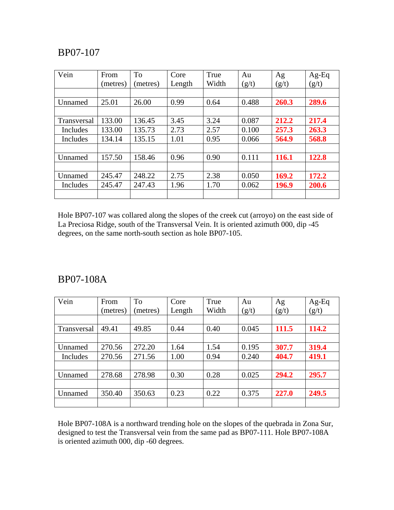| Vein               | From     | To       | Core   | True  | Au    | Ag    | $Ag-Eq$ |
|--------------------|----------|----------|--------|-------|-------|-------|---------|
|                    | (metres) | (metres) | Length | Width | (g/t) | (g/t) | (g/t)   |
|                    |          |          |        |       |       |       |         |
| Unnamed            | 25.01    | 26.00    | 0.99   | 0.64  | 0.488 | 260.3 | 289.6   |
|                    |          |          |        |       |       |       |         |
| <b>Transversal</b> | 133.00   | 136.45   | 3.45   | 3.24  | 0.087 | 212.2 | 217.4   |
| Includes           | 133.00   | 135.73   | 2.73   | 2.57  | 0.100 | 257.3 | 263.3   |
| Includes           | 134.14   | 135.15   | 1.01   | 0.95  | 0.066 | 564.9 | 568.8   |
|                    |          |          |        |       |       |       |         |
| Unnamed            | 157.50   | 158.46   | 0.96   | 0.90  | 0.111 | 116.1 | 122.8   |
|                    |          |          |        |       |       |       |         |
| Unnamed            | 245.47   | 248.22   | 2.75   | 2.38  | 0.050 | 169.2 | 172.2   |
| Includes           | 245.47   | 247.43   | 1.96   | 1.70  | 0.062 | 196.9 | 200.6   |
|                    |          |          |        |       |       |       |         |

Hole BP07-107 was collared along the slopes of the creek cut (arroyo) on the east side of La Preciosa Ridge, south of the Transversal Vein. It is oriented azimuth 000, dip -45 degrees, on the same north-south section as hole BP07-105.

#### BP07-108A

| Vein        | From     | To       | Core   | True  | Au    | Ag    | $Ag-Eq$ |
|-------------|----------|----------|--------|-------|-------|-------|---------|
|             | (metres) | (metres) | Length | Width | (g/t) | (g/t) | (g/t)   |
|             |          |          |        |       |       |       |         |
| Transversal | 49.41    | 49.85    | 0.44   | 0.40  | 0.045 | 111.5 | 114.2   |
|             |          |          |        |       |       |       |         |
| Unnamed     | 270.56   | 272.20   | 1.64   | 1.54  | 0.195 | 307.7 | 319.4   |
| Includes    | 270.56   | 271.56   | 1.00   | 0.94  | 0.240 | 404.7 | 419.1   |
|             |          |          |        |       |       |       |         |
| Unnamed     | 278.68   | 278.98   | 0.30   | 0.28  | 0.025 | 294.2 | 295.7   |
|             |          |          |        |       |       |       |         |
| Unnamed     | 350.40   | 350.63   | 0.23   | 0.22  | 0.375 | 227.0 | 249.5   |
|             |          |          |        |       |       |       |         |

Hole BP07-108A is a northward trending hole on the slopes of the quebrada in Zona Sur, designed to test the Transversal vein from the same pad as BP07-111. Hole BP07-108A is oriented azimuth 000, dip -60 degrees.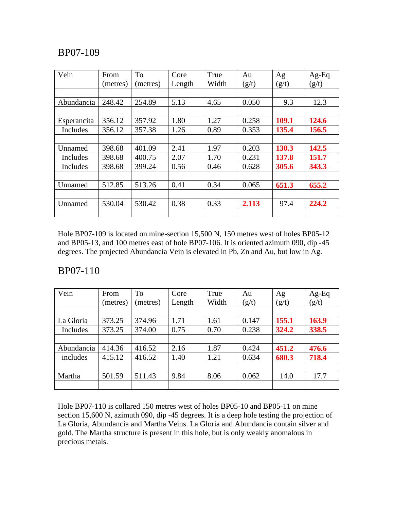| Vein        | From     | <b>To</b> | Core   | True  | Au    | Ag    | $Ag-Eq$ |
|-------------|----------|-----------|--------|-------|-------|-------|---------|
|             | (metres) | (metres)  | Length | Width | (g/t) | (g/t) | (g/t)   |
|             |          |           |        |       |       |       |         |
| Abundancia  | 248.42   | 254.89    | 5.13   | 4.65  | 0.050 | 9.3   | 12.3    |
|             |          |           |        |       |       |       |         |
| Esperancita | 356.12   | 357.92    | 1.80   | 1.27  | 0.258 | 109.1 | 124.6   |
| Includes    | 356.12   | 357.38    | 1.26   | 0.89  | 0.353 | 135.4 | 156.5   |
|             |          |           |        |       |       |       |         |
| Unnamed     | 398.68   | 401.09    | 2.41   | 1.97  | 0.203 | 130.3 | 142.5   |
| Includes    | 398.68   | 400.75    | 2.07   | 1.70  | 0.231 | 137.8 | 151.7   |
| Includes    | 398.68   | 399.24    | 0.56   | 0.46  | 0.628 | 305.6 | 343.3   |
|             |          |           |        |       |       |       |         |
| Unnamed     | 512.85   | 513.26    | 0.41   | 0.34  | 0.065 | 651.3 | 655.2   |
|             |          |           |        |       |       |       |         |
| Unnamed     | 530.04   | 530.42    | 0.38   | 0.33  | 2.113 | 97.4  | 224.2   |
|             |          |           |        |       |       |       |         |

Hole BP07-109 is located on mine-section 15,500 N, 150 metres west of holes BP05-12 and BP05-13, and 100 metres east of hole BP07-106. It is oriented azimuth 090, dip -45 degrees. The projected Abundancia Vein is elevated in Pb, Zn and Au, but low in Ag.

#### BP07-110

| Vein       | From     | To       | Core   | True  | Au    | Ag    | $Ag-Eq$ |
|------------|----------|----------|--------|-------|-------|-------|---------|
|            | (metres) | (metres) | Length | Width | (g/t) | (g/t) | (g/t)   |
|            |          |          |        |       |       |       |         |
| La Gloria  | 373.25   | 374.96   | 1.71   | 1.61  | 0.147 | 155.1 | 163.9   |
| Includes   | 373.25   | 374.00   | 0.75   | 0.70  | 0.238 | 324.2 | 338.5   |
|            |          |          |        |       |       |       |         |
| Abundancia | 414.36   | 416.52   | 2.16   | 1.87  | 0.424 | 451.2 | 476.6   |
| includes   | 415.12   | 416.52   | 1.40   | 1.21  | 0.634 | 680.3 | 718.4   |
|            |          |          |        |       |       |       |         |
| Martha     | 501.59   | 511.43   | 9.84   | 8.06  | 0.062 | 14.0  | 17.7    |
|            |          |          |        |       |       |       |         |

Hole BP07-110 is collared 150 metres west of holes BP05-10 and BP05-11 on mine section 15,600 N, azimuth 090, dip -45 degrees. It is a deep hole testing the projection of La Gloria, Abundancia and Martha Veins. La Gloria and Abundancia contain silver and gold. The Martha structure is present in this hole, but is only weakly anomalous in precious metals.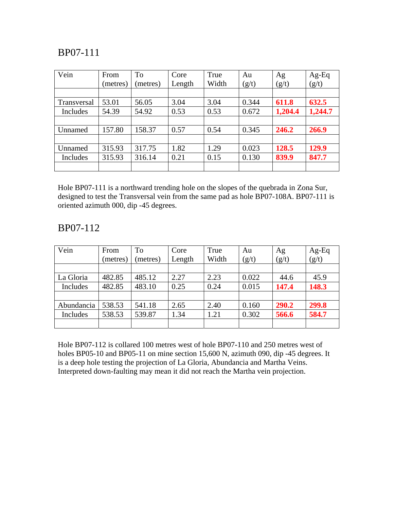| Vein        | From     | To       | Core   | True  | Au    | Ag      | Ag-Eq   |
|-------------|----------|----------|--------|-------|-------|---------|---------|
|             | (metres) | (metres) | Length | Width | (g/t) | (g/t)   | (g/t)   |
|             |          |          |        |       |       |         |         |
| Transversal | 53.01    | 56.05    | 3.04   | 3.04  | 0.344 | 611.8   | 632.5   |
| Includes    | 54.39    | 54.92    | 0.53   | 0.53  | 0.672 | 1,204.4 | 1,244.7 |
|             |          |          |        |       |       |         |         |
| Unnamed     | 157.80   | 158.37   | 0.57   | 0.54  | 0.345 | 246.2   | 266.9   |
|             |          |          |        |       |       |         |         |
| Unnamed     | 315.93   | 317.75   | 1.82   | 1.29  | 0.023 | 128.5   | 129.9   |
| Includes    | 315.93   | 316.14   | 0.21   | 0.15  | 0.130 | 839.9   | 847.7   |
|             |          |          |        |       |       |         |         |

Hole BP07-111 is a northward trending hole on the slopes of the quebrada in Zona Sur, designed to test the Transversal vein from the same pad as hole BP07-108A. BP07-111 is oriented azimuth 000, dip -45 degrees.

## BP07-112

| Vein       | From<br>(metres) | To<br>(metres) | Core<br>Length | True<br>Width | Au<br>(g/t) | Ag<br>(g/t) | $Ag-Eq$<br>(g/t) |
|------------|------------------|----------------|----------------|---------------|-------------|-------------|------------------|
|            |                  |                |                |               |             |             |                  |
| La Gloria  | 482.85           | 485.12         | 2.27           | 2.23          | 0.022       | 44.6        | 45.9             |
| Includes   | 482.85           | 483.10         | 0.25           | 0.24          | 0.015       | 147.4       | 148.3            |
|            |                  |                |                |               |             |             |                  |
| Abundancia | 538.53           | 541.18         | 2.65           | 2.40          | 0.160       | 290.2       | 299.8            |
| Includes   | 538.53           | 539.87         | 1.34           | 1.21          | 0.302       | 566.6       | 584.7            |
|            |                  |                |                |               |             |             |                  |

Hole BP07-112 is collared 100 metres west of hole BP07-110 and 250 metres west of holes BP05-10 and BP05-11 on mine section 15,600 N, azimuth 090, dip -45 degrees. It is a deep hole testing the projection of La Gloria, Abundancia and Martha Veins. Interpreted down-faulting may mean it did not reach the Martha vein projection.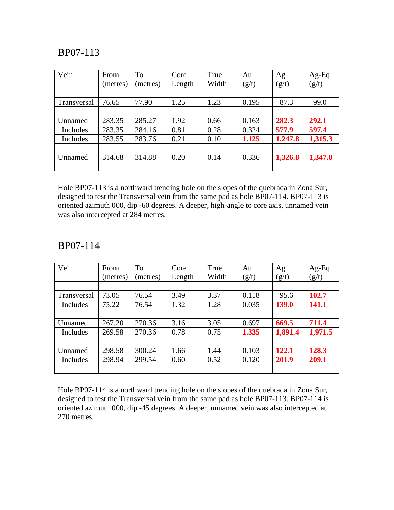| Vein        | From     | To       | Core   | True  | Au    | Ag      | $Ag-Eq$ |
|-------------|----------|----------|--------|-------|-------|---------|---------|
|             | (metres) | (metres) | Length | Width | (g/t) | (g/t)   | (g/t)   |
|             |          |          |        |       |       |         |         |
| Transversal | 76.65    | 77.90    | 1.25   | 1.23  | 0.195 | 87.3    | 99.0    |
|             |          |          |        |       |       |         |         |
| Unnamed     | 283.35   | 285.27   | 1.92   | 0.66  | 0.163 | 282.3   | 292.1   |
| Includes    | 283.35   | 284.16   | 0.81   | 0.28  | 0.324 | 577.9   | 597.4   |
| Includes    | 283.55   | 283.76   | 0.21   | 0.10  | 1.125 | 1,247.8 | 1,315.3 |
|             |          |          |        |       |       |         |         |
| Unnamed     | 314.68   | 314.88   | 0.20   | 0.14  | 0.336 | 1,326.8 | 1,347.0 |
|             |          |          |        |       |       |         |         |

Hole BP07-113 is a northward trending hole on the slopes of the quebrada in Zona Sur, designed to test the Transversal vein from the same pad as hole BP07-114. BP07-113 is oriented azimuth 000, dip -60 degrees. A deeper, high-angle to core axis, unnamed vein was also intercepted at 284 metres.

#### BP07-114

| Vein        | From     | To       | Core   | True  | Au    | Ag           | $Ag-Eq$ |
|-------------|----------|----------|--------|-------|-------|--------------|---------|
|             | (metres) | (metres) | Length | Width | (g/t) | (g/t)        | (g/t)   |
|             |          |          |        |       |       |              |         |
| Transversal | 73.05    | 76.54    | 3.49   | 3.37  | 0.118 | 95.6         | 102.7   |
| Includes    | 75.22    | 76.54    | 1.32   | 1.28  | 0.035 | <b>139.0</b> | 141.1   |
|             |          |          |        |       |       |              |         |
| Unnamed     | 267.20   | 270.36   | 3.16   | 3.05  | 0.697 | 669.5        | 711.4   |
| Includes    | 269.58   | 270.36   | 0.78   | 0.75  | 1.335 | 1,891.4      | 1,971.5 |
|             |          |          |        |       |       |              |         |
| Unnamed     | 298.58   | 300.24   | 1.66   | 1.44  | 0.103 | 122.1        | 128.3   |
| Includes    | 298.94   | 299.54   | 0.60   | 0.52  | 0.120 | 201.9        | 209.1   |
|             |          |          |        |       |       |              |         |

Hole BP07-114 is a northward trending hole on the slopes of the quebrada in Zona Sur, designed to test the Transversal vein from the same pad as hole BP07-113. BP07-114 is oriented azimuth 000, dip -45 degrees. A deeper, unnamed vein was also intercepted at 270 metres.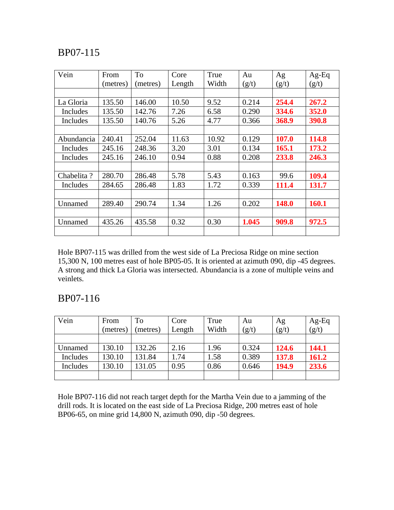| Vein       | From     | To       | Core   | True  | Au    | Ag    | $Ag-Eq$ |
|------------|----------|----------|--------|-------|-------|-------|---------|
|            | (metres) | (metres) | Length | Width | (g/t) | (g/t) | (g/t)   |
|            |          |          |        |       |       |       |         |
| La Gloria  | 135.50   | 146.00   | 10.50  | 9.52  | 0.214 | 254.4 | 267.2   |
| Includes   | 135.50   | 142.76   | 7.26   | 6.58  | 0.290 | 334.6 | 352.0   |
| Includes   | 135.50   | 140.76   | 5.26   | 4.77  | 0.366 | 368.9 | 390.8   |
|            |          |          |        |       |       |       |         |
| Abundancia | 240.41   | 252.04   | 11.63  | 10.92 | 0.129 | 107.0 | 114.8   |
| Includes   | 245.16   | 248.36   | 3.20   | 3.01  | 0.134 | 165.1 | 173.2   |
| Includes   | 245.16   | 246.10   | 0.94   | 0.88  | 0.208 | 233.8 | 246.3   |
|            |          |          |        |       |       |       |         |
| Chabelita? | 280.70   | 286.48   | 5.78   | 5.43  | 0.163 | 99.6  | 109.4   |
| Includes   | 284.65   | 286.48   | 1.83   | 1.72  | 0.339 | 111.4 | 131.7   |
|            |          |          |        |       |       |       |         |
| Unnamed    | 289.40   | 290.74   | 1.34   | 1.26  | 0.202 | 148.0 | 160.1   |
|            |          |          |        |       |       |       |         |
| Unnamed    | 435.26   | 435.58   | 0.32   | 0.30  | 1.045 | 909.8 | 972.5   |
|            |          |          |        |       |       |       |         |

Hole BP07-115 was drilled from the west side of La Preciosa Ridge on mine section 15,300 N, 100 metres east of hole BP05-05. It is oriented at azimuth 090, dip -45 degrees. A strong and thick La Gloria was intersected. Abundancia is a zone of multiple veins and veinlets.

## BP07-116

| Vein     | From     | To       | Core   | True  | Au    | Ag    | $Ag-Eq$ |
|----------|----------|----------|--------|-------|-------|-------|---------|
|          | (metres) | (metres) | Length | Width | (g/t) | (g/t) | (g/t)   |
|          |          |          |        |       |       |       |         |
| Unnamed  | 130.10   | 132.26   | 2.16   | l.96  | 0.324 | 124.6 | 144.1   |
| Includes | 130.10   | 131.84   | 1.74   | 1.58  | 0.389 | 137.8 | 161.2   |
| Includes | 130.10   | 131.05   | 0.95   | 0.86  | 0.646 | 194.9 | 233.6   |
|          |          |          |        |       |       |       |         |

Hole BP07-116 did not reach target depth for the Martha Vein due to a jamming of the drill rods. It is located on the east side of La Preciosa Ridge, 200 metres east of hole BP06-65, on mine grid 14,800 N, azimuth 090, dip -50 degrees.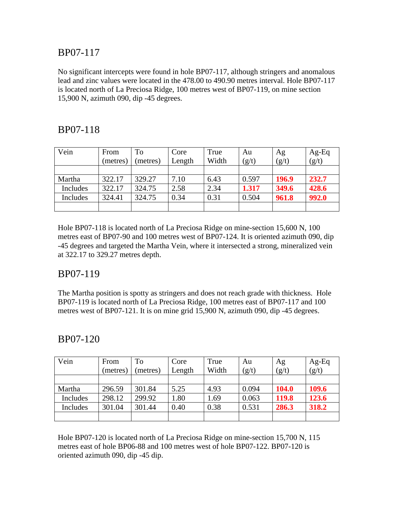No significant intercepts were found in hole BP07-117, although stringers and anomalous lead and zinc values were located in the 478.00 to 490.90 metres interval. Hole BP07-117 is located north of La Preciosa Ridge, 100 metres west of BP07-119, on mine section 15,900 N, azimuth 090, dip -45 degrees.

## BP07-118

| Vein     | From     | To       | Core   | True  | Au    | Ag    | $Ag-Eq$ |
|----------|----------|----------|--------|-------|-------|-------|---------|
|          | (metres) | (metres) | Length | Width | (g/t) | (g/t) | (g/t)   |
|          |          |          |        |       |       |       |         |
| Martha   | 322.17   | 329.27   | 7.10   | 6.43  | 0.597 | 196.9 | 232.7   |
| Includes | 322.17   | 324.75   | 2.58   | 2.34  | 1.317 | 349.6 | 428.6   |
| Includes | 324.41   | 324.75   | 0.34   | 0.31  | 0.504 | 961.8 | 992.0   |
|          |          |          |        |       |       |       |         |

Hole BP07-118 is located north of La Preciosa Ridge on mine-section 15,600 N, 100 metres east of BP07-90 and 100 metres west of BP07-124. It is oriented azimuth 090, dip -45 degrees and targeted the Martha Vein, where it intersected a strong, mineralized vein at 322.17 to 329.27 metres depth.

## BP07-119

The Martha position is spotty as stringers and does not reach grade with thickness. Hole BP07-119 is located north of La Preciosa Ridge, 100 metres east of BP07-117 and 100 metres west of BP07-121. It is on mine grid 15,900 N, azimuth 090, dip -45 degrees.

## BP07-120

| Vein     | From<br>(metres) | To<br>metres) | Core<br>Length | True<br>Width | Au<br>(g/t) | Ag<br>(g/t)  | $Ag-Eq$<br>(g/t) |
|----------|------------------|---------------|----------------|---------------|-------------|--------------|------------------|
|          |                  |               |                |               |             |              |                  |
| Martha   | 296.59           | 301.84        | 5.25           | 4.93          | 0.094       | <b>104.0</b> | 109.6            |
| Includes | 298.12           | 299.92        | 1.80           | 1.69          | 0.063       | 119.8        | 123.6            |
| Includes | 301.04           | 301.44        | 0.40           | 0.38          | 0.531       | 286.3        | 318.2            |
|          |                  |               |                |               |             |              |                  |

Hole BP07-120 is located north of La Preciosa Ridge on mine-section 15,700 N, 115 metres east of hole BP06-88 and 100 metres west of hole BP07-122. BP07-120 is oriented azimuth 090, dip -45 dip.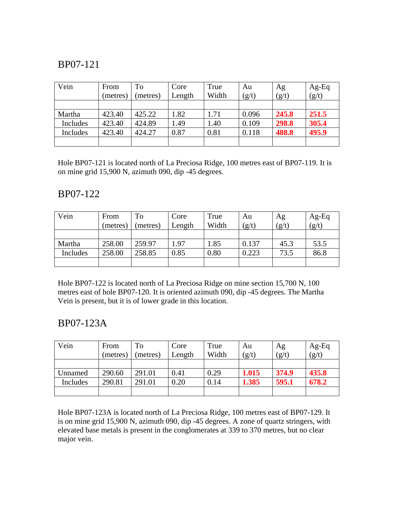| Vein     | From     | To       | Core   | True  | Au    | Ag    | $Ag-Eq$ |
|----------|----------|----------|--------|-------|-------|-------|---------|
|          | (metres) | (metres) | Length | Width | (g/t) | (g/t) | (g/t)   |
|          |          |          |        |       |       |       |         |
| Martha   | 423.40   | 425.22   | 1.82   | 1.71  | 0.096 | 245.8 | 251.5   |
| Includes | 423.40   | 424.89   | 1.49   | l.40  | 0.109 | 298.8 | 305.4   |
| Includes | 423.40   | 424.27   | 0.87   | 0.81  | 0.118 | 488.8 | 495.9   |
|          |          |          |        |       |       |       |         |

Hole BP07-121 is located north of La Preciosa Ridge, 100 metres east of BP07-119. It is on mine grid 15,900 N, azimuth 090, dip -45 degrees.

### BP07-122

| Vein     | From     | To       | Core   | True  | Au    | Ag    | $Ag-Eq$ |
|----------|----------|----------|--------|-------|-------|-------|---------|
|          | (metres) | (metres) | Length | Width | (g/t) | (g/t) | (g/t)   |
|          |          |          |        |       |       |       |         |
| Martha   | 258.00   | 259.97   | 1.97   | 1.85  | 0.137 | 45.3  | 53.5    |
| Includes | 258.00   | 258.85   | 0.85   | 0.80  | 0.223 | 73.5  | 86.8    |
|          |          |          |        |       |       |       |         |

Hole BP07-122 is located north of La Preciosa Ridge on mine section 15,700 N, 100 metres east of hole BP07-120. It is oriented azimuth 090, dip -45 degrees. The Martha Vein is present, but it is of lower grade in this location.

## BP07-123A

| Vein     | From     | To       | Core   | True  | Au    | Ag    | $Ag-Eq$ |
|----------|----------|----------|--------|-------|-------|-------|---------|
|          | (metres) | (metres) | Length | Width | (g/t) | (g/t) | (g/t)   |
|          |          |          |        |       |       |       |         |
| Unnamed  | 290.60   | 291.01   | 0.41   | 0.29  | 1.015 | 374.9 | 435.8   |
| Includes | 290.81   | 291.01   | 0.20   | 0.14  | 1.385 | 595.1 | 678.2   |
|          |          |          |        |       |       |       |         |

Hole BP07-123A is located north of La Preciosa Ridge, 100 metres east of BP07-129. It is on mine grid 15,900 N, azimuth 090, dip -45 degrees. A zone of quartz stringers, with elevated base metals is present in the conglomerates at 339 to 370 metres, but no clear major vein.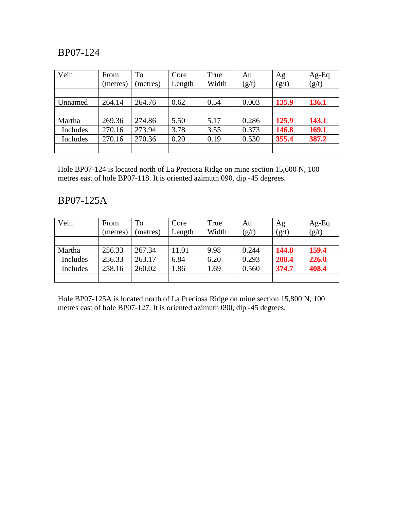| Vein     | From<br>(metres) | To<br>(metres) | Core<br>Length | True<br>Width | Au<br>(g/t) | Ag<br>(g/t) | $Ag-Eq$<br>(g/t) |
|----------|------------------|----------------|----------------|---------------|-------------|-------------|------------------|
|          |                  |                |                |               |             |             |                  |
| Unnamed  | 264.14           | 264.76         | 0.62           | 0.54          | 0.003       | 135.9       | 136.1            |
|          |                  |                |                |               |             |             |                  |
| Martha   | 269.36           | 274.86         | 5.50           | 5.17          | 0.286       | 125.9       | 143.1            |
| Includes | 270.16           | 273.94         | 3.78           | 3.55          | 0.373       | 146.8       | 169.1            |
| Includes | 270.16           | 270.36         | 0.20           | 0.19          | 0.530       | 355.4       | 387.2            |
|          |                  |                |                |               |             |             |                  |

Hole BP07-124 is located north of La Preciosa Ridge on mine section 15,600 N, 100 metres east of hole BP07-118. It is oriented azimuth 090, dip -45 degrees.

## BP07-125A

| Vein     | From     | To       | Core   | True  | Au    | Ag    | $Ag-Eq$ |
|----------|----------|----------|--------|-------|-------|-------|---------|
|          | (metres) | (metres) | Length | Width | (g/t) | (g/t) | (g/t)   |
|          |          |          |        |       |       |       |         |
| Martha   | 256.33   | 267.34   | 11.01  | 9.98  | 0.244 | 144.8 | 159.4   |
| Includes | 256.33   | 263.17   | 6.84   | 6.20  | 0.293 | 208.4 | 226.0   |
| Includes | 258.16   | 260.02   | 1.86   | .69   | 0.560 | 374.7 | 408.4   |
|          |          |          |        |       |       |       |         |

Hole BP07-125A is located north of La Preciosa Ridge on mine section 15,800 N, 100 metres east of hole BP07-127. It is oriented azimuth 090, dip -45 degrees.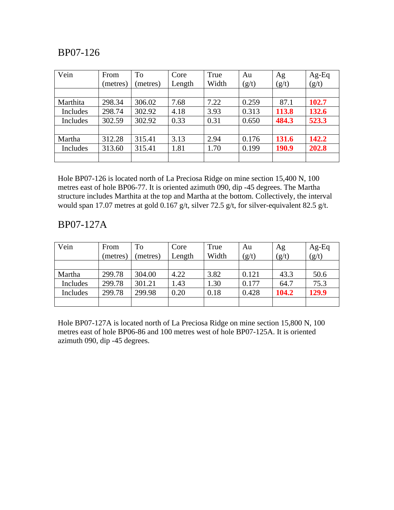| Vein     | From     | <b>To</b> | Core   | True  | Au    | Ag    | $Ag-Eq$ |
|----------|----------|-----------|--------|-------|-------|-------|---------|
|          | (metres) | (metres)  | Length | Width | (g/t) | (g/t) | (g/t)   |
|          |          |           |        |       |       |       |         |
| Marthita | 298.34   | 306.02    | 7.68   | 7.22  | 0.259 | 87.1  | 102.7   |
| Includes | 298.74   | 302.92    | 4.18   | 3.93  | 0.313 | 113.8 | 132.6   |
| Includes | 302.59   | 302.92    | 0.33   | 0.31  | 0.650 | 484.3 | 523.3   |
|          |          |           |        |       |       |       |         |
| Martha   | 312.28   | 315.41    | 3.13   | 2.94  | 0.176 | 131.6 | 142.2   |
| Includes | 313.60   | 315.41    | 1.81   | 1.70  | 0.199 | 190.9 | 202.8   |
|          |          |           |        |       |       |       |         |

Hole BP07-126 is located north of La Preciosa Ridge on mine section 15,400 N, 100 metres east of hole BP06-77. It is oriented azimuth 090, dip -45 degrees. The Martha structure includes Marthita at the top and Martha at the bottom. Collectively, the interval would span 17.07 metres at gold 0.167 g/t, silver 72.5 g/t, for silver-equivalent 82.5 g/t.

### BP07-127A

| Vein     | From     | To       | Core   | True  | Au    | Ag    | $Ag-Eq$ |
|----------|----------|----------|--------|-------|-------|-------|---------|
|          | (metres) | (metres) | Length | Width | (g/t) | (g/t) | (g/t)   |
|          |          |          |        |       |       |       |         |
| Martha   | 299.78   | 304.00   | 4.22   | 3.82  | 0.121 | 43.3  | 50.6    |
| Includes | 299.78   | 301.21   | 1.43   | .30   | 0.177 | 64.7  | 75.3    |
| Includes | 299.78   | 299.98   | 0.20   | 0.18  | 0.428 | 104.2 | 129.9   |
|          |          |          |        |       |       |       |         |

Hole BP07-127A is located north of La Preciosa Ridge on mine section 15,800 N, 100 metres east of hole BP06-86 and 100 metres west of hole BP07-125A. It is oriented azimuth 090, dip -45 degrees.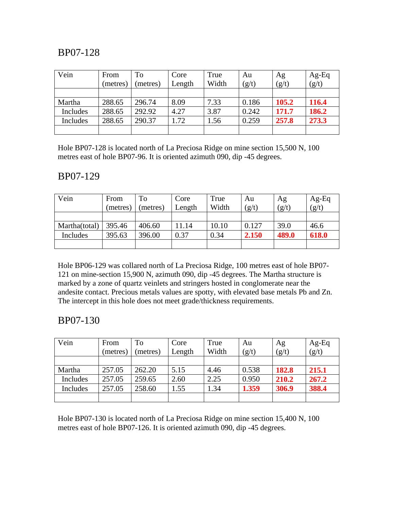| Vein     | From     | <b>To</b> | Core   | True  | Au    | Ag    | $Ag-Eq$ |
|----------|----------|-----------|--------|-------|-------|-------|---------|
|          | (metres) | (metres)  | Length | Width | (g/t) | (g/t) | (g/t)   |
|          |          |           |        |       |       |       |         |
| Martha   | 288.65   | 296.74    | 8.09   | 7.33  | 0.186 | 105.2 | 116.4   |
| Includes | 288.65   | 292.92    | 4.27   | 3.87  | 0.242 | 171.7 | 186.2   |
| Includes | 288.65   | 290.37    | 1.72   | 1.56  | 0.259 | 257.8 | 273.3   |
|          |          |           |        |       |       |       |         |

Hole BP07-128 is located north of La Preciosa Ridge on mine section 15,500 N, 100 metres east of hole BP07-96. It is oriented azimuth 090, dip -45 degrees.

#### BP07-129

| Vein          | From     | To       | Core   | True  | Au    | Ag    | $Ag-Eq$ |
|---------------|----------|----------|--------|-------|-------|-------|---------|
|               | (metres) | (metres) | Length | Width | (g/t) | (g/t) | (g/t)   |
|               |          |          |        |       |       |       |         |
| Martha(total) | 395.46   | 406.60   | 11.14  | 10.10 | 0.127 | 39.0  | 46.6    |
| Includes      | 395.63   | 396.00   | 0.37   | 0.34  | 2.150 | 489.0 | 618.0   |
|               |          |          |        |       |       |       |         |

Hole BP06-129 was collared north of La Preciosa Ridge, 100 metres east of hole BP07- 121 on mine-section 15,900 N, azimuth 090, dip -45 degrees. The Martha structure is marked by a zone of quartz veinlets and stringers hosted in conglomerate near the andesite contact. Precious metals values are spotty, with elevated base metals Pb and Zn. The intercept in this hole does not meet grade/thickness requirements.

## BP07-130

| Vein     | From     | To       | Core   | True  | Au    | Ag    | $Ag-Eq$ |
|----------|----------|----------|--------|-------|-------|-------|---------|
|          | (metres) | (metres) | Length | Width | (g/t) | (g/t) | (g/t)   |
|          |          |          |        |       |       |       |         |
| Martha   | 257.05   | 262.20   | 5.15   | 4.46  | 0.538 | 182.8 | 215.1   |
| Includes | 257.05   | 259.65   | 2.60   | 2.25  | 0.950 | 210.2 | 267.2   |
| Includes | 257.05   | 258.60   | 1.55   | 1.34  | 1.359 | 306.9 | 388.4   |
|          |          |          |        |       |       |       |         |

Hole BP07-130 is located north of La Preciosa Ridge on mine section 15,400 N, 100 metres east of hole BP07-126. It is oriented azimuth 090, dip -45 degrees.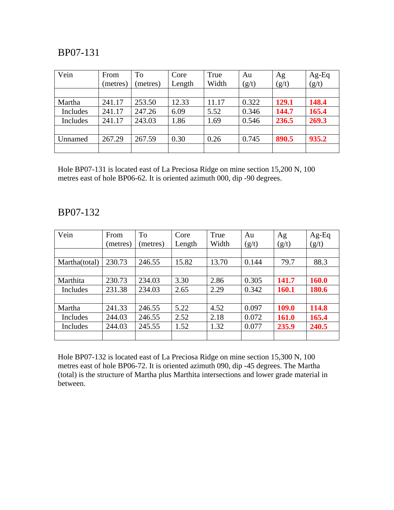| Vein     | From     | To       | Core   | True  | Au    | Ag    | $Ag-Eq$ |
|----------|----------|----------|--------|-------|-------|-------|---------|
|          | (metres) | (metres) | Length | Width | (g/t) | (g/t) | (g/t)   |
|          |          |          |        |       |       |       |         |
| Martha   | 241.17   | 253.50   | 12.33  | 11.17 | 0.322 | 129.1 | 148.4   |
| Includes | 241.17   | 247.26   | 6.09   | 5.52  | 0.346 | 144.7 | 165.4   |
| Includes | 241.17   | 243.03   | 1.86   | 1.69  | 0.546 | 236.5 | 269.3   |
|          |          |          |        |       |       |       |         |
| Unnamed  | 267.29   | 267.59   | 0.30   | 0.26  | 0.745 | 890.5 | 935.2   |
|          |          |          |        |       |       |       |         |

Hole BP07-131 is located east of La Preciosa Ridge on mine section 15,200 N, 100 metres east of hole BP06-62. It is oriented azimuth 000, dip -90 degrees.

#### BP07-132

| Vein          | From     | To      | Core   | True  | Au    | Ag    | $Ag-Eq$      |
|---------------|----------|---------|--------|-------|-------|-------|--------------|
|               | (metres) | metres) | Length | Width | (g/t) | (g/t) | (g/t)        |
|               |          |         |        |       |       |       |              |
| Martha(total) | 230.73   | 246.55  | 15.82  | 13.70 | 0.144 | 79.7  | 88.3         |
|               |          |         |        |       |       |       |              |
| Marthita      | 230.73   | 234.03  | 3.30   | 2.86  | 0.305 | 141.7 | <b>160.0</b> |
| Includes      | 231.38   | 234.03  | 2.65   | 2.29  | 0.342 | 160.1 | 180.6        |
|               |          |         |        |       |       |       |              |
| Martha        | 241.33   | 246.55  | 5.22   | 4.52  | 0.097 | 109.0 | 114.8        |
| Includes      | 244.03   | 246.55  | 2.52   | 2.18  | 0.072 | 161.0 | 165.4        |
| Includes      | 244.03   | 245.55  | 1.52   | 1.32  | 0.077 | 235.9 | 240.5        |
|               |          |         |        |       |       |       |              |

Hole BP07-132 is located east of La Preciosa Ridge on mine section 15,300 N, 100 metres east of hole BP06-72. It is oriented azimuth 090, dip -45 degrees. The Martha (total) is the structure of Martha plus Marthita intersections and lower grade material in between.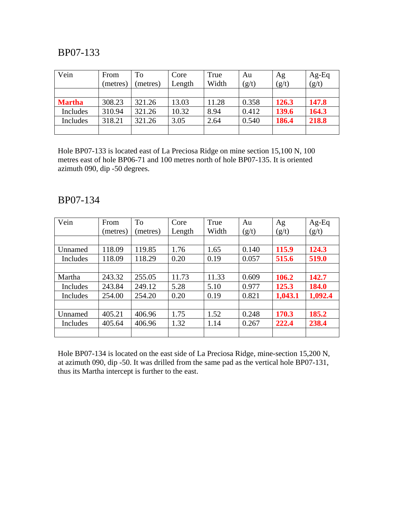| Vein          | From     | To       | Core   | True  | Au    | Ag    | $Ag-Eq$ |
|---------------|----------|----------|--------|-------|-------|-------|---------|
|               | (metres) | (metres) | Length | Width | (g/t) | (g/t) | (g/t)   |
|               |          |          |        |       |       |       |         |
| <b>Martha</b> | 308.23   | 321.26   | 13.03  | 11.28 | 0.358 | 126.3 | 147.8   |
| Includes      | 310.94   | 321.26   | 10.32  | 8.94  | 0.412 | 139.6 | 164.3   |
| Includes      | 318.21   | 321.26   | 3.05   | 2.64  | 0.540 | 186.4 | 218.8   |
|               |          |          |        |       |       |       |         |

Hole BP07-133 is located east of La Preciosa Ridge on mine section 15,100 N, 100 metres east of hole BP06-71 and 100 metres north of hole BP07-135. It is oriented azimuth 090, dip -50 degrees.

#### BP07-134

| Vein     | From     | To       | Core   | True  | Au    | Ag      | $Ag-Eq$ |
|----------|----------|----------|--------|-------|-------|---------|---------|
|          | (metres) | (metres) | Length | Width | (g/t) | (g/t)   | (g/t)   |
|          |          |          |        |       |       |         |         |
| Unnamed  | 118.09   | 119.85   | 1.76   | 1.65  | 0.140 | 115.9   | 124.3   |
| Includes | 118.09   | 118.29   | 0.20   | 0.19  | 0.057 | 515.6   | 519.0   |
|          |          |          |        |       |       |         |         |
| Martha   | 243.32   | 255.05   | 11.73  | 11.33 | 0.609 | 106.2   | 142.7   |
| Includes | 243.84   | 249.12   | 5.28   | 5.10  | 0.977 | 125.3   | 184.0   |
| Includes | 254.00   | 254.20   | 0.20   | 0.19  | 0.821 | 1,043.1 | 1,092.4 |
|          |          |          |        |       |       |         |         |
| Unnamed  | 405.21   | 406.96   | 1.75   | 1.52  | 0.248 | 170.3   | 185.2   |
| Includes | 405.64   | 406.96   | 1.32   | 1.14  | 0.267 | 222.4   | 238.4   |
|          |          |          |        |       |       |         |         |

Hole BP07-134 is located on the east side of La Preciosa Ridge, mine-section 15,200 N, at azimuth 090, dip -50. It was drilled from the same pad as the vertical hole BP07-131, thus its Martha intercept is further to the east.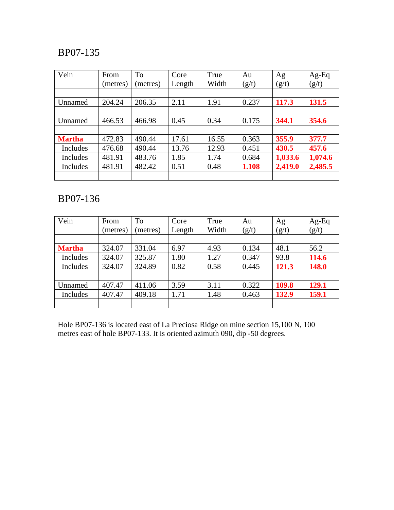| Vein          | From     | <b>To</b> | Core   | True  | Au    | Ag      | $Ag-Eq$ |
|---------------|----------|-----------|--------|-------|-------|---------|---------|
|               | (metres) | (metres)  | Length | Width | (g/t) | (g/t)   | (g/t)   |
|               |          |           |        |       |       |         |         |
| Unnamed       | 204.24   | 206.35    | 2.11   | 1.91  | 0.237 | 117.3   | 131.5   |
|               |          |           |        |       |       |         |         |
| Unnamed       | 466.53   | 466.98    | 0.45   | 0.34  | 0.175 | 344.1   | 354.6   |
|               |          |           |        |       |       |         |         |
| <b>Martha</b> | 472.83   | 490.44    | 17.61  | 16.55 | 0.363 | 355.9   | 377.7   |
| Includes      | 476.68   | 490.44    | 13.76  | 12.93 | 0.451 | 430.5   | 457.6   |
| Includes      | 481.91   | 483.76    | 1.85   | 1.74  | 0.684 | 1,033.6 | 1,074.6 |
| Includes      | 481.91   | 482.42    | 0.51   | 0.48  | 1.108 | 2,419.0 | 2,485.5 |
|               |          |           |        |       |       |         |         |

## BP07-136

| Vein          | From<br>(metres) | To<br>(metres) | Core<br>Length | True<br>Width | Au<br>(g/t) | Ag<br>(g/t) | Ag-Eq<br>(g/t) |
|---------------|------------------|----------------|----------------|---------------|-------------|-------------|----------------|
|               |                  |                |                |               |             |             |                |
| <b>Martha</b> | 324.07           | 331.04         | 6.97           | 4.93          | 0.134       | 48.1        | 56.2           |
| Includes      | 324.07           | 325.87         | 1.80           | 1.27          | 0.347       | 93.8        | 114.6          |
| Includes      | 324.07           | 324.89         | 0.82           | 0.58          | 0.445       | 121.3       | 148.0          |
|               |                  |                |                |               |             |             |                |
| Unnamed       | 407.47           | 411.06         | 3.59           | 3.11          | 0.322       | 109.8       | 129.1          |
| Includes      | 407.47           | 409.18         | 1.71           | 1.48          | 0.463       | 132.9       | 159.1          |
|               |                  |                |                |               |             |             |                |

Hole BP07-136 is located east of La Preciosa Ridge on mine section 15,100 N, 100 metres east of hole BP07-133. It is oriented azimuth 090, dip -50 degrees.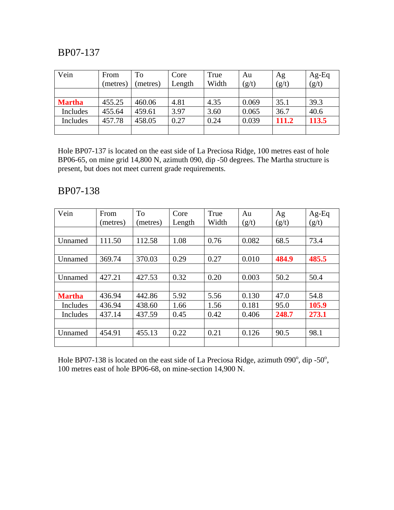| Vein          | From     | To       | Core   | True  | Au    | Ag    | $Ag-Eq$ |
|---------------|----------|----------|--------|-------|-------|-------|---------|
|               | (metres) | (metres) | Length | Width | (g/t) | (g/t) | (g/t)   |
|               |          |          |        |       |       |       |         |
| <b>Martha</b> | 455.25   | 460.06   | 4.81   | 4.35  | 0.069 | 35.1  | 39.3    |
| Includes      | 455.64   | 459.61   | 3.97   | 3.60  | 0.065 | 36.7  | 40.6    |
| Includes      | 457.78   | 458.05   | 0.27   | 0.24  | 0.039 | 111.2 | 113.5   |
|               |          |          |        |       |       |       |         |

Hole BP07-137 is located on the east side of La Preciosa Ridge, 100 metres east of hole BP06-65, on mine grid 14,800 N, azimuth 090, dip -50 degrees. The Martha structure is present, but does not meet current grade requirements.

## BP07-138

| Vein          | From     | To       | Core   | True  | Au    | Ag    | $Ag-Eq$ |
|---------------|----------|----------|--------|-------|-------|-------|---------|
|               | (metres) | (metres) | Length | Width | (g/t) | (g/t) | (g/t)   |
|               |          |          |        |       |       |       |         |
| Unnamed       | 111.50   | 112.58   | 1.08   | 0.76  | 0.082 | 68.5  | 73.4    |
|               |          |          |        |       |       |       |         |
| Unnamed       | 369.74   | 370.03   | 0.29   | 0.27  | 0.010 | 484.9 | 485.5   |
|               |          |          |        |       |       |       |         |
| Unnamed       | 427.21   | 427.53   | 0.32   | 0.20  | 0.003 | 50.2  | 50.4    |
|               |          |          |        |       |       |       |         |
| <b>Martha</b> | 436.94   | 442.86   | 5.92   | 5.56  | 0.130 | 47.0  | 54.8    |
| Includes      | 436.94   | 438.60   | 1.66   | 1.56  | 0.181 | 95.0  | 105.9   |
| Includes      | 437.14   | 437.59   | 0.45   | 0.42  | 0.406 | 248.7 | 273.1   |
|               |          |          |        |       |       |       |         |
| Unnamed       | 454.91   | 455.13   | 0.22   | 0.21  | 0.126 | 90.5  | 98.1    |
|               |          |          |        |       |       |       |         |

Hole BP07-138 is located on the east side of La Preciosa Ridge, azimuth  $090^\circ$ , dip -50 $^\circ$ , 100 metres east of hole BP06-68, on mine-section 14,900 N.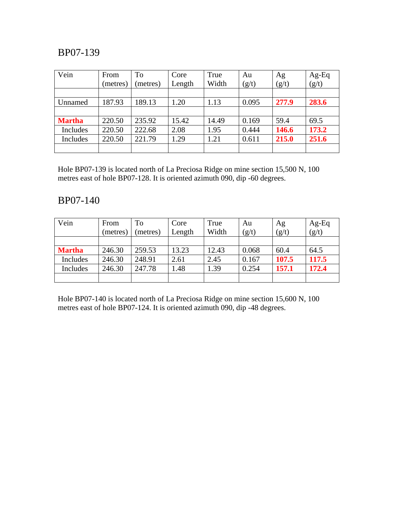| Vein          | From     | To       | Core   | True<br>Width | Au    | Ag    | Ag-Eq<br>(g/t) |
|---------------|----------|----------|--------|---------------|-------|-------|----------------|
|               | (metres) | (metres) | Length |               | (g/t) | (g/t) |                |
| Unnamed       | 187.93   | 189.13   | 1.20   | 1.13          | 0.095 | 277.9 | 283.6          |
|               |          |          |        |               |       |       |                |
| <b>Martha</b> | 220.50   | 235.92   | 15.42  | 14.49         | 0.169 | 59.4  | 69.5           |
| Includes      | 220.50   | 222.68   | 2.08   | 1.95          | 0.444 | 146.6 | 173.2          |
| Includes      | 220.50   | 221.79   | 1.29   | 1.21          | 0.611 | 215.0 | 251.6          |
|               |          |          |        |               |       |       |                |

Hole BP07-139 is located north of La Preciosa Ridge on mine section 15,500 N, 100 metres east of hole BP07-128. It is oriented azimuth 090, dip -60 degrees.

## BP07-140

| Vein          | From     | To       | Core   | True  | Au    | Ag    | $Ag-Eq$ |
|---------------|----------|----------|--------|-------|-------|-------|---------|
|               | (metres) | (metres) | Length | Width | (g/t) | (g/t) | (g/t)   |
|               |          |          |        |       |       |       |         |
| <b>Martha</b> | 246.30   | 259.53   | 13.23  | 12.43 | 0.068 | 60.4  | 64.5    |
| Includes      | 246.30   | 248.91   | 2.61   | 2.45  | 0.167 | 107.5 | 117.5   |
| Includes      | 246.30   | 247.78   | 1.48   | 1.39  | 0.254 | 157.1 | 172.4   |
|               |          |          |        |       |       |       |         |

Hole BP07-140 is located north of La Preciosa Ridge on mine section 15,600 N, 100 metres east of hole BP07-124. It is oriented azimuth 090, dip -48 degrees.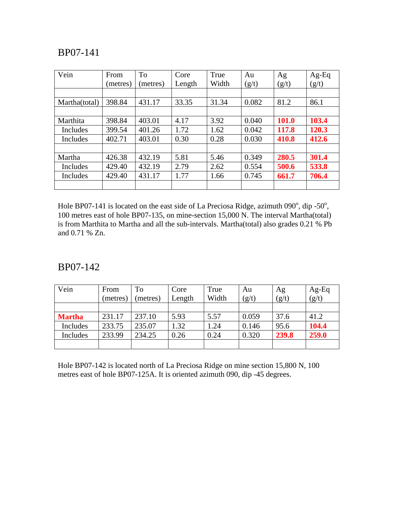| Vein          | From     | To       | Core   | True  | Au    | Ag    | $Ag-Eq$ |
|---------------|----------|----------|--------|-------|-------|-------|---------|
|               | (metres) | (metres) | Length | Width | (g/t) | (g/t) | (g/t)   |
|               |          |          |        |       |       |       |         |
| Martha(total) | 398.84   | 431.17   | 33.35  | 31.34 | 0.082 | 81.2  | 86.1    |
|               |          |          |        |       |       |       |         |
| Marthita      | 398.84   | 403.01   | 4.17   | 3.92  | 0.040 | 101.0 | 103.4   |
| Includes      | 399.54   | 401.26   | 1.72   | 1.62  | 0.042 | 117.8 | 120.3   |
| Includes      | 402.71   | 403.01   | 0.30   | 0.28  | 0.030 | 410.8 | 412.6   |
|               |          |          |        |       |       |       |         |
| Martha        | 426.38   | 432.19   | 5.81   | 5.46  | 0.349 | 280.5 | 301.4   |
| Includes      | 429.40   | 432.19   | 2.79   | 2.62  | 0.554 | 500.6 | 533.8   |
| Includes      | 429.40   | 431.17   | 1.77   | 1.66  | 0.745 | 661.7 | 706.4   |
|               |          |          |        |       |       |       |         |

Hole BP07-141 is located on the east side of La Preciosa Ridge, azimuth  $090^\circ$ , dip -50 $^\circ$ , 100 metres east of hole BP07-135, on mine-section 15,000 N. The interval Martha(total) is from Marthita to Martha and all the sub-intervals. Martha(total) also grades 0.21 % Pb and 0.71 % Zn.

#### BP07-142

| Vein          | From     | To       | Core   | True  | Au    | Ag    | $Ag-Eq$ |
|---------------|----------|----------|--------|-------|-------|-------|---------|
|               | (metres) | (metres) | Length | Width | (g/t) | (g/t) | (g/t)   |
|               |          |          |        |       |       |       |         |
| <b>Martha</b> | 231.17   | 237.10   | 5.93   | 5.57  | 0.059 | 37.6  | 41.2    |
| Includes      | 233.75   | 235.07   | 1.32   | 1.24  | 0.146 | 95.6  | 104.4   |
| Includes      | 233.99   | 234.25   | 0.26   | 0.24  | 0.320 | 239.8 | 259.0   |
|               |          |          |        |       |       |       |         |

Hole BP07-142 is located north of La Preciosa Ridge on mine section 15,800 N, 100 metres east of hole BP07-125A. It is oriented azimuth 090, dip -45 degrees.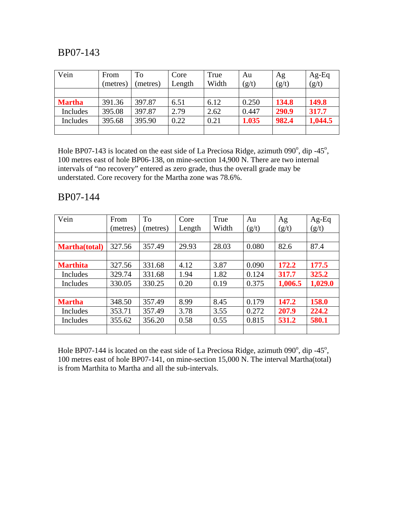| Vein          | From<br>(metres) | To<br>(metres) | Core<br>Length | True<br>Width | Au<br>(g/t) | Ag<br>(g/t) | $Ag-Eq$<br>(g/t) |
|---------------|------------------|----------------|----------------|---------------|-------------|-------------|------------------|
|               |                  |                |                |               |             |             |                  |
| <b>Martha</b> | 391.36           | 397.87         | 6.51           | 6.12          | 0.250       | 134.8       | 149.8            |
| Includes      | 395.08           | 397.87         | 2.79           | 2.62          | 0.447       | 290.9       | 317.7            |
| Includes      | 395.68           | 395.90         | 0.22           | 0.21          | 1.035       | 982.4       | 1,044.5          |
|               |                  |                |                |               |             |             |                  |

Hole BP07-143 is located on the east side of La Preciosa Ridge, azimuth  $090^\circ$ , dip -45 $^\circ$ , 100 metres east of hole BP06-138, on mine-section 14,900 N. There are two internal intervals of "no recovery" entered as zero grade, thus the overall grade may be understated. Core recovery for the Martha zone was 78.6%.

#### BP07-144

| Vein                 | From     | To       | Core   | True  | Au    | Ag      | $Ag-Eq$ |
|----------------------|----------|----------|--------|-------|-------|---------|---------|
|                      | (metres) | (metres) | Length | Width | (g/t) | (g/t)   | (g/t)   |
|                      |          |          |        |       |       |         |         |
| <b>Martha(total)</b> | 327.56   | 357.49   | 29.93  | 28.03 | 0.080 | 82.6    | 87.4    |
|                      |          |          |        |       |       |         |         |
| <b>Marthita</b>      | 327.56   | 331.68   | 4.12   | 3.87  | 0.090 | 172.2   | 177.5   |
| Includes             | 329.74   | 331.68   | 1.94   | 1.82  | 0.124 | 317.7   | 325.2   |
| Includes             | 330.05   | 330.25   | 0.20   | 0.19  | 0.375 | 1,006.5 | 1,029.0 |
|                      |          |          |        |       |       |         |         |
| <b>Martha</b>        | 348.50   | 357.49   | 8.99   | 8.45  | 0.179 | 147.2   | 158.0   |
| Includes             | 353.71   | 357.49   | 3.78   | 3.55  | 0.272 | 207.9   | 224.2   |
| Includes             | 355.62   | 356.20   | 0.58   | 0.55  | 0.815 | 531.2   | 580.1   |
|                      |          |          |        |       |       |         |         |

Hole BP07-144 is located on the east side of La Preciosa Ridge, azimuth  $090^\circ$ , dip -45 $^\circ$ , 100 metres east of hole BP07-141, on mine-section 15,000 N. The interval Martha(total) is from Marthita to Martha and all the sub-intervals.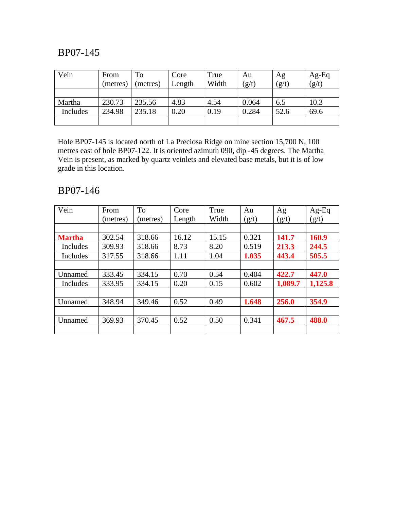| Vein     | From     | To       | Core   | True  | Au    | Ag    | $Ag-Eq$ |
|----------|----------|----------|--------|-------|-------|-------|---------|
|          | (metres) | (metres) | Length | Width | (g/t) | (g/t) | (g/t)   |
|          |          |          |        |       |       |       |         |
| Martha   | 230.73   | 235.56   | 4.83   | 4.54  | 0.064 | 6.5   | 10.3    |
| Includes | 234.98   | 235.18   | 0.20   | 0.19  | 0.284 | 52.6  | 69.6    |
|          |          |          |        |       |       |       |         |

Hole BP07-145 is located north of La Preciosa Ridge on mine section 15,700 N, 100 metres east of hole BP07-122. It is oriented azimuth 090, dip -45 degrees. The Martha Vein is present, as marked by quartz veinlets and elevated base metals, but it is of low grade in this location.

### BP07-146

| Vein          | From     | <b>To</b> | Core   | True  | Au    | Ag      | $Ag-Eq$ |
|---------------|----------|-----------|--------|-------|-------|---------|---------|
|               | (metres) | (metres)  | Length | Width | (g/t) | (g/t)   | (g/t)   |
|               |          |           |        |       |       |         |         |
| <b>Martha</b> | 302.54   | 318.66    | 16.12  | 15.15 | 0.321 | 141.7   | 160.9   |
| Includes      | 309.93   | 318.66    | 8.73   | 8.20  | 0.519 | 213.3   | 244.5   |
| Includes      | 317.55   | 318.66    | 1.11   | 1.04  | 1.035 | 443.4   | 505.5   |
|               |          |           |        |       |       |         |         |
| Unnamed       | 333.45   | 334.15    | 0.70   | 0.54  | 0.404 | 422.7   | 447.0   |
| Includes      | 333.95   | 334.15    | 0.20   | 0.15  | 0.602 | 1,089.7 | 1,125.8 |
|               |          |           |        |       |       |         |         |
| Unnamed       | 348.94   | 349.46    | 0.52   | 0.49  | 1.648 | 256.0   | 354.9   |
|               |          |           |        |       |       |         |         |
| Unnamed       | 369.93   | 370.45    | 0.52   | 0.50  | 0.341 | 467.5   | 488.0   |
|               |          |           |        |       |       |         |         |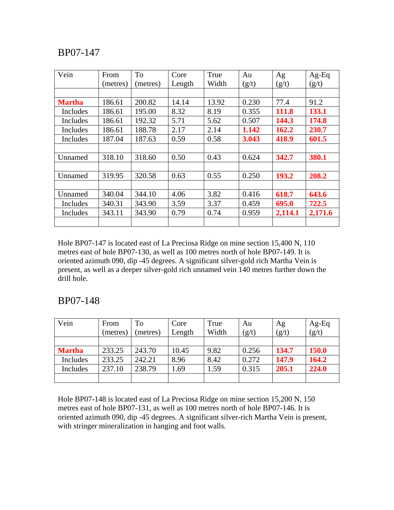| Vein          | From     | <b>To</b> | Core   | True  | Au    | Ag      | $Ag-Eq$ |
|---------------|----------|-----------|--------|-------|-------|---------|---------|
|               | (metres) | (metres)  | Length | Width | (g/t) | (g/t)   | (g/t)   |
|               |          |           |        |       |       |         |         |
| <b>Martha</b> | 186.61   | 200.82    | 14.14  | 13.92 | 0.230 | 77.4    | 91.2    |
| Includes      | 186.61   | 195.00    | 8.32   | 8.19  | 0.355 | 111.8   | 133.1   |
| Includes      | 186.61   | 192.32    | 5.71   | 5.62  | 0.507 | 144.3   | 174.8   |
| Includes      | 186.61   | 188.78    | 2.17   | 2.14  | 1.142 | 162.2   | 230.7   |
| Includes      | 187.04   | 187.63    | 0.59   | 0.58  | 3.043 | 418.9   | 601.5   |
|               |          |           |        |       |       |         |         |
| Unnamed       | 318.10   | 318.60    | 0.50   | 0.43  | 0.624 | 342.7   | 380.1   |
|               |          |           |        |       |       |         |         |
| Unnamed       | 319.95   | 320.58    | 0.63   | 0.55  | 0.250 | 193.2   | 208.2   |
|               |          |           |        |       |       |         |         |
| Unnamed       | 340.04   | 344.10    | 4.06   | 3.82  | 0.416 | 618.7   | 643.6   |
| Includes      | 340.31   | 343.90    | 3.59   | 3.37  | 0.459 | 695.0   | 722.5   |
| Includes      | 343.11   | 343.90    | 0.79   | 0.74  | 0.959 | 2,114.1 | 2,171.6 |
|               |          |           |        |       |       |         |         |

Hole BP07-147 is located east of La Preciosa Ridge on mine section 15,400 N, 110 metres east of hole BP07-130, as well as 100 metres north of hole BP07-149. It is oriented azimuth 090, dip -45 degrees. A significant silver-gold rich Martha Vein is present, as well as a deeper silver-gold rich unnamed vein 140 metres further down the drill hole.

#### BP07-148

| Vein          | From     | To       | Core   | True  | Au    | Ag    | $Ag-Eq$      |
|---------------|----------|----------|--------|-------|-------|-------|--------------|
|               | (metres) | (metres) | Length | Width | (g/t) | (g/t) | (g/t)        |
|               |          |          |        |       |       |       |              |
| <b>Martha</b> | 233.25   | 243.70   | 10.45  | 9.82  | 0.256 | 134.7 | <b>150.0</b> |
| Includes      | 233.25   | 242.21   | 8.96   | 8.42  | 0.272 | 147.9 | 164.2        |
| Includes      | 237.10   | 238.79   | 1.69   | 1.59  | 0.315 | 205.1 | 224.0        |
|               |          |          |        |       |       |       |              |

Hole BP07-148 is located east of La Preciosa Ridge on mine section 15,200 N, 150 metres east of hole BP07-131, as well as 100 metres north of hole BP07-146. It is oriented azimuth 090, dip -45 degrees. A significant silver-rich Martha Vein is present, with stringer mineralization in hanging and foot walls.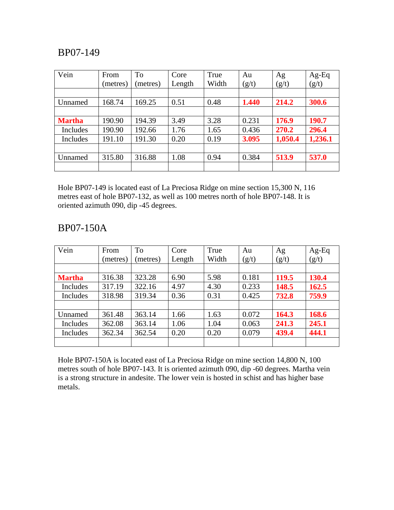| Vein          | From     | To      | Core   | True  | Au    | Ag      | $Ag-Eq$ |
|---------------|----------|---------|--------|-------|-------|---------|---------|
|               | (metres) | metres) | Length | Width | (g/t) | (g/t)   | (g/t)   |
|               |          |         |        |       |       |         |         |
| Unnamed       | 168.74   | 169.25  | 0.51   | 0.48  | 1.440 | 214.2   | 300.6   |
|               |          |         |        |       |       |         |         |
| <b>Martha</b> | 190.90   | 194.39  | 3.49   | 3.28  | 0.231 | 176.9   | 190.7   |
| Includes      | 190.90   | 192.66  | 1.76   | 1.65  | 0.436 | 270.2   | 296.4   |
| Includes      | 191.10   | 191.30  | 0.20   | 0.19  | 3.095 | 1,050.4 | 1,236.1 |
|               |          |         |        |       |       |         |         |
| Unnamed       | 315.80   | 316.88  | 1.08   | 0.94  | 0.384 | 513.9   | 537.0   |
|               |          |         |        |       |       |         |         |

Hole BP07-149 is located east of La Preciosa Ridge on mine section 15,300 N, 116 metres east of hole BP07-132, as well as 100 metres north of hole BP07-148. It is oriented azimuth 090, dip -45 degrees.

### BP07-150A

| Vein          | From     | <b>To</b> | Core   | True  | Au    | Ag    | Ag-Eq |
|---------------|----------|-----------|--------|-------|-------|-------|-------|
|               | (metres) | (metres)  | Length | Width | (g/t) | (g/t) | (g/t) |
|               |          |           |        |       |       |       |       |
| <b>Martha</b> | 316.38   | 323.28    | 6.90   | 5.98  | 0.181 | 119.5 | 130.4 |
| Includes      | 317.19   | 322.16    | 4.97   | 4.30  | 0.233 | 148.5 | 162.5 |
| Includes      | 318.98   | 319.34    | 0.36   | 0.31  | 0.425 | 732.8 | 759.9 |
|               |          |           |        |       |       |       |       |
| Unnamed       | 361.48   | 363.14    | 1.66   | 1.63  | 0.072 | 164.3 | 168.6 |
| Includes      | 362.08   | 363.14    | 1.06   | 1.04  | 0.063 | 241.3 | 245.1 |
| Includes      | 362.34   | 362.54    | 0.20   | 0.20  | 0.079 | 439.4 | 444.1 |
|               |          |           |        |       |       |       |       |

Hole BP07-150A is located east of La Preciosa Ridge on mine section 14,800 N, 100 metres south of hole BP07-143. It is oriented azimuth 090, dip -60 degrees. Martha vein is a strong structure in andesite. The lower vein is hosted in schist and has higher base metals.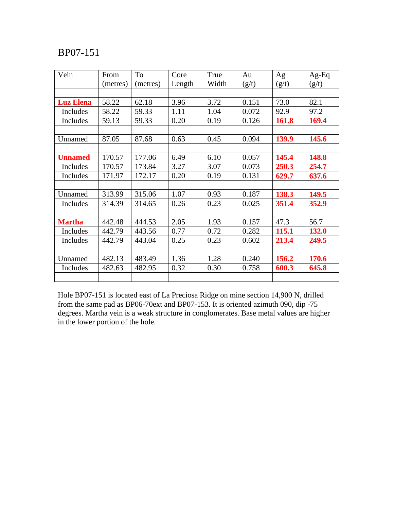| Vein             | From     | To       | Core   | True  | Au    | Ag    | $Ag-Eq$      |
|------------------|----------|----------|--------|-------|-------|-------|--------------|
|                  | (metres) | (metres) | Length | Width | (g/t) | (g/t) | (g/t)        |
|                  |          |          |        |       |       |       |              |
| <b>Luz Elena</b> | 58.22    | 62.18    | 3.96   | 3.72  | 0.151 | 73.0  | 82.1         |
| Includes         | 58.22    | 59.33    | 1.11   | 1.04  | 0.072 | 92.9  | 97.2         |
| Includes         | 59.13    | 59.33    | 0.20   | 0.19  | 0.126 | 161.8 | 169.4        |
|                  |          |          |        |       |       |       |              |
| Unnamed          | 87.05    | 87.68    | 0.63   | 0.45  | 0.094 | 139.9 | 145.6        |
|                  |          |          |        |       |       |       |              |
| <b>Unnamed</b>   | 170.57   | 177.06   | 6.49   | 6.10  | 0.057 | 145.4 | 148.8        |
| Includes         | 170.57   | 173.84   | 3.27   | 3.07  | 0.073 | 250.3 | 254.7        |
| Includes         | 171.97   | 172.17   | 0.20   | 0.19  | 0.131 | 629.7 | 637.6        |
|                  |          |          |        |       |       |       |              |
| Unnamed          | 313.99   | 315.06   | 1.07   | 0.93  | 0.187 | 138.3 | 149.5        |
| Includes         | 314.39   | 314.65   | 0.26   | 0.23  | 0.025 | 351.4 | 352.9        |
|                  |          |          |        |       |       |       |              |
| <b>Martha</b>    | 442.48   | 444.53   | 2.05   | 1.93  | 0.157 | 47.3  | 56.7         |
| Includes         | 442.79   | 443.56   | 0.77   | 0.72  | 0.282 | 115.1 | <b>132.0</b> |
| Includes         | 442.79   | 443.04   | 0.25   | 0.23  | 0.602 | 213.4 | 249.5        |
|                  |          |          |        |       |       |       |              |
| Unnamed          | 482.13   | 483.49   | 1.36   | 1.28  | 0.240 | 156.2 | 170.6        |
| Includes         | 482.63   | 482.95   | 0.32   | 0.30  | 0.758 | 600.3 | 645.8        |
|                  |          |          |        |       |       |       |              |

Hole BP07-151 is located east of La Preciosa Ridge on mine section 14,900 N, drilled from the same pad as BP06-70ext and BP07-153. It is oriented azimuth 090, dip -75 degrees. Martha vein is a weak structure in conglomerates. Base metal values are higher in the lower portion of the hole.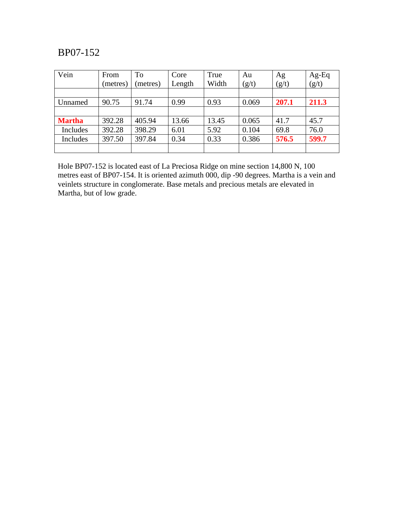| Vein          | From     | To       | Core   | True  | Au    | Ag    | Ag-Eq |
|---------------|----------|----------|--------|-------|-------|-------|-------|
|               | (metres) | (metres) | Length | Width | (g/t) | (g/t) | (g/t) |
|               |          |          |        |       |       |       |       |
| Unnamed       | 90.75    | 91.74    | 0.99   | 0.93  | 0.069 | 207.1 | 211.3 |
|               |          |          |        |       |       |       |       |
| <b>Martha</b> | 392.28   | 405.94   | 13.66  | 13.45 | 0.065 | 41.7  | 45.7  |
| Includes      | 392.28   | 398.29   | 6.01   | 5.92  | 0.104 | 69.8  | 76.0  |
| Includes      | 397.50   | 397.84   | 0.34   | 0.33  | 0.386 | 576.5 | 599.7 |
|               |          |          |        |       |       |       |       |

Hole BP07-152 is located east of La Preciosa Ridge on mine section 14,800 N, 100 metres east of BP07-154. It is oriented azimuth 000, dip -90 degrees. Martha is a vein and veinlets structure in conglomerate. Base metals and precious metals are elevated in Martha, but of low grade.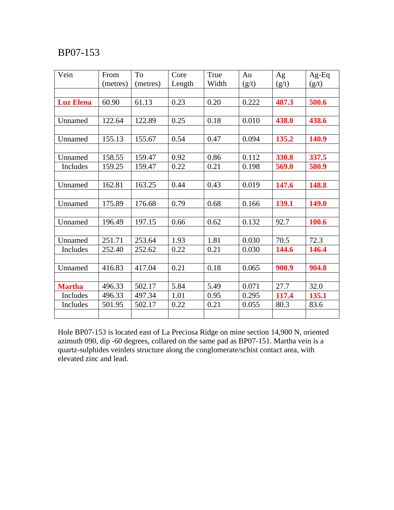| Vein             | From     | To       | Core   | True  | Au    | Ag    | $Ag-Eq$      |
|------------------|----------|----------|--------|-------|-------|-------|--------------|
|                  | (metres) | (metres) | Length | Width | (g/t) | (g/t) | (g/t)        |
|                  |          |          |        |       |       |       |              |
| <b>Luz Elena</b> | 60.90    | 61.13    | 0.23   | 0.20  | 0.222 | 487.3 | 500.6        |
|                  |          |          |        |       |       |       |              |
| Unnamed          | 122.64   | 122.89   | 0.25   | 0.18  | 0.010 | 438.0 | 438.6        |
|                  |          |          |        |       |       |       |              |
| Unnamed          | 155.13   | 155.67   | 0.54   | 0.47  | 0.094 | 135.2 | 140.9        |
|                  |          |          |        |       |       |       |              |
| Unnamed          | 158.55   | 159.47   | 0.92   | 0.86  | 0.112 | 330.8 | 337.5        |
| Includes         | 159.25   | 159.47   | 0.22   | 0.21  | 0.198 | 569.0 | 580.9        |
|                  |          |          |        |       |       |       |              |
| Unnamed          | 162.81   | 163.25   | 0.44   | 0.43  | 0.019 | 147.6 | 148.8        |
|                  |          |          |        |       |       |       |              |
| Unnamed          | 175.89   | 176.68   | 0.79   | 0.68  | 0.166 | 139.1 | <b>149.0</b> |
|                  |          |          |        |       |       |       |              |
| Unnamed          | 196.49   | 197.15   | 0.66   | 0.62  | 0.132 | 92.7  | 100.6        |
|                  |          |          |        |       |       |       |              |
| Unnamed          | 251.71   | 253.64   | 1.93   | 1.81  | 0.030 | 70.5  | 72.3         |
| Includes         | 252.40   | 252.62   | 0.22   | 0.21  | 0.030 | 144.6 | 146.4        |
|                  |          |          |        |       |       |       |              |
| Unnamed          | 416.83   | 417.04   | 0.21   | 0.18  | 0.065 | 900.9 | 904.8        |
|                  |          |          |        |       |       |       |              |
| <b>Martha</b>    | 496.33   | 502.17   | 5.84   | 5.49  | 0.071 | 27.7  | 32.0         |
| Includes         | 496.33   | 497.34   | 1.01   | 0.95  | 0.295 | 117.4 | 135.1        |
| Includes         | 501.95   | 502.17   | 0.22   | 0.21  | 0.055 | 80.3  | 83.6         |
|                  |          |          |        |       |       |       |              |

Hole BP07-153 is located east of La Preciosa Ridge on mine section 14,900 N, oriented azimuth 090, dip -60 degrees, collared on the same pad as BP07-151. Martha vein is a quartz-sulphides veinlets structure along the conglomerate/schist contact area, with elevated zinc and lead.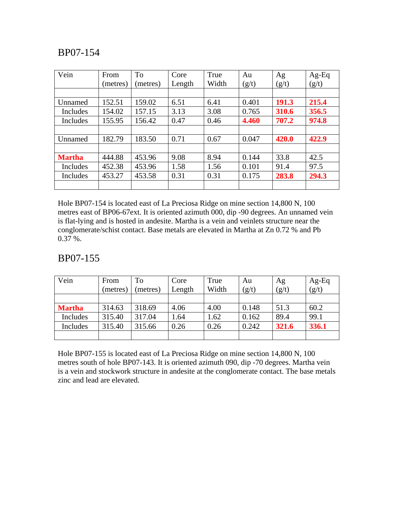| Vein          | From     | To       | Core   | True  | Au    | Ag    | $Ag-Eq$ |
|---------------|----------|----------|--------|-------|-------|-------|---------|
|               | (metres) | (metres) | Length | Width | (g/t) | (g/t) | (g/t)   |
|               |          |          |        |       |       |       |         |
| Unnamed       | 152.51   | 159.02   | 6.51   | 6.41  | 0.401 | 191.3 | 215.4   |
| Includes      | 154.02   | 157.15   | 3.13   | 3.08  | 0.765 | 310.6 | 356.5   |
| Includes      | 155.95   | 156.42   | 0.47   | 0.46  | 4.460 | 707.2 | 974.8   |
|               |          |          |        |       |       |       |         |
| Unnamed       | 182.79   | 183.50   | 0.71   | 0.67  | 0.047 | 420.0 | 422.9   |
|               |          |          |        |       |       |       |         |
| <b>Martha</b> | 444.88   | 453.96   | 9.08   | 8.94  | 0.144 | 33.8  | 42.5    |
| Includes      | 452.38   | 453.96   | 1.58   | 1.56  | 0.101 | 91.4  | 97.5    |
| Includes      | 453.27   | 453.58   | 0.31   | 0.31  | 0.175 | 283.8 | 294.3   |
|               |          |          |        |       |       |       |         |

Hole BP07-154 is located east of La Preciosa Ridge on mine section 14,800 N, 100 metres east of BP06-67ext. It is oriented azimuth 000, dip -90 degrees. An unnamed vein is flat-lying and is hosted in andesite. Martha is a vein and veinlets structure near the conglomerate/schist contact. Base metals are elevated in Martha at Zn 0.72 % and Pb 0.37 %.

## BP07-155

| Vein          | From     | To       | Core   | True  | Au    | Ag    | $Ag-Eq$ |
|---------------|----------|----------|--------|-------|-------|-------|---------|
|               | (metres) | (metres) | Length | Width | (g/t) | (g/t) | (g/t)   |
|               |          |          |        |       |       |       |         |
| <b>Martha</b> | 314.63   | 318.69   | 4.06   | 4.00  | 0.148 | 51.3  | 60.2    |
| Includes      | 315.40   | 317.04   | 1.64   | 1.62  | 0.162 | 89.4  | 99.1    |
| Includes      | 315.40   | 315.66   | 0.26   | 0.26  | 0.242 | 321.6 | 336.1   |
|               |          |          |        |       |       |       |         |

Hole BP07-155 is located east of La Preciosa Ridge on mine section 14,800 N, 100 metres south of hole BP07-143. It is oriented azimuth 090, dip -70 degrees. Martha vein is a vein and stockwork structure in andesite at the conglomerate contact. The base metals zinc and lead are elevated.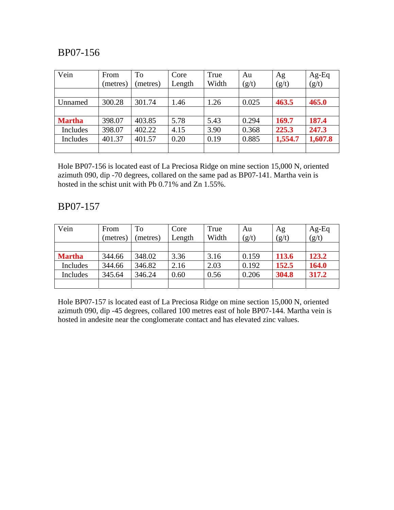| Vein          | From<br>(metres) | To<br>(metres) | Core<br>Length | True<br>Width | Au<br>(g/t) | Ag<br>(g/t) | $Ag-Eq$<br>(g/t) |
|---------------|------------------|----------------|----------------|---------------|-------------|-------------|------------------|
|               |                  |                |                |               |             |             |                  |
| Unnamed       | 300.28           | 301.74         | 1.46           | 1.26          | 0.025       | 463.5       | 465.0            |
|               |                  |                |                |               |             |             |                  |
| <b>Martha</b> | 398.07           | 403.85         | 5.78           | 5.43          | 0.294       | 169.7       | 187.4            |
| Includes      | 398.07           | 402.22         | 4.15           | 3.90          | 0.368       | 225.3       | 247.3            |
| Includes      | 401.37           | 401.57         | 0.20           | 0.19          | 0.885       | 1,554.7     | 1,607.8          |
|               |                  |                |                |               |             |             |                  |

Hole BP07-156 is located east of La Preciosa Ridge on mine section 15,000 N, oriented azimuth 090, dip -70 degrees, collared on the same pad as BP07-141. Martha vein is hosted in the schist unit with Pb 0.71% and Zn 1.55%.

#### BP07-157

| Vein          | From     | To       | Core   | True  | Au    | Ag    | $Ag-Eq$ |
|---------------|----------|----------|--------|-------|-------|-------|---------|
|               | (metres) | (metres) | Length | Width | (g/t) | (g/t) | (g/t)   |
|               |          |          |        |       |       |       |         |
| <b>Martha</b> | 344.66   | 348.02   | 3.36   | 3.16  | 0.159 | 113.6 | 123.2   |
| Includes      | 344.66   | 346.82   | 2.16   | 2.03  | 0.192 | 152.5 | 164.0   |
| Includes      | 345.64   | 346.24   | 0.60   | 0.56  | 0.206 | 304.8 | 317.2   |
|               |          |          |        |       |       |       |         |

Hole BP07-157 is located east of La Preciosa Ridge on mine section 15,000 N, oriented azimuth 090, dip -45 degrees, collared 100 metres east of hole BP07-144. Martha vein is hosted in andesite near the conglomerate contact and has elevated zinc values.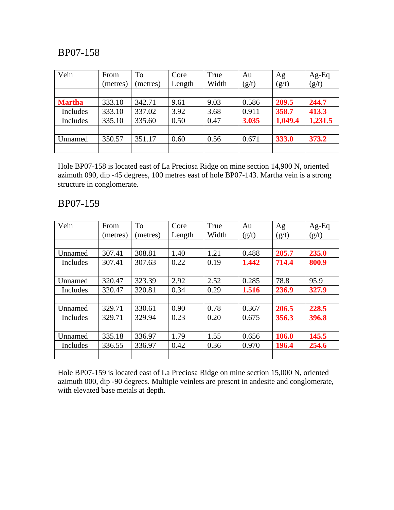| Vein          | From<br>(metres) | To<br>(metres) | Core<br>Length | True<br>Width | Au<br>(g/t) | Ag<br>(g/t) | $Ag-Eq$<br>(g/t) |
|---------------|------------------|----------------|----------------|---------------|-------------|-------------|------------------|
|               |                  |                |                |               |             |             |                  |
| <b>Martha</b> | 333.10           | 342.71         | 9.61           | 9.03          | 0.586       | 209.5       | 244.7            |
| Includes      | 333.10           | 337.02         | 3.92           | 3.68          | 0.911       | 358.7       | 413.3            |
| Includes      | 335.10           | 335.60         | 0.50           | 0.47          | 3.035       | 1,049.4     | 1,231.5          |
|               |                  |                |                |               |             |             |                  |
| Unnamed       | 350.57           | 351.17         | 0.60           | 0.56          | 0.671       | 333.0       | 373.2            |
|               |                  |                |                |               |             |             |                  |

Hole BP07-158 is located east of La Preciosa Ridge on mine section 14,900 N, oriented azimuth 090, dip -45 degrees, 100 metres east of hole BP07-143. Martha vein is a strong structure in conglomerate.

#### BP07-159

| Vein     | From     | <b>To</b> | Core   | True  | Au    | Ag    | $Ag-Eq$ |
|----------|----------|-----------|--------|-------|-------|-------|---------|
|          | (metres) | (metres)  | Length | Width | (g/t) | (g/t) | (g/t)   |
|          |          |           |        |       |       |       |         |
| Unnamed  | 307.41   | 308.81    | 1.40   | 1.21  | 0.488 | 205.7 | 235.0   |
| Includes | 307.41   | 307.63    | 0.22   | 0.19  | 1.442 | 714.4 | 800.9   |
|          |          |           |        |       |       |       |         |
| Unnamed  | 320.47   | 323.39    | 2.92   | 2.52  | 0.285 | 78.8  | 95.9    |
| Includes | 320.47   | 320.81    | 0.34   | 0.29  | 1.516 | 236.9 | 327.9   |
|          |          |           |        |       |       |       |         |
| Unnamed  | 329.71   | 330.61    | 0.90   | 0.78  | 0.367 | 206.5 | 228.5   |
| Includes | 329.71   | 329.94    | 0.23   | 0.20  | 0.675 | 356.3 | 396.8   |
|          |          |           |        |       |       |       |         |
| Unnamed  | 335.18   | 336.97    | 1.79   | 1.55  | 0.656 | 106.0 | 145.5   |
| Includes | 336.55   | 336.97    | 0.42   | 0.36  | 0.970 | 196.4 | 254.6   |
|          |          |           |        |       |       |       |         |

Hole BP07-159 is located east of La Preciosa Ridge on mine section 15,000 N, oriented azimuth 000, dip -90 degrees. Multiple veinlets are present in andesite and conglomerate, with elevated base metals at depth.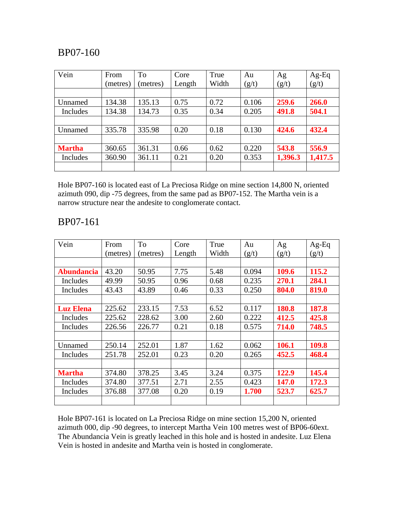| Vein          | From     | <b>To</b> | Core   | True  | Au    | Ag      | Ag-Eq   |
|---------------|----------|-----------|--------|-------|-------|---------|---------|
|               | (metres) | metres)   | Length | Width | (g/t) | (g/t)   | (g/t)   |
|               |          |           |        |       |       |         |         |
| Unnamed       | 134.38   | 135.13    | 0.75   | 0.72  | 0.106 | 259.6   | 266.0   |
| Includes      | 134.38   | 134.73    | 0.35   | 0.34  | 0.205 | 491.8   | 504.1   |
|               |          |           |        |       |       |         |         |
| Unnamed       | 335.78   | 335.98    | 0.20   | 0.18  | 0.130 | 424.6   | 432.4   |
|               |          |           |        |       |       |         |         |
| <b>Martha</b> | 360.65   | 361.31    | 0.66   | 0.62  | 0.220 | 543.8   | 556.9   |
| Includes      | 360.90   | 361.11    | 0.21   | 0.20  | 0.353 | 1,396.3 | 1,417.5 |
|               |          |           |        |       |       |         |         |

Hole BP07-160 is located east of La Preciosa Ridge on mine section 14,800 N, oriented azimuth 090, dip -75 degrees, from the same pad as BP07-152. The Martha vein is a narrow structure near the andesite to conglomerate contact.

| Vein              | From     | <b>To</b> | Core   | True  | Au    | Ag    | $Ag-Eq$ |
|-------------------|----------|-----------|--------|-------|-------|-------|---------|
|                   | (metres) | (metres)  | Length | Width | (g/t) | (g/t) | (g/t)   |
|                   |          |           |        |       |       |       |         |
| <b>Abundancia</b> | 43.20    | 50.95     | 7.75   | 5.48  | 0.094 | 109.6 | 115.2   |
| Includes          | 49.99    | 50.95     | 0.96   | 0.68  | 0.235 | 270.1 | 284.1   |
| Includes          | 43.43    | 43.89     | 0.46   | 0.33  | 0.250 | 804.0 | 819.0   |
|                   |          |           |        |       |       |       |         |
| <b>Luz Elena</b>  | 225.62   | 233.15    | 7.53   | 6.52  | 0.117 | 180.8 | 187.8   |
| Includes          | 225.62   | 228.62    | 3.00   | 2.60  | 0.222 | 412.5 | 425.8   |
| Includes          | 226.56   | 226.77    | 0.21   | 0.18  | 0.575 | 714.0 | 748.5   |
|                   |          |           |        |       |       |       |         |
| Unnamed           | 250.14   | 252.01    | 1.87   | 1.62  | 0.062 | 106.1 | 109.8   |
| Includes          | 251.78   | 252.01    | 0.23   | 0.20  | 0.265 | 452.5 | 468.4   |
|                   |          |           |        |       |       |       |         |
| <b>Martha</b>     | 374.80   | 378.25    | 3.45   | 3.24  | 0.375 | 122.9 | 145.4   |
| Includes          | 374.80   | 377.51    | 2.71   | 2.55  | 0.423 | 147.0 | 172.3   |
| Includes          | 376.88   | 377.08    | 0.20   | 0.19  | 1.700 | 523.7 | 625.7   |
|                   |          |           |        |       |       |       |         |

# BP07-161

Hole BP07-161 is located on La Preciosa Ridge on mine section 15,200 N, oriented azimuth 000, dip -90 degrees, to intercept Martha Vein 100 metres west of BP06-60ext. The Abundancia Vein is greatly leached in this hole and is hosted in andesite. Luz Elena Vein is hosted in andesite and Martha vein is hosted in conglomerate.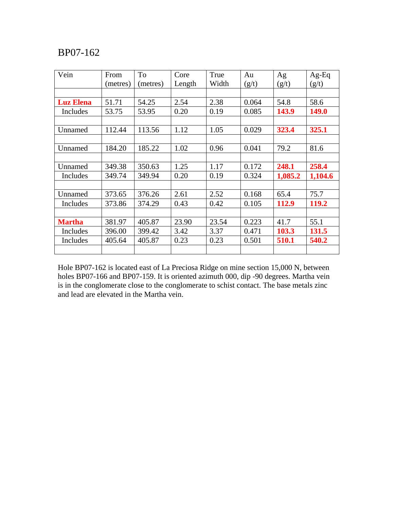| Vein             | From     | To       | Core   | True  | Au    | Ag      | Ag-Eq        |
|------------------|----------|----------|--------|-------|-------|---------|--------------|
|                  | (metres) | (metres) | Length | Width | (g/t) | (g/t)   | (g/t)        |
|                  |          |          |        |       |       |         |              |
| <b>Luz Elena</b> | 51.71    | 54.25    | 2.54   | 2.38  | 0.064 | 54.8    | 58.6         |
| Includes         | 53.75    | 53.95    | 0.20   | 0.19  | 0.085 | 143.9   | <b>149.0</b> |
|                  |          |          |        |       |       |         |              |
| Unnamed          | 112.44   | 113.56   | 1.12   | 1.05  | 0.029 | 323.4   | 325.1        |
|                  |          |          |        |       |       |         |              |
| Unnamed          | 184.20   | 185.22   | 1.02   | 0.96  | 0.041 | 79.2    | 81.6         |
|                  |          |          |        |       |       |         |              |
| Unnamed          | 349.38   | 350.63   | 1.25   | 1.17  | 0.172 | 248.1   | 258.4        |
| Includes         | 349.74   | 349.94   | 0.20   | 0.19  | 0.324 | 1,085.2 | 1,104.6      |
|                  |          |          |        |       |       |         |              |
| Unnamed          | 373.65   | 376.26   | 2.61   | 2.52  | 0.168 | 65.4    | 75.7         |
| Includes         | 373.86   | 374.29   | 0.43   | 0.42  | 0.105 | 112.9   | 119.2        |
|                  |          |          |        |       |       |         |              |
| <b>Martha</b>    | 381.97   | 405.87   | 23.90  | 23.54 | 0.223 | 41.7    | 55.1         |
| Includes         | 396.00   | 399.42   | 3.42   | 3.37  | 0.471 | 103.3   | 131.5        |
| Includes         | 405.64   | 405.87   | 0.23   | 0.23  | 0.501 | 510.1   | 540.2        |
|                  |          |          |        |       |       |         |              |

Hole BP07-162 is located east of La Preciosa Ridge on mine section 15,000 N, between holes BP07-166 and BP07-159. It is oriented azimuth 000, dip -90 degrees. Martha vein is in the conglomerate close to the conglomerate to schist contact. The base metals zinc and lead are elevated in the Martha vein.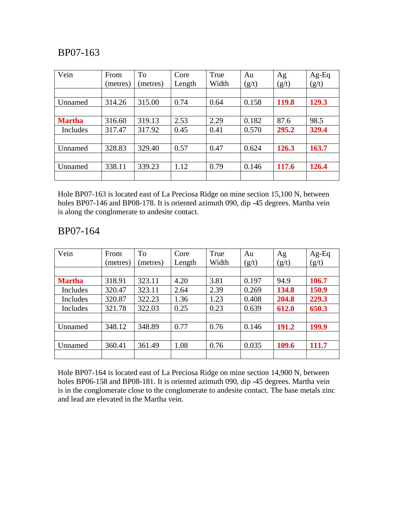| Vein          | From     | To       | Core   | True  | Au    | Ag    | $Ag-Eq$ |
|---------------|----------|----------|--------|-------|-------|-------|---------|
|               | (metres) | (metres) | Length | Width | (g/t) | (g/t) | (g/t)   |
|               |          |          |        |       |       |       |         |
| Unnamed       | 314.26   | 315.00   | 0.74   | 0.64  | 0.158 | 119.8 | 129.3   |
|               |          |          |        |       |       |       |         |
| <b>Martha</b> | 316.60   | 319.13   | 2.53   | 2.29  | 0.182 | 87.6  | 98.5    |
| Includes      | 317.47   | 317.92   | 0.45   | 0.41  | 0.570 | 295.2 | 329.4   |
|               |          |          |        |       |       |       |         |
| Unnamed       | 328.83   | 329.40   | 0.57   | 0.47  | 0.624 | 126.3 | 163.7   |
|               |          |          |        |       |       |       |         |
| Unnamed       | 338.11   | 339.23   | 1.12   | 0.79  | 0.146 | 117.6 | 126.4   |
|               |          |          |        |       |       |       |         |

Hole BP07-163 is located east of La Preciosa Ridge on mine section 15,100 N, between holes BP07-146 and BP08-178. It is oriented azimuth 090, dip -45 degrees. Martha vein is along the conglomerate to andesite contact.

#### BP07-164

| Vein          | From     | To       | Core   | True  | Au    | Ag    | $Ag-Eq$ |
|---------------|----------|----------|--------|-------|-------|-------|---------|
|               | (metres) | (metres) | Length | Width | (g/t) | (g/t) | (g/t)   |
|               |          |          |        |       |       |       |         |
| <b>Martha</b> | 318.91   | 323.11   | 4.20   | 3.81  | 0.197 | 94.9  | 106.7   |
| Includes      | 320.47   | 323.11   | 2.64   | 2.39  | 0.269 | 134.8 | 150.9   |
| Includes      | 320.87   | 322.23   | 1.36   | 1.23  | 0.408 | 204.8 | 229.3   |
| Includes      | 321.78   | 322.03   | 0.25   | 0.23  | 0.639 | 612.0 | 650.3   |
|               |          |          |        |       |       |       |         |
| Unnamed       | 348.12   | 348.89   | 0.77   | 0.76  | 0.146 | 191.2 | 199.9   |
|               |          |          |        |       |       |       |         |
| Unnamed       | 360.41   | 361.49   | 1.08   | 0.76  | 0.035 | 109.6 | 111.7   |
|               |          |          |        |       |       |       |         |

Hole BP07-164 is located east of La Preciosa Ridge on mine section 14,900 N, between holes BP06-158 and BP08-181. It is oriented azimuth 090, dip -45 degrees. Martha vein is in the conglomerate close to the conglomerate to andesite contact. The base metals zinc and lead are elevated in the Martha vein.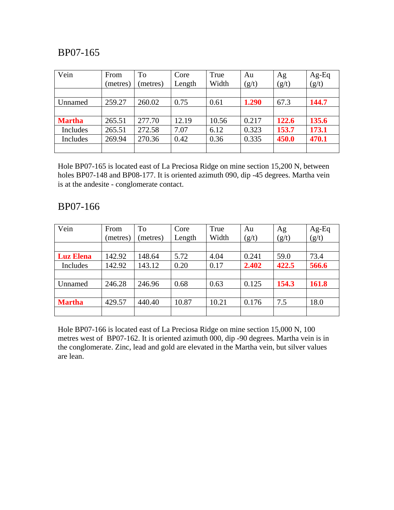| Vein          | From<br>(metres) | <b>To</b><br>(metres) | Core<br>Length | True<br>Width | Au<br>(g/t) | Ag<br>(g/t) | $Ag-Eq$<br>(g/t) |
|---------------|------------------|-----------------------|----------------|---------------|-------------|-------------|------------------|
|               |                  |                       |                |               |             |             |                  |
| Unnamed       | 259.27           | 260.02                | 0.75           | 0.61          | 1.290       | 67.3        | 144.7            |
|               |                  |                       |                |               |             |             |                  |
| <b>Martha</b> | 265.51           | 277.70                | 12.19          | 10.56         | 0.217       | 122.6       | 135.6            |
| Includes      | 265.51           | 272.58                | 7.07           | 6.12          | 0.323       | 153.7       | 173.1            |
| Includes      | 269.94           | 270.36                | 0.42           | 0.36          | 0.335       | 450.0       | 470.1            |
|               |                  |                       |                |               |             |             |                  |

Hole BP07-165 is located east of La Preciosa Ridge on mine section 15,200 N, between holes BP07-148 and BP08-177. It is oriented azimuth 090, dip -45 degrees. Martha vein is at the andesite - conglomerate contact.

#### BP07-166

| Vein             | From     | To      | Core   | True  | Au    | Ag    | $Ag-Eq$ |
|------------------|----------|---------|--------|-------|-------|-------|---------|
|                  | (metres) | metres) | Length | Width | (g/t) | (g/t) | (g/t)   |
|                  |          |         |        |       |       |       |         |
| <b>Luz Elena</b> | 142.92   | 148.64  | 5.72   | 4.04  | 0.241 | 59.0  | 73.4    |
| Includes         | 142.92   | 143.12  | 0.20   | 0.17  | 2.402 | 422.5 | 566.6   |
|                  |          |         |        |       |       |       |         |
| Unnamed          | 246.28   | 246.96  | 0.68   | 0.63  | 0.125 | 154.3 | 161.8   |
|                  |          |         |        |       |       |       |         |
| <b>Martha</b>    | 429.57   | 440.40  | 10.87  | 10.21 | 0.176 | 7.5   | 18.0    |
|                  |          |         |        |       |       |       |         |

Hole BP07-166 is located east of La Preciosa Ridge on mine section 15,000 N, 100 metres west of BP07-162. It is oriented azimuth 000, dip -90 degrees. Martha vein is in the conglomerate. Zinc, lead and gold are elevated in the Martha vein, but silver values are lean.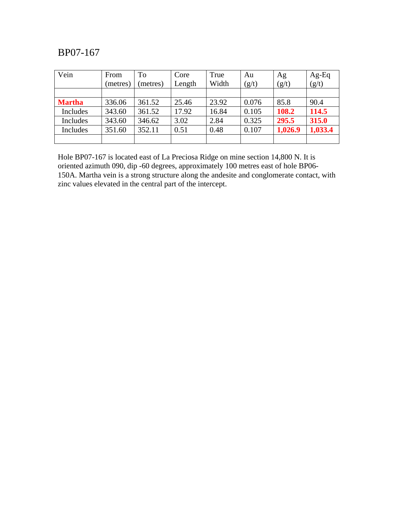| Vein          | From     | To      | Core   | True  | Au    | Ag      | $Ag-Eq$ |
|---------------|----------|---------|--------|-------|-------|---------|---------|
|               | (metres) | metres) | Length | Width | (g/t) | (g/t)   | (g/t)   |
| <b>Martha</b> | 336.06   | 361.52  | 25.46  | 23.92 | 0.076 | 85.8    | 90.4    |
| Includes      | 343.60   | 361.52  | 17.92  | 16.84 | 0.105 | 108.2   | 114.5   |
| Includes      | 343.60   | 346.62  | 3.02   | 2.84  | 0.325 | 295.5   | 315.0   |
| Includes      | 351.60   | 352.11  | 0.51   | 0.48  | 0.107 | 1,026.9 | 1,033.4 |
|               |          |         |        |       |       |         |         |

Hole BP07-167 is located east of La Preciosa Ridge on mine section 14,800 N. It is oriented azimuth 090, dip -60 degrees, approximately 100 metres east of hole BP06- 150A. Martha vein is a strong structure along the andesite and conglomerate contact, with zinc values elevated in the central part of the intercept.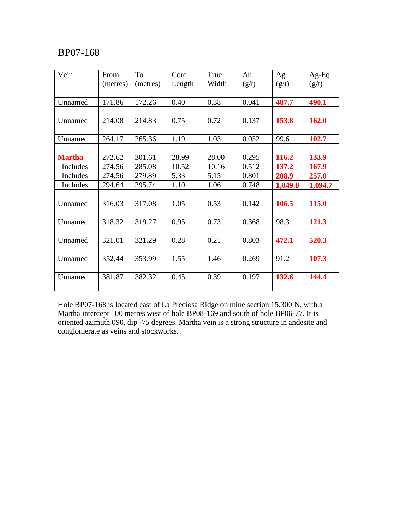| Vein          | From     | To       | Core   | True  | Au    | Ag      | $Ag-Eq$ |
|---------------|----------|----------|--------|-------|-------|---------|---------|
|               | (metres) | (metres) | Length | Width | (g/t) | (g/t)   | (g/t)   |
|               |          |          |        |       |       |         |         |
| Unnamed       | 171.86   | 172.26   | 0.40   | 0.38  | 0.041 | 487.7   | 490.1   |
|               |          |          |        |       |       |         |         |
| Unnamed       | 214.08   | 214.83   | 0.75   | 0.72  | 0.137 | 153.8   | 162.0   |
|               |          |          |        |       |       |         |         |
| Unnamed       | 264.17   | 265.36   | 1.19   | 1.03  | 0.052 | 99.6    | 102.7   |
|               |          |          |        |       |       |         |         |
| <b>Martha</b> | 272.62   | 301.61   | 28.99  | 28.00 | 0.295 | 116.2   | 133.9   |
| Includes      | 274.56   | 285.08   | 10.52  | 10.16 | 0.512 | 137.2   | 167.9   |
| Includes      | 274.56   | 279.89   | 5.33   | 5.15  | 0.801 | 208.9   | 257.0   |
| Includes      | 294.64   | 295.74   | 1.10   | 1.06  | 0.748 | 1,049.8 | 1,094.7 |
|               |          |          |        |       |       |         |         |
| Unnamed       | 316.03   | 317.08   | 1.05   | 0.53  | 0.142 | 106.5   | 115.0   |
|               |          |          |        |       |       |         |         |
| Unnamed       | 318.32   | 319.27   | 0.95   | 0.73  | 0.368 | 98.3    | 121.3   |
|               |          |          |        |       |       |         |         |
| Unnamed       | 321.01   | 321.29   | 0.28   | 0.21  | 0.803 | 472.1   | 520.3   |
|               |          |          |        |       |       |         |         |
| Unnamed       | 352,44   | 353.99   | 1.55   | 1.46  | 0.269 | 91.2    | 107.3   |
|               |          |          |        |       |       |         |         |
| Unnamed       | 381.87   | 382.32   | 0.45   | 0.39  | 0.197 | 132.6   | 144.4   |
|               |          |          |        |       |       |         |         |

Hole BP07-168 is located east of La Preciosa Ridge on mine section 15,300 N, with a Martha intercept 100 metres west of hole BP08-169 and south of hole BP06-77. It is oriented azimuth 090, dip -75 degrees. Martha vein is a strong structure in andesite and conglomerate as veins and stockworks.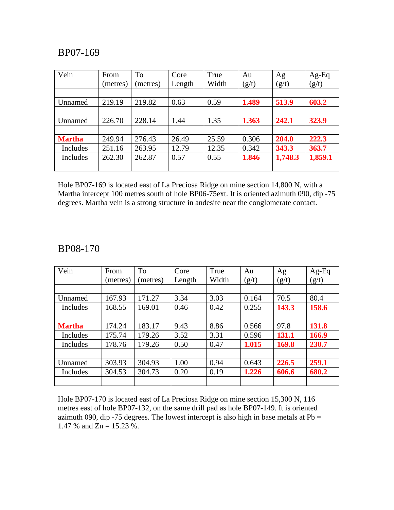| Vein          | From     | To       | Core   | True  | Au    | Ag      | Ag-Eq   |
|---------------|----------|----------|--------|-------|-------|---------|---------|
|               | (metres) | (metres) | Length | Width | (g/t) | (g/t)   | (g/t)   |
|               |          |          |        |       |       |         |         |
| Unnamed       | 219.19   | 219.82   | 0.63   | 0.59  | 1.489 | 513.9   | 603.2   |
|               |          |          |        |       |       |         |         |
| Unnamed       | 226.70   | 228.14   | 1.44   | 1.35  | 1.363 | 242.1   | 323.9   |
|               |          |          |        |       |       |         |         |
| <b>Martha</b> | 249.94   | 276.43   | 26.49  | 25.59 | 0.306 | 204.0   | 222.3   |
| Includes      | 251.16   | 263.95   | 12.79  | 12.35 | 0.342 | 343.3   | 363.7   |
| Includes      | 262.30   | 262.87   | 0.57   | 0.55  | 1.846 | 1,748.3 | 1,859.1 |
|               |          |          |        |       |       |         |         |

Hole BP07-169 is located east of La Preciosa Ridge on mine section 14,800 N, with a Martha intercept 100 metres south of hole BP06-75ext. It is oriented azimuth 090, dip -75 degrees. Martha vein is a strong structure in andesite near the conglomerate contact.

#### BP08-170

| Vein          | From     | To       | Core   | True  | Au    | Ag    | $Ag-Eq$ |
|---------------|----------|----------|--------|-------|-------|-------|---------|
|               | (metres) | (metres) | Length | Width | (g/t) | (g/t) | (g/t)   |
|               |          |          |        |       |       |       |         |
| Unnamed       | 167.93   | 171.27   | 3.34   | 3.03  | 0.164 | 70.5  | 80.4    |
| Includes      | 168.55   | 169.01   | 0.46   | 0.42  | 0.255 | 143.3 | 158.6   |
|               |          |          |        |       |       |       |         |
| <b>Martha</b> | 174.24   | 183.17   | 9.43   | 8.86  | 0.566 | 97.8  | 131.8   |
| Includes      | 175.74   | 179.26   | 3.52   | 3.31  | 0.596 | 131.1 | 166.9   |
| Includes      | 178.76   | 179.26   | 0.50   | 0.47  | 1.015 | 169.8 | 230.7   |
|               |          |          |        |       |       |       |         |
| Unnamed       | 303.93   | 304.93   | 1.00   | 0.94  | 0.643 | 226.5 | 259.1   |
| Includes      | 304.53   | 304.73   | 0.20   | 0.19  | 1.226 | 606.6 | 680.2   |
|               |          |          |        |       |       |       |         |

Hole BP07-170 is located east of La Preciosa Ridge on mine section 15,300 N, 116 metres east of hole BP07-132, on the same drill pad as hole BP07-149. It is oriented azimuth 090, dip -75 degrees. The lowest intercept is also high in base metals at  $Pb =$ 1.47 % and  $Zn = 15.23$  %.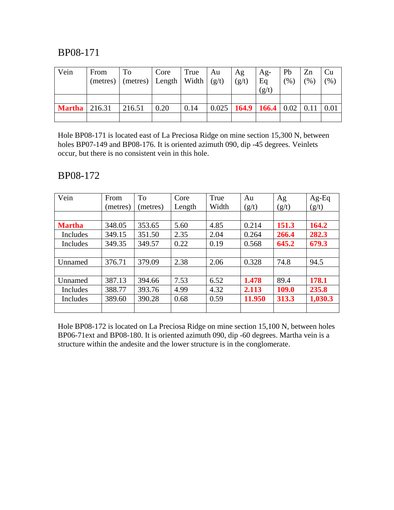| Vein                   | From | To<br>(metres) $ $ (metres) $ $ Length $ $ Width $ $ (g/t) | Core | True | Au | Ag<br>(g/t)                                  | Ag-<br>Eq | Pb<br>(% ) | Zn<br>$(%^{6})$ | Cu<br>$(\% )$ |
|------------------------|------|------------------------------------------------------------|------|------|----|----------------------------------------------|-----------|------------|-----------------|---------------|
|                        |      |                                                            |      |      |    |                                              | (g/t)     |            |                 |               |
|                        |      |                                                            |      |      |    |                                              |           |            |                 |               |
| <b>Martha</b>   216.31 |      | 216.51                                                     | 0.20 | 0.14 |    | $0.025$   164.9   166.4   0.02   0.11   0.01 |           |            |                 |               |
|                        |      |                                                            |      |      |    |                                              |           |            |                 |               |

Hole BP08-171 is located east of La Preciosa Ridge on mine section 15,300 N, between holes BP07-149 and BP08-176. It is oriented azimuth 090, dip -45 degrees. Veinlets occur, but there is no consistent vein in this hole.

#### BP08-172

| Vein          | From     | <b>To</b> | Core   | True  | Au     | Ag    | $Ag-Eq$ |
|---------------|----------|-----------|--------|-------|--------|-------|---------|
|               | (metres) | (metres)  | Length | Width | (g/t)  | (g/t) | (g/t)   |
|               |          |           |        |       |        |       |         |
| <b>Martha</b> | 348.05   | 353.65    | 5.60   | 4.85  | 0.214  | 151.3 | 164.2   |
| Includes      | 349.15   | 351.50    | 2.35   | 2.04  | 0.264  | 266.4 | 282.3   |
| Includes      | 349.35   | 349.57    | 0.22   | 0.19  | 0.568  | 645.2 | 679.3   |
|               |          |           |        |       |        |       |         |
| Unnamed       | 376.71   | 379.09    | 2.38   | 2.06  | 0.328  | 74.8  | 94.5    |
|               |          |           |        |       |        |       |         |
| Unnamed       | 387.13   | 394.66    | 7.53   | 6.52  | 1.478  | 89.4  | 178.1   |
| Includes      | 388.77   | 393.76    | 4.99   | 4.32  | 2.113  | 109.0 | 235.8   |
| Includes      | 389.60   | 390.28    | 0.68   | 0.59  | 11.950 | 313.3 | 1,030.3 |
|               |          |           |        |       |        |       |         |

Hole BP08-172 is located on La Preciosa Ridge on mine section 15,100 N, between holes BP06-71ext and BP08-180. It is oriented azimuth 090, dip -60 degrees. Martha vein is a structure within the andesite and the lower structure is in the conglomerate.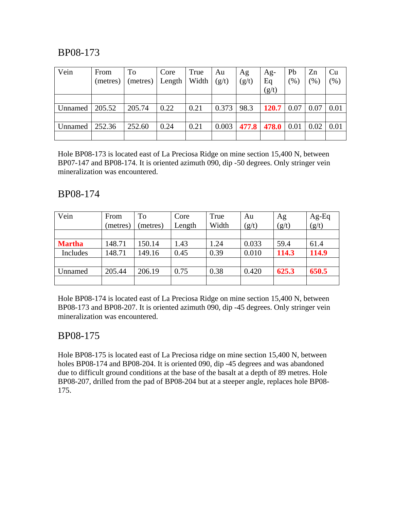| Vein    | From<br>(metres) | To<br>(metres) | Core<br>Length | True<br>Width | Au<br>(g/t) | Ag<br>(g/t) | Ag-<br>Eq | Pb<br>(% )  | Zn<br>$\%$ , | Cu<br>$(\% )$ |
|---------|------------------|----------------|----------------|---------------|-------------|-------------|-----------|-------------|--------------|---------------|
|         |                  |                |                |               |             |             | (g/t)     |             |              |               |
|         |                  |                |                |               |             |             |           |             |              |               |
| Unnamed | 205.52           | 205.74         | 0.22           | 0.21          | 0.373       | 98.3        | 120.7     | 0.07        | 0.07         | 0.01          |
|         |                  |                |                |               |             |             |           |             |              |               |
| Unnamed | 252.36           | 252.60         | 0.24           | 0.21          | 0.003       | 477.8       | 478.0     | $\mid$ 0.01 | 0.02         | 0.01          |
|         |                  |                |                |               |             |             |           |             |              |               |

Hole BP08-173 is located east of La Preciosa Ridge on mine section 15,400 N, between BP07-147 and BP08-174. It is oriented azimuth 090, dip -50 degrees. Only stringer vein mineralization was encountered.

### BP08-174

| Vein          | From<br>(metres) | To<br>(metres) | Core<br>Length | True<br>Width | Au<br>(g/t) | Ag<br>(g/t) | Ag-Eq<br>(g/t) |
|---------------|------------------|----------------|----------------|---------------|-------------|-------------|----------------|
|               |                  |                |                |               |             |             |                |
| <b>Martha</b> | 148.71           | 150.14         | 1.43           | 1.24          | 0.033       | 59.4        | 61.4           |
| Includes      | 148.71           | 149.16         | 0.45           | 0.39          | 0.010       | 114.3       | 114.9          |
|               |                  |                |                |               |             |             |                |
| Unnamed       | 205.44           | 206.19         | 0.75           | 0.38          | 0.420       | 625.3       | 650.5          |
|               |                  |                |                |               |             |             |                |

Hole BP08-174 is located east of La Preciosa Ridge on mine section 15,400 N, between BP08-173 and BP08-207. It is oriented azimuth 090, dip -45 degrees. Only stringer vein mineralization was encountered.

# BP08-175

Hole BP08-175 is located east of La Preciosa ridge on mine section 15,400 N, between holes BP08-174 and BP08-204. It is oriented 090, dip -45 degrees and was abandoned due to difficult ground conditions at the base of the basalt at a depth of 89 metres. Hole BP08-207, drilled from the pad of BP08-204 but at a steeper angle, replaces hole BP08- 175.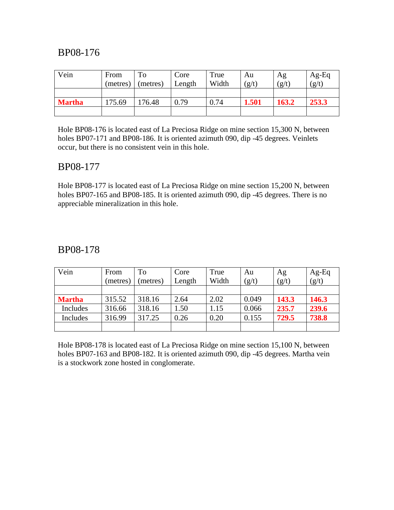| Vein          | From<br>(metres) | To<br>(metres) | Core<br>Length | True<br>Width | Au<br>(g/t) | Ag<br>(g/t) | $Ag-Eq$<br>(g/t) |
|---------------|------------------|----------------|----------------|---------------|-------------|-------------|------------------|
|               |                  |                |                |               |             |             |                  |
| <b>Martha</b> | 175.69           | 176.48         | 0.79           | 0.74          | 1.501       | 163.2       | 253.3            |
|               |                  |                |                |               |             |             |                  |

Hole BP08-176 is located east of La Preciosa Ridge on mine section 15,300 N, between holes BP07-171 and BP08-186. It is oriented azimuth 090, dip -45 degrees. Veinlets occur, but there is no consistent vein in this hole.

#### BP08-177

Hole BP08-177 is located east of La Preciosa Ridge on mine section 15,200 N, between holes BP07-165 and BP08-185. It is oriented azimuth 090, dip -45 degrees. There is no appreciable mineralization in this hole.

#### BP08-178

| Vein          | From     | To      | Core   | True  | Au    | Ag    | $Ag-Eq$ |
|---------------|----------|---------|--------|-------|-------|-------|---------|
|               | (metres) | metres) | Length | Width | (g/t) | (g/t) | (g/t)   |
|               |          |         |        |       |       |       |         |
| <b>Martha</b> | 315.52   | 318.16  | 2.64   | 2.02  | 0.049 | 143.3 | 146.3   |
| Includes      | 316.66   | 318.16  | 1.50   | 1.15  | 0.066 | 235.7 | 239.6   |
| Includes      | 316.99   | 317.25  | 0.26   | 0.20  | 0.155 | 729.5 | 738.8   |
|               |          |         |        |       |       |       |         |

Hole BP08-178 is located east of La Preciosa Ridge on mine section 15,100 N, between holes BP07-163 and BP08-182. It is oriented azimuth 090, dip -45 degrees. Martha vein is a stockwork zone hosted in conglomerate.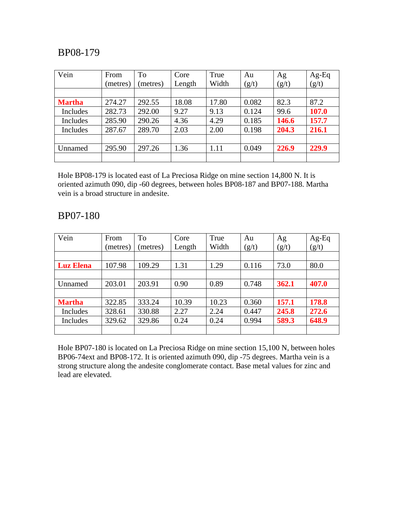| Vein          | From     | To      | Core   | True  | Au    | Ag    | $Ag-Eq$ |
|---------------|----------|---------|--------|-------|-------|-------|---------|
|               | (metres) | metres) | Length | Width | (g/t) | (g/t) | (g/t)   |
| <b>Martha</b> | 274.27   | 292.55  | 18.08  | 17.80 | 0.082 | 82.3  | 87.2    |
| Includes      | 282.73   | 292.00  | 9.27   | 9.13  | 0.124 | 99.6  | 107.0   |
| Includes      | 285.90   | 290.26  | 4.36   | 4.29  | 0.185 | 146.6 | 157.7   |
| Includes      | 287.67   | 289.70  | 2.03   | 2.00  | 0.198 | 204.3 | 216.1   |
|               |          |         |        |       |       |       |         |
| Unnamed       | 295.90   | 297.26  | 1.36   | 1.11  | 0.049 | 226.9 | 229.9   |
|               |          |         |        |       |       |       |         |

Hole BP08-179 is located east of La Preciosa Ridge on mine section 14,800 N. It is oriented azimuth 090, dip -60 degrees, between holes BP08-187 and BP07-188. Martha vein is a broad structure in andesite.

#### BP07-180

| Vein             | From     | To       | Core   | True  | Au    | Ag    | $Ag-Eq$ |
|------------------|----------|----------|--------|-------|-------|-------|---------|
|                  | (metres) | (metres) | Length | Width | (g/t) | (g/t) | (g/t)   |
|                  |          |          |        |       |       |       |         |
| <b>Luz Elena</b> | 107.98   | 109.29   | 1.31   | 1.29  | 0.116 | 73.0  | 80.0    |
|                  |          |          |        |       |       |       |         |
| Unnamed          | 203.01   | 203.91   | 0.90   | 0.89  | 0.748 | 362.1 | 407.0   |
|                  |          |          |        |       |       |       |         |
| <b>Martha</b>    | 322.85   | 333.24   | 10.39  | 10.23 | 0.360 | 157.1 | 178.8   |
| Includes         | 328.61   | 330.88   | 2.27   | 2.24  | 0.447 | 245.8 | 272.6   |
| Includes         | 329.62   | 329.86   | 0.24   | 0.24  | 0.994 | 589.3 | 648.9   |
|                  |          |          |        |       |       |       |         |

Hole BP07-180 is located on La Preciosa Ridge on mine section 15,100 N, between holes BP06-74ext and BP08-172. It is oriented azimuth 090, dip -75 degrees. Martha vein is a strong structure along the andesite conglomerate contact. Base metal values for zinc and lead are elevated.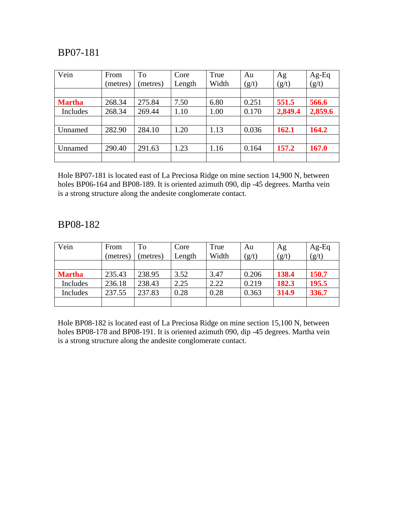| Vein          | From     | To      | Core   | True  | Au    | Ag      | Ag-Eq   |
|---------------|----------|---------|--------|-------|-------|---------|---------|
|               | (metres) | metres) | Length | Width | (g/t) | (g/t)   | (g/t)   |
|               |          |         |        |       |       |         |         |
| <b>Martha</b> | 268.34   | 275.84  | 7.50   | 6.80  | 0.251 | 551.5   | 566.6   |
| Includes      | 268.34   | 269.44  | 1.10   | 1.00  | 0.170 | 2,849.4 | 2,859.6 |
|               |          |         |        |       |       |         |         |
| Unnamed       | 282.90   | 284.10  | 1.20   | 1.13  | 0.036 | 162.1   | 164.2   |
|               |          |         |        |       |       |         |         |
| Unnamed       | 290.40   | 291.63  | 1.23   | 1.16  | 0.164 | 157.2   | 167.0   |
|               |          |         |        |       |       |         |         |

Hole BP07-181 is located east of La Preciosa Ridge on mine section 14,900 N, between holes BP06-164 and BP08-189. It is oriented azimuth 090, dip -45 degrees. Martha vein is a strong structure along the andesite conglomerate contact.

#### BP08-182

| Vein          | From<br>(metres) | To<br>metres) | Core<br>Length | True<br>Width | Au<br>(g/t) | Ag<br>(g/t) | $Ag-Eq$<br>(g/t) |
|---------------|------------------|---------------|----------------|---------------|-------------|-------------|------------------|
|               |                  |               |                |               |             |             |                  |
| <b>Martha</b> | 235.43           | 238.95        | 3.52           | 3.47          | 0.206       | 138.4       | 150.7            |
| Includes      | 236.18           | 238.43        | 2.25           | 2.22          | 0.219       | 182.3       | 195.5            |
| Includes      | 237.55           | 237.83        | 0.28           | 0.28          | 0.363       | 314.9       | 336.7            |
|               |                  |               |                |               |             |             |                  |

Hole BP08-182 is located east of La Preciosa Ridge on mine section 15,100 N, between holes BP08-178 and BP08-191. It is oriented azimuth 090, dip -45 degrees. Martha vein is a strong structure along the andesite conglomerate contact.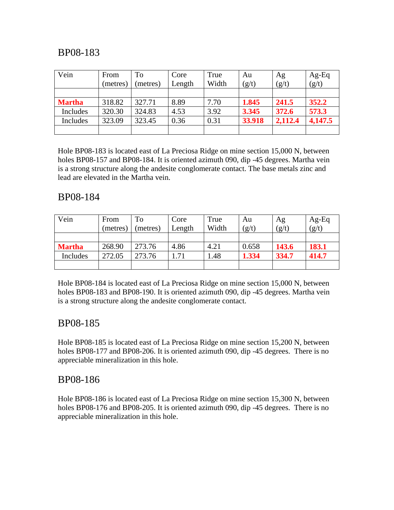| Vein          | From<br>(metres) | To<br>(metres) | Core<br>Length | True<br>Width | Au<br>(g/t) | Ag<br>(g/t) | $Ag-Eq$<br>(g/t) |
|---------------|------------------|----------------|----------------|---------------|-------------|-------------|------------------|
|               |                  |                |                |               |             |             |                  |
| <b>Martha</b> | 318.82           | 327.71         | 8.89           | 7.70          | 1.845       | 241.5       | 352.2            |
| Includes      | 320.30           | 324.83         | 4.53           | 3.92          | 3.345       | 372.6       | 573.3            |
| Includes      | 323.09           | 323.45         | 0.36           | 0.31          | 33.918      | 2,112.4     | 4,147.5          |
|               |                  |                |                |               |             |             |                  |

Hole BP08-183 is located east of La Preciosa Ridge on mine section 15,000 N, between holes BP08-157 and BP08-184. It is oriented azimuth 090, dip -45 degrees. Martha vein is a strong structure along the andesite conglomerate contact. The base metals zinc and lead are elevated in the Martha vein.

#### BP08-184

| Vein          | From     | To       | Core   | True  | Au    | Ag    | $Ag-Eq$ |
|---------------|----------|----------|--------|-------|-------|-------|---------|
|               | (metres) | (metres) | Length | Width | (g/t) | (g/t) | (g/t)   |
|               |          |          |        |       |       |       |         |
| <b>Martha</b> | 268.90   | 273.76   | 4.86   | 4.21  | 0.658 | 143.6 | 183.1   |
| Includes      | 272.05   | 273.76   | .71    | .48   | 1.334 | 334.7 | 414.7   |
|               |          |          |        |       |       |       |         |

Hole BP08-184 is located east of La Preciosa Ridge on mine section 15,000 N, between holes BP08-183 and BP08-190. It is oriented azimuth 090, dip -45 degrees. Martha vein is a strong structure along the andesite conglomerate contact.

### BP08-185

Hole BP08-185 is located east of La Preciosa Ridge on mine section 15,200 N, between holes BP08-177 and BP08-206. It is oriented azimuth 090, dip -45 degrees. There is no appreciable mineralization in this hole.

### BP08-186

Hole BP08-186 is located east of La Preciosa Ridge on mine section 15,300 N, between holes BP08-176 and BP08-205. It is oriented azimuth 090, dip -45 degrees. There is no appreciable mineralization in this hole.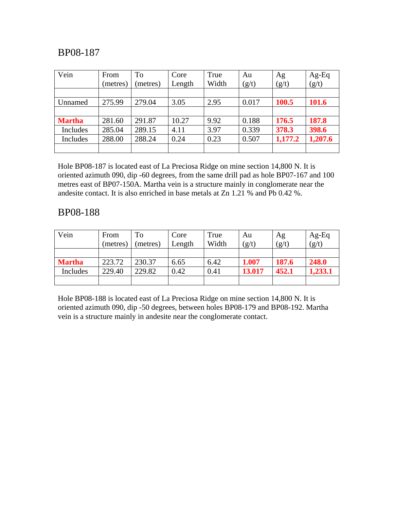| Vein          | From     | To       | Core   | True  | Au    | Ag      | $Ag-Eq$ |
|---------------|----------|----------|--------|-------|-------|---------|---------|
|               | (metres) | (metres) | Length | Width | (g/t) | (g/t)   | (g/t)   |
|               |          |          |        |       |       |         |         |
| Unnamed       | 275.99   | 279.04   | 3.05   | 2.95  | 0.017 | 100.5   | 101.6   |
|               |          |          |        |       |       |         |         |
| <b>Martha</b> | 281.60   | 291.87   | 10.27  | 9.92  | 0.188 | 176.5   | 187.8   |
| Includes      | 285.04   | 289.15   | 4.11   | 3.97  | 0.339 | 378.3   | 398.6   |
| Includes      | 288.00   | 288.24   | 0.24   | 0.23  | 0.507 | 1,177.2 | 1,207.6 |
|               |          |          |        |       |       |         |         |

Hole BP08-187 is located east of La Preciosa Ridge on mine section 14,800 N. It is oriented azimuth 090, dip -60 degrees, from the same drill pad as hole BP07-167 and 100 metres east of BP07-150A. Martha vein is a structure mainly in conglomerate near the andesite contact. It is also enriched in base metals at Zn 1.21 % and Pb 0.42 %.

#### BP08-188

| Vein          | From     | To       | Core   | True  | Au     | Ag    | $Ag-Eq$ |
|---------------|----------|----------|--------|-------|--------|-------|---------|
|               | (metres) | (metres) | Length | Width | (g/t)  | (g/t) | (g/t)   |
|               |          |          |        |       |        |       |         |
| <b>Martha</b> | 223.72   | 230.37   | 6.65   | 6.42  | 1.007  | 187.6 | 248.0   |
| Includes      | 229.40   | 229.82   | 0.42   | 0.41  | 13.017 | 452.1 | 1,233.1 |
|               |          |          |        |       |        |       |         |

Hole BP08-188 is located east of La Preciosa Ridge on mine section 14,800 N. It is oriented azimuth 090, dip -50 degrees, between holes BP08-179 and BP08-192. Martha vein is a structure mainly in andesite near the conglomerate contact.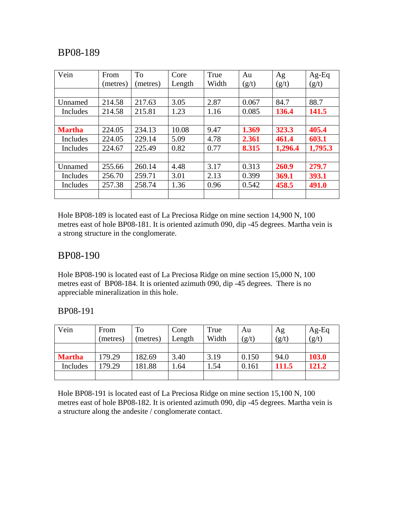| Vein          | From     | <b>To</b> | Core   | True  | Au    | Ag      | $Ag-Eq$ |
|---------------|----------|-----------|--------|-------|-------|---------|---------|
|               | (metres) | (metres)  | Length | Width | (g/t) | (g/t)   | (g/t)   |
|               |          |           |        |       |       |         |         |
| Unnamed       | 214.58   | 217.63    | 3.05   | 2.87  | 0.067 | 84.7    | 88.7    |
| Includes      | 214.58   | 215.81    | 1.23   | 1.16  | 0.085 | 136.4   | 141.5   |
|               |          |           |        |       |       |         |         |
| <b>Martha</b> | 224.05   | 234.13    | 10.08  | 9.47  | 1.369 | 323.3   | 405.4   |
| Includes      | 224.05   | 229.14    | 5.09   | 4.78  | 2.361 | 461.4   | 603.1   |
| Includes      | 224.67   | 225.49    | 0.82   | 0.77  | 8.315 | 1,296.4 | 1,795.3 |
|               |          |           |        |       |       |         |         |
| Unnamed       | 255.66   | 260.14    | 4.48   | 3.17  | 0.313 | 260.9   | 279.7   |
| Includes      | 256.70   | 259.71    | 3.01   | 2.13  | 0.399 | 369.1   | 393.1   |
| Includes      | 257.38   | 258.74    | 1.36   | 0.96  | 0.542 | 458.5   | 491.0   |
|               |          |           |        |       |       |         |         |

Hole BP08-189 is located east of La Preciosa Ridge on mine section 14,900 N, 100 metres east of hole BP08-181. It is oriented azimuth 090, dip -45 degrees. Martha vein is a strong structure in the conglomerate.

### BP08-190

Hole BP08-190 is located east of La Preciosa Ridge on mine section 15,000 N, 100 metres east of BP08-184. It is oriented azimuth 090, dip -45 degrees. There is no appreciable mineralization in this hole.

| BP08-191 |  |
|----------|--|
|          |  |

| Vein          | From<br>(metres) | To<br>(metres) | Core<br>Length | True<br>Width | Au<br>(g/t) | Ag<br>(g/t) | $Ag-Eq$<br>(g/t) |
|---------------|------------------|----------------|----------------|---------------|-------------|-------------|------------------|
|               |                  |                |                |               |             |             |                  |
| <b>Martha</b> | 179.29           | 182.69         | 3.40           | 3.19          | 0.150       | 94.0        | 103.0            |
| Includes      | 179.29           | 181.88         | .64            | 1.54          | 0.161       | 111.5       | 121.2            |
|               |                  |                |                |               |             |             |                  |

Hole BP08-191 is located east of La Preciosa Ridge on mine section 15,100 N, 100 metres east of hole BP08-182. It is oriented azimuth 090, dip -45 degrees. Martha vein is a structure along the andesite / conglomerate contact.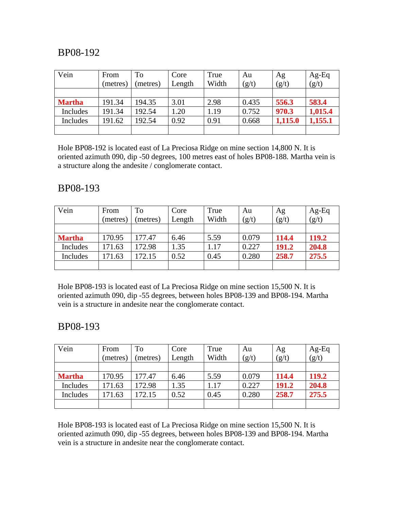| Vein          | From     | To       | Core   | True  | Au    | Ag      | $Ag-Eq$ |
|---------------|----------|----------|--------|-------|-------|---------|---------|
|               | (metres) | (metres) | Length | Width | (g/t) | (g/t)   | (g/t)   |
|               |          |          |        |       |       |         |         |
| <b>Martha</b> | 191.34   | 194.35   | 3.01   | 2.98  | 0.435 | 556.3   | 583.4   |
| Includes      | 191.34   | 192.54   | 1.20   | 1.19  | 0.752 | 970.3   | 1,015.4 |
| Includes      | 191.62   | 192.54   | 0.92   | 0.91  | 0.668 | 1,115.0 | 1,155.1 |
|               |          |          |        |       |       |         |         |

Hole BP08-192 is located east of La Preciosa Ridge on mine section 14,800 N. It is oriented azimuth 090, dip -50 degrees, 100 metres east of holes BP08-188. Martha vein is a structure along the andesite / conglomerate contact.

#### BP08-193

| Vein          | From     | To      | Core   | True  | Au    | Ag    | $Ag-Eq$ |
|---------------|----------|---------|--------|-------|-------|-------|---------|
|               | (metres) | metres) | Length | Width | (g/t) | (g/t) | (g/t)   |
|               |          |         |        |       |       |       |         |
| <b>Martha</b> | 170.95   | 177.47  | 6.46   | 5.59  | 0.079 | 114.4 | 119.2   |
| Includes      | 171.63   | 172.98  | 1.35   | 1.17  | 0.227 | 191.2 | 204.8   |
| Includes      | 171.63   | 172.15  | 0.52   | 0.45  | 0.280 | 258.7 | 275.5   |
|               |          |         |        |       |       |       |         |

Hole BP08-193 is located east of La Preciosa Ridge on mine section 15,500 N. It is oriented azimuth 090, dip -55 degrees, between holes BP08-139 and BP08-194. Martha vein is a structure in andesite near the conglomerate contact.

### BP08-193

| Vein          | From     | To       | Core   | True  | Au    | Ag    | $Ag-Eq$ |
|---------------|----------|----------|--------|-------|-------|-------|---------|
|               | (metres) | (metres) | Length | Width | (g/t) | (g/t) | (g/t)   |
|               |          |          |        |       |       |       |         |
| <b>Martha</b> | 170.95   | 177.47   | 6.46   | 5.59  | 0.079 | 114.4 | 119.2   |
| Includes      | 171.63   | 172.98   | 1.35   | 1.17  | 0.227 | 191.2 | 204.8   |
| Includes      | 171.63   | 172.15   | 0.52   | 0.45  | 0.280 | 258.7 | 275.5   |
|               |          |          |        |       |       |       |         |

Hole BP08-193 is located east of La Preciosa Ridge on mine section 15,500 N. It is oriented azimuth 090, dip -55 degrees, between holes BP08-139 and BP08-194. Martha vein is a structure in andesite near the conglomerate contact.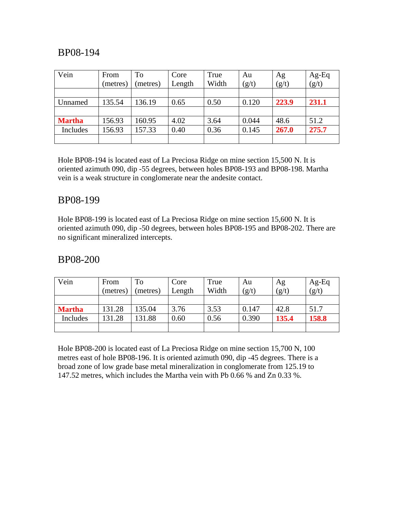| Vein          | From     | To       | Core   | True  | Au    | Ag    | Ag-Eq |
|---------------|----------|----------|--------|-------|-------|-------|-------|
|               | (metres) | (metres) | Length | Width | (g/t) | (g/t) | (g/t) |
|               |          |          |        |       |       |       |       |
| Unnamed       | 135.54   | 136.19   | 0.65   | 0.50  | 0.120 | 223.9 | 231.1 |
|               |          |          |        |       |       |       |       |
| <b>Martha</b> | 156.93   | 160.95   | 4.02   | 3.64  | 0.044 | 48.6  | 51.2  |
| Includes      | 156.93   | 157.33   | 0.40   | 0.36  | 0.145 | 267.0 | 275.7 |
|               |          |          |        |       |       |       |       |

Hole BP08-194 is located east of La Preciosa Ridge on mine section 15,500 N. It is oriented azimuth 090, dip -55 degrees, between holes BP08-193 and BP08-198. Martha vein is a weak structure in conglomerate near the andesite contact.

#### BP08-199

Hole BP08-199 is located east of La Preciosa Ridge on mine section 15,600 N. It is oriented azimuth 090, dip -50 degrees, between holes BP08-195 and BP08-202. There are no significant mineralized intercepts.

#### BP08-200

| Vein          | From     | To       | Core   | True  | Au    | Ag    | $Ag-Eq$ |
|---------------|----------|----------|--------|-------|-------|-------|---------|
|               | (metres) | (metres) | Length | Width | (g/t) | (g/t) | (g/t)   |
|               |          |          |        |       |       |       |         |
| <b>Martha</b> | 131.28   | 135.04   | 3.76   | 3.53  | 0.147 | 42.8  | 51.7    |
| Includes      | 131.28   | 131.88   | 0.60   | 0.56  | 0.390 | 135.4 | 158.8   |
|               |          |          |        |       |       |       |         |

Hole BP08-200 is located east of La Preciosa Ridge on mine section 15,700 N, 100 metres east of hole BP08-196. It is oriented azimuth 090, dip -45 degrees. There is a broad zone of low grade base metal mineralization in conglomerate from 125.19 to 147.52 metres, which includes the Martha vein with Pb 0.66 % and Zn 0.33 %.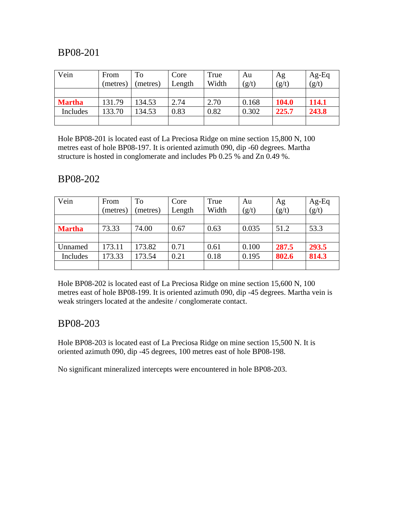| Vein          | From     | To       | Core   | True  | Au    | Ag           | $Ag-Eq$ |
|---------------|----------|----------|--------|-------|-------|--------------|---------|
|               | (metres) | (metres) | Length | Width | (g/t) | (g/t)        | (g/t)   |
|               |          |          |        |       |       |              |         |
| <b>Martha</b> | 131.79   | 134.53   | 2.74   | 2.70  | 0.168 | <b>104.0</b> | 114.1   |
| Includes      | 133.70   | 134.53   | 0.83   | 0.82  | 0.302 | 225.7        | 243.8   |
|               |          |          |        |       |       |              |         |

Hole BP08-201 is located east of La Preciosa Ridge on mine section 15,800 N, 100 metres east of hole BP08-197. It is oriented azimuth 090, dip -60 degrees. Martha structure is hosted in conglomerate and includes Pb 0.25 % and Zn 0.49 %.

#### BP08-202

| Vein          | From<br>(metres) | To<br>(metres) | Core<br>Length | True<br>Width | Au<br>(g/t) | Ag<br>(g/t) | Ag-Eq<br>(g/t) |
|---------------|------------------|----------------|----------------|---------------|-------------|-------------|----------------|
|               |                  |                |                |               |             |             |                |
| <b>Martha</b> | 73.33            | 74.00          | 0.67           | 0.63          | 0.035       | 51.2        | 53.3           |
|               |                  |                |                |               |             |             |                |
| Unnamed       | 173.11           | 173.82         | 0.71           | 0.61          | 0.100       | 287.5       | 293.5          |
| Includes      | 173.33           | 173.54         | 0.21           | 0.18          | 0.195       | 802.6       | 814.3          |
|               |                  |                |                |               |             |             |                |

Hole BP08-202 is located east of La Preciosa Ridge on mine section 15,600 N, 100 metres east of hole BP08-199. It is oriented azimuth 090, dip -45 degrees. Martha vein is weak stringers located at the andesite / conglomerate contact.

### BP08-203

Hole BP08-203 is located east of La Preciosa Ridge on mine section 15,500 N. It is oriented azimuth 090, dip -45 degrees, 100 metres east of hole BP08-198.

No significant mineralized intercepts were encountered in hole BP08-203.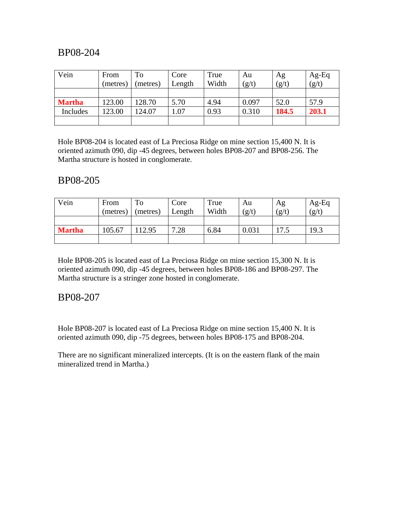| Vein          | From     | To       | Core   | True  | Au    | Ag    | $Ag-Eq$ |
|---------------|----------|----------|--------|-------|-------|-------|---------|
|               | (metres) | (metres) | Length | Width | (g/t) | (g/t) | (g/t)   |
|               |          |          |        |       |       |       |         |
| <b>Martha</b> | 123.00   | 128.70   | 5.70   | 4.94  | 0.097 | 52.0  | 57.9    |
| Includes      | 123.00   | 124.07   | 1.07   | 0.93  | 0.310 | 184.5 | 203.1   |
|               |          |          |        |       |       |       |         |

Hole BP08-204 is located east of La Preciosa Ridge on mine section 15,400 N. It is oriented azimuth 090, dip -45 degrees, between holes BP08-207 and BP08-256. The Martha structure is hosted in conglomerate.

### BP08-205

| Vein          | From<br>(metres) | To<br>(metres) | Core<br>Length | True<br>Width | Au<br>(g/t) | Ag<br>(g/t) | $Ag-Eq$<br>(g/t) |
|---------------|------------------|----------------|----------------|---------------|-------------|-------------|------------------|
|               |                  |                |                |               |             |             |                  |
| <b>Martha</b> | 105.67           | 12.95          | 7.28           | 6.84          | 0.031       | 17.5        | 19.3             |
|               |                  |                |                |               |             |             |                  |

Hole BP08-205 is located east of La Preciosa Ridge on mine section 15,300 N. It is oriented azimuth 090, dip -45 degrees, between holes BP08-186 and BP08-297. The Martha structure is a stringer zone hosted in conglomerate.

#### BP08-207

Hole BP08-207 is located east of La Preciosa Ridge on mine section 15,400 N. It is oriented azimuth 090, dip -75 degrees, between holes BP08-175 and BP08-204.

There are no significant mineralized intercepts. (It is on the eastern flank of the main mineralized trend in Martha.)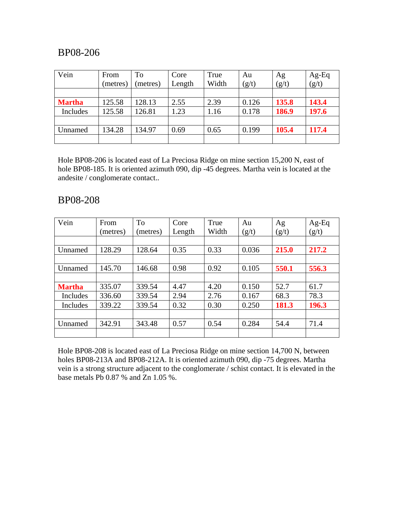| Vein          | From     | To       | Core   | True  | Au    | Ag    | Ag-Eq |
|---------------|----------|----------|--------|-------|-------|-------|-------|
|               | (metres) | (metres) | Length | Width | (g/t) | (g/t) | (g/t) |
|               |          |          |        |       |       |       |       |
| <b>Martha</b> | 125.58   | 128.13   | 2.55   | 2.39  | 0.126 | 135.8 | 143.4 |
| Includes      | 125.58   | 126.81   | 1.23   | 1.16  | 0.178 | 186.9 | 197.6 |
|               |          |          |        |       |       |       |       |
| Unnamed       | 134.28   | 134.97   | 0.69   | 0.65  | 0.199 | 105.4 | 117.4 |
|               |          |          |        |       |       |       |       |

Hole BP08-206 is located east of La Preciosa Ridge on mine section 15,200 N, east of hole BP08-185. It is oriented azimuth 090, dip -45 degrees. Martha vein is located at the andesite / conglomerate contact..

#### BP08-208

| Vein          | From     | To       | Core   | True  | Au    | Ag    | $Ag-Eq$ |
|---------------|----------|----------|--------|-------|-------|-------|---------|
|               | (metres) | (metres) | Length | Width | (g/t) | (g/t) | (g/t)   |
|               |          |          |        |       |       |       |         |
| Unnamed       | 128.29   | 128.64   | 0.35   | 0.33  | 0.036 | 215.0 | 217.2   |
|               |          |          |        |       |       |       |         |
| Unnamed       | 145.70   | 146.68   | 0.98   | 0.92  | 0.105 | 550.1 | 556.3   |
|               |          |          |        |       |       |       |         |
| <b>Martha</b> | 335.07   | 339.54   | 4.47   | 4.20  | 0.150 | 52.7  | 61.7    |
| Includes      | 336.60   | 339.54   | 2.94   | 2.76  | 0.167 | 68.3  | 78.3    |
| Includes      | 339.22   | 339.54   | 0.32   | 0.30  | 0.250 | 181.3 | 196.3   |
|               |          |          |        |       |       |       |         |
| Unnamed       | 342.91   | 343.48   | 0.57   | 0.54  | 0.284 | 54.4  | 71.4    |
|               |          |          |        |       |       |       |         |

Hole BP08-208 is located east of La Preciosa Ridge on mine section 14,700 N, between holes BP08-213A and BP08-212A. It is oriented azimuth 090, dip -75 degrees. Martha vein is a strong structure adjacent to the conglomerate / schist contact. It is elevated in the base metals Pb 0.87 % and Zn 1.05 %.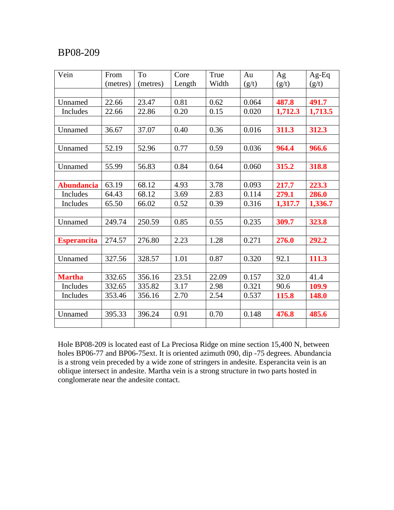| Vein               | From     | To       | Core   | True  | Au    | Ag      | $Ag-Eq$ |
|--------------------|----------|----------|--------|-------|-------|---------|---------|
|                    | (metres) | (metres) | Length | Width | (g/t) | (g/t)   | (g/t)   |
|                    |          |          |        |       |       |         |         |
| Unnamed            | 22.66    | 23.47    | 0.81   | 0.62  | 0.064 | 487.8   | 491.7   |
| Includes           | 22.66    | 22.86    | 0.20   | 0.15  | 0.020 | 1,712.3 | 1,713.5 |
|                    |          |          |        |       |       |         |         |
| Unnamed            | 36.67    | 37.07    | 0.40   | 0.36  | 0.016 | 311.3   | 312.3   |
|                    |          |          |        |       |       |         |         |
| Unnamed            | 52.19    | 52.96    | 0.77   | 0.59  | 0.036 | 964.4   | 966.6   |
|                    |          |          |        |       |       |         |         |
| Unnamed            | 55.99    | 56.83    | 0.84   | 0.64  | 0.060 | 315.2   | 318.8   |
|                    |          |          |        |       |       |         |         |
| <b>Abundancia</b>  | 63.19    | 68.12    | 4.93   | 3.78  | 0.093 | 217.7   | 223.3   |
| <b>Includes</b>    | 64.43    | 68.12    | 3.69   | 2.83  | 0.114 | 279.1   | 286.0   |
| Includes           | 65.50    | 66.02    | 0.52   | 0.39  | 0.316 | 1,317.7 | 1,336.7 |
|                    |          |          |        |       |       |         |         |
| Unnamed            | 249.74   | 250.59   | 0.85   | 0.55  | 0.235 | 309.7   | 323.8   |
|                    |          |          |        |       |       |         |         |
| <b>Esperancita</b> | 274.57   | 276.80   | 2.23   | 1.28  | 0.271 | 276.0   | 292.2   |
|                    |          |          |        |       |       |         |         |
| Unnamed            | 327.56   | 328.57   | 1.01   | 0.87  | 0.320 | 92.1    | 111.3   |
|                    |          |          |        |       |       |         |         |
| <b>Martha</b>      | 332.65   | 356.16   | 23.51  | 22.09 | 0.157 | 32.0    | 41.4    |
| Includes           | 332.65   | 335.82   | 3.17   | 2.98  | 0.321 | 90.6    | 109.9   |
| Includes           | 353.46   | 356.16   | 2.70   | 2.54  | 0.537 | 115.8   | 148.0   |
|                    |          |          |        |       |       |         |         |
| Unnamed            | 395.33   | 396.24   | 0.91   | 0.70  | 0.148 | 476.8   | 485.6   |
|                    |          |          |        |       |       |         |         |

Hole BP08-209 is located east of La Preciosa Ridge on mine section 15,400 N, between holes BP06-77 and BP06-75ext. It is oriented azimuth 090, dip -75 degrees. Abundancia is a strong vein preceded by a wide zone of stringers in andesite. Esperancita vein is an oblique intersect in andesite. Martha vein is a strong structure in two parts hosted in conglomerate near the andesite contact.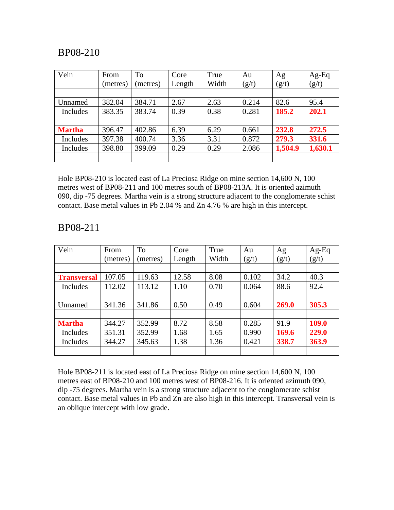| Vein          | From     | To       | Core   | True  | Au    | Ag      | Ag-Eq   |
|---------------|----------|----------|--------|-------|-------|---------|---------|
|               | (metres) | (metres) | Length | Width | (g/t) | (g/t)   | (g/t)   |
|               |          |          |        |       |       |         |         |
| Unnamed       | 382.04   | 384.71   | 2.67   | 2.63  | 0.214 | 82.6    | 95.4    |
| Includes      | 383.35   | 383.74   | 0.39   | 0.38  | 0.281 | 185.2   | 202.1   |
|               |          |          |        |       |       |         |         |
| <b>Martha</b> | 396.47   | 402.86   | 6.39   | 6.29  | 0.661 | 232.8   | 272.5   |
| Includes      | 397.38   | 400.74   | 3.36   | 3.31  | 0.872 | 279.3   | 331.6   |
| Includes      | 398.80   | 399.09   | 0.29   | 0.29  | 2.086 | 1,504.9 | 1,630.1 |
|               |          |          |        |       |       |         |         |

Hole BP08-210 is located east of La Preciosa Ridge on mine section 14,600 N, 100 metres west of BP08-211 and 100 metres south of BP08-213A. It is oriented azimuth 090, dip -75 degrees. Martha vein is a strong structure adjacent to the conglomerate schist contact. Base metal values in Pb 2.04 % and Zn 4.76 % are high in this intercept.

| Vein               | From     | To       | Core   | True  | Au    | Ag    | Ag-Eq |
|--------------------|----------|----------|--------|-------|-------|-------|-------|
|                    | (metres) | (metres) | Length | Width | (g/t) | (g/t) | (g/t) |
|                    |          |          |        |       |       |       |       |
| <b>Transversal</b> | 107.05   | 119.63   | 12.58  | 8.08  | 0.102 | 34.2  | 40.3  |
| Includes           | 112.02   | 113.12   | 1.10   | 0.70  | 0.064 | 88.6  | 92.4  |
|                    |          |          |        |       |       |       |       |
| Unnamed            | 341.36   | 341.86   | 0.50   | 0.49  | 0.604 | 269.0 | 305.3 |
|                    |          |          |        |       |       |       |       |
| <b>Martha</b>      | 344.27   | 352.99   | 8.72   | 8.58  | 0.285 | 91.9  | 109.0 |
| Includes           | 351.31   | 352.99   | 1.68   | 1.65  | 0.990 | 169.6 | 229.0 |
| Includes           | 344.27   | 345.63   | 1.38   | 1.36  | 0.421 | 338.7 | 363.9 |
|                    |          |          |        |       |       |       |       |

#### BP08-211

Hole BP08-211 is located east of La Preciosa Ridge on mine section 14,600 N, 100 metres east of BP08-210 and 100 metres west of BP08-216. It is oriented azimuth 090, dip -75 degrees. Martha vein is a strong structure adjacent to the conglomerate schist contact. Base metal values in Pb and Zn are also high in this intercept. Transversal vein is an oblique intercept with low grade.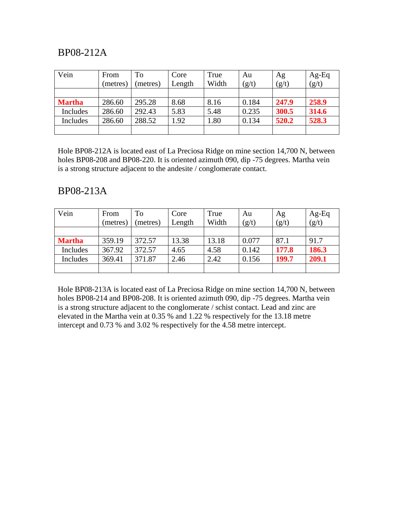# BP08-212A

| Vein          | From     | To       | Core   | True  | Au    | Ag    | $Ag-Eq$ |
|---------------|----------|----------|--------|-------|-------|-------|---------|
|               | (metres) | (metres) | Length | Width | (g/t) | (g/t) | (g/t)   |
|               |          |          |        |       |       |       |         |
| <b>Martha</b> | 286.60   | 295.28   | 8.68   | 8.16  | 0.184 | 247.9 | 258.9   |
| Includes      | 286.60   | 292.43   | 5.83   | 5.48  | 0.235 | 300.5 | 314.6   |
| Includes      | 286.60   | 288.52   | 1.92   | .80   | 0.134 | 520.2 | 528.3   |
|               |          |          |        |       |       |       |         |

Hole BP08-212A is located east of La Preciosa Ridge on mine section 14,700 N, between holes BP08-208 and BP08-220. It is oriented azimuth 090, dip -75 degrees. Martha vein is a strong structure adjacent to the andesite / conglomerate contact.

#### BP08-213A

| Vein          | From     | To       | Core   | True  | Au    | Ag    | $Ag-Eq$ |
|---------------|----------|----------|--------|-------|-------|-------|---------|
|               | (metres) | (metres) | Length | Width | (g/t) | (g/t) | (g/t)   |
|               |          |          |        |       |       |       |         |
| <b>Martha</b> | 359.19   | 372.57   | 13.38  | 13.18 | 0.077 | 87.1  | 91.7    |
| Includes      | 367.92   | 372.57   | 4.65   | 4.58  | 0.142 | 177.8 | 186.3   |
| Includes      | 369.41   | 371.87   | 2.46   | 2.42  | 0.156 | 199.7 | 209.1   |
|               |          |          |        |       |       |       |         |

Hole BP08-213A is located east of La Preciosa Ridge on mine section 14,700 N, between holes BP08-214 and BP08-208. It is oriented azimuth 090, dip -75 degrees. Martha vein is a strong structure adjacent to the conglomerate / schist contact. Lead and zinc are elevated in the Martha vein at 0.35 % and 1.22 % respectively for the 13.18 metre intercept and 0.73 % and 3.02 % respectively for the 4.58 metre intercept.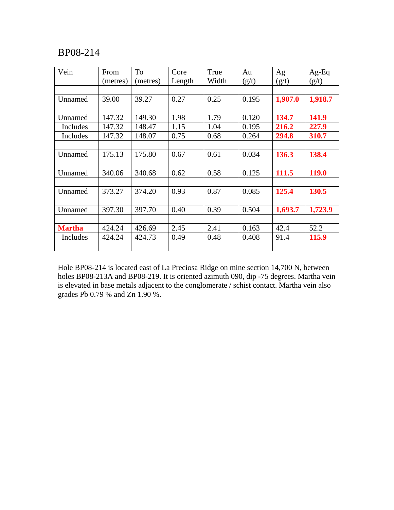| Vein          | From     | To       | Core   | True  | Au    | Ag      | $Ag-Eq$ |
|---------------|----------|----------|--------|-------|-------|---------|---------|
|               | (metres) | (metres) | Length | Width | (g/t) | (g/t)   | (g/t)   |
|               |          |          |        |       |       |         |         |
| Unnamed       | 39.00    | 39.27    | 0.27   | 0.25  | 0.195 | 1,907.0 | 1,918.7 |
|               |          |          |        |       |       |         |         |
| Unnamed       | 147.32   | 149.30   | 1.98   | 1.79  | 0.120 | 134.7   | 141.9   |
| Includes      | 147.32   | 148.47   | 1.15   | 1.04  | 0.195 | 216.2   | 227.9   |
| Includes      | 147.32   | 148.07   | 0.75   | 0.68  | 0.264 | 294.8   | 310.7   |
|               |          |          |        |       |       |         |         |
| Unnamed       | 175.13   | 175.80   | 0.67   | 0.61  | 0.034 | 136.3   | 138.4   |
|               |          |          |        |       |       |         |         |
| Unnamed       | 340.06   | 340.68   | 0.62   | 0.58  | 0.125 | 111.5   | 119.0   |
|               |          |          |        |       |       |         |         |
| Unnamed       | 373.27   | 374.20   | 0.93   | 0.87  | 0.085 | 125.4   | 130.5   |
|               |          |          |        |       |       |         |         |
| Unnamed       | 397.30   | 397.70   | 0.40   | 0.39  | 0.504 | 1,693.7 | 1,723.9 |
|               |          |          |        |       |       |         |         |
| <b>Martha</b> | 424.24   | 426.69   | 2.45   | 2.41  | 0.163 | 42.4    | 52.2    |
| Includes      | 424.24   | 424.73   | 0.49   | 0.48  | 0.408 | 91.4    | 115.9   |
|               |          |          |        |       |       |         |         |

Hole BP08-214 is located east of La Preciosa Ridge on mine section 14,700 N, between holes BP08-213A and BP08-219. It is oriented azimuth 090, dip -75 degrees. Martha vein is elevated in base metals adjacent to the conglomerate / schist contact. Martha vein also grades Pb 0.79 % and Zn 1.90 %.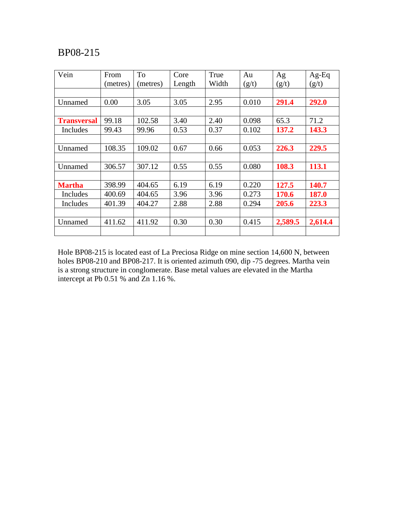| Vein               | From     | To       | Core   | True  | Au    | Ag      | $Ag-Eq$ |
|--------------------|----------|----------|--------|-------|-------|---------|---------|
|                    | (metres) | (metres) | Length | Width | (g/t) | (g/t)   | (g/t)   |
|                    |          |          |        |       |       |         |         |
| Unnamed            | 0.00     | 3.05     | 3.05   | 2.95  | 0.010 | 291.4   | 292.0   |
|                    |          |          |        |       |       |         |         |
| <b>Transversal</b> | 99.18    | 102.58   | 3.40   | 2.40  | 0.098 | 65.3    | 71.2    |
| Includes           | 99.43    | 99.96    | 0.53   | 0.37  | 0.102 | 137.2   | 143.3   |
|                    |          |          |        |       |       |         |         |
| Unnamed            | 108.35   | 109.02   | 0.67   | 0.66  | 0.053 | 226.3   | 229.5   |
|                    |          |          |        |       |       |         |         |
| Unnamed            | 306.57   | 307.12   | 0.55   | 0.55  | 0.080 | 108.3   | 113.1   |
|                    |          |          |        |       |       |         |         |
| <b>Martha</b>      | 398.99   | 404.65   | 6.19   | 6.19  | 0.220 | 127.5   | 140.7   |
| Includes           | 400.69   | 404.65   | 3.96   | 3.96  | 0.273 | 170.6   | 187.0   |
| Includes           | 401.39   | 404.27   | 2.88   | 2.88  | 0.294 | 205.6   | 223.3   |
|                    |          |          |        |       |       |         |         |
| Unnamed            | 411.62   | 411.92   | 0.30   | 0.30  | 0.415 | 2,589.5 | 2,614.4 |
|                    |          |          |        |       |       |         |         |

Hole BP08-215 is located east of La Preciosa Ridge on mine section 14,600 N, between holes BP08-210 and BP08-217. It is oriented azimuth 090, dip -75 degrees. Martha vein is a strong structure in conglomerate. Base metal values are elevated in the Martha intercept at Pb 0.51 % and Zn 1.16 %.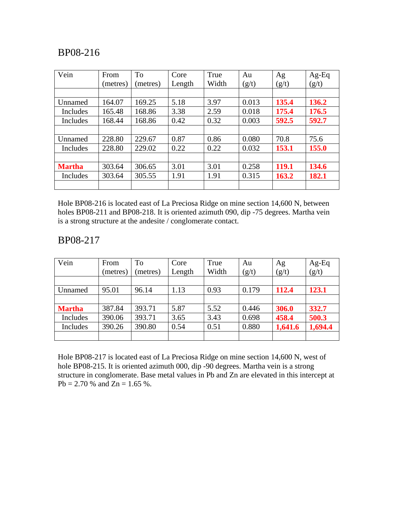| Vein          | From     | To       | Core   | True  | Au    | Ag    | $Ag-Eq$ |
|---------------|----------|----------|--------|-------|-------|-------|---------|
|               | (metres) | (metres) | Length | Width | (g/t) | (g/t) | (g/t)   |
|               |          |          |        |       |       |       |         |
| Unnamed       | 164.07   | 169.25   | 5.18   | 3.97  | 0.013 | 135.4 | 136.2   |
| Includes      | 165.48   | 168.86   | 3.38   | 2.59  | 0.018 | 175.4 | 176.5   |
| Includes      | 168.44   | 168.86   | 0.42   | 0.32  | 0.003 | 592.5 | 592.7   |
|               |          |          |        |       |       |       |         |
| Unnamed       | 228.80   | 229.67   | 0.87   | 0.86  | 0.080 | 70.8  | 75.6    |
| Includes      | 228.80   | 229.02   | 0.22   | 0.22  | 0.032 | 153.1 | 155.0   |
|               |          |          |        |       |       |       |         |
| <b>Martha</b> | 303.64   | 306.65   | 3.01   | 3.01  | 0.258 | 119.1 | 134.6   |
| Includes      | 303.64   | 305.55   | 1.91   | 1.91  | 0.315 | 163.2 | 182.1   |
|               |          |          |        |       |       |       |         |

Hole BP08-216 is located east of La Preciosa Ridge on mine section 14,600 N, between holes BP08-211 and BP08-218. It is oriented azimuth 090, dip -75 degrees. Martha vein is a strong structure at the andesite / conglomerate contact.

#### BP08-217

| Vein          | From<br>(metres) | To<br>(metres) | Core<br>Length | True<br>Width | Au<br>(g/t) | Ag<br>(g/t) | $Ag-Eq$<br>(g/t) |
|---------------|------------------|----------------|----------------|---------------|-------------|-------------|------------------|
|               |                  |                |                |               |             |             |                  |
| Unnamed       | 95.01            | 96.14          | 1.13           | 0.93          | 0.179       | 112.4       | 123.1            |
|               |                  |                |                |               |             |             |                  |
| <b>Martha</b> | 387.84           | 393.71         | 5.87           | 5.52          | 0.446       | 306.0       | 332.7            |
| Includes      | 390.06           | 393.71         | 3.65           | 3.43          | 0.698       | 458.4       | 500.3            |
| Includes      | 390.26           | 390.80         | 0.54           | 0.51          | 0.880       | 1,641.6     | 1,694.4          |
|               |                  |                |                |               |             |             |                  |

Hole BP08-217 is located east of La Preciosa Ridge on mine section 14,600 N, west of hole BP08-215. It is oriented azimuth 000, dip -90 degrees. Martha vein is a strong structure in conglomerate. Base metal values in Pb and Zn are elevated in this intercept at Pb = 2.70 % and Zn = 1.65 %.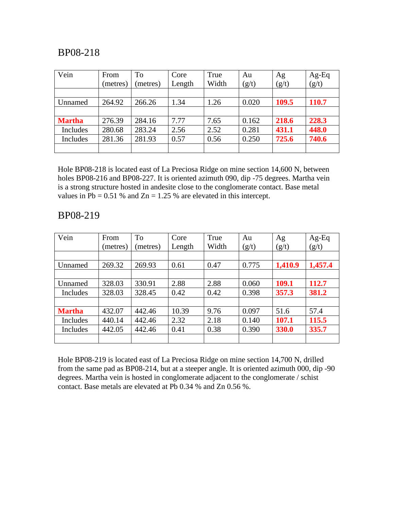| Vein          | From<br>(metres) | To<br>(metres) | Core<br>Length | True<br>Width | Au<br>(g/t) | Ag<br>(g/t) | $Ag-Eq$<br>(g/t) |
|---------------|------------------|----------------|----------------|---------------|-------------|-------------|------------------|
|               |                  |                |                |               |             |             |                  |
| Unnamed       | 264.92           | 266.26         | 1.34           | 1.26          | 0.020       | 109.5       | 110.7            |
|               |                  |                |                |               |             |             |                  |
| <b>Martha</b> | 276.39           | 284.16         | 7.77           | 7.65          | 0.162       | 218.6       | 228.3            |
| Includes      | 280.68           | 283.24         | 2.56           | 2.52          | 0.281       | 431.1       | 448.0            |
| Includes      | 281.36           | 281.93         | 0.57           | 0.56          | 0.250       | 725.6       | 740.6            |
|               |                  |                |                |               |             |             |                  |

Hole BP08-218 is located east of La Preciosa Ridge on mine section 14,600 N, between holes BP08-216 and BP08-227. It is oriented azimuth 090, dip -75 degrees. Martha vein is a strong structure hosted in andesite close to the conglomerate contact. Base metal values in Pb =  $0.51$  % and Zn = 1.25 % are elevated in this intercept.

## BP08-219

| Vein          | From     | To       | Core   | True  | Au    | Ag      | $Ag-Eq$ |
|---------------|----------|----------|--------|-------|-------|---------|---------|
|               | (metres) | (metres) | Length | Width | (g/t) | (g/t)   | (g/t)   |
|               |          |          |        |       |       |         |         |
| Unnamed       | 269.32   | 269.93   | 0.61   | 0.47  | 0.775 | 1,410.9 | 1,457.4 |
|               |          |          |        |       |       |         |         |
| Unnamed       | 328.03   | 330.91   | 2.88   | 2.88  | 0.060 | 109.1   | 112.7   |
| Includes      | 328.03   | 328.45   | 0.42   | 0.42  | 0.398 | 357.3   | 381.2   |
|               |          |          |        |       |       |         |         |
| <b>Martha</b> | 432.07   | 442.46   | 10.39  | 9.76  | 0.097 | 51.6    | 57.4    |
| Includes      | 440.14   | 442.46   | 2.32   | 2.18  | 0.140 | 107.1   | 115.5   |
| Includes      | 442.05   | 442.46   | 0.41   | 0.38  | 0.390 | 330.0   | 335.7   |
|               |          |          |        |       |       |         |         |

Hole BP08-219 is located east of La Preciosa Ridge on mine section 14,700 N, drilled from the same pad as BP08-214, but at a steeper angle. It is oriented azimuth 000, dip -90 degrees. Martha vein is hosted in conglomerate adjacent to the conglomerate / schist contact. Base metals are elevated at Pb 0.34 % and Zn 0.56 %.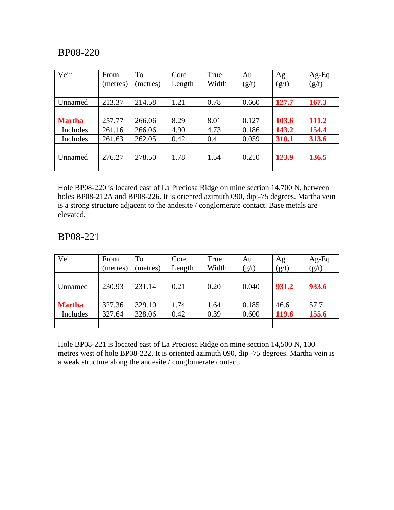| Vein          | From     | To       | Core   | True  | Au    | Ag    | Ag-Eq |
|---------------|----------|----------|--------|-------|-------|-------|-------|
|               | (metres) | (metres) | Length | Width | (g/t) | (g/t) | (g/t) |
|               |          |          |        |       |       |       |       |
| Unnamed       | 213.37   | 214.58   | 1.21   | 0.78  | 0.660 | 127.7 | 167.3 |
|               |          |          |        |       |       |       |       |
| <b>Martha</b> | 257.77   | 266.06   | 8.29   | 8.01  | 0.127 | 103.6 | 111.2 |
| Includes      | 261.16   | 266.06   | 4.90   | 4.73  | 0.186 | 143.2 | 154.4 |
| Includes      | 261.63   | 262.05   | 0.42   | 0.41  | 0.059 | 310.1 | 313.6 |
|               |          |          |        |       |       |       |       |
| Unnamed       | 276.27   | 278.50   | 1.78   | 1.54  | 0.210 | 123.9 | 136.5 |
|               |          |          |        |       |       |       |       |

Hole BP08-220 is located east of La Preciosa Ridge on mine section 14,700 N, between holes BP08-212A and BP08-226. It is oriented azimuth 090, dip -75 degrees. Martha vein is a strong structure adjacent to the andesite / conglomerate contact. Base metals are elevated.

## BP08-221

| Vein          | From<br>(metres) | To<br>(metres) | Core<br>Length | True<br>Width | Au<br>(g/t) | Ag<br>(g/t) | Ag-Eq<br>(g/t) |
|---------------|------------------|----------------|----------------|---------------|-------------|-------------|----------------|
|               |                  |                |                |               |             |             |                |
| Unnamed       | 230.93           | 231.14         | 0.21           | 0.20          | 0.040       | 931.2       | 933.6          |
|               |                  |                |                |               |             |             |                |
| <b>Martha</b> | 327.36           | 329.10         | 1.74           | 1.64          | 0.185       | 46.6        | 57.7           |
| Includes      | 327.64           | 328.06         | 0.42           | 0.39          | 0.600       | 119.6       | 155.6          |
|               |                  |                |                |               |             |             |                |

Hole BP08-221 is located east of La Preciosa Ridge on mine section 14,500 N, 100 metres west of hole BP08-222. It is oriented azimuth 090, dip -75 degrees. Martha vein is a weak structure along the andesite / conglomerate contact.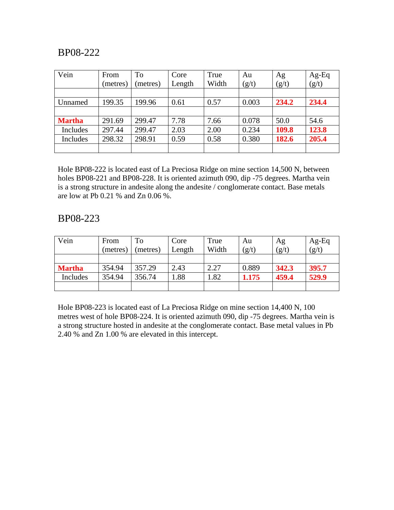| Vein          | From<br>(metres) | To<br>(metres) | Core<br>Length | True<br>Width | Au<br>(g/t) | Ag<br>(g/t) | $Ag-Eq$<br>(g/t) |
|---------------|------------------|----------------|----------------|---------------|-------------|-------------|------------------|
|               |                  |                |                |               |             |             |                  |
| Unnamed       | 199.35           | 199.96         | 0.61           | 0.57          | 0.003       | 234.2       | 234.4            |
|               |                  |                |                |               |             |             |                  |
| <b>Martha</b> | 291.69           | 299.47         | 7.78           | 7.66          | 0.078       | 50.0        | 54.6             |
| Includes      | 297.44           | 299.47         | 2.03           | 2.00          | 0.234       | 109.8       | 123.8            |
| Includes      | 298.32           | 298.91         | 0.59           | 0.58          | 0.380       | 182.6       | 205.4            |
|               |                  |                |                |               |             |             |                  |

Hole BP08-222 is located east of La Preciosa Ridge on mine section 14,500 N, between holes BP08-221 and BP08-228. It is oriented azimuth 090, dip -75 degrees. Martha vein is a strong structure in andesite along the andesite / conglomerate contact. Base metals are low at Pb 0.21 % and Zn 0.06 %.

#### BP08-223

| Vein          | From<br>(metres) | To<br>(metres) | Core<br>Length | True<br>Width | Au<br>(g/t) | Ag<br>(g/t) | $Ag-Eq$<br>(g/t) |
|---------------|------------------|----------------|----------------|---------------|-------------|-------------|------------------|
|               |                  |                |                |               |             |             |                  |
| <b>Martha</b> | 354.94           | 357.29         | 2.43           | 2.27          | 0.889       | 342.3       | 395.7            |
| Includes      | 354.94           | 356.74         | l.88           | .82           | 1.175       | 459.4       | 529.9            |
|               |                  |                |                |               |             |             |                  |

Hole BP08-223 is located east of La Preciosa Ridge on mine section 14,400 N, 100 metres west of hole BP08-224. It is oriented azimuth 090, dip -75 degrees. Martha vein is a strong structure hosted in andesite at the conglomerate contact. Base metal values in Pb 2.40 % and Zn 1.00 % are elevated in this intercept.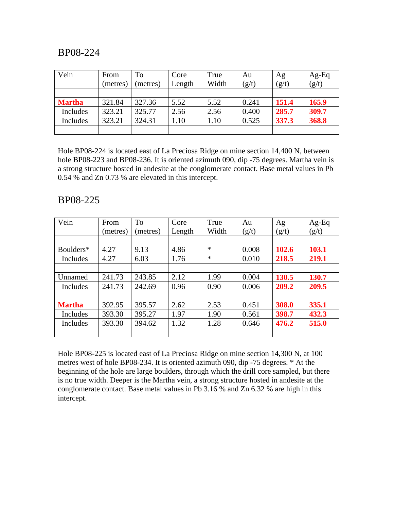| Vein          | From     | To       | Core   | True  | Au    | Ag    | $Ag-Eq$ |
|---------------|----------|----------|--------|-------|-------|-------|---------|
|               | (metres) | (metres) | Length | Width | (g/t) | (g/t) | (g/t)   |
|               |          |          |        |       |       |       |         |
| <b>Martha</b> | 321.84   | 327.36   | 5.52   | 5.52  | 0.241 | 151.4 | 165.9   |
| Includes      | 323.21   | 325.77   | 2.56   | 2.56  | 0.400 | 285.7 | 309.7   |
| Includes      | 323.21   | 324.31   | 1.10   | .10   | 0.525 | 337.3 | 368.8   |
|               |          |          |        |       |       |       |         |

Hole BP08-224 is located east of La Preciosa Ridge on mine section 14,400 N, between hole BP08-223 and BP08-236. It is oriented azimuth 090, dip -75 degrees. Martha vein is a strong structure hosted in andesite at the conglomerate contact. Base metal values in Pb 0.54 % and Zn 0.73 % are elevated in this intercept.

#### BP08-225

| Vein          | From     | To       | Core   | True   | Au    | Ag    | $Ag-Eq$ |
|---------------|----------|----------|--------|--------|-------|-------|---------|
|               | (metres) | (metres) | Length | Width  | (g/t) | (g/t) | (g/t)   |
|               |          |          |        |        |       |       |         |
| Boulders*     | 4.27     | 9.13     | 4.86   | $\ast$ | 0.008 | 102.6 | 103.1   |
| Includes      | 4.27     | 6.03     | 1.76   | $\ast$ | 0.010 | 218.5 | 219.1   |
|               |          |          |        |        |       |       |         |
| Unnamed       | 241.73   | 243.85   | 2.12   | 1.99   | 0.004 | 130.5 | 130.7   |
| Includes      | 241.73   | 242.69   | 0.96   | 0.90   | 0.006 | 209.2 | 209.5   |
|               |          |          |        |        |       |       |         |
| <b>Martha</b> | 392.95   | 395.57   | 2.62   | 2.53   | 0.451 | 308.0 | 335.1   |
| Includes      | 393.30   | 395.27   | 1.97   | 1.90   | 0.561 | 398.7 | 432.3   |
| Includes      | 393.30   | 394.62   | 1.32   | 1.28   | 0.646 | 476.2 | 515.0   |
|               |          |          |        |        |       |       |         |

Hole BP08-225 is located east of La Preciosa Ridge on mine section 14,300 N, at 100 metres west of hole BP08-234. It is oriented azimuth 090, dip -75 degrees. \* At the beginning of the hole are large boulders, through which the drill core sampled, but there is no true width. Deeper is the Martha vein, a strong structure hosted in andesite at the conglomerate contact. Base metal values in Pb 3.16 % and Zn 6.32 % are high in this intercept.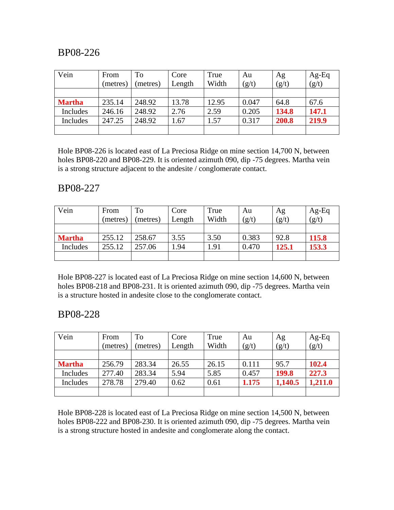| Vein          | From     | To       | Core   | True  | Au    | Ag    | $Ag-Eq$ |
|---------------|----------|----------|--------|-------|-------|-------|---------|
|               | (metres) | (metres) | Length | Width | (g/t) | (g/t) | (g/t)   |
|               |          |          |        |       |       |       |         |
| <b>Martha</b> | 235.14   | 248.92   | 13.78  | 12.95 | 0.047 | 64.8  | 67.6    |
| Includes      | 246.16   | 248.92   | 2.76   | 2.59  | 0.205 | 134.8 | 147.1   |
| Includes      | 247.25   | 248.92   | 1.67   | .57   | 0.317 | 200.8 | 219.9   |
|               |          |          |        |       |       |       |         |

Hole BP08-226 is located east of La Preciosa Ridge on mine section 14,700 N, between holes BP08-220 and BP08-229. It is oriented azimuth 090, dip -75 degrees. Martha vein is a strong structure adjacent to the andesite / conglomerate contact.

#### BP08-227

| Vein          | From     | To       | Core   | True  | Au    | Ag    | $Ag-Eq$ |
|---------------|----------|----------|--------|-------|-------|-------|---------|
|               | (metres) | (metres) | Length | Width | (g/t) | (g/t) | (g/t)   |
|               |          |          |        |       |       |       |         |
| <b>Martha</b> | 255.12   | 258.67   | 3.55   | 3.50  | 0.383 | 92.8  | 115.8   |
| Includes      | 255.12   | 257.06   | 1.94   | 1.91  | 0.470 | 125.1 | 153.3   |
|               |          |          |        |       |       |       |         |

Hole BP08-227 is located east of La Preciosa Ridge on mine section 14,600 N, between holes BP08-218 and BP08-231. It is oriented azimuth 090, dip -75 degrees. Martha vein is a structure hosted in andesite close to the conglomerate contact.

#### BP08-228

| Vein          | From     | To       | Core   | True  | Au    | Ag      | $Ag-Eq$ |
|---------------|----------|----------|--------|-------|-------|---------|---------|
|               | (metres) | (metres) | Length | Width | (g/t) | (g/t)   | (g/t)   |
|               |          |          |        |       |       |         |         |
| <b>Martha</b> | 256.79   | 283.34   | 26.55  | 26.15 | 0.111 | 95.7    | 102.4   |
| Includes      | 277.40   | 283.34   | 5.94   | 5.85  | 0.457 | 199.8   | 227.3   |
| Includes      | 278.78   | 279.40   | 0.62   | 0.61  | 1.175 | 1,140.5 | 1,211.0 |
|               |          |          |        |       |       |         |         |

Hole BP08-228 is located east of La Preciosa Ridge on mine section 14,500 N, between holes BP08-222 and BP08-230. It is oriented azimuth 090, dip -75 degrees. Martha vein is a strong structure hosted in andesite and conglomerate along the contact.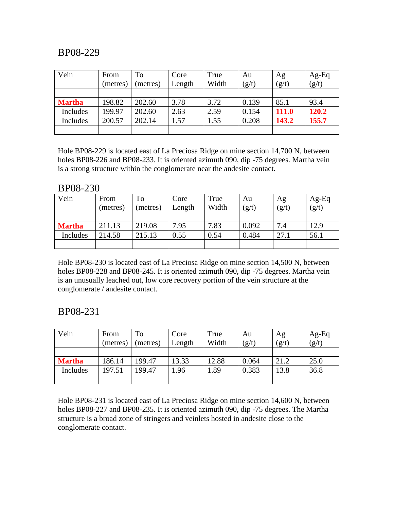| Vein          | From     | To       | Core   | True  | Au    | Ag    | $Ag-Eq$ |
|---------------|----------|----------|--------|-------|-------|-------|---------|
|               | (metres) | (metres) | Length | Width | (g/t) | (g/t) | (g/t)   |
|               |          |          |        |       |       |       |         |
| <b>Martha</b> | 198.82   | 202.60   | 3.78   | 3.72  | 0.139 | 85.1  | 93.4    |
| Includes      | 199.97   | 202.60   | 2.63   | 2.59  | 0.154 | 111.0 | 120.2   |
| Includes      | 200.57   | 202.14   | 1.57   | 1.55  | 0.208 | 143.2 | 155.7   |
|               |          |          |        |       |       |       |         |

Hole BP08-229 is located east of La Preciosa Ridge on mine section 14,700 N, between holes BP08-226 and BP08-233. It is oriented azimuth 090, dip -75 degrees. Martha vein is a strong structure within the conglomerate near the andesite contact.

#### BP08-230

| Vein          | From     | To       | Core   | True  | Au    | Ag    | $Ag-Eq$ |
|---------------|----------|----------|--------|-------|-------|-------|---------|
|               | (metres) | (metres) | Length | Width | (g/t) | (g/t) | (g/t)   |
|               |          |          |        |       |       |       |         |
| <b>Martha</b> | 211.13   | 219.08   | 7.95   | 7.83  | 0.092 | 7.4   | 12.9    |
| Includes      | 214.58   | 215.13   | 0.55   | 0.54  | 0.484 | 27.1  | 56.1    |
|               |          |          |        |       |       |       |         |

Hole BP08-230 is located east of La Preciosa Ridge on mine section 14,500 N, between holes BP08-228 and BP08-245. It is oriented azimuth 090, dip -75 degrees. Martha vein is an unusually leached out, low core recovery portion of the vein structure at the conglomerate / andesite contact.

## BP08-231

| Vein          | From     | To       | Core   | True  | Au    | Ag    | $Ag-Eq$ |
|---------------|----------|----------|--------|-------|-------|-------|---------|
|               | (metres) | (metres) | Length | Width | (g/t) | (g/t) | (g/t)   |
|               |          |          |        |       |       |       |         |
| <b>Martha</b> | 186.14   | 199.47   | 13.33  | 12.88 | 0.064 | 21.2  | 25.0    |
| Includes      | 197.51   | 199.47   | 1.96   | .89   | 0.383 | 13.8  | 36.8    |
|               |          |          |        |       |       |       |         |

Hole BP08-231 is located east of La Preciosa Ridge on mine section 14,600 N, between holes BP08-227 and BP08-235. It is oriented azimuth 090, dip -75 degrees. The Martha structure is a broad zone of stringers and veinlets hosted in andesite close to the conglomerate contact.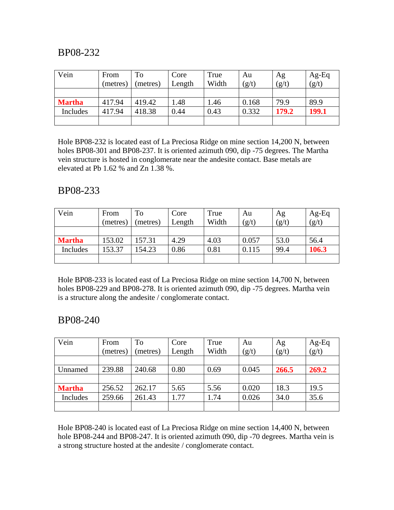| Vein          | From     | To       | Core   | True  | Au    | Ag    | $Ag-Eq$ |
|---------------|----------|----------|--------|-------|-------|-------|---------|
|               | (metres) | (metres) | Length | Width | (g/t) | (g/t) | (g/t)   |
|               |          |          |        |       |       |       |         |
| <b>Martha</b> | 417.94   | 419.42   | 1.48   | 1.46  | 0.168 | 79.9  | 89.9    |
| Includes      | 417.94   | 418.38   | 0.44   | 0.43  | 0.332 | 179.2 | 199.1   |
|               |          |          |        |       |       |       |         |

Hole BP08-232 is located east of La Preciosa Ridge on mine section 14,200 N, between holes BP08-301 and BP08-237. It is oriented azimuth 090, dip -75 degrees. The Martha vein structure is hosted in conglomerate near the andesite contact. Base metals are elevated at Pb 1.62 % and Zn 1.38 %.

## BP08-233

| Vein          | From     | To       | Core   | True  | Au    | Ag    | $Ag-Eq$ |
|---------------|----------|----------|--------|-------|-------|-------|---------|
|               | (metres) | (metres) | Length | Width | (g/t) | (g/t) | (g/t)   |
|               |          |          |        |       |       |       |         |
| <b>Martha</b> | 153.02   | 157.31   | 4.29   | 4.03  | 0.057 | 53.0  | 56.4    |
| Includes      | 153.37   | 154.23   | 0.86   | 0.81  | 0.115 | 99.4  | 106.3   |
|               |          |          |        |       |       |       |         |

Hole BP08-233 is located east of La Preciosa Ridge on mine section 14,700 N, between holes BP08-229 and BP08-278. It is oriented azimuth 090, dip -75 degrees. Martha vein is a structure along the andesite / conglomerate contact.

## BP08-240

| Vein          | From<br>(metres) | To<br>(metres) | Core<br>Length | True<br>Width | Au<br>(g/t) | Ag<br>(g/t) | Ag-Eq<br>(g/t) |
|---------------|------------------|----------------|----------------|---------------|-------------|-------------|----------------|
|               |                  |                |                |               |             |             |                |
| Unnamed       | 239.88           | 240.68         | 0.80           | 0.69          | 0.045       | 266.5       | 269.2          |
|               |                  |                |                |               |             |             |                |
| <b>Martha</b> | 256.52           | 262.17         | 5.65           | 5.56          | 0.020       | 18.3        | 19.5           |
| Includes      | 259.66           | 261.43         | 1.77           | 1.74          | 0.026       | 34.0        | 35.6           |
|               |                  |                |                |               |             |             |                |

Hole BP08-240 is located east of La Preciosa Ridge on mine section 14,400 N, between hole BP08-244 and BP08-247. It is oriented azimuth 090, dip -70 degrees. Martha vein is a strong structure hosted at the andesite / conglomerate contact.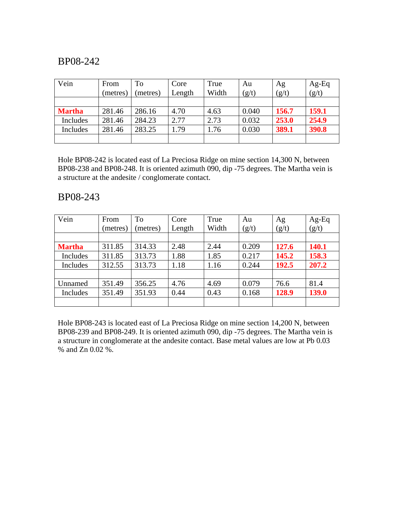| Vein          | From<br>(metres) | To<br>(metres) | Core<br>Length | True<br>Width | Au<br>(g/t) | Ag<br>(g/t) | $Ag-Eq$<br>(g/t) |
|---------------|------------------|----------------|----------------|---------------|-------------|-------------|------------------|
|               |                  |                |                |               |             |             |                  |
| <b>Martha</b> | 281.46           | 286.16         | 4.70           | 4.63          | 0.040       | 156.7       | 159.1            |
| Includes      | 281.46           | 284.23         | 2.77           | 2.73          | 0.032       | 253.0       | 254.9            |
| Includes      | 281.46           | 283.25         | 1.79           | 1.76          | 0.030       | 389.1       | 390.8            |
|               |                  |                |                |               |             |             |                  |

Hole BP08-242 is located east of La Preciosa Ridge on mine section 14,300 N, between BP08-238 and BP08-248. It is oriented azimuth 090, dip -75 degrees. The Martha vein is a structure at the andesite / conglomerate contact.

#### BP08-243

| Vein          | From     | To       | Core   | True  | Au    | Ag    | Ag-Eq |
|---------------|----------|----------|--------|-------|-------|-------|-------|
|               | (metres) | (metres) | Length | Width | (g/t) | (g/t) | (g/t) |
|               |          |          |        |       |       |       |       |
| <b>Martha</b> | 311.85   | 314.33   | 2.48   | 2.44  | 0.209 | 127.6 | 140.1 |
| Includes      | 311.85   | 313.73   | 1.88   | 1.85  | 0.217 | 145.2 | 158.3 |
| Includes      | 312.55   | 313.73   | 1.18   | 1.16  | 0.244 | 192.5 | 207.2 |
|               |          |          |        |       |       |       |       |
| Unnamed       | 351.49   | 356.25   | 4.76   | 4.69  | 0.079 | 76.6  | 81.4  |
| Includes      | 351.49   | 351.93   | 0.44   | 0.43  | 0.168 | 128.9 | 139.0 |
|               |          |          |        |       |       |       |       |

Hole BP08-243 is located east of La Preciosa Ridge on mine section 14,200 N, between BP08-239 and BP08-249. It is oriented azimuth 090, dip -75 degrees. The Martha vein is a structure in conglomerate at the andesite contact. Base metal values are low at Pb 0.03 % and Zn 0.02 %.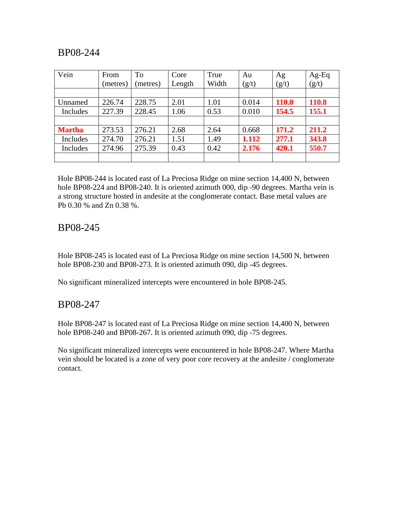| Vein          | From     | To       | Core   | True  | Au    | Ag           | Ag-Eq |
|---------------|----------|----------|--------|-------|-------|--------------|-------|
|               | (metres) | (metres) | Length | Width | (g/t) | (g/t)        | (g/t) |
|               |          |          |        |       |       |              |       |
| Unnamed       | 226.74   | 228.75   | 2.01   | 1.01  | 0.014 | <b>110.0</b> | 110.8 |
| Includes      | 227.39   | 228.45   | 1.06   | 0.53  | 0.010 | 154.5        | 155.1 |
|               |          |          |        |       |       |              |       |
| <b>Martha</b> | 273.53   | 276.21   | 2.68   | 2.64  | 0.668 | 171.2        | 211.2 |
| Includes      | 274.70   | 276.21   | 1.51   | 1.49  | 1.112 | 277.1        | 343.8 |
| Includes      | 274.96   | 275.39   | 0.43   | 0.42  | 2.176 | 420.1        | 550.7 |
|               |          |          |        |       |       |              |       |

Hole BP08-244 is located east of La Preciosa Ridge on mine section 14,400 N, between hole BP08-224 and BP08-240. It is oriented azimuth 000, dip -90 degrees. Martha vein is a strong structure hosted in andesite at the conglomerate contact. Base metal values are Pb 0.30 % and Zn 0.38 %.

#### BP08-245

Hole BP08-245 is located east of La Preciosa Ridge on mine section 14,500 N, between hole BP08-230 and BP08-273. It is oriented azimuth 090, dip -45 degrees.

No significant mineralized intercepts were encountered in hole BP08-245.

#### BP08-247

Hole BP08-247 is located east of La Preciosa Ridge on mine section 14,400 N, between hole BP08-240 and BP08-267. It is oriented azimuth 090, dip -75 degrees.

No significant mineralized intercepts were encountered in hole BP08-247. Where Martha vein should be located is a zone of very poor core recovery at the andesite / conglomerate contact.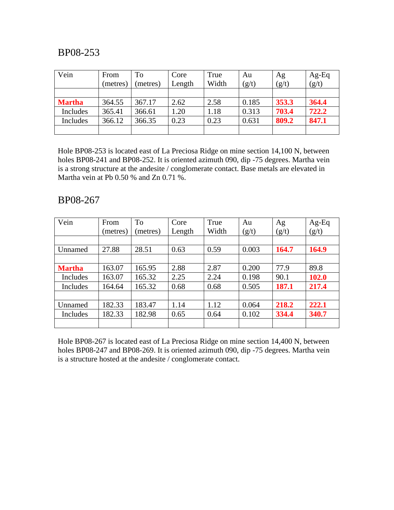| Vein          | From     | To       | Core   | True  | Au    | Ag    | $Ag-Eq$ |
|---------------|----------|----------|--------|-------|-------|-------|---------|
|               | (metres) | (metres) | Length | Width | (g/t) | (g/t) | (g/t)   |
|               |          |          |        |       |       |       |         |
| <b>Martha</b> | 364.55   | 367.17   | 2.62   | 2.58  | 0.185 | 353.3 | 364.4   |
| Includes      | 365.41   | 366.61   | 1.20   | .18   | 0.313 | 703.4 | 722.2   |
| Includes      | 366.12   | 366.35   | 0.23   | 0.23  | 0.631 | 809.2 | 847.1   |
|               |          |          |        |       |       |       |         |

Hole BP08-253 is located east of La Preciosa Ridge on mine section 14,100 N, between holes BP08-241 and BP08-252. It is oriented azimuth 090, dip -75 degrees. Martha vein is a strong structure at the andesite / conglomerate contact. Base metals are elevated in Martha vein at Pb 0.50 % and Zn 0.71 %.

#### BP08-267

| Vein          | From     | To       | Core   | True  | Au    | Ag    | $Ag-Eq$ |
|---------------|----------|----------|--------|-------|-------|-------|---------|
|               | (metres) | (metres) | Length | Width | (g/t) | (g/t) | (g/t)   |
|               |          |          |        |       |       |       |         |
| Unnamed       | 27.88    | 28.51    | 0.63   | 0.59  | 0.003 | 164.7 | 164.9   |
|               |          |          |        |       |       |       |         |
| <b>Martha</b> | 163.07   | 165.95   | 2.88   | 2.87  | 0.200 | 77.9  | 89.8    |
| Includes      | 163.07   | 165.32   | 2.25   | 2.24  | 0.198 | 90.1  | 102.0   |
| Includes      | 164.64   | 165.32   | 0.68   | 0.68  | 0.505 | 187.1 | 217.4   |
|               |          |          |        |       |       |       |         |
| Unnamed       | 182.33   | 183.47   | 1.14   | 1.12  | 0.064 | 218.2 | 222.1   |
| Includes      | 182.33   | 182.98   | 0.65   | 0.64  | 0.102 | 334.4 | 340.7   |
|               |          |          |        |       |       |       |         |

Hole BP08-267 is located east of La Preciosa Ridge on mine section 14,400 N, between holes BP08-247 and BP08-269. It is oriented azimuth 090, dip -75 degrees. Martha vein is a structure hosted at the andesite / conglomerate contact.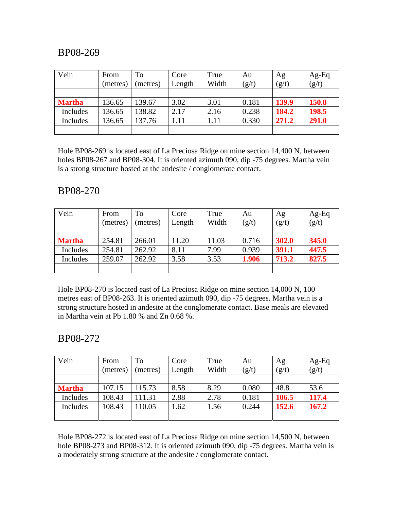| Vein          | From     | To       | Core   | True  | Au    | Ag    | $Ag-Eq$ |
|---------------|----------|----------|--------|-------|-------|-------|---------|
|               | (metres) | (metres) | Length | Width | (g/t) | (g/t) | (g/t)   |
|               |          |          |        |       |       |       |         |
| <b>Martha</b> | 136.65   | 139.67   | 3.02   | 3.01  | 0.181 | 139.9 | 150.8   |
| Includes      | 136.65   | 138.82   | 2.17   | 2.16  | 0.238 | 184.2 | 198.5   |
| Includes      | 136.65   | 137.76   | 1.11   | 1.11  | 0.330 | 271.2 | 291.0   |
|               |          |          |        |       |       |       |         |

Hole BP08-269 is located east of La Preciosa Ridge on mine section 14,400 N, between holes BP08-267 and BP08-304. It is oriented azimuth 090, dip -75 degrees. Martha vein is a strong structure hosted at the andesite / conglomerate contact.

### BP08-270

| Vein          | From     | To       | Core   | True  | Au    | Ag    | $Ag-Eq$ |
|---------------|----------|----------|--------|-------|-------|-------|---------|
|               | (metres) | (metres) | Length | Width | (g/t) | (g/t) | (g/t)   |
|               |          |          |        |       |       |       |         |
| <b>Martha</b> | 254.81   | 266.01   | 11.20  | 11.03 | 0.716 | 302.0 | 345.0   |
| Includes      | 254.81   | 262.92   | 8.11   | 7.99  | 0.939 | 391.1 | 447.5   |
| Includes      | 259.07   | 262.92   | 3.58   | 3.53  | 1.906 | 713.2 | 827.5   |
|               |          |          |        |       |       |       |         |

Hole BP08-270 is located east of La Preciosa Ridge on mine section 14,000 N, 100 metres east of BP08-263. It is oriented azimuth 090, dip -75 degrees. Martha vein is a strong structure hosted in andesite at the conglomerate contact. Base meals are elevated in Martha vein at Pb 1.80 % and Zn 0.68 %.

#### BP08-272

| Vein          | From     | To       | Core   | True  | Au    | Ag    | $Ag-Eq$ |
|---------------|----------|----------|--------|-------|-------|-------|---------|
|               | (metres) | (metres) | Length | Width | (g/t) | (g/t) | (g/t)   |
|               |          |          |        |       |       |       |         |
| <b>Martha</b> | 107.15   | 115.73   | 8.58   | 8.29  | 0.080 | 48.8  | 53.6    |
| Includes      | 108.43   | 111.31   | 2.88   | 2.78  | 0.181 | 106.5 | 117.4   |
| Includes      | 108.43   | 110.05   | 1.62   | 1.56  | 0.244 | 152.6 | 167.2   |
|               |          |          |        |       |       |       |         |

Hole BP08-272 is located east of La Preciosa Ridge on mine section 14,500 N, between hole BP08-273 and BP08-312. It is oriented azimuth 090, dip -75 degrees. Martha vein is a moderately strong structure at the andesite / conglomerate contact.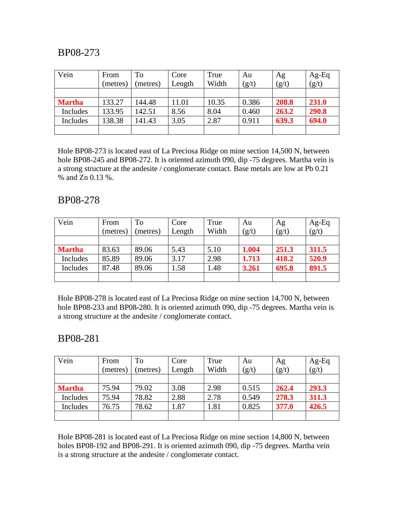| Vein          | From<br>(metres) | To<br>(metres) | Core<br>Length | True<br>Width | Au<br>(g/t) | Ag<br>(g/t) | $Ag-Eq$<br>(g/t) |
|---------------|------------------|----------------|----------------|---------------|-------------|-------------|------------------|
|               |                  |                |                |               |             |             |                  |
| <b>Martha</b> | 133.27           | 144.48         | 11.01          | 10.35         | 0.386       | 208.8       | 231.0            |
| Includes      | 133.95           | 142.51         | 8.56           | 8.04          | 0.460       | 263.2       | 290.8            |
| Includes      | 138.38           | 141.43         | 3.05           | 2.87          | 0.911       | 639.3       | 694.0            |
|               |                  |                |                |               |             |             |                  |

Hole BP08-273 is located east of La Preciosa Ridge on mine section 14,500 N, between hole BP08-245 and BP08-272. It is oriented azimuth 090, dip -75 degrees. Martha vein is a strong structure at the andesite / conglomerate contact. Base metals are low at Pb 0.21 % and Zn 0.13 %.

#### BP08-278

| Vein          | From     | To       | Core   | True  | Au    | Ag    | $Ag-Eq$ |
|---------------|----------|----------|--------|-------|-------|-------|---------|
|               | (metres) | (metres) | Length | Width | (g/t) | (g/t) | (g/t)   |
|               |          |          |        |       |       |       |         |
| <b>Martha</b> | 83.63    | 89.06    | 5.43   | 5.10  | 1.004 | 251.3 | 311.5   |
| Includes      | 85.89    | 89.06    | 3.17   | 2.98  | 1.713 | 418.2 | 520.9   |
| Includes      | 87.48    | 89.06    | 1.58   | 1.48  | 3.261 | 695.8 | 891.5   |
|               |          |          |        |       |       |       |         |

Hole BP08-278 is located east of La Preciosa Ridge on mine section 14,700 N, between hole BP08-233 and BP08-280. It is oriented azimuth 090, dip -75 degrees. Martha vein is a strong structure at the andesite / conglomerate contact.

#### BP08-281

| Vein          | From     | To       | Core   | True  | Au    | Ag    | $Ag-Eq$ |
|---------------|----------|----------|--------|-------|-------|-------|---------|
|               | (metres) | (metres) | Length | Width | (g/t) | (g/t) | (g/t)   |
|               |          |          |        |       |       |       |         |
| <b>Martha</b> | 75.94    | 79.02    | 3.08   | 2.98  | 0.515 | 262.4 | 293.3   |
| Includes      | 75.94    | 78.82    | 2.88   | 2.78  | 0.549 | 278.3 | 311.3   |
| Includes      | 76.75    | 78.62    | 1.87   | l.81  | 0.825 | 377.0 | 426.5   |
|               |          |          |        |       |       |       |         |

Hole BP08-281 is located east of La Preciosa Ridge on mine section 14,800 N, between holes BP08-192 and BP08-291. It is oriented azimuth 090, dip -75 degrees. Martha vein is a strong structure at the andesite / conglomerate contact.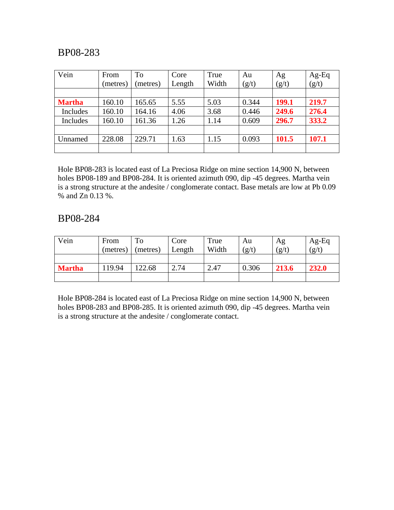| Vein          | From<br>(metres) | To<br>(metres) | Core<br>Length | True<br>Width | Au<br>(g/t) | Ag<br>(g/t) | $Ag-Eq$<br>(g/t) |
|---------------|------------------|----------------|----------------|---------------|-------------|-------------|------------------|
|               |                  |                |                |               |             |             |                  |
| <b>Martha</b> | 160.10           | 165.65         | 5.55           | 5.03          | 0.344       | 199.1       | 219.7            |
| Includes      | 160.10           | 164.16         | 4.06           | 3.68          | 0.446       | 249.6       | 276.4            |
| Includes      | 160.10           | 161.36         | 1.26           | 1.14          | 0.609       | 296.7       | 333.2            |
|               |                  |                |                |               |             |             |                  |
| Unnamed       | 228.08           | 229.71         | 1.63           | 1.15          | 0.093       | 101.5       | 107.1            |
|               |                  |                |                |               |             |             |                  |

Hole BP08-283 is located east of La Preciosa Ridge on mine section 14,900 N, between holes BP08-189 and BP08-284. It is oriented azimuth 090, dip -45 degrees. Martha vein is a strong structure at the andesite / conglomerate contact. Base metals are low at Pb 0.09 % and Zn 0.13 %.

#### BP08-284

| Vein          | From<br>(metres) | To<br>(metres) | Core<br>Length | True<br>Width | Au<br>(g/t) | Ag<br>(g/t) | $Ag-Eq$<br>(g/t) |
|---------------|------------------|----------------|----------------|---------------|-------------|-------------|------------------|
|               |                  |                |                |               |             |             |                  |
| <b>Martha</b> | 19.94            | 122.68         | 2.74           | 2.47          | 0.306       | 213.6       | 232.0            |
|               |                  |                |                |               |             |             |                  |

Hole BP08-284 is located east of La Preciosa Ridge on mine section 14,900 N, between holes BP08-283 and BP08-285. It is oriented azimuth 090, dip -45 degrees. Martha vein is a strong structure at the andesite / conglomerate contact.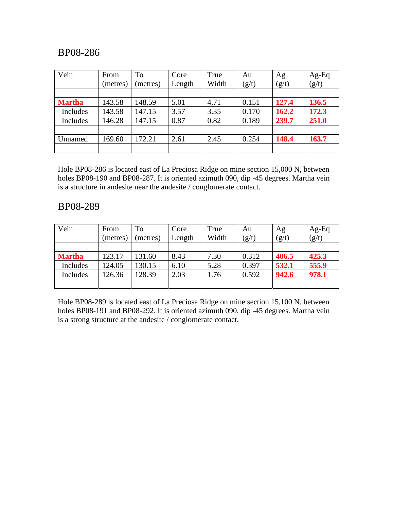| Vein          | From     | To       | Core   | True  | Au    | Ag    | $Ag-Eq$ |
|---------------|----------|----------|--------|-------|-------|-------|---------|
|               | (metres) | (metres) | Length | Width | (g/t) | (g/t) | (g/t)   |
|               |          |          |        |       |       |       |         |
| <b>Martha</b> | 143.58   | 148.59   | 5.01   | 4.71  | 0.151 | 127.4 | 136.5   |
| Includes      | 143.58   | 147.15   | 3.57   | 3.35  | 0.170 | 162.2 | 172.3   |
| Includes      | 146.28   | 147.15   | 0.87   | 0.82  | 0.189 | 239.7 | 251.0   |
|               |          |          |        |       |       |       |         |
| Unnamed       | 169.60   | 172.21   | 2.61   | 2.45  | 0.254 | 148.4 | 163.7   |
|               |          |          |        |       |       |       |         |

Hole BP08-286 is located east of La Preciosa Ridge on mine section 15,000 N, between holes BP08-190 and BP08-287. It is oriented azimuth 090, dip -45 degrees. Martha vein is a structure in andesite near the andesite / conglomerate contact.

#### BP08-289

| Vein          | From     | To       | Core   | True  | Au    | Ag    | $Ag-Eq$ |
|---------------|----------|----------|--------|-------|-------|-------|---------|
|               | (metres) | (metres) | Length | Width | (g/t) | (g/t) | (g/t)   |
|               |          |          |        |       |       |       |         |
| <b>Martha</b> | 123.17   | 131.60   | 8.43   | 7.30  | 0.312 | 406.5 | 425.3   |
| Includes      | 124.05   | 130.15   | 6.10   | 5.28  | 0.397 | 532.1 | 555.9   |
| Includes      | 126.36   | 128.39   | 2.03   | .76   | 0.592 | 942.6 | 978.1   |
|               |          |          |        |       |       |       |         |

Hole BP08-289 is located east of La Preciosa Ridge on mine section 15,100 N, between holes BP08-191 and BP08-292. It is oriented azimuth 090, dip -45 degrees. Martha vein is a strong structure at the andesite / conglomerate contact.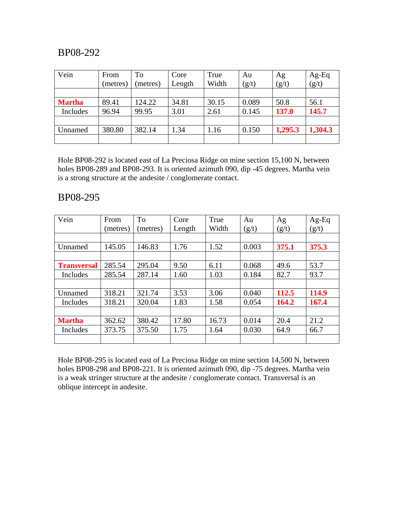| Vein          | From     | To       | Core   | True  | Au    | Ag      | $Ag-Eq$ |
|---------------|----------|----------|--------|-------|-------|---------|---------|
|               | (metres) | (metres) | Length | Width | (g/t) | (g/t)   | (g/t)   |
|               |          |          |        |       |       |         |         |
| <b>Martha</b> | 89.41    | 124.22   | 34.81  | 30.15 | 0.089 | 50.8    | 56.1    |
| Includes      | 96.94    | 99.95    | 3.01   | 2.61  | 0.145 | 137.0   | 145.7   |
|               |          |          |        |       |       |         |         |
| Unnamed       | 380.80   | 382.14   | 1.34   | 1.16  | 0.150 | 1,295.3 | 1,304.3 |
|               |          |          |        |       |       |         |         |

Hole BP08-292 is located east of La Preciosa Ridge on mine section 15,100 N, between holes BP08-289 and BP08-293. It is oriented azimuth 090, dip -45 degrees. Martha vein is a strong structure at the andesite / conglomerate contact.

#### BP08-295

| Vein               | From     | <b>To</b> | Core   | True  | Au    | Ag    | $Ag-Eq$ |
|--------------------|----------|-----------|--------|-------|-------|-------|---------|
|                    | (metres) | (metres)  | Length | Width | (g/t) | (g/t) | (g/t)   |
|                    |          |           |        |       |       |       |         |
| Unnamed            | 145.05   | 146.83    | 1.76   | 1.52  | 0.003 | 375.1 | 375.3   |
|                    |          |           |        |       |       |       |         |
| <b>Transversal</b> | 285.54   | 295.04    | 9.50   | 6.11  | 0.068 | 49.6  | 53.7    |
| Includes           | 285.54   | 287.14    | 1.60   | 1.03  | 0.184 | 82.7  | 93.7    |
|                    |          |           |        |       |       |       |         |
| Unnamed            | 318.21   | 321.74    | 3.53   | 3.06  | 0.040 | 112.5 | 114.9   |
| Includes           | 318.21   | 320.04    | 1.83   | 1.58  | 0.054 | 164.2 | 167.4   |
|                    |          |           |        |       |       |       |         |
| <b>Martha</b>      | 362.62   | 380.42    | 17.80  | 16.73 | 0.014 | 20.4  | 21.2    |
| Includes           | 373.75   | 375.50    | 1.75   | 1.64  | 0.030 | 64.9  | 66.7    |
|                    |          |           |        |       |       |       |         |

Hole BP08-295 is located east of La Preciosa Ridge on mine section 14,500 N, between holes BP08-298 and BP08-221. It is oriented azimuth 090, dip -75 degrees. Martha vein is a weak stringer structure at the andesite / conglomerate contact. Transversal is an oblique intercept in andesite.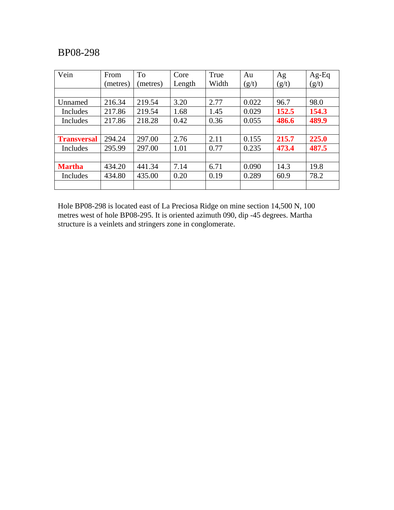| Vein               | From     | <b>To</b> | Core   | True  | Au    | Ag    | $Ag-Eq$ |
|--------------------|----------|-----------|--------|-------|-------|-------|---------|
|                    | (metres) | (metres)  | Length | Width | (g/t) | (g/t) | (g/t)   |
|                    |          |           |        |       |       |       |         |
| Unnamed            | 216.34   | 219.54    | 3.20   | 2.77  | 0.022 | 96.7  | 98.0    |
| Includes           | 217.86   | 219.54    | 1.68   | 1.45  | 0.029 | 152.5 | 154.3   |
| Includes           | 217.86   | 218.28    | 0.42   | 0.36  | 0.055 | 486.6 | 489.9   |
|                    |          |           |        |       |       |       |         |
| <b>Transversal</b> | 294.24   | 297.00    | 2.76   | 2.11  | 0.155 | 215.7 | 225.0   |
| Includes           | 295.99   | 297.00    | 1.01   | 0.77  | 0.235 | 473.4 | 487.5   |
|                    |          |           |        |       |       |       |         |
| <b>Martha</b>      | 434.20   | 441.34    | 7.14   | 6.71  | 0.090 | 14.3  | 19.8    |
| Includes           | 434.80   | 435.00    | 0.20   | 0.19  | 0.289 | 60.9  | 78.2    |
|                    |          |           |        |       |       |       |         |

Hole BP08-298 is located east of La Preciosa Ridge on mine section 14,500 N, 100 metres west of hole BP08-295. It is oriented azimuth 090, dip -45 degrees. Martha structure is a veinlets and stringers zone in conglomerate.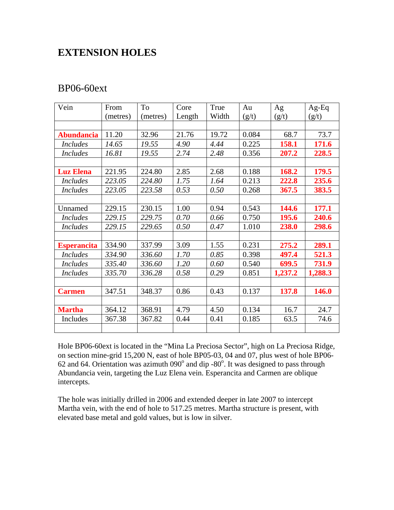## **EXTENSION HOLES**

#### BP06-60ext

| Vein               | From     | To       | Core   | True  | Au    | Ag      | $Ag-Eq$      |
|--------------------|----------|----------|--------|-------|-------|---------|--------------|
|                    | (metres) | (metres) | Length | Width | (g/t) | (g/t)   | (g/t)        |
|                    |          |          |        |       |       |         |              |
| <b>Abundancia</b>  | 11.20    | 32.96    | 21.76  | 19.72 | 0.084 | 68.7    | 73.7         |
| Includes           | 14.65    | 19.55    | 4.90   | 4.44  | 0.225 | 158.1   | 171.6        |
| <i>Includes</i>    | 16.81    | 19.55    | 2.74   | 2.48  | 0.356 | 207.2   | 228.5        |
|                    |          |          |        |       |       |         |              |
| <b>Luz Elena</b>   | 221.95   | 224.80   | 2.85   | 2.68  | 0.188 | 168.2   | 179.5        |
| <i>Includes</i>    | 223.05   | 224.80   | 1.75   | 1.64  | 0.213 | 222.8   | 235.6        |
| <i>Includes</i>    | 223.05   | 223.58   | 0.53   | 0.50  | 0.268 | 367.5   | 383.5        |
|                    |          |          |        |       |       |         |              |
| Unnamed            | 229.15   | 230.15   | 1.00   | 0.94  | 0.543 | 144.6   | 177.1        |
| <b>Includes</b>    | 229.15   | 229.75   | 0.70   | 0.66  | 0.750 | 195.6   | 240.6        |
| <b>Includes</b>    | 229.15   | 229.65   | 0.50   | 0.47  | 1.010 | 238.0   | 298.6        |
|                    |          |          |        |       |       |         |              |
| <b>Esperancita</b> | 334.90   | 337.99   | 3.09   | 1.55  | 0.231 | 275.2   | 289.1        |
| <i>Includes</i>    | 334.90   | 336.60   | 1.70   | 0.85  | 0.398 | 497.4   | 521.3        |
| <i>Includes</i>    | 335.40   | 336.60   | 1.20   | 0.60  | 0.540 | 699.5   | 731.9        |
| <i>Includes</i>    | 335.70   | 336.28   | 0.58   | 0.29  | 0.851 | 1,237.2 | 1,288.3      |
|                    |          |          |        |       |       |         |              |
| <b>Carmen</b>      | 347.51   | 348.37   | 0.86   | 0.43  | 0.137 | 137.8   | <b>146.0</b> |
|                    |          |          |        |       |       |         |              |
| <b>Martha</b>      | 364.12   | 368.91   | 4.79   | 4.50  | 0.134 | 16.7    | 24.7         |
| Includes           | 367.38   | 367.82   | 0.44   | 0.41  | 0.185 | 63.5    | 74.6         |
|                    |          |          |        |       |       |         |              |

Hole BP06-60ext is located in the "Mina La Preciosa Sector", high on La Preciosa Ridge, on section mine-grid 15,200 N, east of hole BP05-03, 04 and 07, plus west of hole BP06- 62 and 64. Orientation was azimuth  $090^\circ$  and dip -80 $^\circ$ . It was designed to pass through Abundancia vein, targeting the Luz Elena vein. Esperancita and Carmen are oblique intercepts.

The hole was initially drilled in 2006 and extended deeper in late 2007 to intercept Martha vein, with the end of hole to 517.25 metres. Martha structure is present, with elevated base metal and gold values, but is low in silver.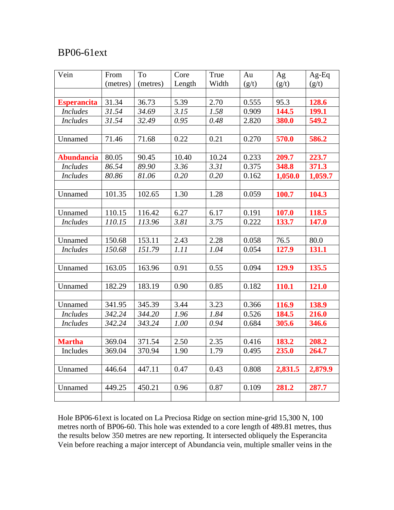## BP06-61ext

| Vein               | From     | To       | Core   | True  | Au    | Ag      | $Ag-Eq$ |
|--------------------|----------|----------|--------|-------|-------|---------|---------|
|                    | (metres) | (metres) | Length | Width | (g/t) | (g/t)   | (g/t)   |
|                    |          |          |        |       |       |         |         |
| <b>Esperancita</b> | 31.34    | 36.73    | 5.39   | 2.70  | 0.555 | 95.3    | 128.6   |
| <b>Includes</b>    | 31.54    | 34.69    | 3.15   | 1.58  | 0.909 | 144.5   | 199.1   |
| <b>Includes</b>    | 31.54    | 32.49    | 0.95   | 0.48  | 2.820 | 380.0   | 549.2   |
|                    |          |          |        |       |       |         |         |
| Unnamed            | 71.46    | 71.68    | 0.22   | 0.21  | 0.270 | 570.0   | 586.2   |
|                    |          |          |        |       |       |         |         |
| <b>Abundancia</b>  | 80.05    | 90.45    | 10.40  | 10.24 | 0.233 | 209.7   | 223.7   |
| <b>Includes</b>    | 86.54    | 89.90    | 3.36   | 3.31  | 0.375 | 348.8   | 371.3   |
| <b>Includes</b>    | 80.86    | 81.06    | 0.20   | 0.20  | 0.162 | 1,050.0 | 1,059.7 |
|                    |          |          |        |       |       |         |         |
| Unnamed            | 101.35   | 102.65   | 1.30   | 1.28  | 0.059 | 100.7   | 104.3   |
|                    |          |          |        |       |       |         |         |
| Unnamed            | 110.15   | 116.42   | 6.27   | 6.17  | 0.191 | 107.0   | 118.5   |
| <b>Includes</b>    | 110.15   | 113.96   | 3.81   | 3.75  | 0.222 | 133.7   | 147.0   |
|                    |          |          |        |       |       |         |         |
| Unnamed            | 150.68   | 153.11   | 2.43   | 2.28  | 0.058 | 76.5    | 80.0    |
| <b>Includes</b>    | 150.68   | 151.79   | 1.11   | 1.04  | 0.054 | 127.9   | 131.1   |
|                    |          |          |        |       |       |         |         |
| Unnamed            | 163.05   | 163.96   | 0.91   | 0.55  | 0.094 | 129.9   | 135.5   |
|                    |          |          |        |       |       |         |         |
| Unnamed            | 182.29   | 183.19   | 0.90   | 0.85  | 0.182 | 110.1   | 121.0   |
|                    |          |          |        |       |       |         |         |
| Unnamed            | 341.95   | 345.39   | 3.44   | 3.23  | 0.366 | 116.9   | 138.9   |
| <b>Includes</b>    | 342.24   | 344.20   | 1.96   | 1.84  | 0.526 | 184.5   | 216.0   |
| <b>Includes</b>    | 342.24   | 343.24   | 1.00   | 0.94  | 0.684 | 305.6   | 346.6   |
|                    |          |          |        |       |       |         |         |
| <b>Martha</b>      | 369.04   | 371.54   | 2.50   | 2.35  | 0.416 | 183.2   | 208.2   |
| Includes           | 369.04   | 370.94   | 1.90   | 1.79  | 0.495 | 235.0   | 264.7   |
|                    |          |          |        |       |       |         |         |
| Unnamed            | 446.64   | 447.11   | 0.47   | 0.43  | 0.808 | 2,831.5 | 2,879.9 |
|                    |          |          |        |       |       |         |         |
| Unnamed            | 449.25   | 450.21   | 0.96   | 0.87  | 0.109 | 281.2   | 287.7   |
|                    |          |          |        |       |       |         |         |

Hole BP06-61ext is located on La Preciosa Ridge on section mine-grid 15,300 N, 100 metres north of BP06-60. This hole was extended to a core length of 489.81 metres, thus the results below 350 metres are new reporting. It intersected obliquely the Esperancita Vein before reaching a major intercept of Abundancia vein, multiple smaller veins in the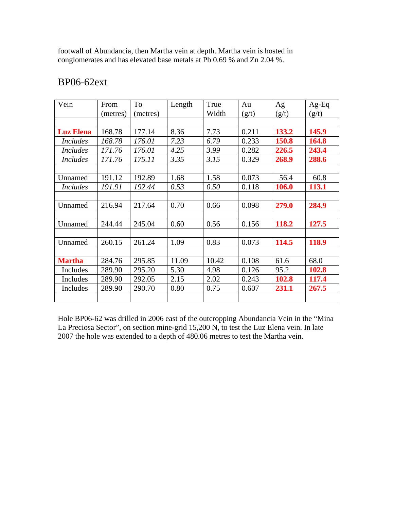footwall of Abundancia, then Martha vein at depth. Martha vein is hosted in conglomerates and has elevated base metals at Pb 0.69 % and Zn 2.04 %.

| Vein             | From     | To       | Length | True  | Au    | Ag    | $Ag-Eq$ |
|------------------|----------|----------|--------|-------|-------|-------|---------|
|                  | (metres) | (metres) |        | Width | (g/t) | (g/t) | (g/t)   |
|                  |          |          |        |       |       |       |         |
| <b>Luz Elena</b> | 168.78   | 177.14   | 8.36   | 7.73  | 0.211 | 133.2 | 145.9   |
| <b>Includes</b>  | 168.78   | 176.01   | 7.23   | 6.79  | 0.233 | 150.8 | 164.8   |
| <i>Includes</i>  | 171.76   | 176.01   | 4.25   | 3.99  | 0.282 | 226.5 | 243.4   |
| <i>Includes</i>  | 171.76   | 175.11   | 3.35   | 3.15  | 0.329 | 268.9 | 288.6   |
|                  |          |          |        |       |       |       |         |
| Unnamed          | 191.12   | 192.89   | 1.68   | 1.58  | 0.073 | 56.4  | 60.8    |
| <i>Includes</i>  | 191.91   | 192.44   | 0.53   | 0.50  | 0.118 | 106.0 | 113.1   |
|                  |          |          |        |       |       |       |         |
| Unnamed          | 216.94   | 217.64   | 0.70   | 0.66  | 0.098 | 279.0 | 284.9   |
|                  |          |          |        |       |       |       |         |
| Unnamed          | 244.44   | 245.04   | 0.60   | 0.56  | 0.156 | 118.2 | 127.5   |
|                  |          |          |        |       |       |       |         |
| Unnamed          | 260.15   | 261.24   | 1.09   | 0.83  | 0.073 | 114.5 | 118.9   |
|                  |          |          |        |       |       |       |         |
| <b>Martha</b>    | 284.76   | 295.85   | 11.09  | 10.42 | 0.108 | 61.6  | 68.0    |
| Includes         | 289.90   | 295.20   | 5.30   | 4.98  | 0.126 | 95.2  | 102.8   |
| Includes         | 289.90   | 292.05   | 2.15   | 2.02  | 0.243 | 102.8 | 117.4   |
| Includes         | 289.90   | 290.70   | 0.80   | 0.75  | 0.607 | 231.1 | 267.5   |
|                  |          |          |        |       |       |       |         |

## BP06-62ext

Hole BP06-62 was drilled in 2006 east of the outcropping Abundancia Vein in the "Mina La Preciosa Sector", on section mine-grid 15,200 N, to test the Luz Elena vein. In late 2007 the hole was extended to a depth of 480.06 metres to test the Martha vein.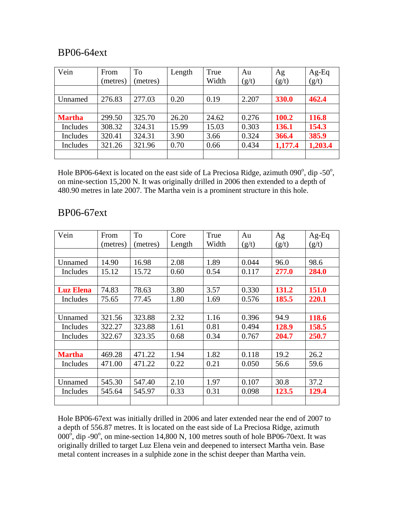## BP06-64ext

| Vein          | From<br>(metres) | <b>To</b><br>(metres) | Length | True<br>Width | Au<br>(g/t) | Ag<br>(g/t) | Ag-Eq<br>(g/t) |
|---------------|------------------|-----------------------|--------|---------------|-------------|-------------|----------------|
|               |                  |                       |        |               |             |             |                |
| Unnamed       | 276.83           | 277.03                | 0.20   | 0.19          | 2.207       | 330.0       | 462.4          |
|               |                  |                       |        |               |             |             |                |
| <b>Martha</b> | 299.50           | 325.70                | 26.20  | 24.62         | 0.276       | 100.2       | 116.8          |
| Includes      | 308.32           | 324.31                | 15.99  | 15.03         | 0.303       | 136.1       | 154.3          |
| Includes      | 320.41           | 324.31                | 3.90   | 3.66          | 0.324       | 366.4       | 385.9          |
| Includes      | 321.26           | 321.96                | 0.70   | 0.66          | 0.434       | 1,177.4     | 1,203.4        |
|               |                  |                       |        |               |             |             |                |

Hole BP06-64 ext is located on the east side of La Preciosa Ridge, azimuth  $0.90^\circ$ , dip -50 $^\circ$ , on mine-section 15,200 N. It was originally drilled in 2006 then extended to a depth of 480.90 metres in late 2007. The Martha vein is a prominent structure in this hole.

| Vein             | From     | <b>To</b> | Core   | True  | Au    | Ag    | $Ag-Eq$ |
|------------------|----------|-----------|--------|-------|-------|-------|---------|
|                  | (metres) | (metres)  | Length | Width | (g/t) | (g/t) | (g/t)   |
|                  |          |           |        |       |       |       |         |
| Unnamed          | 14.90    | 16.98     | 2.08   | 1.89  | 0.044 | 96.0  | 98.6    |
| Includes         | 15.12    | 15.72     | 0.60   | 0.54  | 0.117 | 277.0 | 284.0   |
|                  |          |           |        |       |       |       |         |
| <b>Luz Elena</b> | 74.83    | 78.63     | 3.80   | 3.57  | 0.330 | 131.2 | 151.0   |
| Includes         | 75.65    | 77.45     | 1.80   | 1.69  | 0.576 | 185.5 | 220.1   |
|                  |          |           |        |       |       |       |         |
| Unnamed          | 321.56   | 323.88    | 2.32   | 1.16  | 0.396 | 94.9  | 118.6   |
| Includes         | 322.27   | 323.88    | 1.61   | 0.81  | 0.494 | 128.9 | 158.5   |
| Includes         | 322.67   | 323.35    | 0.68   | 0.34  | 0.767 | 204.7 | 250.7   |
|                  |          |           |        |       |       |       |         |
| <b>Martha</b>    | 469.28   | 471.22    | 1.94   | 1.82  | 0.118 | 19.2  | 26.2    |
| Includes         | 471.00   | 471.22    | 0.22   | 0.21  | 0.050 | 56.6  | 59.6    |
|                  |          |           |        |       |       |       |         |
| Unnamed          | 545.30   | 547.40    | 2.10   | 1.97  | 0.107 | 30.8  | 37.2    |
| Includes         | 545.64   | 545.97    | 0.33   | 0.31  | 0.098 | 123.5 | 129.4   |
|                  |          |           |        |       |       |       |         |

## BP06-67ext

Hole BP06-67ext was initially drilled in 2006 and later extended near the end of 2007 to a depth of 556.87 metres. It is located on the east side of La Preciosa Ridge, azimuth  $000^{\circ}$ , dip -90°, on mine-section 14,800 N, 100 metres south of hole BP06-70ext. It was originally drilled to target Luz Elena vein and deepened to intersect Martha vein. Base metal content increases in a sulphide zone in the schist deeper than Martha vein.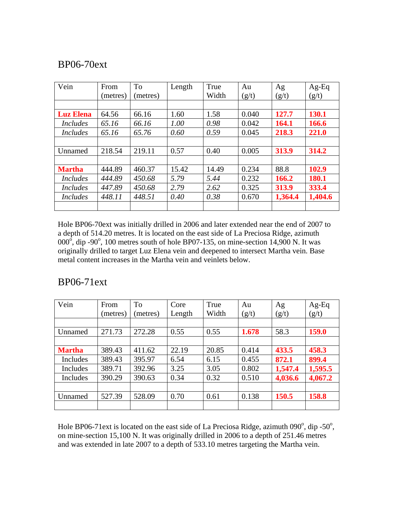## BP06-70ext

| Vein             | From     | <b>To</b> | Length | True  | Au    | Ag      | $Ag-Eq$ |
|------------------|----------|-----------|--------|-------|-------|---------|---------|
|                  | (metres) | (metres)  |        | Width | (g/t) | (g/t)   | (g/t)   |
|                  |          |           |        |       |       |         |         |
| <b>Luz Elena</b> | 64.56    | 66.16     | 1.60   | 1.58  | 0.040 | 127.7   | 130.1   |
| <i>Includes</i>  | 65.16    | 66.16     | 1.00   | 0.98  | 0.042 | 164.1   | 166.6   |
| <i>Includes</i>  | 65.16    | 65.76     | 0.60   | 0.59  | 0.045 | 218.3   | 221.0   |
|                  |          |           |        |       |       |         |         |
| Unnamed          | 218.54   | 219.11    | 0.57   | 0.40  | 0.005 | 313.9   | 314.2   |
|                  |          |           |        |       |       |         |         |
| <b>Martha</b>    | 444.89   | 460.37    | 15.42  | 14.49 | 0.234 | 88.8    | 102.9   |
| <i>Includes</i>  | 444.89   | 450.68    | 5.79   | 5.44  | 0.232 | 166.2   | 180.1   |
| Includes         | 447.89   | 450.68    | 2.79   | 2.62  | 0.325 | 313.9   | 333.4   |
| <i>Includes</i>  | 448.11   | 448.51    | 0.40   | 0.38  | 0.670 | 1,364.4 | 1,404.6 |
|                  |          |           |        |       |       |         |         |

Hole BP06-70ext was initially drilled in 2006 and later extended near the end of 2007 to a depth of 514.20 metres. It is located on the east side of La Preciosa Ridge, azimuth  $000^{\circ}$ , dip -90°, 100 metres south of hole BP07-135, on mine-section 14,900 N. It was originally drilled to target Luz Elena vein and deepened to intersect Martha vein. Base metal content increases in the Martha vein and veinlets below.

## BP06-71ext

| Vein          | From     | <b>To</b> | Core   | True  | Au    | Ag      | Ag-Eq   |
|---------------|----------|-----------|--------|-------|-------|---------|---------|
|               | (metres) | metres)   | Length | Width | (g/t) | (g/t)   | (g/t)   |
|               |          |           |        |       |       |         |         |
| Unnamed       | 271.73   | 272.28    | 0.55   | 0.55  | 1.678 | 58.3    | 159.0   |
|               |          |           |        |       |       |         |         |
| <b>Martha</b> | 389.43   | 411.62    | 22.19  | 20.85 | 0.414 | 433.5   | 458.3   |
| Includes      | 389.43   | 395.97    | 6.54   | 6.15  | 0.455 | 872.1   | 899.4   |
| Includes      | 389.71   | 392.96    | 3.25   | 3.05  | 0.802 | 1,547.4 | 1,595.5 |
| Includes      | 390.29   | 390.63    | 0.34   | 0.32  | 0.510 | 4,036.6 | 4,067.2 |
|               |          |           |        |       |       |         |         |
| Unnamed       | 527.39   | 528.09    | 0.70   | 0.61  | 0.138 | 150.5   | 158.8   |
|               |          |           |        |       |       |         |         |

Hole BP06-71 ext is located on the east side of La Preciosa Ridge, azimuth  $090^\circ$ , dip -50 $^\circ$ , on mine-section 15,100 N. It was originally drilled in 2006 to a depth of 251.46 metres and was extended in late 2007 to a depth of 533.10 metres targeting the Martha vein.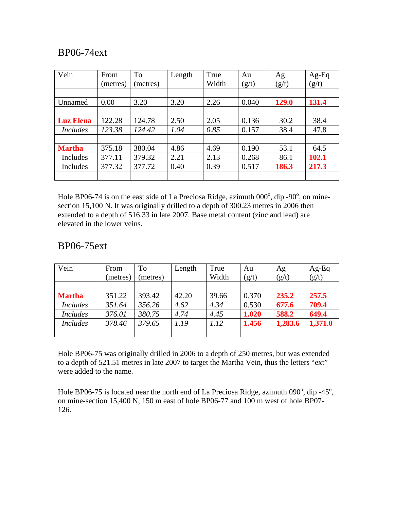## BP06-74ext

| Vein             | From     | To       | Length | True  | Au    | Ag    | $Ag-Eq$ |
|------------------|----------|----------|--------|-------|-------|-------|---------|
|                  | (metres) | (metres) |        | Width | (g/t) | (g/t) | (g/t)   |
|                  |          |          |        |       |       |       |         |
| Unnamed          | 0.00     | 3.20     | 3.20   | 2.26  | 0.040 | 129.0 | 131.4   |
|                  |          |          |        |       |       |       |         |
| <b>Luz Elena</b> | 122.28   | 124.78   | 2.50   | 2.05  | 0.136 | 30.2  | 38.4    |
| <i>Includes</i>  | 123.38   | 124.42   | 1.04   | 0.85  | 0.157 | 38.4  | 47.8    |
|                  |          |          |        |       |       |       |         |
| <b>Martha</b>    | 375.18   | 380.04   | 4.86   | 4.69  | 0.190 | 53.1  | 64.5    |
| Includes         | 377.11   | 379.32   | 2.21   | 2.13  | 0.268 | 86.1  | 102.1   |
| Includes         | 377.32   | 377.72   | 0.40   | 0.39  | 0.517 | 186.3 | 217.3   |
|                  |          |          |        |       |       |       |         |

Hole BP06-74 is on the east side of La Preciosa Ridge, azimuth  $000^{\circ}$ , dip -90 $^{\circ}$ , on minesection 15,100 N. It was originally drilled to a depth of 300.23 metres in 2006 then extended to a depth of 516.33 in late 2007. Base metal content (zinc and lead) are elevated in the lower veins.

## BP06-75ext

| Vein            | From     | To       | Length | True  | Au    | Ag      | Ag-Eq   |
|-----------------|----------|----------|--------|-------|-------|---------|---------|
|                 | (metres) | (metres) |        | Width | (g/t) | (g/t)   | (g/t)   |
|                 |          |          |        |       |       |         |         |
| <b>Martha</b>   | 351.22   | 393.42   | 42.20  | 39.66 | 0.370 | 235.2   | 257.5   |
| <b>Includes</b> | 351.64   | 356.26   | 4.62   | 4.34  | 0.530 | 677.6   | 709.4   |
| <b>Includes</b> | 376.01   | 380.75   | 4.74   | 4.45  | 1.020 | 588.2   | 649.4   |
| <b>Includes</b> | 378.46   | 379.65   | 1.19   | 1.12  | 1.456 | 1,283.6 | 1,371.0 |
|                 |          |          |        |       |       |         |         |

Hole BP06-75 was originally drilled in 2006 to a depth of 250 metres, but was extended to a depth of 521.51 metres in late 2007 to target the Martha Vein, thus the letters "ext" were added to the name.

Hole BP06-75 is located near the north end of La Preciosa Ridge, azimuth  $090^\circ$ , dip -45 $^\circ$ , on mine-section 15,400 N, 150 m east of hole BP06-77 and 100 m west of hole BP07- 126.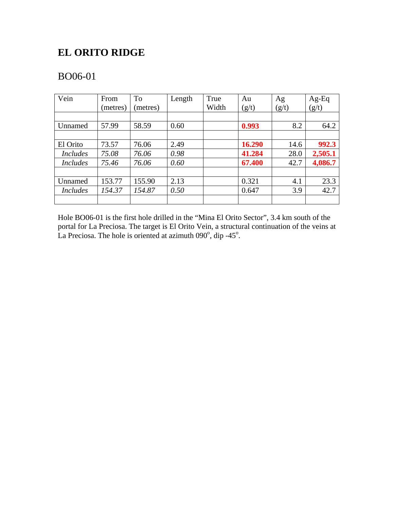# **EL ORITO RIDGE**

# BO06-01

| Vein            | From     | <b>To</b> | Length | True  | Au     | Ag    | Ag-Eq   |
|-----------------|----------|-----------|--------|-------|--------|-------|---------|
|                 | (metres) | (metres)  |        | Width | (g/t)  | (g/t) | (g/t)   |
|                 |          |           |        |       |        |       |         |
| Unnamed         | 57.99    | 58.59     | 0.60   |       | 0.993  | 8.2   | 64.2    |
|                 |          |           |        |       |        |       |         |
| El Orito        | 73.57    | 76.06     | 2.49   |       | 16.290 | 14.6  | 992.3   |
| <i>Includes</i> | 75.08    | 76.06     | 0.98   |       | 41.284 | 28.0  | 2,505.1 |
| <i>Includes</i> | 75.46    | 76.06     | 0.60   |       | 67.400 | 42.7  | 4,086.7 |
|                 |          |           |        |       |        |       |         |
| Unnamed         | 153.77   | 155.90    | 2.13   |       | 0.321  | 4.1   | 23.3    |
| <i>Includes</i> | 154.37   | 154.87    | 0.50   |       | 0.647  | 3.9   | 42.7    |
|                 |          |           |        |       |        |       |         |

Hole BO06-01 is the first hole drilled in the "Mina El Orito Sector", 3.4 km south of the portal for La Preciosa. The target is El Orito Vein, a structural continuation of the veins at La Preciosa. The hole is oriented at azimuth  $090^\circ$ , dip -45 $^\circ$ .